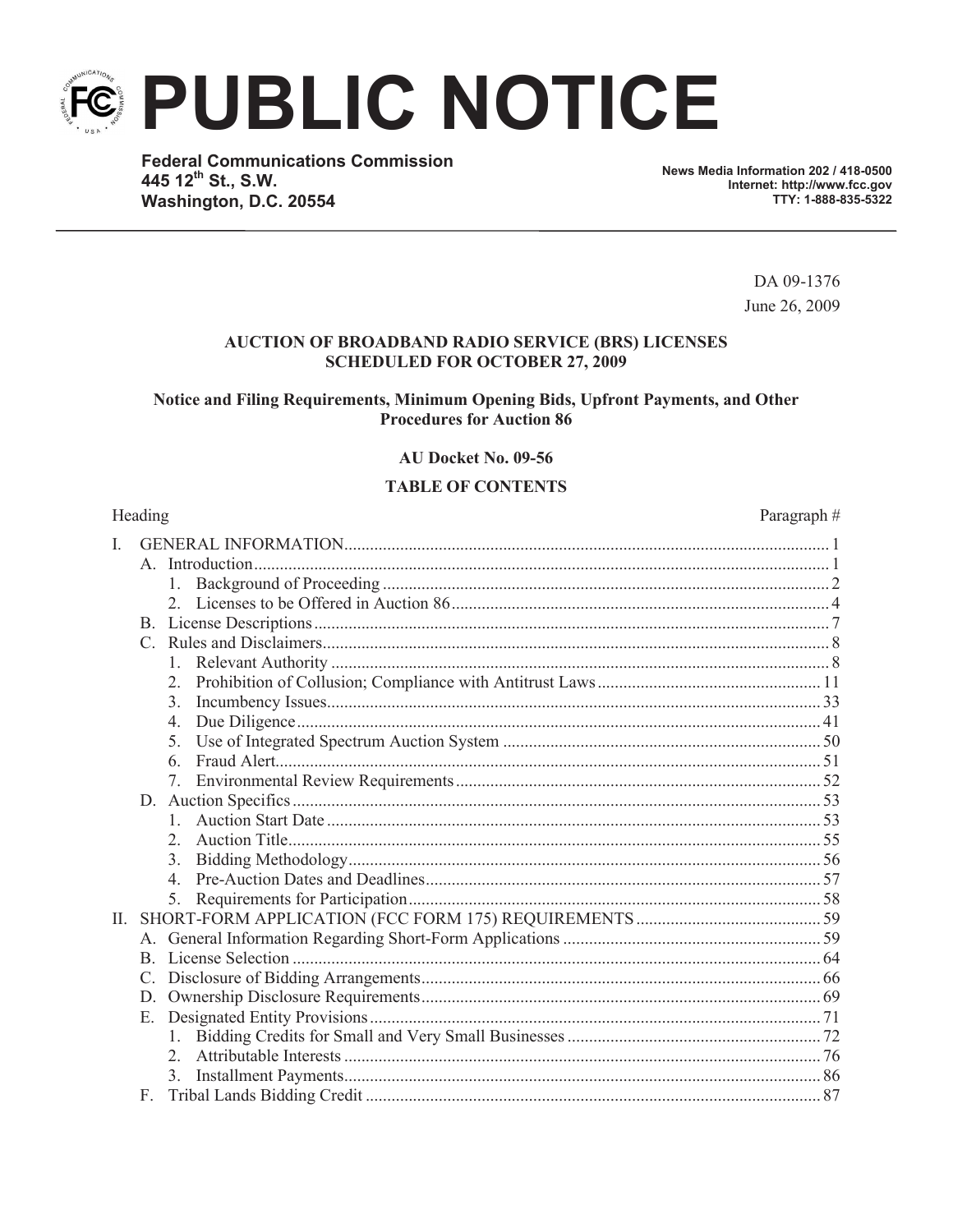**PUBLIC NOTICE** 

**Federal Communications Commission** 445 12th St., S.W. Washington, D.C. 20554

News Media Information 202 / 418-0500 Internet: http://www.fcc.gov TTY: 1-888-835-5322

> DA 09-1376 June 26, 2009

> > Paragraph#

#### **AUCTION OF BROADBAND RADIO SERVICE (BRS) LICENSES SCHEDULED FOR OCTOBER 27, 2009**

Notice and Filing Requirements, Minimum Opening Bids, Upfront Payments, and Other **Procedures for Auction 86** 

AU Docket No. 09-56

#### **TABLE OF CONTENTS**

#### Heading

| $\rm I$ . |                |  |
|-----------|----------------|--|
|           |                |  |
|           | $1_{-}$        |  |
|           |                |  |
|           |                |  |
|           |                |  |
|           |                |  |
|           |                |  |
|           | 3 <sub>1</sub> |  |
|           | $4_{\cdot}$    |  |
|           | 5.             |  |
|           | 6.             |  |
|           | 7.             |  |
|           |                |  |
|           |                |  |
|           | $\mathfrak{L}$ |  |
|           | 3.             |  |
|           | $\overline{4}$ |  |
|           |                |  |
| II.       |                |  |
|           |                |  |
|           | <sub>B</sub>   |  |
|           | C.             |  |
|           | D.             |  |
|           | Е.             |  |
|           |                |  |
|           | 2              |  |
|           | $3_{-}$        |  |
|           | $F_{\perp}$    |  |

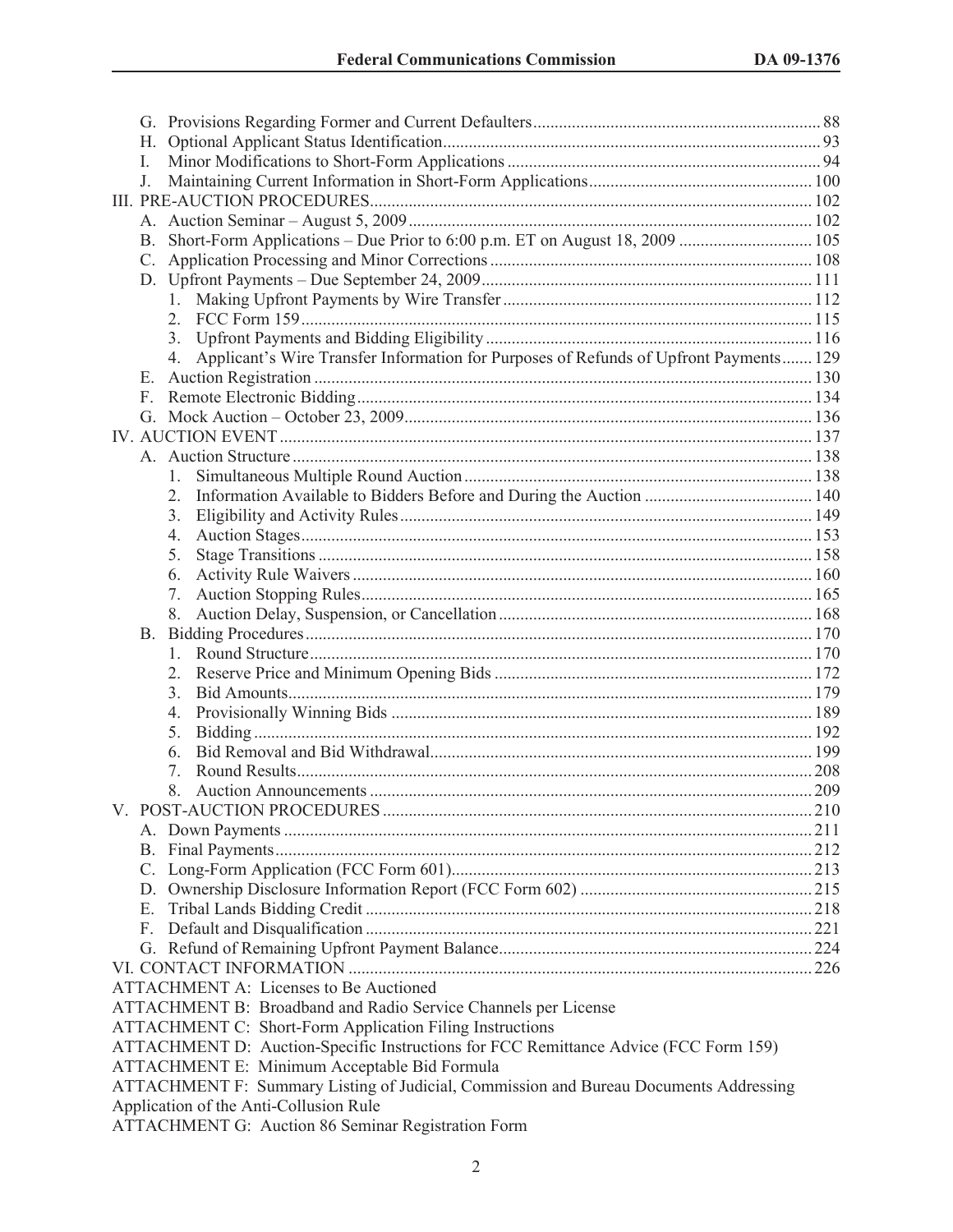|                                                                                       | Н.                                                                                   |                                                                                          |  |  |  |  |
|---------------------------------------------------------------------------------------|--------------------------------------------------------------------------------------|------------------------------------------------------------------------------------------|--|--|--|--|
|                                                                                       | L                                                                                    |                                                                                          |  |  |  |  |
|                                                                                       | J.                                                                                   |                                                                                          |  |  |  |  |
|                                                                                       |                                                                                      |                                                                                          |  |  |  |  |
|                                                                                       |                                                                                      |                                                                                          |  |  |  |  |
|                                                                                       | B.                                                                                   |                                                                                          |  |  |  |  |
|                                                                                       | C.                                                                                   |                                                                                          |  |  |  |  |
|                                                                                       |                                                                                      |                                                                                          |  |  |  |  |
|                                                                                       |                                                                                      |                                                                                          |  |  |  |  |
|                                                                                       |                                                                                      | 2.                                                                                       |  |  |  |  |
|                                                                                       |                                                                                      |                                                                                          |  |  |  |  |
|                                                                                       |                                                                                      | 4. Applicant's Wire Transfer Information for Purposes of Refunds of Upfront Payments 129 |  |  |  |  |
|                                                                                       | Е.                                                                                   |                                                                                          |  |  |  |  |
|                                                                                       | F.                                                                                   |                                                                                          |  |  |  |  |
|                                                                                       |                                                                                      |                                                                                          |  |  |  |  |
|                                                                                       |                                                                                      |                                                                                          |  |  |  |  |
|                                                                                       |                                                                                      |                                                                                          |  |  |  |  |
|                                                                                       |                                                                                      |                                                                                          |  |  |  |  |
|                                                                                       |                                                                                      | 2.                                                                                       |  |  |  |  |
|                                                                                       |                                                                                      | 3.                                                                                       |  |  |  |  |
|                                                                                       |                                                                                      | 4.                                                                                       |  |  |  |  |
|                                                                                       |                                                                                      | 5.                                                                                       |  |  |  |  |
|                                                                                       |                                                                                      | 6.                                                                                       |  |  |  |  |
|                                                                                       |                                                                                      | 7.                                                                                       |  |  |  |  |
|                                                                                       |                                                                                      |                                                                                          |  |  |  |  |
|                                                                                       |                                                                                      |                                                                                          |  |  |  |  |
|                                                                                       |                                                                                      | 1.                                                                                       |  |  |  |  |
|                                                                                       |                                                                                      | 2.<br>3.                                                                                 |  |  |  |  |
|                                                                                       |                                                                                      |                                                                                          |  |  |  |  |
|                                                                                       |                                                                                      | 4.<br>5.                                                                                 |  |  |  |  |
|                                                                                       |                                                                                      | 6.                                                                                       |  |  |  |  |
|                                                                                       |                                                                                      | $7_{\scriptscriptstyle{\ddots}}$                                                         |  |  |  |  |
|                                                                                       |                                                                                      |                                                                                          |  |  |  |  |
|                                                                                       |                                                                                      |                                                                                          |  |  |  |  |
|                                                                                       |                                                                                      |                                                                                          |  |  |  |  |
|                                                                                       |                                                                                      |                                                                                          |  |  |  |  |
|                                                                                       |                                                                                      |                                                                                          |  |  |  |  |
|                                                                                       |                                                                                      |                                                                                          |  |  |  |  |
|                                                                                       | Е.                                                                                   |                                                                                          |  |  |  |  |
|                                                                                       | F.                                                                                   |                                                                                          |  |  |  |  |
|                                                                                       |                                                                                      |                                                                                          |  |  |  |  |
|                                                                                       |                                                                                      |                                                                                          |  |  |  |  |
|                                                                                       |                                                                                      | <b>ATTACHMENT A: Licenses to Be Auctioned</b>                                            |  |  |  |  |
|                                                                                       |                                                                                      | ATTACHMENT B: Broadband and Radio Service Channels per License                           |  |  |  |  |
|                                                                                       |                                                                                      | <b>ATTACHMENT C: Short-Form Application Filing Instructions</b>                          |  |  |  |  |
|                                                                                       | ATTACHMENT D: Auction-Specific Instructions for FCC Remittance Advice (FCC Form 159) |                                                                                          |  |  |  |  |
| ATTACHMENT E: Minimum Acceptable Bid Formula                                          |                                                                                      |                                                                                          |  |  |  |  |
| ATTACHMENT F: Summary Listing of Judicial, Commission and Bureau Documents Addressing |                                                                                      |                                                                                          |  |  |  |  |
|                                                                                       |                                                                                      | Application of the Anti-Collusion Rule                                                   |  |  |  |  |
|                                                                                       |                                                                                      | ATTACHMENT G: Auction 86 Seminar Registration Form                                       |  |  |  |  |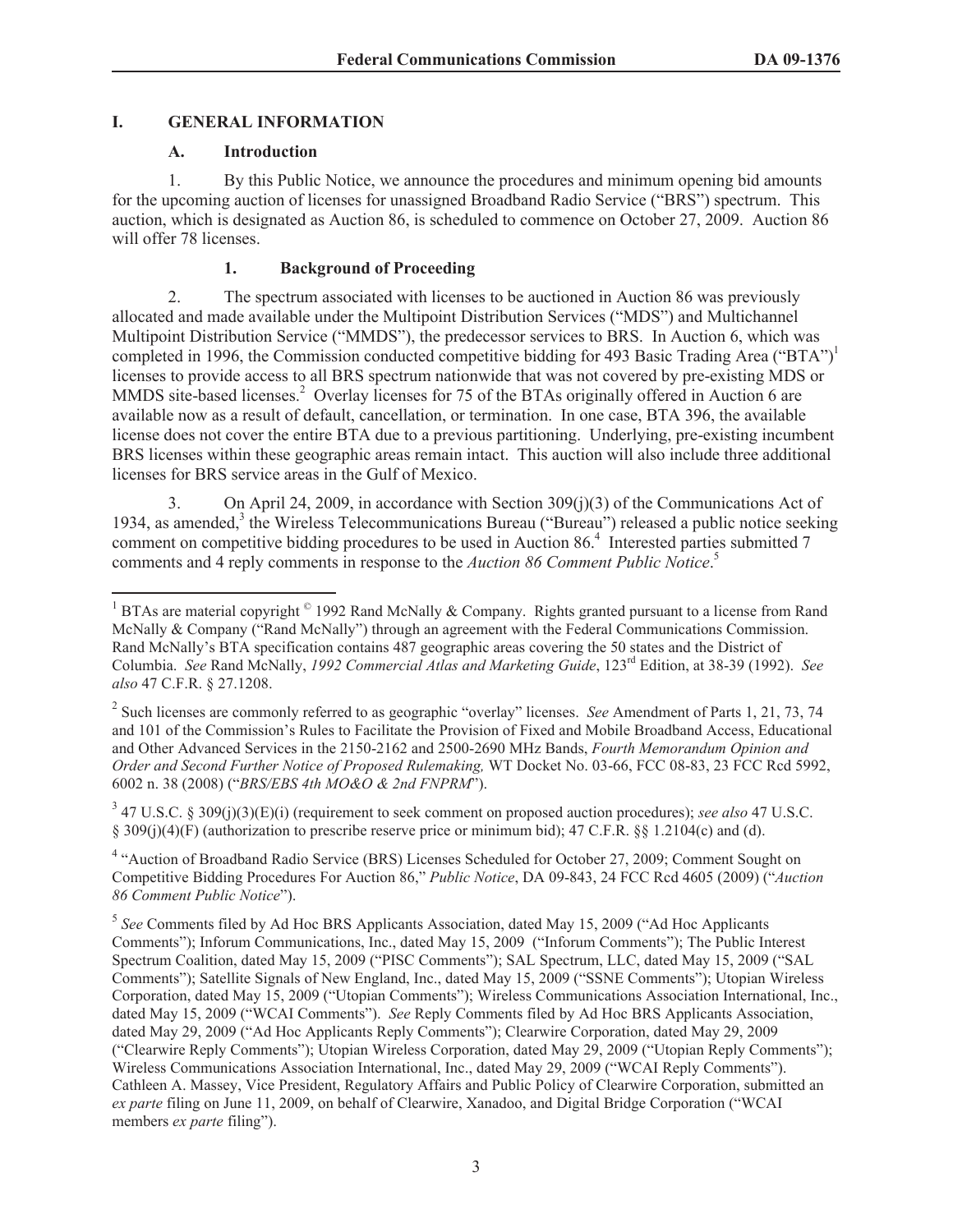# **I. GENERAL INFORMATION**

#### **A. Introduction**

1. By this Public Notice, we announce the procedures and minimum opening bid amounts for the upcoming auction of licenses for unassigned Broadband Radio Service ("BRS") spectrum. This auction, which is designated as Auction 86, is scheduled to commence on October 27, 2009. Auction 86 will offer 78 licenses.

# **1. Background of Proceeding**

2. The spectrum associated with licenses to be auctioned in Auction 86 was previously allocated and made available under the Multipoint Distribution Services ("MDS") and Multichannel Multipoint Distribution Service ("MMDS"), the predecessor services to BRS. In Auction 6, which was completed in 1996, the Commission conducted competitive bidding for 493 Basic Trading Area ("BTA")<sup>1</sup> licenses to provide access to all BRS spectrum nationwide that was not covered by pre-existing MDS or MMDS site-based licenses.<sup>2</sup> Overlay licenses for 75 of the BTAs originally offered in Auction 6 are available now as a result of default, cancellation, or termination. In one case, BTA 396, the available license does not cover the entire BTA due to a previous partitioning. Underlying, pre-existing incumbent BRS licenses within these geographic areas remain intact. This auction will also include three additional licenses for BRS service areas in the Gulf of Mexico.

3. On April 24, 2009, in accordance with Section 309(j)(3) of the Communications Act of 1934, as amended,<sup>3</sup> the Wireless Telecommunications Bureau ("Bureau") released a public notice seeking comment on competitive bidding procedures to be used in Auction 86.<sup>4</sup> Interested parties submitted 7 comments and 4 reply comments in response to the *Auction 86 Comment Public Notice*. 5

3 47 U.S.C. § 309(j)(3)(E)(i) (requirement to seek comment on proposed auction procedures); *see also* 47 U.S.C. § 309(j)(4)(F) (authorization to prescribe reserve price or minimum bid); 47 C.F.R. §§ 1.2104(c) and (d).

<sup>4</sup> "Auction of Broadband Radio Service (BRS) Licenses Scheduled for October 27, 2009; Comment Sought on Competitive Bidding Procedures For Auction 86," *Public Notice*, DA 09-843, 24 FCC Rcd 4605 (2009) ("*Auction 86 Comment Public Notice*").

<sup>&</sup>lt;sup>1</sup> BTAs are material copyright  $^{\circ}$  1992 Rand McNally & Company. Rights granted pursuant to a license from Rand McNally & Company ("Rand McNally") through an agreement with the Federal Communications Commission. Rand McNally's BTA specification contains 487 geographic areas covering the 50 states and the District of Columbia. *See* Rand McNally, *1992 Commercial Atlas and Marketing Guide*, 123rd Edition, at 38-39 (1992). *See also* 47 C.F.R. § 27.1208.

<sup>2</sup> Such licenses are commonly referred to as geographic "overlay" licenses. *See* Amendment of Parts 1, 21, 73, 74 and 101 of the Commission's Rules to Facilitate the Provision of Fixed and Mobile Broadband Access, Educational and Other Advanced Services in the 2150-2162 and 2500-2690 MHz Bands, *Fourth Memorandum Opinion and Order and Second Further Notice of Proposed Rulemaking,* WT Docket No. 03-66, FCC 08-83, 23 FCC Rcd 5992, 6002 n. 38 (2008) ("*BRS/EBS 4th MO&O & 2nd FNPRM*").

<sup>5</sup> *See* Comments filed by Ad Hoc BRS Applicants Association, dated May 15, 2009 ("Ad Hoc Applicants Comments"); Inforum Communications, Inc., dated May 15, 2009 ("Inforum Comments"); The Public Interest Spectrum Coalition, dated May 15, 2009 ("PISC Comments"); SAL Spectrum, LLC, dated May 15, 2009 ("SAL Comments"); Satellite Signals of New England, Inc., dated May 15, 2009 ("SSNE Comments"); Utopian Wireless Corporation, dated May 15, 2009 ("Utopian Comments"); Wireless Communications Association International, Inc., dated May 15, 2009 ("WCAI Comments"). *See* Reply Comments filed by Ad Hoc BRS Applicants Association, dated May 29, 2009 ("Ad Hoc Applicants Reply Comments"); Clearwire Corporation, dated May 29, 2009 ("Clearwire Reply Comments"); Utopian Wireless Corporation, dated May 29, 2009 ("Utopian Reply Comments"); Wireless Communications Association International, Inc., dated May 29, 2009 ("WCAI Reply Comments"). Cathleen A. Massey, Vice President, Regulatory Affairs and Public Policy of Clearwire Corporation, submitted an *ex parte* filing on June 11, 2009, on behalf of Clearwire, Xanadoo, and Digital Bridge Corporation ("WCAI members *ex parte* filing").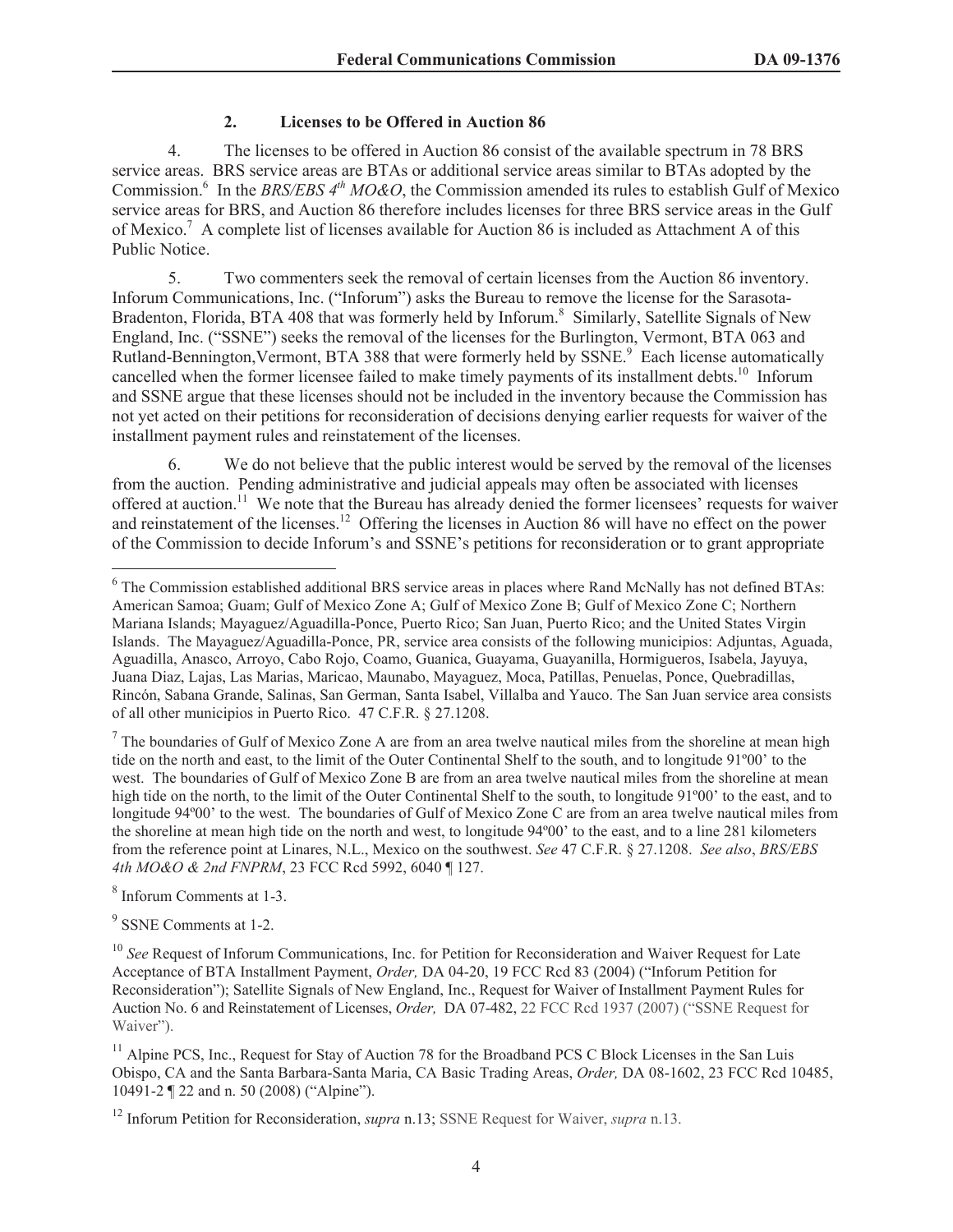# **2. Licenses to be Offered in Auction 86**

4. The licenses to be offered in Auction 86 consist of the available spectrum in 78 BRS service areas. BRS service areas are BTAs or additional service areas similar to BTAs adopted by the Commission.<sup>6</sup> In the *BRS/EBS 4<sup>th</sup> MO&O*, the Commission amended its rules to establish Gulf of Mexico service areas for BRS, and Auction 86 therefore includes licenses for three BRS service areas in the Gulf of Mexico.<sup>7</sup> A complete list of licenses available for Auction 86 is included as Attachment A of this Public Notice.

5. Two commenters seek the removal of certain licenses from the Auction 86 inventory. Inforum Communications, Inc. ("Inforum") asks the Bureau to remove the license for the Sarasota-Bradenton, Florida, BTA 408 that was formerly held by Inforum.<sup>8</sup> Similarly, Satellite Signals of New England, Inc. ("SSNE") seeks the removal of the licenses for the Burlington, Vermont, BTA 063 and Rutland-Bennington, Vermont, BTA 388 that were formerly held by SSNE.<sup>9</sup> Each license automatically cancelled when the former licensee failed to make timely payments of its installment debts.<sup>10</sup> Inforum and SSNE argue that these licenses should not be included in the inventory because the Commission has not yet acted on their petitions for reconsideration of decisions denying earlier requests for waiver of the installment payment rules and reinstatement of the licenses.

6. We do not believe that the public interest would be served by the removal of the licenses from the auction. Pending administrative and judicial appeals may often be associated with licenses offered at auction.<sup>11</sup> We note that the Bureau has already denied the former licensees' requests for waiver and reinstatement of the licenses.<sup>12</sup> Offering the licenses in Auction 86 will have no effect on the power of the Commission to decide Inforum's and SSNE's petitions for reconsideration or to grant appropriate

 $<sup>7</sup>$  The boundaries of Gulf of Mexico Zone A are from an area twelve nautical miles from the shoreline at mean high</sup> tide on the north and east, to the limit of the Outer Continental Shelf to the south, and to longitude 91º00' to the west. The boundaries of Gulf of Mexico Zone B are from an area twelve nautical miles from the shoreline at mean high tide on the north, to the limit of the Outer Continental Shelf to the south, to longitude 91°00' to the east, and to longitude 94º00' to the west. The boundaries of Gulf of Mexico Zone C are from an area twelve nautical miles from the shoreline at mean high tide on the north and west, to longitude 94º00' to the east, and to a line 281 kilometers from the reference point at Linares, N.L., Mexico on the southwest. *See* 47 C.F.R. § 27.1208. *See also*, *BRS/EBS 4th MO&O & 2nd FNPRM*, 23 FCC Rcd 5992, 6040 ¶ 127.

8 Inforum Comments at 1-3.

<sup>9</sup> SSNE Comments at 1-2.

<sup>&</sup>lt;sup>6</sup> The Commission established additional BRS service areas in places where Rand McNally has not defined BTAs: American Samoa; Guam; Gulf of Mexico Zone A; Gulf of Mexico Zone B; Gulf of Mexico Zone C; Northern Mariana Islands; Mayaguez/Aguadilla-Ponce, Puerto Rico; San Juan, Puerto Rico; and the United States Virgin Islands. The Mayaguez/Aguadilla-Ponce, PR, service area consists of the following municipios: Adjuntas, Aguada, Aguadilla, Anasco, Arroyo, Cabo Rojo, Coamo, Guanica, Guayama, Guayanilla, Hormigueros, Isabela, Jayuya, Juana Diaz, Lajas, Las Marias, Maricao, Maunabo, Mayaguez, Moca, Patillas, Penuelas, Ponce, Quebradillas, Rincón, Sabana Grande, Salinas, San German, Santa Isabel, Villalba and Yauco. The San Juan service area consists of all other municipios in Puerto Rico. 47 C.F.R. § 27.1208.

<sup>&</sup>lt;sup>10</sup> See Request of Inforum Communications, Inc. for Petition for Reconsideration and Waiver Request for Late Acceptance of BTA Installment Payment, *Order,* DA 04-20, 19 FCC Rcd 83 (2004) ("Inforum Petition for Reconsideration"); Satellite Signals of New England, Inc., Request for Waiver of Installment Payment Rules for Auction No. 6 and Reinstatement of Licenses, *Order,* DA 07-482, 22 FCC Rcd 1937 (2007) ("SSNE Request for Waiver").

<sup>&</sup>lt;sup>11</sup> Alpine PCS, Inc., Request for Stay of Auction 78 for the Broadband PCS C Block Licenses in the San Luis Obispo, CA and the Santa Barbara-Santa Maria, CA Basic Trading Areas, *Order,* DA 08-1602, 23 FCC Rcd 10485, 10491-2 ¶ 22 and n. 50 (2008) ("Alpine").

<sup>12</sup> Inforum Petition for Reconsideration, *supra* n.13; SSNE Request for Waiver, *supra* n.13.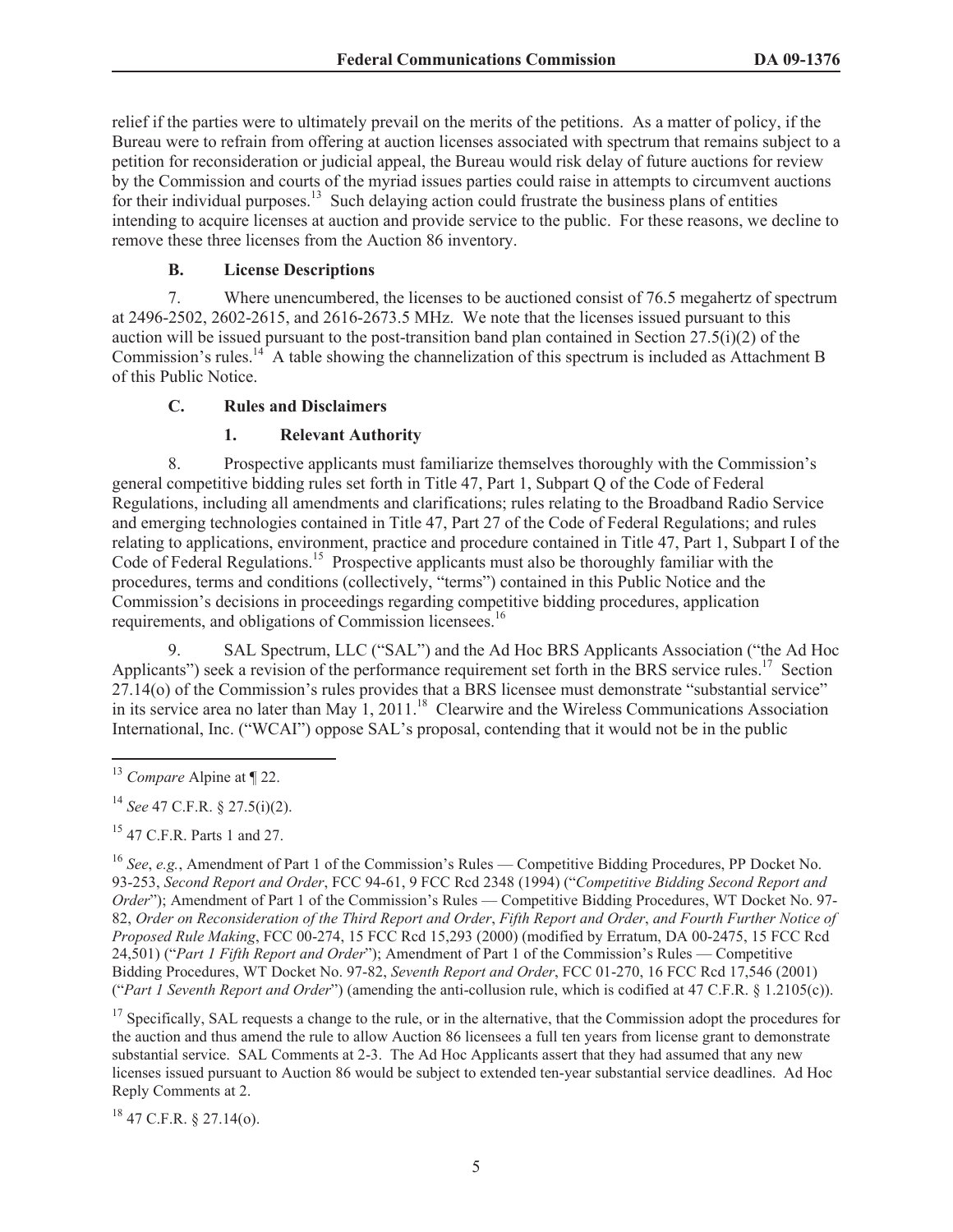relief if the parties were to ultimately prevail on the merits of the petitions. As a matter of policy, if the Bureau were to refrain from offering at auction licenses associated with spectrum that remains subject to a petition for reconsideration or judicial appeal, the Bureau would risk delay of future auctions for review by the Commission and courts of the myriad issues parties could raise in attempts to circumvent auctions for their individual purposes.<sup>13</sup> Such delaying action could frustrate the business plans of entities intending to acquire licenses at auction and provide service to the public. For these reasons, we decline to remove these three licenses from the Auction 86 inventory.

### **B. License Descriptions**

7. Where unencumbered, the licenses to be auctioned consist of 76.5 megahertz of spectrum at 2496-2502, 2602-2615, and 2616-2673.5 MHz. We note that the licenses issued pursuant to this auction will be issued pursuant to the post-transition band plan contained in Section  $27.5(i)(2)$  of the Commission's rules.<sup>14</sup> A table showing the channelization of this spectrum is included as Attachment B of this Public Notice.

### **C. Rules and Disclaimers**

### **1. Relevant Authority**

8. Prospective applicants must familiarize themselves thoroughly with the Commission's general competitive bidding rules set forth in Title 47, Part 1, Subpart Q of the Code of Federal Regulations, including all amendments and clarifications; rules relating to the Broadband Radio Service and emerging technologies contained in Title 47, Part 27 of the Code of Federal Regulations; and rules relating to applications, environment, practice and procedure contained in Title 47, Part 1, Subpart I of the Code of Federal Regulations.<sup>15</sup> Prospective applicants must also be thoroughly familiar with the procedures, terms and conditions (collectively, "terms") contained in this Public Notice and the Commission's decisions in proceedings regarding competitive bidding procedures, application requirements, and obligations of Commission licensees.<sup>16</sup>

9. SAL Spectrum, LLC ("SAL") and the Ad Hoc BRS Applicants Association ("the Ad Hoc Applicants") seek a revision of the performance requirement set forth in the BRS service rules.<sup>17</sup> Section 27.14(o) of the Commission's rules provides that a BRS licensee must demonstrate "substantial service" in its service area no later than May  $1, 2011$ .<sup>18</sup> Clearwire and the Wireless Communications Association International, Inc. ("WCAI") oppose SAL's proposal, contending that it would not be in the public

<sup>15</sup> 47 C.F.R. Parts 1 and 27.

<sup>16</sup> *See*, *e.g.*, Amendment of Part 1 of the Commission's Rules — Competitive Bidding Procedures, PP Docket No. 93-253, *Second Report and Order*, FCC 94-61, 9 FCC Rcd 2348 (1994) ("*Competitive Bidding Second Report and Order*"); Amendment of Part 1 of the Commission's Rules — Competitive Bidding Procedures, WT Docket No. 97-82, *Order on Reconsideration of the Third Report and Order*, *Fifth Report and Order*, *and Fourth Further Notice of Proposed Rule Making*, FCC 00-274, 15 FCC Rcd 15,293 (2000) (modified by Erratum, DA 00-2475, 15 FCC Rcd 24,501) ("*Part 1 Fifth Report and Order*"); Amendment of Part 1 of the Commission's Rules — Competitive Bidding Procedures, WT Docket No. 97-82, *Seventh Report and Order*, FCC 01-270, 16 FCC Rcd 17,546 (2001) ("*Part 1 Seventh Report and Order*") (amending the anti-collusion rule, which is codified at 47 C.F.R. § 1.2105(c)).

<sup>17</sup> Specifically, SAL requests a change to the rule, or in the alternative, that the Commission adopt the procedures for the auction and thus amend the rule to allow Auction 86 licensees a full ten years from license grant to demonstrate substantial service. SAL Comments at 2-3. The Ad Hoc Applicants assert that they had assumed that any new licenses issued pursuant to Auction 86 would be subject to extended ten-year substantial service deadlines. Ad Hoc Reply Comments at 2.

 $18$  47 C.F.R. § 27.14(o).

<sup>13</sup> *Compare* Alpine at ¶ 22.

<sup>14</sup> *See* 47 C.F.R. § 27.5(i)(2).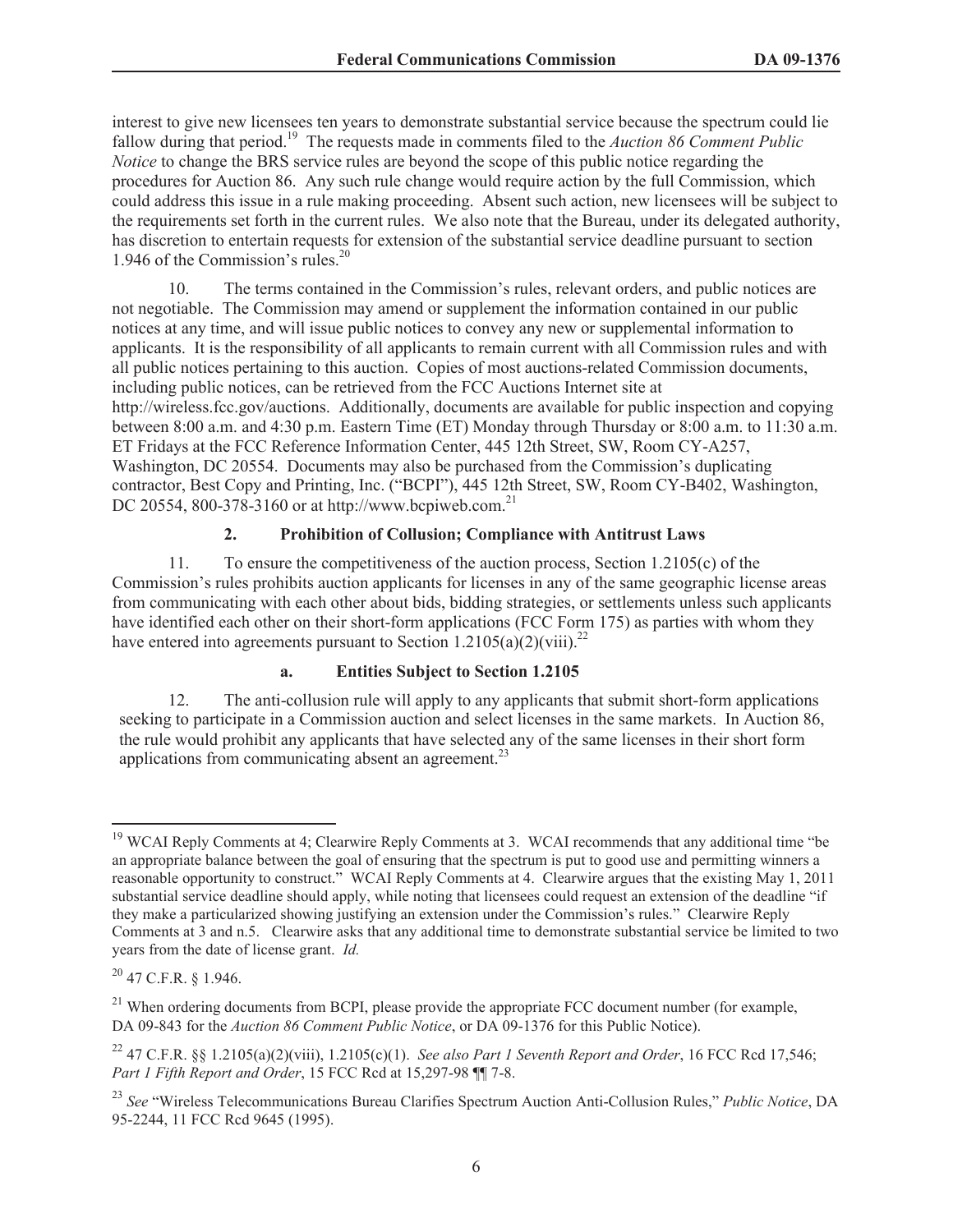interest to give new licensees ten years to demonstrate substantial service because the spectrum could lie fallow during that period.<sup>19</sup> The requests made in comments filed to the *Auction 86 Comment Public Notice* to change the BRS service rules are beyond the scope of this public notice regarding the procedures for Auction 86. Any such rule change would require action by the full Commission, which could address this issue in a rule making proceeding. Absent such action, new licensees will be subject to the requirements set forth in the current rules. We also note that the Bureau, under its delegated authority, has discretion to entertain requests for extension of the substantial service deadline pursuant to section 1.946 of the Commission's rules.<sup>20</sup>

10. The terms contained in the Commission's rules, relevant orders, and public notices are not negotiable. The Commission may amend or supplement the information contained in our public notices at any time, and will issue public notices to convey any new or supplemental information to applicants. It is the responsibility of all applicants to remain current with all Commission rules and with all public notices pertaining to this auction. Copies of most auctions-related Commission documents, including public notices, can be retrieved from the FCC Auctions Internet site at http://wireless.fcc.gov/auctions. Additionally, documents are available for public inspection and copying between 8:00 a.m. and 4:30 p.m. Eastern Time (ET) Monday through Thursday or 8:00 a.m. to 11:30 a.m. ET Fridays at the FCC Reference Information Center, 445 12th Street, SW, Room CY-A257, Washington, DC 20554. Documents may also be purchased from the Commission's duplicating contractor, Best Copy and Printing, Inc. ("BCPI"), 445 12th Street, SW, Room CY-B402, Washington, DC 20554, 800-378-3160 or at http://www.bcpiweb.com.<sup>21</sup>

### **2. Prohibition of Collusion; Compliance with Antitrust Laws**

11. To ensure the competitiveness of the auction process, Section 1.2105(c) of the Commission's rules prohibits auction applicants for licenses in any of the same geographic license areas from communicating with each other about bids, bidding strategies, or settlements unless such applicants have identified each other on their short-form applications (FCC Form 175) as parties with whom they have entered into agreements pursuant to Section 1.2105(a)(2)(viii).<sup>22</sup>

# **a. Entities Subject to Section 1.2105**

12. The anti-collusion rule will apply to any applicants that submit short-form applications seeking to participate in a Commission auction and select licenses in the same markets. In Auction 86, the rule would prohibit any applicants that have selected any of the same licenses in their short form applications from communicating absent an agreement.<sup>23</sup>

<sup>&</sup>lt;sup>19</sup> WCAI Reply Comments at 4; Clearwire Reply Comments at 3. WCAI recommends that any additional time "be an appropriate balance between the goal of ensuring that the spectrum is put to good use and permitting winners a reasonable opportunity to construct." WCAI Reply Comments at 4. Clearwire argues that the existing May 1, 2011 substantial service deadline should apply, while noting that licensees could request an extension of the deadline "if they make a particularized showing justifying an extension under the Commission's rules." Clearwire Reply Comments at 3 and n.5. Clearwire asks that any additional time to demonstrate substantial service be limited to two years from the date of license grant. *Id.*

<sup>20</sup> 47 C.F.R. § 1.946.

<sup>&</sup>lt;sup>21</sup> When ordering documents from BCPI, please provide the appropriate FCC document number (for example, DA 09-843 for the *Auction 86 Comment Public Notice*, or DA 09-1376 for this Public Notice).

<sup>22</sup> 47 C.F.R. §§ 1.2105(a)(2)(viii), 1.2105(c)(1). *See also Part 1 Seventh Report and Order*, 16 FCC Rcd 17,546; *Part 1 Fifth Report and Order*, 15 FCC Rcd at 15,297-98 ¶¶ 7-8.

<sup>23</sup> *See* "Wireless Telecommunications Bureau Clarifies Spectrum Auction Anti-Collusion Rules," *Public Notice*, DA 95-2244, 11 FCC Rcd 9645 (1995).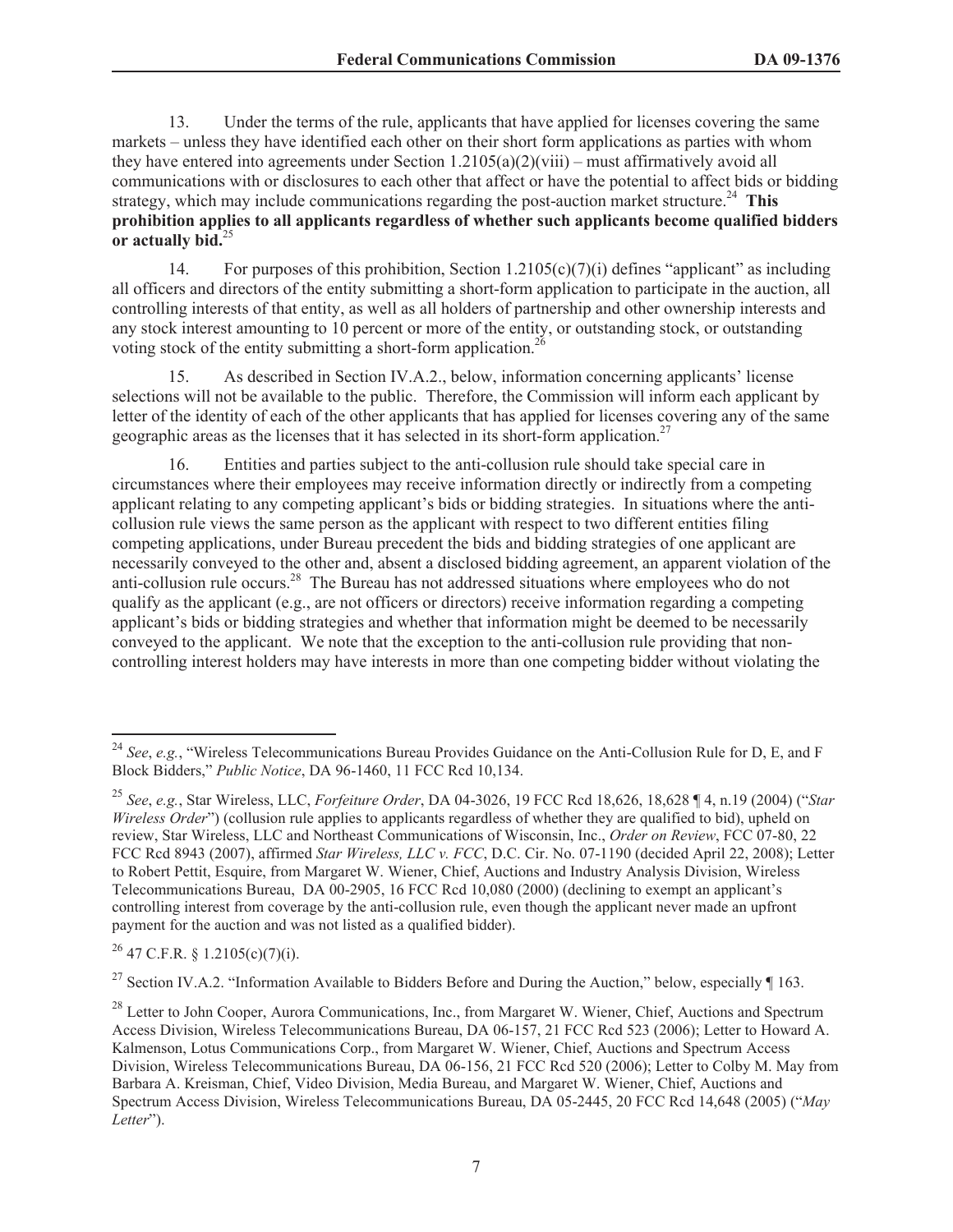13. Under the terms of the rule, applicants that have applied for licenses covering the same markets – unless they have identified each other on their short form applications as parties with whom they have entered into agreements under Section  $1.2105(a)(2)(viii)$  – must affirmatively avoid all communications with or disclosures to each other that affect or have the potential to affect bids or bidding strategy, which may include communications regarding the post-auction market structure.<sup>24</sup> **This prohibition applies to all applicants regardless of whether such applicants become qualified bidders or actually bid.**<sup>25</sup>

14. For purposes of this prohibition, Section 1.2105(c)(7)(i) defines "applicant" as including all officers and directors of the entity submitting a short-form application to participate in the auction, all controlling interests of that entity, as well as all holders of partnership and other ownership interests and any stock interest amounting to 10 percent or more of the entity, or outstanding stock, or outstanding voting stock of the entity submitting a short-form application.<sup>26</sup>

15. As described in Section IV.A.2., below, information concerning applicants' license selections will not be available to the public. Therefore, the Commission will inform each applicant by letter of the identity of each of the other applicants that has applied for licenses covering any of the same geographic areas as the licenses that it has selected in its short-form application.<sup>27</sup>

16. Entities and parties subject to the anti-collusion rule should take special care in circumstances where their employees may receive information directly or indirectly from a competing applicant relating to any competing applicant's bids or bidding strategies. In situations where the anticollusion rule views the same person as the applicant with respect to two different entities filing competing applications, under Bureau precedent the bids and bidding strategies of one applicant are necessarily conveyed to the other and, absent a disclosed bidding agreement, an apparent violation of the anti-collusion rule occurs.<sup>28</sup> The Bureau has not addressed situations where employees who do not qualify as the applicant (e.g., are not officers or directors) receive information regarding a competing applicant's bids or bidding strategies and whether that information might be deemed to be necessarily conveyed to the applicant. We note that the exception to the anti-collusion rule providing that noncontrolling interest holders may have interests in more than one competing bidder without violating the

<sup>26</sup> 47 C.F.R. § 1.2105(c)(7)(i).

<sup>27</sup> Section IV.A.2. "Information Available to Bidders Before and During the Auction," below, especially  $\P$  163.

<sup>24</sup> *See*, *e.g.*, "Wireless Telecommunications Bureau Provides Guidance on the Anti-Collusion Rule for D, E, and F Block Bidders," *Public Notice*, DA 96-1460, 11 FCC Rcd 10,134.

<sup>25</sup> *See*, *e.g.*, Star Wireless, LLC, *Forfeiture Order*, DA 04-3026, 19 FCC Rcd 18,626, 18,628 ¶ 4, n.19 (2004) ("*Star Wireless Order*") (collusion rule applies to applicants regardless of whether they are qualified to bid), upheld on review, Star Wireless, LLC and Northeast Communications of Wisconsin, Inc., *Order on Review*, FCC 07-80, 22 FCC Rcd 8943 (2007), affirmed *Star Wireless, LLC v. FCC*, D.C. Cir. No. 07-1190 (decided April 22, 2008); Letter to Robert Pettit, Esquire, from Margaret W. Wiener, Chief, Auctions and Industry Analysis Division, Wireless Telecommunications Bureau, DA 00-2905, 16 FCC Rcd 10,080 (2000) (declining to exempt an applicant's controlling interest from coverage by the anti-collusion rule, even though the applicant never made an upfront payment for the auction and was not listed as a qualified bidder).

<sup>&</sup>lt;sup>28</sup> Letter to John Cooper, Aurora Communications, Inc., from Margaret W. Wiener, Chief, Auctions and Spectrum Access Division, Wireless Telecommunications Bureau, DA 06-157, 21 FCC Rcd 523 (2006); Letter to Howard A. Kalmenson, Lotus Communications Corp., from Margaret W. Wiener, Chief, Auctions and Spectrum Access Division, Wireless Telecommunications Bureau, DA 06-156, 21 FCC Rcd 520 (2006); Letter to Colby M. May from Barbara A. Kreisman, Chief, Video Division, Media Bureau, and Margaret W. Wiener, Chief, Auctions and Spectrum Access Division, Wireless Telecommunications Bureau, DA 05-2445, 20 FCC Rcd 14,648 (2005) ("*May Letter*").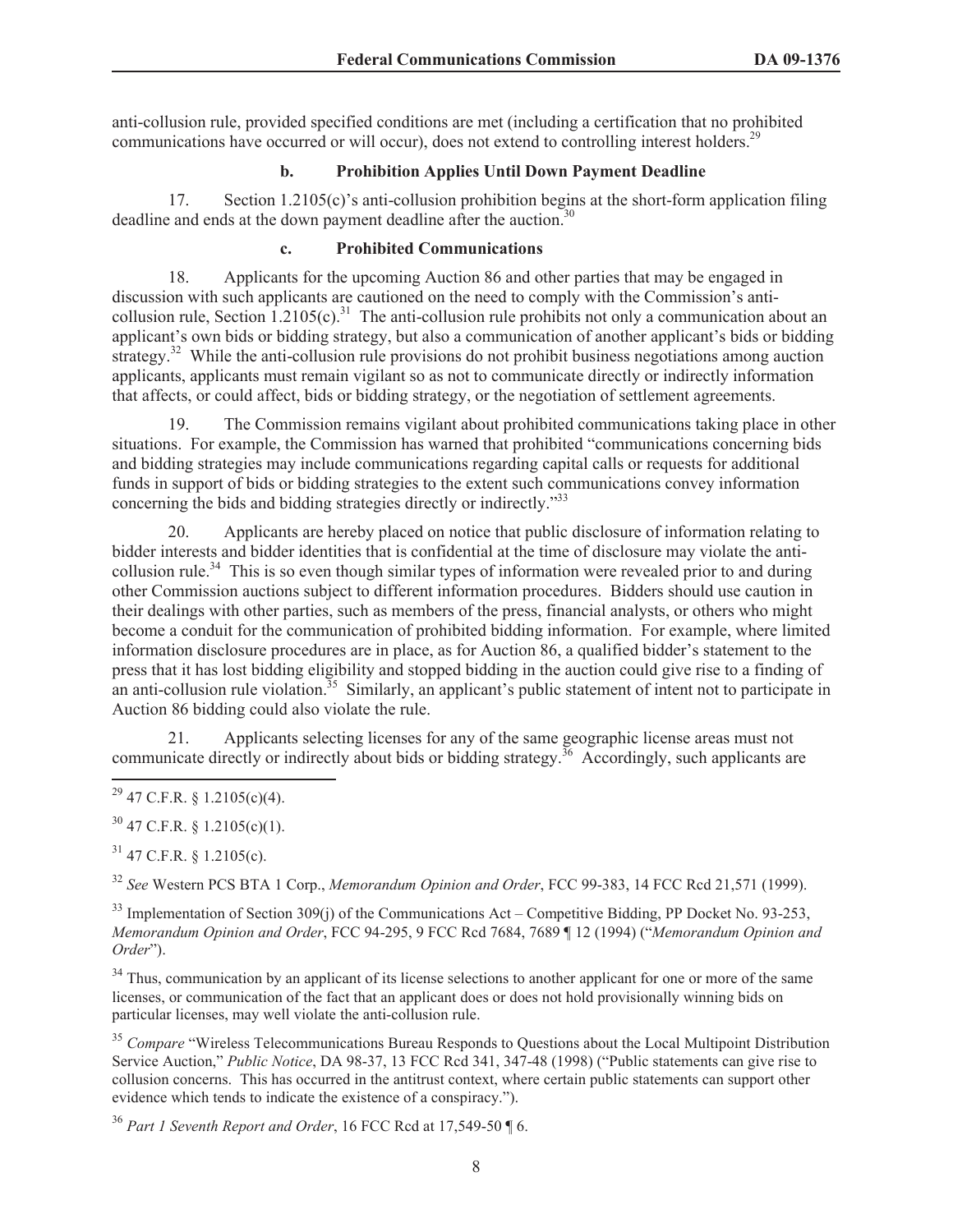anti-collusion rule, provided specified conditions are met (including a certification that no prohibited communications have occurred or will occur), does not extend to controlling interest holders.<sup>29</sup>

# **b. Prohibition Applies Until Down Payment Deadline**

17. Section 1.2105(c)'s anti-collusion prohibition begins at the short-form application filing deadline and ends at the down payment deadline after the auction.<sup>30</sup>

# **c. Prohibited Communications**

18. Applicants for the upcoming Auction 86 and other parties that may be engaged in discussion with such applicants are cautioned on the need to comply with the Commission's anticollusion rule, Section 1.2105(c).<sup>31</sup> The anti-collusion rule prohibits not only a communication about an applicant's own bids or bidding strategy, but also a communication of another applicant's bids or bidding strategy.<sup>32</sup> While the anti-collusion rule provisions do not prohibit business negotiations among auction applicants, applicants must remain vigilant so as not to communicate directly or indirectly information that affects, or could affect, bids or bidding strategy, or the negotiation of settlement agreements.

19. The Commission remains vigilant about prohibited communications taking place in other situations. For example, the Commission has warned that prohibited "communications concerning bids and bidding strategies may include communications regarding capital calls or requests for additional funds in support of bids or bidding strategies to the extent such communications convey information concerning the bids and bidding strategies directly or indirectly."<sup>33</sup>

20. Applicants are hereby placed on notice that public disclosure of information relating to bidder interests and bidder identities that is confidential at the time of disclosure may violate the anticollusion rule.<sup>34</sup> This is so even though similar types of information were revealed prior to and during other Commission auctions subject to different information procedures. Bidders should use caution in their dealings with other parties, such as members of the press, financial analysts, or others who might become a conduit for the communication of prohibited bidding information. For example, where limited information disclosure procedures are in place, as for Auction 86, a qualified bidder's statement to the press that it has lost bidding eligibility and stopped bidding in the auction could give rise to a finding of an anti-collusion rule violation.<sup>35</sup> Similarly, an applicant's public statement of intent not to participate in Auction 86 bidding could also violate the rule.

21. Applicants selecting licenses for any of the same geographic license areas must not communicate directly or indirectly about bids or bidding strategy.<sup>36</sup> Accordingly, such applicants are

 $30\,47$  C.F.R. § 1.2105(c)(1).

 $31$  47 C.F.R. § 1.2105(c).

<sup>32</sup> *See* Western PCS BTA 1 Corp., *Memorandum Opinion and Order*, FCC 99-383, 14 FCC Rcd 21,571 (1999).

 $33$  Implementation of Section 309(j) of the Communications Act – Competitive Bidding, PP Docket No. 93-253, *Memorandum Opinion and Order*, FCC 94-295, 9 FCC Rcd 7684, 7689 ¶ 12 (1994) ("*Memorandum Opinion and Order*").

<sup>34</sup> Thus, communication by an applicant of its license selections to another applicant for one or more of the same licenses, or communication of the fact that an applicant does or does not hold provisionally winning bids on particular licenses, may well violate the anti-collusion rule.

<sup>35</sup> *Compare* "Wireless Telecommunications Bureau Responds to Questions about the Local Multipoint Distribution Service Auction," *Public Notice*, DA 98-37, 13 FCC Rcd 341, 347-48 (1998) ("Public statements can give rise to collusion concerns. This has occurred in the antitrust context, where certain public statements can support other evidence which tends to indicate the existence of a conspiracy.").

<sup>36</sup> *Part 1 Seventh Report and Order*, 16 FCC Rcd at 17,549-50 ¶ 6.

 $^{29}$  47 C.F.R. § 1.2105(c)(4).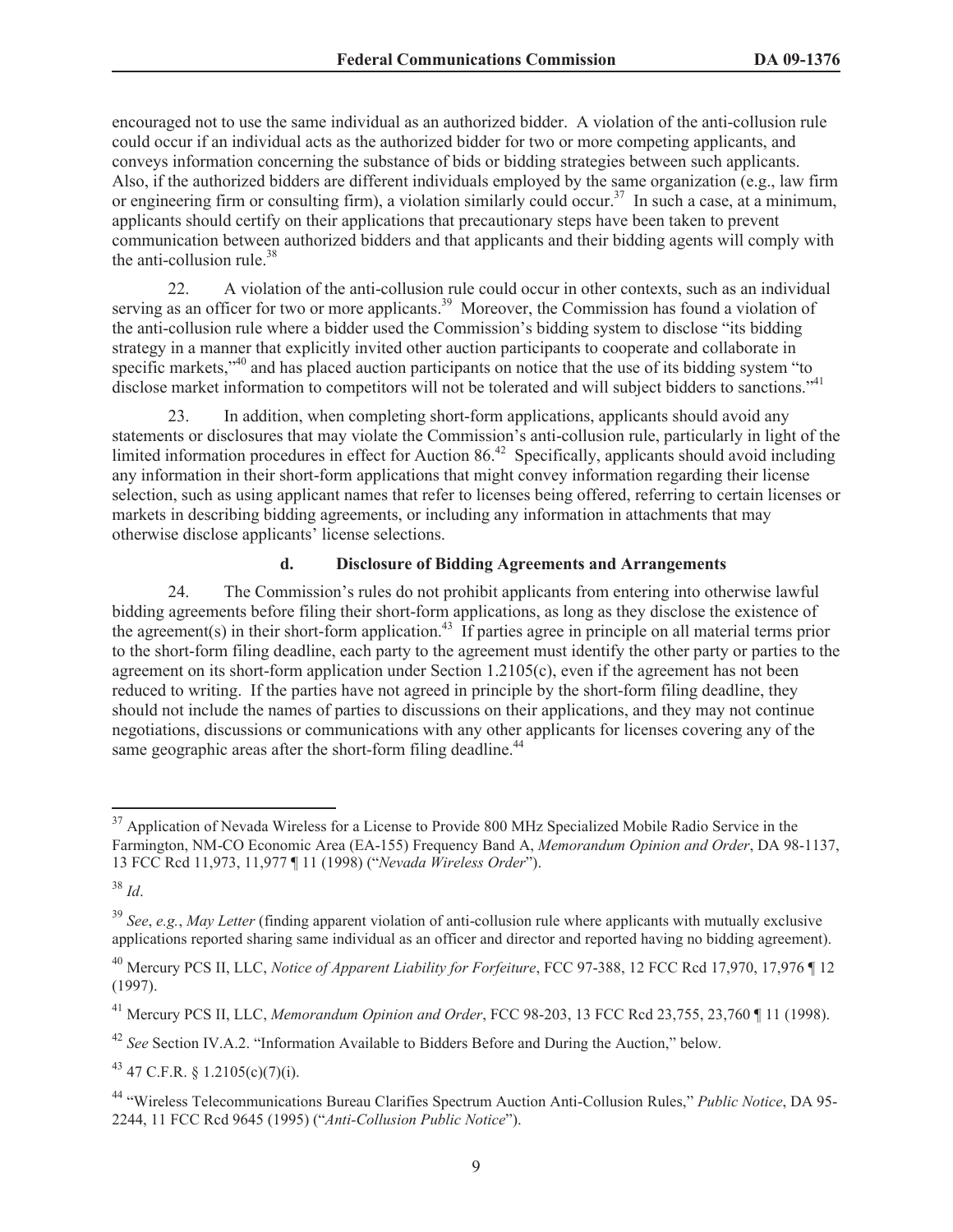encouraged not to use the same individual as an authorized bidder. A violation of the anti-collusion rule could occur if an individual acts as the authorized bidder for two or more competing applicants, and conveys information concerning the substance of bids or bidding strategies between such applicants. Also, if the authorized bidders are different individuals employed by the same organization (e.g., law firm or engineering firm or consulting firm), a violation similarly could occur.<sup>37</sup> In such a case, at a minimum, applicants should certify on their applications that precautionary steps have been taken to prevent communication between authorized bidders and that applicants and their bidding agents will comply with the anti-collusion rule.<sup>38</sup>

22. A violation of the anti-collusion rule could occur in other contexts, such as an individual serving as an officer for two or more applicants.<sup>39</sup> Moreover, the Commission has found a violation of the anti-collusion rule where a bidder used the Commission's bidding system to disclose "its bidding strategy in a manner that explicitly invited other auction participants to cooperate and collaborate in specific markets,<sup>340</sup> and has placed auction participants on notice that the use of its bidding system "to disclose market information to competitors will not be tolerated and will subject bidders to sanctions."<sup>41</sup>

23. In addition, when completing short-form applications, applicants should avoid any statements or disclosures that may violate the Commission's anti-collusion rule, particularly in light of the limited information procedures in effect for Auction  $86<sup>42</sup>$  Specifically, applicants should avoid including any information in their short-form applications that might convey information regarding their license selection, such as using applicant names that refer to licenses being offered, referring to certain licenses or markets in describing bidding agreements, or including any information in attachments that may otherwise disclose applicants' license selections.

#### **d. Disclosure of Bidding Agreements and Arrangements**

24. The Commission's rules do not prohibit applicants from entering into otherwise lawful bidding agreements before filing their short-form applications, as long as they disclose the existence of the agreement(s) in their short-form application.<sup>43</sup> If parties agree in principle on all material terms prior to the short-form filing deadline, each party to the agreement must identify the other party or parties to the agreement on its short-form application under Section 1.2105(c), even if the agreement has not been reduced to writing. If the parties have not agreed in principle by the short-form filing deadline, they should not include the names of parties to discussions on their applications, and they may not continue negotiations, discussions or communications with any other applicants for licenses covering any of the same geographic areas after the short-form filing deadline.<sup>44</sup>

<sup>&</sup>lt;sup>37</sup> Application of Nevada Wireless for a License to Provide 800 MHz Specialized Mobile Radio Service in the Farmington, NM-CO Economic Area (EA-155) Frequency Band A, *Memorandum Opinion and Order*, DA 98-1137, 13 FCC Rcd 11,973, 11,977 ¶ 11 (1998) ("*Nevada Wireless Order*").

<sup>38</sup> *Id*.

<sup>39</sup> *See*, *e.g.*, *May Letter* (finding apparent violation of anti-collusion rule where applicants with mutually exclusive applications reported sharing same individual as an officer and director and reported having no bidding agreement).

<sup>40</sup> Mercury PCS II, LLC, *Notice of Apparent Liability for Forfeiture*, FCC 97-388, 12 FCC Rcd 17,970, 17,976 ¶ 12 (1997).

<sup>41</sup> Mercury PCS II, LLC, *Memorandum Opinion and Order*, FCC 98-203, 13 FCC Rcd 23,755, 23,760 ¶ 11 (1998).

<sup>42</sup> *See* Section IV.A.2. "Information Available to Bidders Before and During the Auction," below.

 $43$  47 C.F.R. § 1.2105(c)(7)(i).

<sup>44</sup> "Wireless Telecommunications Bureau Clarifies Spectrum Auction Anti-Collusion Rules," *Public Notice*, DA 95- 2244, 11 FCC Rcd 9645 (1995) ("*Anti-Collusion Public Notice*").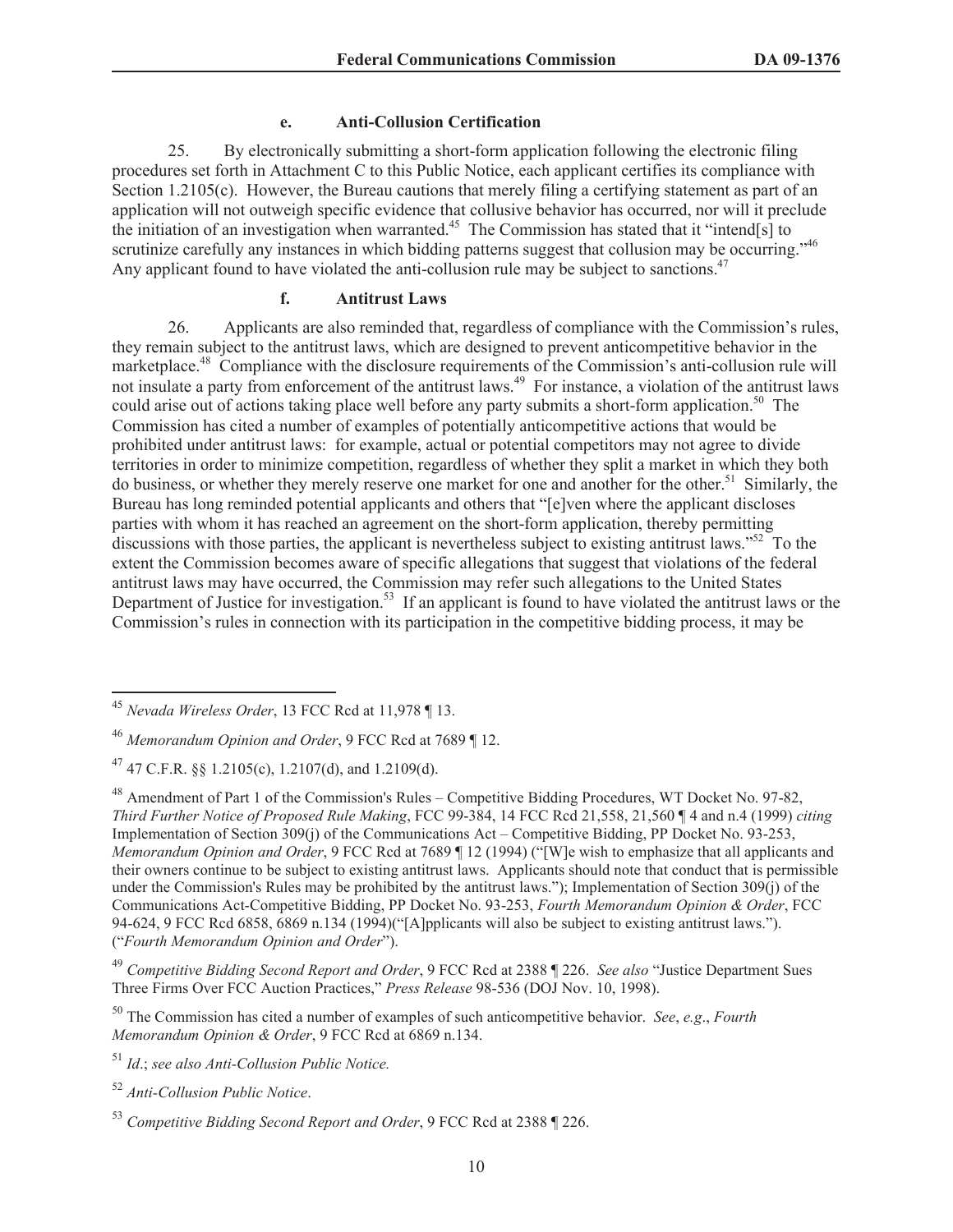#### **e. Anti-Collusion Certification**

25. By electronically submitting a short-form application following the electronic filing procedures set forth in Attachment C to this Public Notice, each applicant certifies its compliance with Section 1.2105(c). However, the Bureau cautions that merely filing a certifying statement as part of an application will not outweigh specific evidence that collusive behavior has occurred, nor will it preclude the initiation of an investigation when warranted.<sup>45</sup> The Commission has stated that it "intend[s] to scrutinize carefully any instances in which bidding patterns suggest that collusion may be occurring."<sup>46</sup> Any applicant found to have violated the anti-collusion rule may be subject to sanctions.<sup>47</sup>

#### **f. Antitrust Laws**

26. Applicants are also reminded that, regardless of compliance with the Commission's rules, they remain subject to the antitrust laws, which are designed to prevent anticompetitive behavior in the marketplace.<sup>48</sup> Compliance with the disclosure requirements of the Commission's anti-collusion rule will not insulate a party from enforcement of the antitrust laws.<sup>49</sup> For instance, a violation of the antitrust laws could arise out of actions taking place well before any party submits a short-form application.<sup>50</sup> The Commission has cited a number of examples of potentially anticompetitive actions that would be prohibited under antitrust laws: for example, actual or potential competitors may not agree to divide territories in order to minimize competition, regardless of whether they split a market in which they both do business, or whether they merely reserve one market for one and another for the other.<sup>51</sup> Similarly, the Bureau has long reminded potential applicants and others that "[e]ven where the applicant discloses parties with whom it has reached an agreement on the short-form application, thereby permitting discussions with those parties, the applicant is nevertheless subject to existing antitrust laws.<sup>552</sup> To the extent the Commission becomes aware of specific allegations that suggest that violations of the federal antitrust laws may have occurred, the Commission may refer such allegations to the United States Department of Justice for investigation.<sup>53</sup> If an applicant is found to have violated the antitrust laws or the Commission's rules in connection with its participation in the competitive bidding process, it may be

<sup>51</sup> *Id*.; *see also Anti-Collusion Public Notice.*

<sup>52</sup> *Anti-Collusion Public Notice*.

<sup>45</sup> *Nevada Wireless Order*, 13 FCC Rcd at 11,978 ¶ 13.

<sup>46</sup> *Memorandum Opinion and Order*, 9 FCC Rcd at 7689 ¶ 12.

 $^{47}$  47 C.F.R. §§ 1.2105(c), 1.2107(d), and 1.2109(d).

<sup>48</sup> Amendment of Part 1 of the Commission's Rules – Competitive Bidding Procedures, WT Docket No. 97-82, *Third Further Notice of Proposed Rule Making*, FCC 99-384, 14 FCC Rcd 21,558, 21,560 ¶ 4 and n.4 (1999) *citing*  Implementation of Section 309(j) of the Communications Act – Competitive Bidding, PP Docket No. 93-253, *Memorandum Opinion and Order*, 9 FCC Rcd at 7689 ¶ 12 (1994) ("[W]e wish to emphasize that all applicants and their owners continue to be subject to existing antitrust laws. Applicants should note that conduct that is permissible under the Commission's Rules may be prohibited by the antitrust laws."); Implementation of Section 309(j) of the Communications Act-Competitive Bidding, PP Docket No. 93-253, *Fourth Memorandum Opinion & Order*, FCC 94-624, 9 FCC Rcd 6858, 6869 n.134 (1994)("[A]pplicants will also be subject to existing antitrust laws."). ("*Fourth Memorandum Opinion and Order*").

<sup>49</sup> *Competitive Bidding Second Report and Order*, 9 FCC Rcd at 2388 ¶ 226. *See also* "Justice Department Sues Three Firms Over FCC Auction Practices," *Press Release* 98-536 (DOJ Nov. 10, 1998).

<sup>50</sup> The Commission has cited a number of examples of such anticompetitive behavior. *See*, *e.g*., *Fourth Memorandum Opinion & Order*, 9 FCC Rcd at 6869 n.134.

<sup>53</sup> *Competitive Bidding Second Report and Order*, 9 FCC Rcd at 2388 ¶ 226.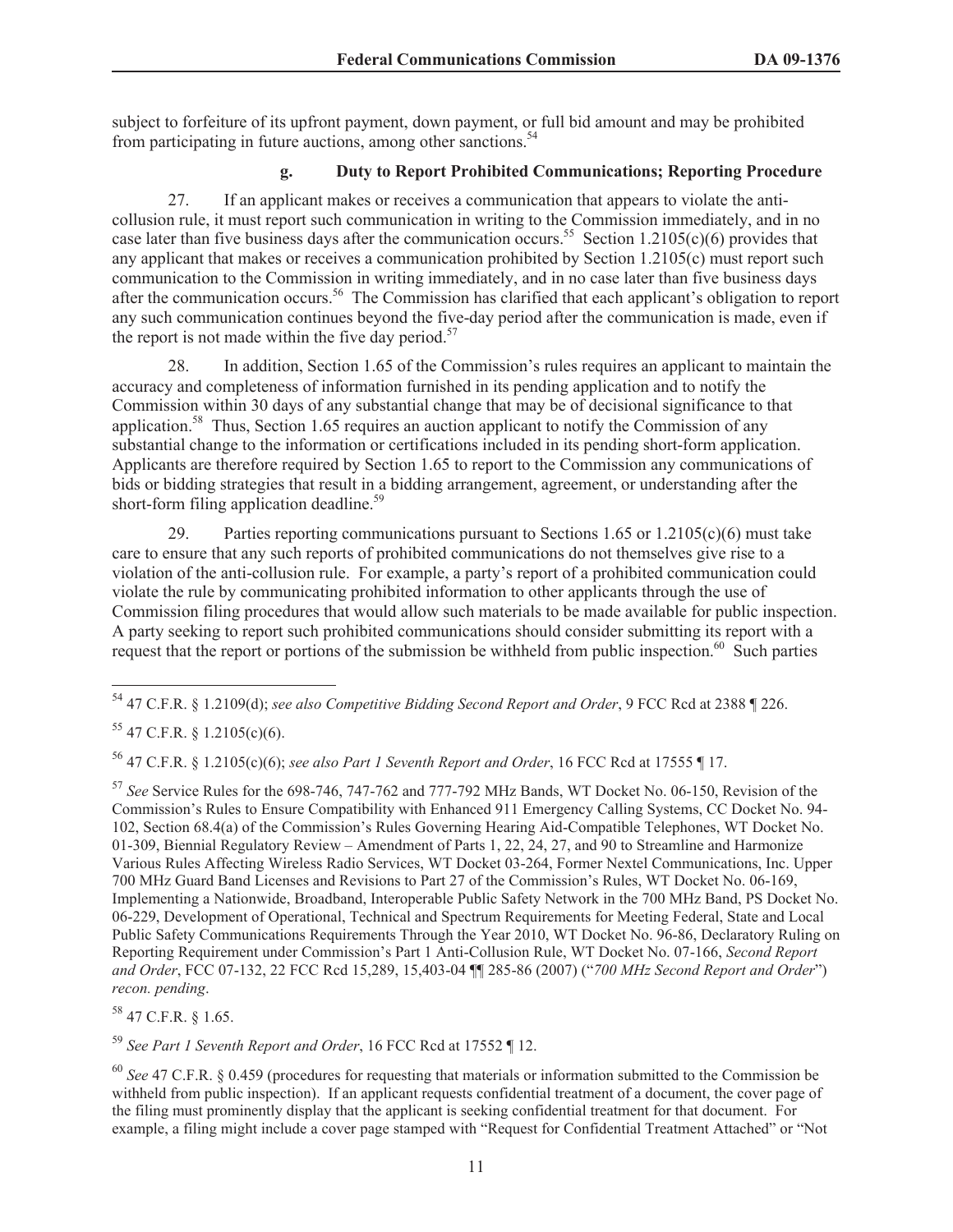subject to forfeiture of its upfront payment, down payment, or full bid amount and may be prohibited from participating in future auctions, among other sanctions.<sup>54</sup>

# **g. Duty to Report Prohibited Communications; Reporting Procedure**

27. If an applicant makes or receives a communication that appears to violate the anticollusion rule, it must report such communication in writing to the Commission immediately, and in no case later than five business days after the communication occurs.<sup>55</sup> Section 1.2105(c)(6) provides that any applicant that makes or receives a communication prohibited by Section 1.2105(c) must report such communication to the Commission in writing immediately, and in no case later than five business days after the communication occurs.<sup>56</sup> The Commission has clarified that each applicant's obligation to report any such communication continues beyond the five-day period after the communication is made, even if the report is not made within the five day period.<sup>57</sup>

28. In addition, Section 1.65 of the Commission's rules requires an applicant to maintain the accuracy and completeness of information furnished in its pending application and to notify the Commission within 30 days of any substantial change that may be of decisional significance to that application.<sup>58</sup> Thus, Section 1.65 requires an auction applicant to notify the Commission of any substantial change to the information or certifications included in its pending short-form application. Applicants are therefore required by Section 1.65 to report to the Commission any communications of bids or bidding strategies that result in a bidding arrangement, agreement, or understanding after the short-form filing application deadline.<sup>59</sup>

29. Parties reporting communications pursuant to Sections 1.65 or 1.2105(c)(6) must take care to ensure that any such reports of prohibited communications do not themselves give rise to a violation of the anti-collusion rule. For example, a party's report of a prohibited communication could violate the rule by communicating prohibited information to other applicants through the use of Commission filing procedures that would allow such materials to be made available for public inspection. A party seeking to report such prohibited communications should consider submitting its report with a request that the report or portions of the submission be withheld from public inspection.<sup>60</sup> Such parties

<sup>56</sup> 47 C.F.R. § 1.2105(c)(6); *see also Part 1 Seventh Report and Order*, 16 FCC Rcd at 17555 ¶ 17.

<sup>57</sup> *See* Service Rules for the 698-746, 747-762 and 777-792 MHz Bands, WT Docket No. 06-150, Revision of the Commission's Rules to Ensure Compatibility with Enhanced 911 Emergency Calling Systems, CC Docket No. 94- 102, Section 68.4(a) of the Commission's Rules Governing Hearing Aid-Compatible Telephones, WT Docket No. 01-309, Biennial Regulatory Review – Amendment of Parts 1, 22, 24, 27, and 90 to Streamline and Harmonize Various Rules Affecting Wireless Radio Services, WT Docket 03-264, Former Nextel Communications, Inc. Upper 700 MHz Guard Band Licenses and Revisions to Part 27 of the Commission's Rules, WT Docket No. 06-169, Implementing a Nationwide, Broadband, Interoperable Public Safety Network in the 700 MHz Band, PS Docket No. 06-229, Development of Operational, Technical and Spectrum Requirements for Meeting Federal, State and Local Public Safety Communications Requirements Through the Year 2010, WT Docket No. 96-86, Declaratory Ruling on Reporting Requirement under Commission's Part 1 Anti-Collusion Rule, WT Docket No. 07-166, *Second Report and Order*, FCC 07-132, 22 FCC Rcd 15,289, 15,403-04 ¶¶ 285-86 (2007) ("*700 MHz Second Report and Order*") *recon. pending*.

<sup>58</sup> 47 C.F.R. § 1.65.

<sup>59</sup> *See Part 1 Seventh Report and Order*, 16 FCC Rcd at 17552 ¶ 12.

<sup>60</sup> *See* 47 C.F.R. § 0.459 (procedures for requesting that materials or information submitted to the Commission be withheld from public inspection). If an applicant requests confidential treatment of a document, the cover page of the filing must prominently display that the applicant is seeking confidential treatment for that document. For example, a filing might include a cover page stamped with "Request for Confidential Treatment Attached" or "Not

<sup>54</sup> 47 C.F.R. § 1.2109(d); *see also Competitive Bidding Second Report and Order*, 9 FCC Rcd at 2388 ¶ 226.

 $55$  47 C.F.R. § 1.2105(c)(6).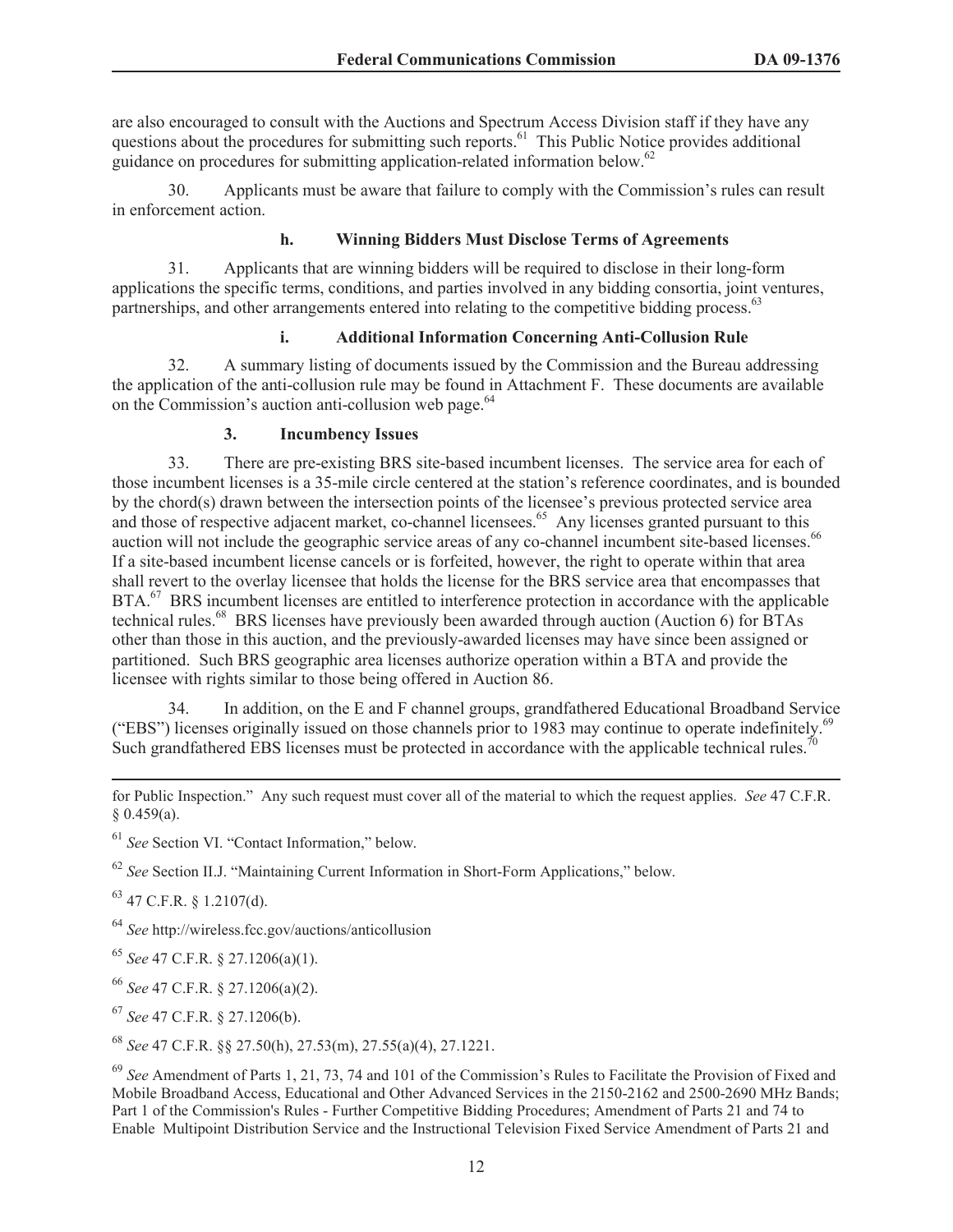are also encouraged to consult with the Auctions and Spectrum Access Division staff if they have any questions about the procedures for submitting such reports.<sup>61</sup> This Public Notice provides additional guidance on procedures for submitting application-related information below.<sup>62</sup>

30. Applicants must be aware that failure to comply with the Commission's rules can result in enforcement action.

# **h. Winning Bidders Must Disclose Terms of Agreements**

31. Applicants that are winning bidders will be required to disclose in their long-form applications the specific terms, conditions, and parties involved in any bidding consortia, joint ventures, partnerships, and other arrangements entered into relating to the competitive bidding process.<sup>63</sup>

### **i. Additional Information Concerning Anti-Collusion Rule**

32. A summary listing of documents issued by the Commission and the Bureau addressing the application of the anti-collusion rule may be found in Attachment F. These documents are available on the Commission's auction anti-collusion web page.<sup>64</sup>

### **3. Incumbency Issues**

33. There are pre-existing BRS site-based incumbent licenses. The service area for each of those incumbent licenses is a 35-mile circle centered at the station's reference coordinates, and is bounded by the chord(s) drawn between the intersection points of the licensee's previous protected service area and those of respective adjacent market, co-channel licensees.<sup>65</sup> Any licenses granted pursuant to this auction will not include the geographic service areas of any co-channel incumbent site-based licenses.<sup>66</sup> If a site-based incumbent license cancels or is forfeited, however, the right to operate within that area shall revert to the overlay licensee that holds the license for the BRS service area that encompasses that BTA.<sup>67</sup> BRS incumbent licenses are entitled to interference protection in accordance with the applicable technical rules.<sup>68</sup> BRS licenses have previously been awarded through auction (Auction 6) for BTAs other than those in this auction, and the previously-awarded licenses may have since been assigned or partitioned. Such BRS geographic area licenses authorize operation within a BTA and provide the licensee with rights similar to those being offered in Auction 86.

34. In addition, on the E and F channel groups, grandfathered Educational Broadband Service ("EBS") licenses originally issued on those channels prior to 1983 may continue to operate indefinitely.<sup>6</sup> Such grandfathered EBS licenses must be protected in accordance with the applicable technical rules.<sup>70</sup>

<sup>61</sup> *See* Section VI. "Contact Information," below.

<sup>62</sup> *See* Section II.J. "Maintaining Current Information in Short-Form Applications," below.

 $63$  47 C.F.R. § 1.2107(d).

<sup>64</sup> *See* http://wireless.fcc.gov/auctions/anticollusion

<sup>65</sup> *See* 47 C.F.R. § 27.1206(a)(1).

<sup>66</sup> *See* 47 C.F.R. § 27.1206(a)(2).

<sup>67</sup> *See* 47 C.F.R. § 27.1206(b).

<sup>68</sup> *See* 47 C.F.R. §§ 27.50(h), 27.53(m), 27.55(a)(4), 27.1221.

for Public Inspection." Any such request must cover all of the material to which the request applies. *See* 47 C.F.R. § 0.459(a).

<sup>69</sup> *See* Amendment of Parts 1, 21, 73, 74 and 101 of the Commission's Rules to Facilitate the Provision of Fixed and Mobile Broadband Access, Educational and Other Advanced Services in the 2150-2162 and 2500-2690 MHz Bands; Part 1 of the Commission's Rules - Further Competitive Bidding Procedures; Amendment of Parts 21 and 74 to Enable Multipoint Distribution Service and the Instructional Television Fixed Service Amendment of Parts 21 and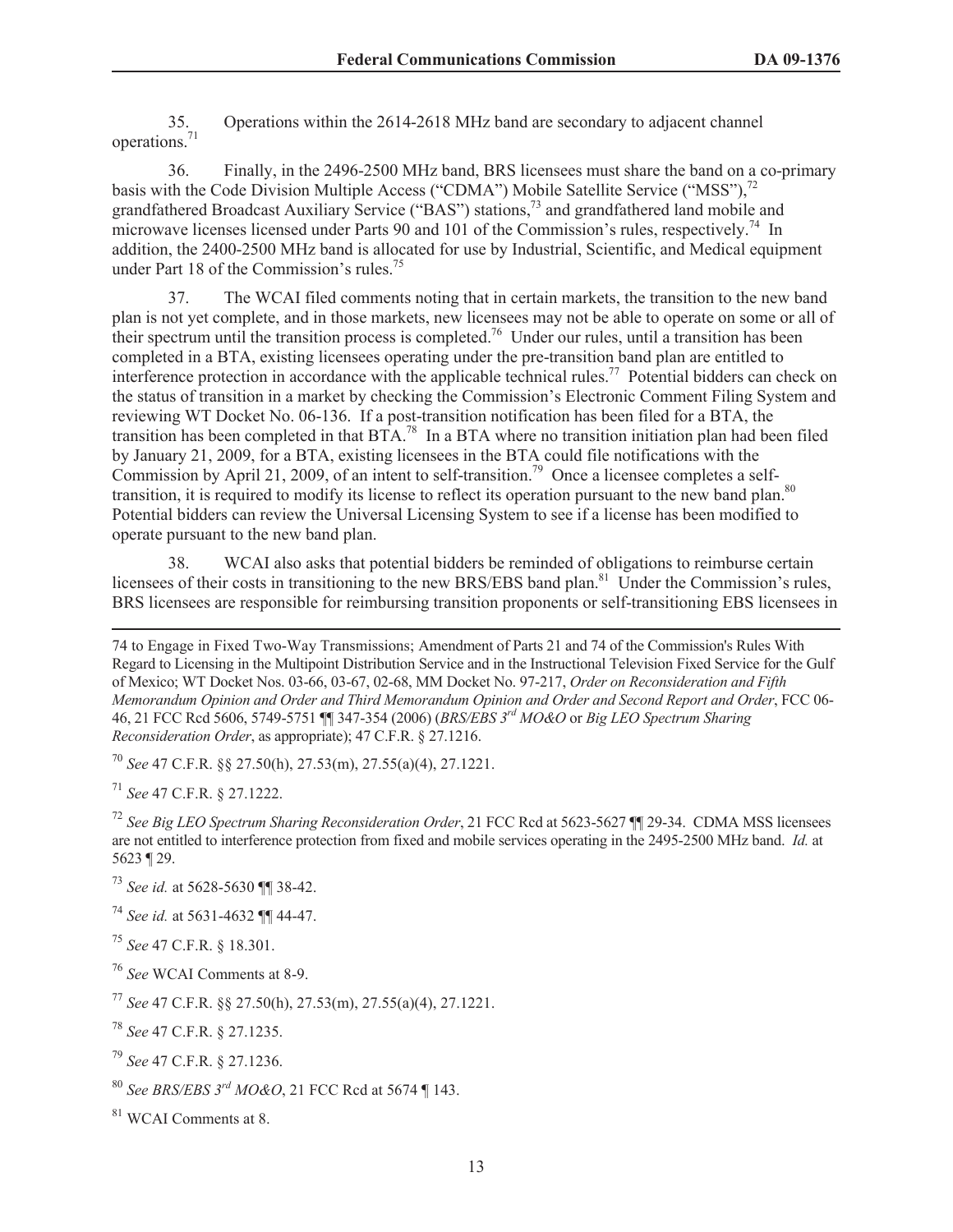35. Operations within the 2614-2618 MHz band are secondary to adjacent channel operations.<sup>71</sup>

36. Finally, in the 2496-2500 MHz band, BRS licensees must share the band on a co-primary basis with the Code Division Multiple Access ("CDMA") Mobile Satellite Service ("MSS"),<sup>72</sup> grandfathered Broadcast Auxiliary Service ("BAS") stations,<sup>73</sup> and grandfathered land mobile and microwave licenses licensed under Parts 90 and 101 of the Commission's rules, respectively.<sup>74</sup> In addition, the 2400-2500 MHz band is allocated for use by Industrial, Scientific, and Medical equipment under Part 18 of the Commission's rules.<sup>75</sup>

37. The WCAI filed comments noting that in certain markets, the transition to the new band plan is not yet complete, and in those markets, new licensees may not be able to operate on some or all of their spectrum until the transition process is completed.<sup>76</sup> Under our rules, until a transition has been completed in a BTA, existing licensees operating under the pre-transition band plan are entitled to interference protection in accordance with the applicable technical rules.<sup>77</sup> Potential bidders can check on the status of transition in a market by checking the Commission's Electronic Comment Filing System and reviewing WT Docket No. 06-136. If a post-transition notification has been filed for a BTA, the transition has been completed in that BTA.<sup>78</sup> In a BTA where no transition initiation plan had been filed by January 21, 2009, for a BTA, existing licensees in the BTA could file notifications with the Commission by April 21, 2009, of an intent to self-transition.<sup>79</sup> Once a licensee completes a selftransition, it is required to modify its license to reflect its operation pursuant to the new band plan.<sup>80</sup> Potential bidders can review the Universal Licensing System to see if a license has been modified to operate pursuant to the new band plan.

38. WCAI also asks that potential bidders be reminded of obligations to reimburse certain licensees of their costs in transitioning to the new BRS/EBS band plan.<sup>81</sup> Under the Commission's rules, BRS licensees are responsible for reimbursing transition proponents or self-transitioning EBS licensees in

<sup>70</sup> *See* 47 C.F.R. §§ 27.50(h), 27.53(m), 27.55(a)(4), 27.1221.

<sup>71</sup> *See* 47 C.F.R. § 27.1222.

<sup>72</sup> *See Big LEO Spectrum Sharing Reconsideration Order*, 21 FCC Rcd at 5623-5627 ¶¶ 29-34. CDMA MSS licensees are not entitled to interference protection from fixed and mobile services operating in the 2495-2500 MHz band. *Id.* at 5623 ¶ 29.

<sup>73</sup> *See id.* at 5628-5630 ¶¶ 38-42.

<sup>74</sup> *See id.* at 5631-4632 ¶¶ 44-47.

<sup>75</sup> *See* 47 C.F.R. § 18.301.

<sup>76</sup> *See* WCAI Comments at 8-9.

<sup>77</sup> *See* 47 C.F.R. §§ 27.50(h), 27.53(m), 27.55(a)(4), 27.1221.

<sup>78</sup> *See* 47 C.F.R. § 27.1235.

<sup>79</sup> *See* 47 C.F.R. § 27.1236.

<sup>80</sup> *See BRS/EBS 3rd MO&O*, 21 FCC Rcd at 5674 ¶ 143.

<sup>81</sup> WCAI Comments at 8.

<sup>74</sup> to Engage in Fixed Two-Way Transmissions; Amendment of Parts 21 and 74 of the Commission's Rules With Regard to Licensing in the Multipoint Distribution Service and in the Instructional Television Fixed Service for the Gulf of Mexico; WT Docket Nos. 03-66, 03-67, 02-68, MM Docket No. 97-217, *Order on Reconsideration and Fifth Memorandum Opinion and Order and Third Memorandum Opinion and Order and Second Report and Order*, FCC 06- 46, 21 FCC Rcd 5606, 5749-5751 ¶¶ 347-354 (2006) (*BRS/EBS 3rd MO&O* or *Big LEO Spectrum Sharing Reconsideration Order*, as appropriate); 47 C.F.R. § 27.1216.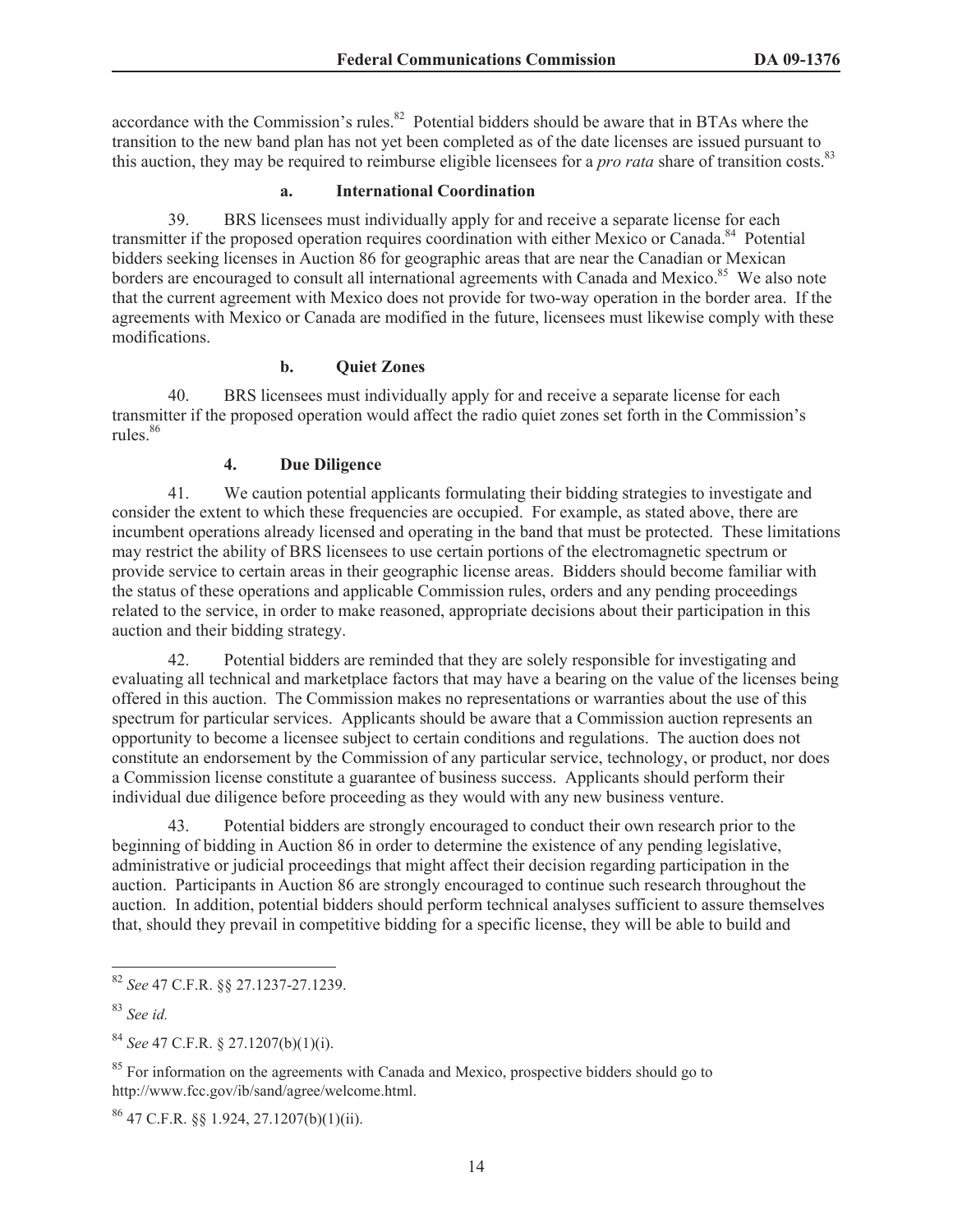accordance with the Commission's rules. $82$  Potential bidders should be aware that in BTAs where the transition to the new band plan has not yet been completed as of the date licenses are issued pursuant to this auction, they may be required to reimburse eligible licensees for a *pro rata* share of transition costs.<sup>83</sup>

# **a. International Coordination**

39. BRS licensees must individually apply for and receive a separate license for each transmitter if the proposed operation requires coordination with either Mexico or Canada.<sup>84</sup> Potential bidders seeking licenses in Auction 86 for geographic areas that are near the Canadian or Mexican borders are encouraged to consult all international agreements with Canada and Mexico.<sup>85</sup> We also note that the current agreement with Mexico does not provide for two-way operation in the border area. If the agreements with Mexico or Canada are modified in the future, licensees must likewise comply with these modifications.

# **b. Quiet Zones**

40. BRS licensees must individually apply for and receive a separate license for each transmitter if the proposed operation would affect the radio quiet zones set forth in the Commission's rules.<sup>86</sup>

### **4. Due Diligence**

41. We caution potential applicants formulating their bidding strategies to investigate and consider the extent to which these frequencies are occupied. For example, as stated above, there are incumbent operations already licensed and operating in the band that must be protected. These limitations may restrict the ability of BRS licensees to use certain portions of the electromagnetic spectrum or provide service to certain areas in their geographic license areas. Bidders should become familiar with the status of these operations and applicable Commission rules, orders and any pending proceedings related to the service, in order to make reasoned, appropriate decisions about their participation in this auction and their bidding strategy.

42. Potential bidders are reminded that they are solely responsible for investigating and evaluating all technical and marketplace factors that may have a bearing on the value of the licenses being offered in this auction. The Commission makes no representations or warranties about the use of this spectrum for particular services. Applicants should be aware that a Commission auction represents an opportunity to become a licensee subject to certain conditions and regulations. The auction does not constitute an endorsement by the Commission of any particular service, technology, or product, nor does a Commission license constitute a guarantee of business success. Applicants should perform their individual due diligence before proceeding as they would with any new business venture.

43. Potential bidders are strongly encouraged to conduct their own research prior to the beginning of bidding in Auction 86 in order to determine the existence of any pending legislative, administrative or judicial proceedings that might affect their decision regarding participation in the auction. Participants in Auction 86 are strongly encouraged to continue such research throughout the auction. In addition, potential bidders should perform technical analyses sufficient to assure themselves that, should they prevail in competitive bidding for a specific license, they will be able to build and

 $^{86}$  47 C.F.R. §§ 1.924, 27.1207(b)(1)(ii).

<sup>82</sup> *See* 47 C.F.R. §§ 27.1237-27.1239.

<sup>83</sup> *See id.*

<sup>84</sup> *See* 47 C.F.R. § 27.1207(b)(1)(i).

<sup>&</sup>lt;sup>85</sup> For information on the agreements with Canada and Mexico, prospective bidders should go to http://www.fcc.gov/ib/sand/agree/welcome.html.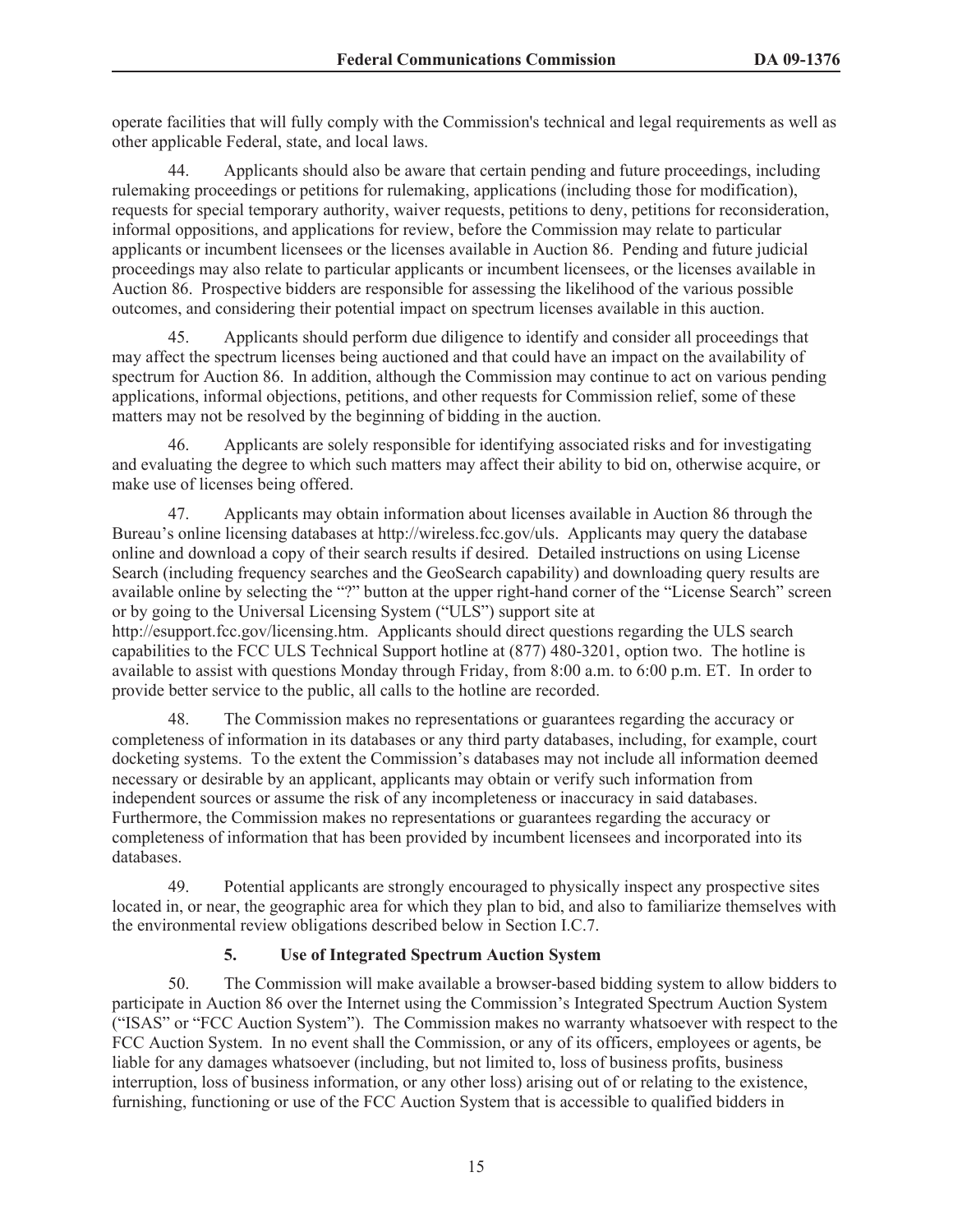operate facilities that will fully comply with the Commission's technical and legal requirements as well as other applicable Federal, state, and local laws.

44. Applicants should also be aware that certain pending and future proceedings, including rulemaking proceedings or petitions for rulemaking, applications (including those for modification), requests for special temporary authority, waiver requests, petitions to deny, petitions for reconsideration, informal oppositions, and applications for review, before the Commission may relate to particular applicants or incumbent licensees or the licenses available in Auction 86. Pending and future judicial proceedings may also relate to particular applicants or incumbent licensees, or the licenses available in Auction 86. Prospective bidders are responsible for assessing the likelihood of the various possible outcomes, and considering their potential impact on spectrum licenses available in this auction.

45. Applicants should perform due diligence to identify and consider all proceedings that may affect the spectrum licenses being auctioned and that could have an impact on the availability of spectrum for Auction 86. In addition, although the Commission may continue to act on various pending applications, informal objections, petitions, and other requests for Commission relief, some of these matters may not be resolved by the beginning of bidding in the auction.

46. Applicants are solely responsible for identifying associated risks and for investigating and evaluating the degree to which such matters may affect their ability to bid on, otherwise acquire, or make use of licenses being offered.

47. Applicants may obtain information about licenses available in Auction 86 through the Bureau's online licensing databases at http://wireless.fcc.gov/uls. Applicants may query the database online and download a copy of their search results if desired. Detailed instructions on using License Search (including frequency searches and the GeoSearch capability) and downloading query results are available online by selecting the "?" button at the upper right-hand corner of the "License Search" screen or by going to the Universal Licensing System ("ULS") support site at http://esupport.fcc.gov/licensing.htm. Applicants should direct questions regarding the ULS search capabilities to the FCC ULS Technical Support hotline at (877) 480-3201, option two. The hotline is available to assist with questions Monday through Friday, from 8:00 a.m. to 6:00 p.m. ET. In order to provide better service to the public, all calls to the hotline are recorded.

48. The Commission makes no representations or guarantees regarding the accuracy or completeness of information in its databases or any third party databases, including, for example, court docketing systems. To the extent the Commission's databases may not include all information deemed necessary or desirable by an applicant, applicants may obtain or verify such information from independent sources or assume the risk of any incompleteness or inaccuracy in said databases. Furthermore, the Commission makes no representations or guarantees regarding the accuracy or completeness of information that has been provided by incumbent licensees and incorporated into its databases.

49. Potential applicants are strongly encouraged to physically inspect any prospective sites located in, or near, the geographic area for which they plan to bid, and also to familiarize themselves with the environmental review obligations described below in Section I.C.7.

# **5. Use of Integrated Spectrum Auction System**

50. The Commission will make available a browser-based bidding system to allow bidders to participate in Auction 86 over the Internet using the Commission's Integrated Spectrum Auction System ("ISAS" or "FCC Auction System"). The Commission makes no warranty whatsoever with respect to the FCC Auction System. In no event shall the Commission, or any of its officers, employees or agents, be liable for any damages whatsoever (including, but not limited to, loss of business profits, business interruption, loss of business information, or any other loss) arising out of or relating to the existence, furnishing, functioning or use of the FCC Auction System that is accessible to qualified bidders in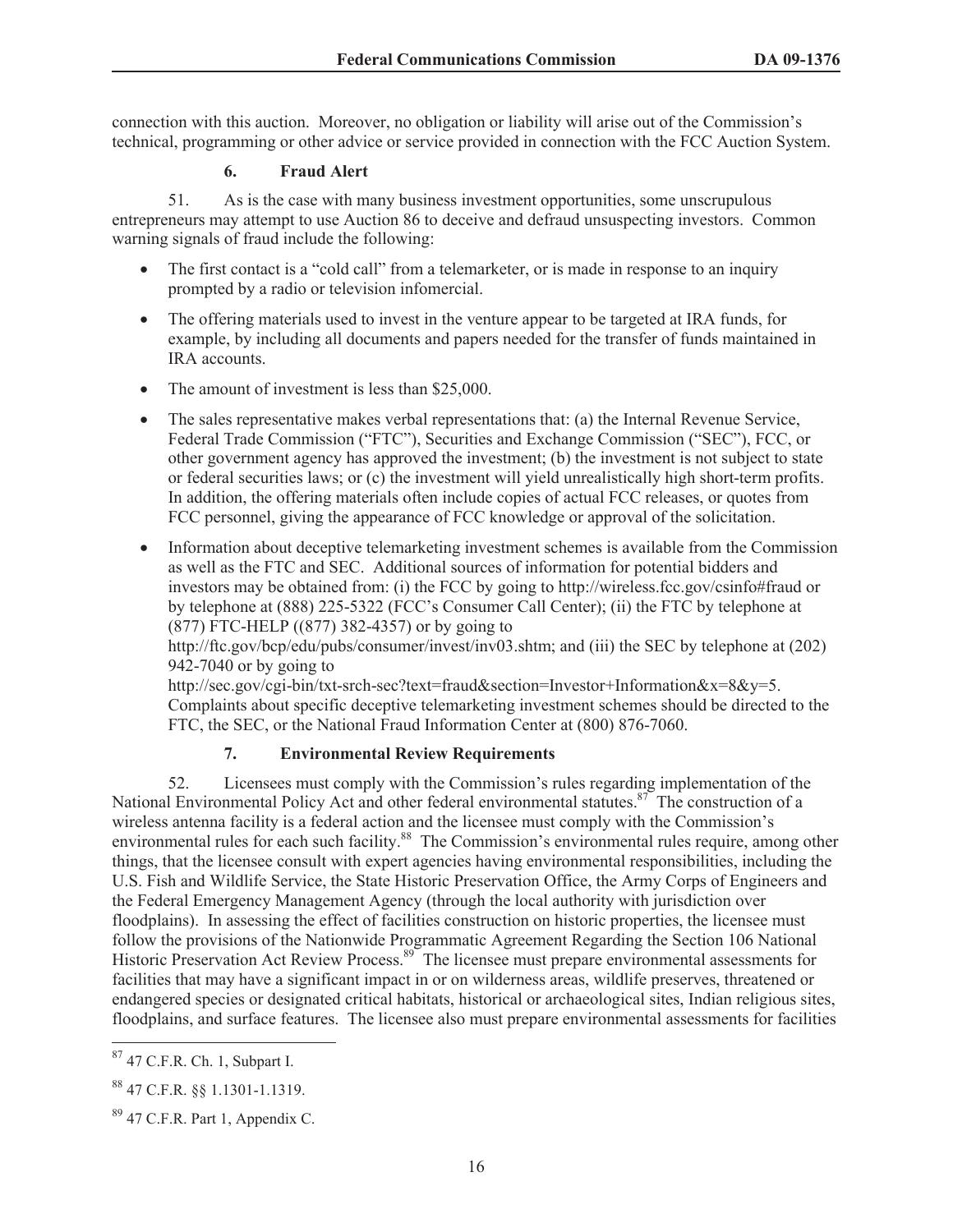connection with this auction. Moreover, no obligation or liability will arise out of the Commission's technical, programming or other advice or service provided in connection with the FCC Auction System.

# **6. Fraud Alert**

51. As is the case with many business investment opportunities, some unscrupulous entrepreneurs may attempt to use Auction 86 to deceive and defraud unsuspecting investors. Common warning signals of fraud include the following:

- The first contact is a "cold call" from a telemarketer, or is made in response to an inquiry prompted by a radio or television infomercial.
- · The offering materials used to invest in the venture appear to be targeted at IRA funds, for example, by including all documents and papers needed for the transfer of funds maintained in IRA accounts.
- The amount of investment is less than \$25,000.
- The sales representative makes verbal representations that: (a) the Internal Revenue Service, Federal Trade Commission ("FTC"), Securities and Exchange Commission ("SEC"), FCC, or other government agency has approved the investment; (b) the investment is not subject to state or federal securities laws; or (c) the investment will yield unrealistically high short-term profits. In addition, the offering materials often include copies of actual FCC releases, or quotes from FCC personnel, giving the appearance of FCC knowledge or approval of the solicitation.
- · Information about deceptive telemarketing investment schemes is available from the Commission as well as the FTC and SEC. Additional sources of information for potential bidders and investors may be obtained from: (i) the FCC by going to http://wireless.fcc.gov/csinfo#fraud or by telephone at (888) 225-5322 (FCC's Consumer Call Center); (ii) the FTC by telephone at (877) FTC-HELP ((877) 382-4357) or by going to

http://ftc.gov/bcp/edu/pubs/consumer/invest/inv03.shtm; and (iii) the SEC by telephone at (202) 942-7040 or by going to

http://sec.gov/cgi-bin/txt-srch-sec?text=fraud&section=Investor+Information&x=8&y=5. Complaints about specific deceptive telemarketing investment schemes should be directed to the FTC, the SEC, or the National Fraud Information Center at (800) 876-7060.

# **7. Environmental Review Requirements**

52. Licensees must comply with the Commission's rules regarding implementation of the National Environmental Policy Act and other federal environmental statutes.<sup>87</sup> The construction of a wireless antenna facility is a federal action and the licensee must comply with the Commission's environmental rules for each such facility.<sup>88</sup> The Commission's environmental rules require, among other things, that the licensee consult with expert agencies having environmental responsibilities, including the U.S. Fish and Wildlife Service, the State Historic Preservation Office, the Army Corps of Engineers and the Federal Emergency Management Agency (through the local authority with jurisdiction over floodplains). In assessing the effect of facilities construction on historic properties, the licensee must follow the provisions of the Nationwide Programmatic Agreement Regarding the Section 106 National Historic Preservation Act Review Process.<sup>89</sup> The licensee must prepare environmental assessments for facilities that may have a significant impact in or on wilderness areas, wildlife preserves, threatened or endangered species or designated critical habitats, historical or archaeological sites, Indian religious sites, floodplains, and surface features. The licensee also must prepare environmental assessments for facilities

<sup>87</sup> 47 C.F.R. Ch. 1, Subpart I.

<sup>88</sup> 47 C.F.R. §§ 1.1301-1.1319.

 $89$  47 C.F.R. Part 1, Appendix C.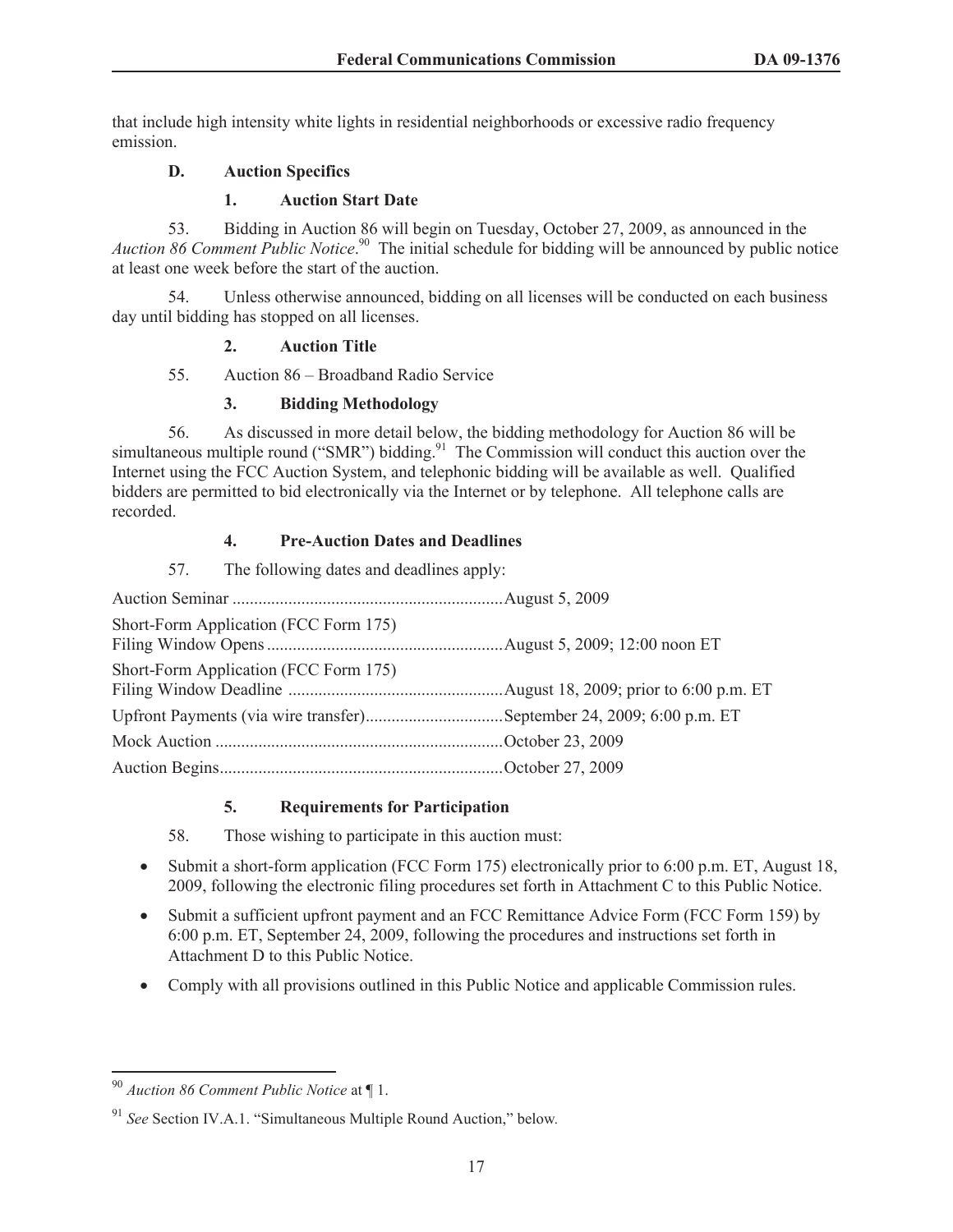that include high intensity white lights in residential neighborhoods or excessive radio frequency emission.

# **D. Auction Specifics**

# **1. Auction Start Date**

53. Bidding in Auction 86 will begin on Tuesday, October 27, 2009, as announced in the *Auction 86 Comment Public Notice*. <sup>90</sup> The initial schedule for bidding will be announced by public notice at least one week before the start of the auction.

54. Unless otherwise announced, bidding on all licenses will be conducted on each business day until bidding has stopped on all licenses.

### **2. Auction Title**

55. Auction 86 – Broadband Radio Service

### **3. Bidding Methodology**

56. As discussed in more detail below, the bidding methodology for Auction 86 will be simultaneous multiple round ("SMR") bidding.<sup>91</sup> The Commission will conduct this auction over the Internet using the FCC Auction System, and telephonic bidding will be available as well. Qualified bidders are permitted to bid electronically via the Internet or by telephone. All telephone calls are recorded.

### **4. Pre-Auction Dates and Deadlines**

| The following dates and deadlines apply:<br>57. |  |
|-------------------------------------------------|--|
|                                                 |  |
| Short-Form Application (FCC Form 175)           |  |
| Short-Form Application (FCC Form 175)           |  |
|                                                 |  |
|                                                 |  |
|                                                 |  |

# **5. Requirements for Participation**

58. Those wishing to participate in this auction must:

- Submit a short-form application (FCC Form 175) electronically prior to 6:00 p.m. ET, August 18, 2009, following the electronic filing procedures set forth in Attachment C to this Public Notice.
- · Submit a sufficient upfront payment and an FCC Remittance Advice Form (FCC Form 159) by 6:00 p.m. ET, September 24, 2009, following the procedures and instructions set forth in Attachment D to this Public Notice.
- · Comply with all provisions outlined in this Public Notice and applicable Commission rules.

<sup>90</sup> *Auction 86 Comment Public Notice* at ¶ 1.

<sup>91</sup> *See* Section IV.A.1. "Simultaneous Multiple Round Auction," below*.*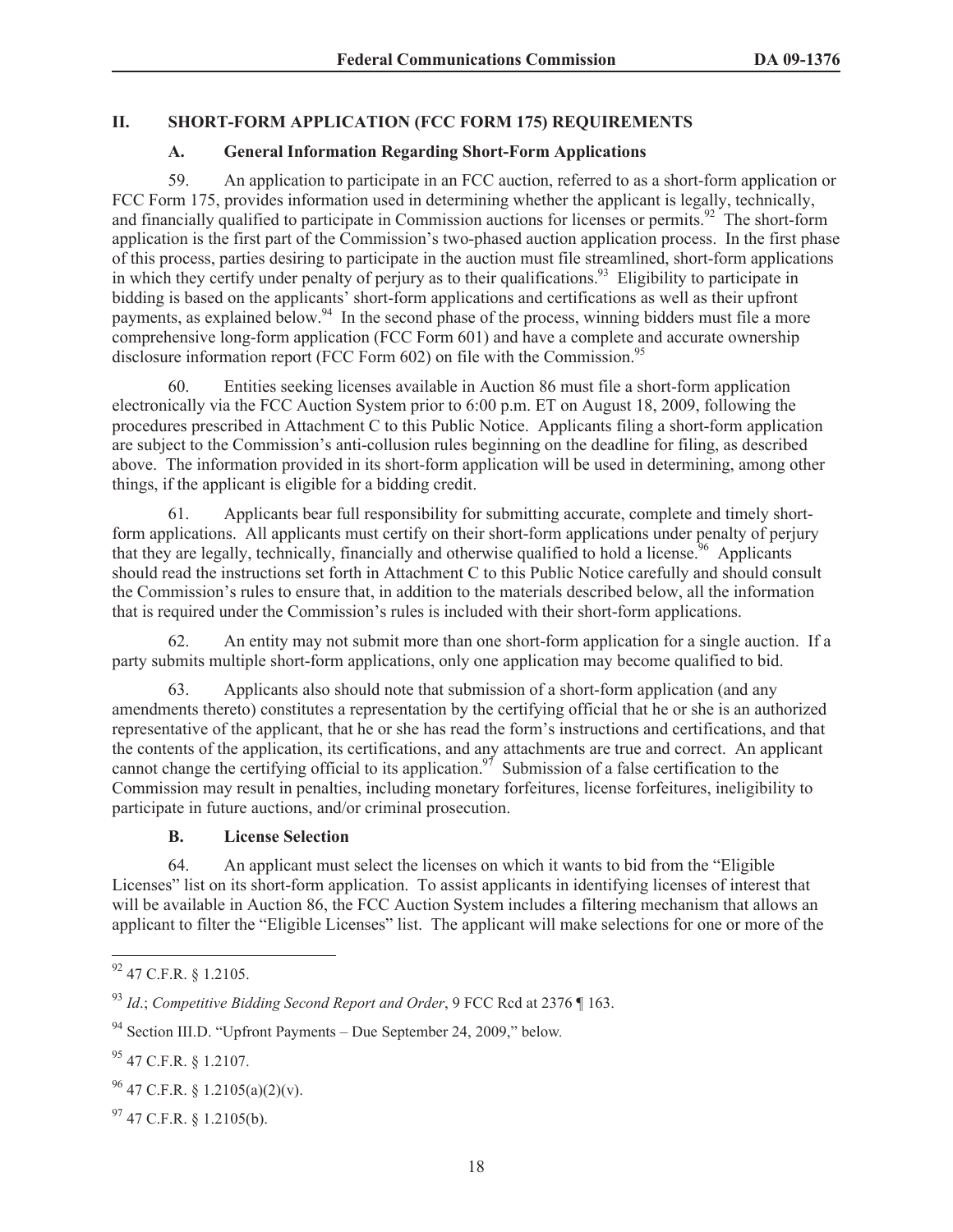## **II. SHORT-FORM APPLICATION (FCC FORM 175) REQUIREMENTS**

### **A. General Information Regarding Short-Form Applications**

59. An application to participate in an FCC auction, referred to as a short-form application or FCC Form 175, provides information used in determining whether the applicant is legally, technically, and financially qualified to participate in Commission auctions for licenses or permits.<sup>92</sup> The short-form application is the first part of the Commission's two-phased auction application process. In the first phase of this process, parties desiring to participate in the auction must file streamlined, short-form applications in which they certify under penalty of perjury as to their qualifications.<sup>93</sup> Eligibility to participate in bidding is based on the applicants' short-form applications and certifications as well as their upfront payments, as explained below.<sup>94</sup> In the second phase of the process, winning bidders must file a more comprehensive long-form application (FCC Form 601) and have a complete and accurate ownership disclosure information report (FCC Form 602) on file with the Commission.<sup>95</sup>

Entities seeking licenses available in Auction 86 must file a short-form application electronically via the FCC Auction System prior to 6:00 p.m. ET on August 18, 2009, following the procedures prescribed in Attachment C to this Public Notice. Applicants filing a short-form application are subject to the Commission's anti-collusion rules beginning on the deadline for filing, as described above. The information provided in its short-form application will be used in determining, among other things, if the applicant is eligible for a bidding credit.

61. Applicants bear full responsibility for submitting accurate, complete and timely shortform applications. All applicants must certify on their short-form applications under penalty of perjury that they are legally, technically, financially and otherwise qualified to hold a license.<sup>96</sup> Applicants should read the instructions set forth in Attachment C to this Public Notice carefully and should consult the Commission's rules to ensure that, in addition to the materials described below, all the information that is required under the Commission's rules is included with their short-form applications.

62. An entity may not submit more than one short-form application for a single auction. If a party submits multiple short-form applications, only one application may become qualified to bid.

63. Applicants also should note that submission of a short-form application (and any amendments thereto) constitutes a representation by the certifying official that he or she is an authorized representative of the applicant, that he or she has read the form's instructions and certifications, and that the contents of the application, its certifications, and any attachments are true and correct. An applicant cannot change the certifying official to its application.<sup>97</sup> Submission of a false certification to the Commission may result in penalties, including monetary forfeitures, license forfeitures, ineligibility to participate in future auctions, and/or criminal prosecution.

#### **B. License Selection**

64. An applicant must select the licenses on which it wants to bid from the "Eligible Licenses" list on its short-form application. To assist applicants in identifying licenses of interest that will be available in Auction 86, the FCC Auction System includes a filtering mechanism that allows an applicant to filter the "Eligible Licenses" list. The applicant will make selections for one or more of the

<sup>92</sup> 47 C.F.R. § 1.2105.

<sup>93</sup> *Id*.; *Competitive Bidding Second Report and Order*, 9 FCC Rcd at 2376 ¶ 163.

<sup>94</sup> Section III.D. "Upfront Payments – Due September 24, 2009," below*.* 

<sup>95</sup> 47 C.F.R. § 1.2107.

 $^{96}$  47 C.F.R. § 1.2105(a)(2)(v).

 $97$  47 C.F.R. § 1.2105(b).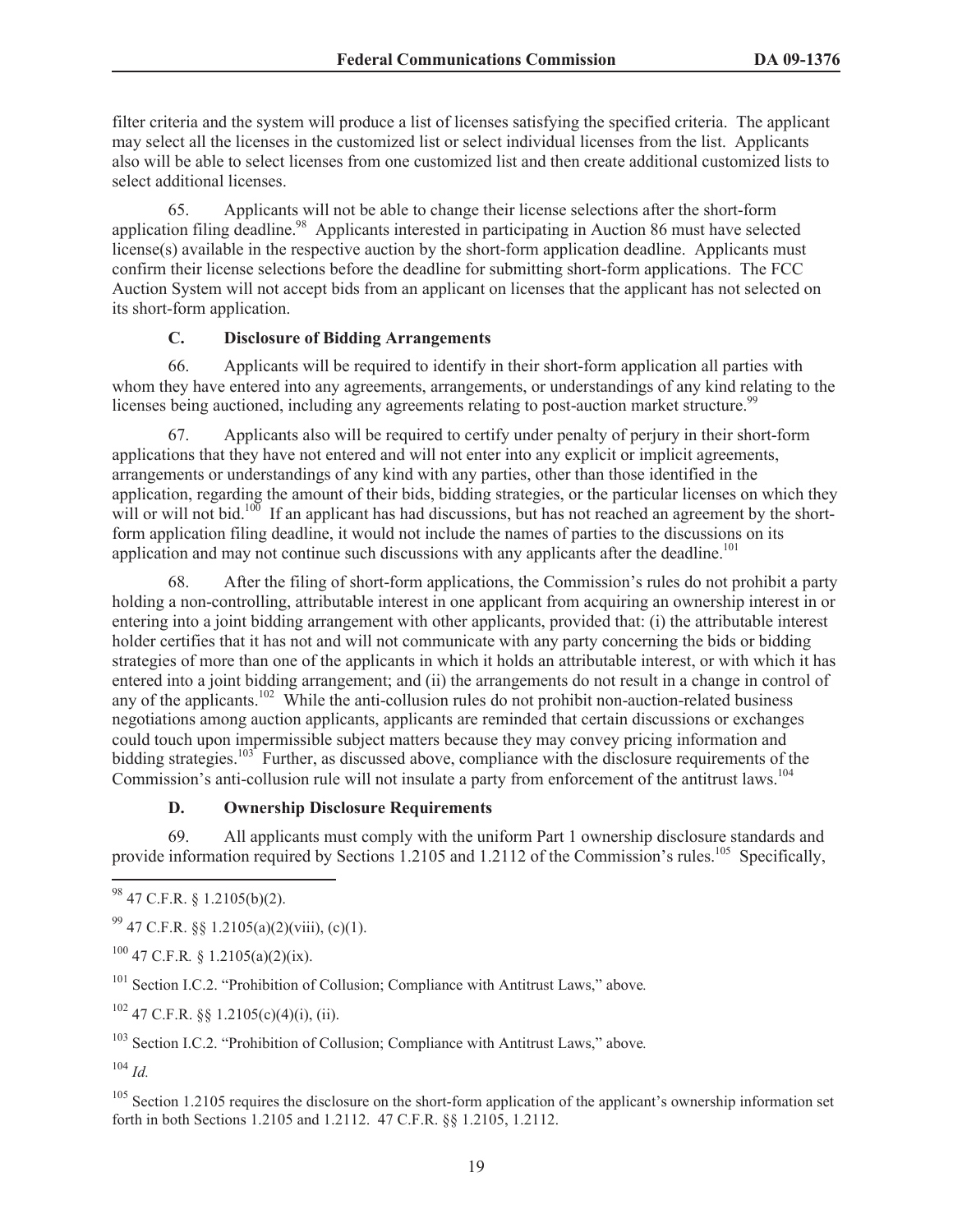filter criteria and the system will produce a list of licenses satisfying the specified criteria. The applicant may select all the licenses in the customized list or select individual licenses from the list. Applicants also will be able to select licenses from one customized list and then create additional customized lists to select additional licenses.

65. Applicants will not be able to change their license selections after the short-form application filing deadline.<sup>98</sup> Applicants interested in participating in Auction 86 must have selected license(s) available in the respective auction by the short-form application deadline. Applicants must confirm their license selections before the deadline for submitting short-form applications. The FCC Auction System will not accept bids from an applicant on licenses that the applicant has not selected on its short-form application.

# **C. Disclosure of Bidding Arrangements**

66. Applicants will be required to identify in their short-form application all parties with whom they have entered into any agreements, arrangements, or understandings of any kind relating to the licenses being auctioned, including any agreements relating to post-auction market structure.<sup>99</sup>

67. Applicants also will be required to certify under penalty of perjury in their short-form applications that they have not entered and will not enter into any explicit or implicit agreements, arrangements or understandings of any kind with any parties, other than those identified in the application, regarding the amount of their bids, bidding strategies, or the particular licenses on which they will or will not bid.<sup>100</sup> If an applicant has had discussions, but has not reached an agreement by the shortform application filing deadline, it would not include the names of parties to the discussions on its application and may not continue such discussions with any applicants after the deadline.<sup>101</sup>

68. After the filing of short-form applications, the Commission's rules do not prohibit a party holding a non-controlling, attributable interest in one applicant from acquiring an ownership interest in or entering into a joint bidding arrangement with other applicants, provided that: (i) the attributable interest holder certifies that it has not and will not communicate with any party concerning the bids or bidding strategies of more than one of the applicants in which it holds an attributable interest, or with which it has entered into a joint bidding arrangement; and (ii) the arrangements do not result in a change in control of any of the applicants.<sup>102</sup> While the anti-collusion rules do not prohibit non-auction-related business negotiations among auction applicants, applicants are reminded that certain discussions or exchanges could touch upon impermissible subject matters because they may convey pricing information and bidding strategies.<sup>103</sup> Further, as discussed above, compliance with the disclosure requirements of the Commission's anti-collusion rule will not insulate a party from enforcement of the antitrust laws.<sup>104</sup>

# **D. Ownership Disclosure Requirements**

69. All applicants must comply with the uniform Part 1 ownership disclosure standards and provide information required by Sections 1.2105 and 1.2112 of the Commission's rules.<sup>105</sup> Specifically,

 $^{99}$  47 C.F.R. §§ 1.2105(a)(2)(viii), (c)(1).

<sup>100</sup> 47 C.F.R*.* § 1.2105(a)(2)(ix).

<sup>101</sup> Section I.C.2. "Prohibition of Collusion; Compliance with Antitrust Laws," above*.*

 $102$  47 C.F.R. §§ 1.2105(c)(4)(i), (ii).

<sup>103</sup> Section I.C.2. "Prohibition of Collusion; Compliance with Antitrust Laws," above*.*

 $104$  *Id.* 

 $105$  Section 1.2105 requires the disclosure on the short-form application of the applicant's ownership information set forth in both Sections 1.2105 and 1.2112. 47 C.F.R. §§ 1.2105, 1.2112.

 $98$  47 C.F.R. § 1.2105(b)(2).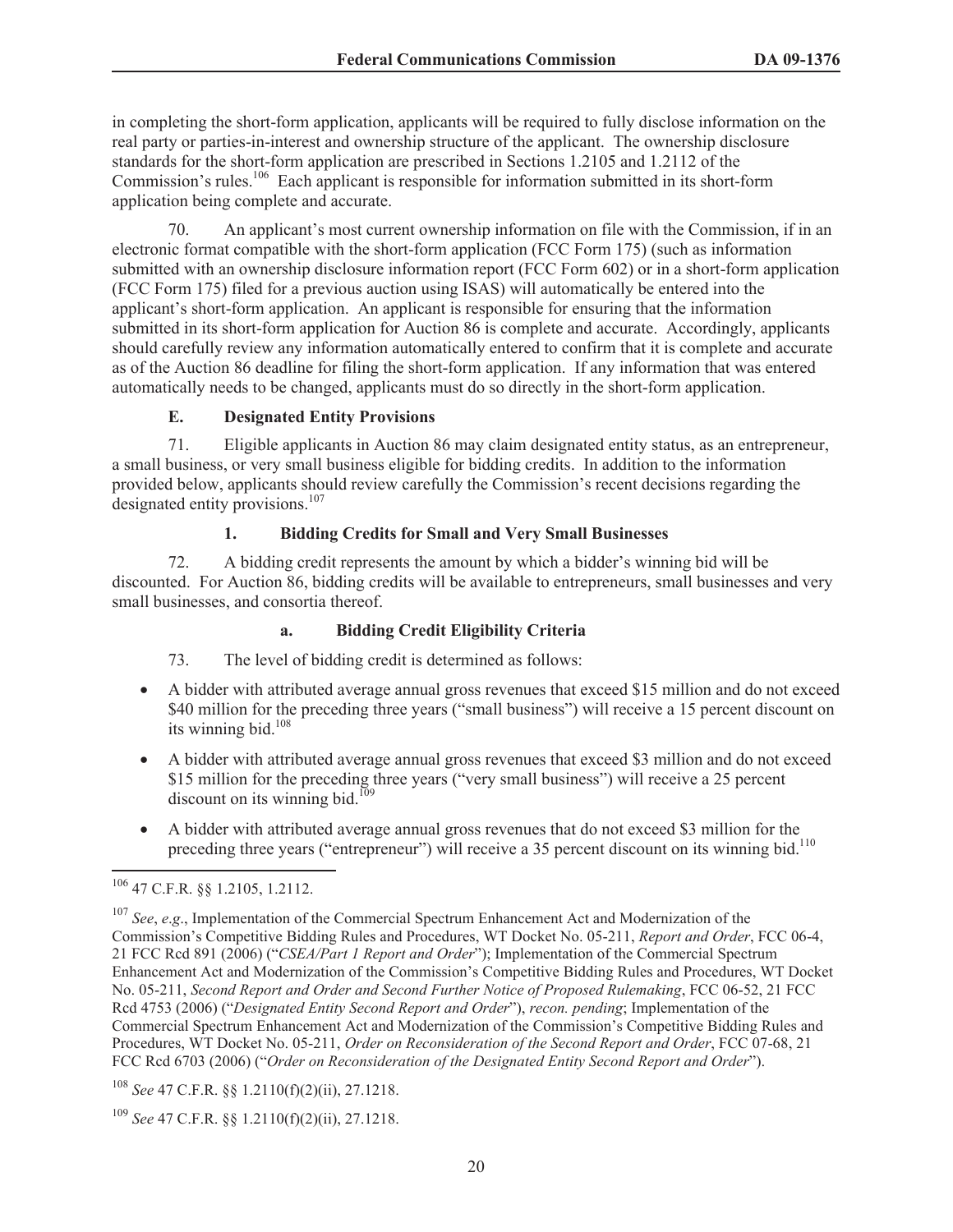in completing the short-form application, applicants will be required to fully disclose information on the real party or parties-in-interest and ownership structure of the applicant. The ownership disclosure standards for the short-form application are prescribed in Sections 1.2105 and 1.2112 of the Commission's rules.<sup>106</sup> Each applicant is responsible for information submitted in its short-form application being complete and accurate.

70. An applicant's most current ownership information on file with the Commission, if in an electronic format compatible with the short-form application (FCC Form 175) (such as information submitted with an ownership disclosure information report (FCC Form 602) or in a short-form application (FCC Form 175) filed for a previous auction using ISAS) will automatically be entered into the applicant's short-form application. An applicant is responsible for ensuring that the information submitted in its short-form application for Auction 86 is complete and accurate. Accordingly, applicants should carefully review any information automatically entered to confirm that it is complete and accurate as of the Auction 86 deadline for filing the short-form application. If any information that was entered automatically needs to be changed, applicants must do so directly in the short-form application.

# **E. Designated Entity Provisions**

71. Eligible applicants in Auction 86 may claim designated entity status, as an entrepreneur, a small business, or very small business eligible for bidding credits. In addition to the information provided below, applicants should review carefully the Commission's recent decisions regarding the designated entity provisions.<sup>107</sup>

### **1. Bidding Credits for Small and Very Small Businesses**

72. A bidding credit represents the amount by which a bidder's winning bid will be discounted. For Auction 86, bidding credits will be available to entrepreneurs, small businesses and very small businesses, and consortia thereof.

#### **a. Bidding Credit Eligibility Criteria**

73. The level of bidding credit is determined as follows:

- A bidder with attributed average annual gross revenues that exceed \$15 million and do not exceed \$40 million for the preceding three years ("small business") will receive a 15 percent discount on its winning bid. $108$
- A bidder with attributed average annual gross revenues that exceed \$3 million and do not exceed \$15 million for the preceding three years ("very small business") will receive a 25 percent discount on its winning bid.<sup>109</sup>
- · A bidder with attributed average annual gross revenues that do not exceed \$3 million for the preceding three years ("entrepreneur") will receive a 35 percent discount on its winning bid.<sup>110</sup>

<sup>106</sup> 47 C.F.R. §§ 1.2105, 1.2112.

<sup>107</sup> *See*, *e*.*g*., Implementation of the Commercial Spectrum Enhancement Act and Modernization of the Commission's Competitive Bidding Rules and Procedures, WT Docket No. 05-211, *Report and Order*, FCC 06-4, 21 FCC Rcd 891 (2006) ("*CSEA/Part 1 Report and Order*"); Implementation of the Commercial Spectrum Enhancement Act and Modernization of the Commission's Competitive Bidding Rules and Procedures, WT Docket No. 05-211, *Second Report and Order and Second Further Notice of Proposed Rulemaking*, FCC 06-52, 21 FCC Rcd 4753 (2006) ("*Designated Entity Second Report and Order*"), *recon. pending*; Implementation of the Commercial Spectrum Enhancement Act and Modernization of the Commission's Competitive Bidding Rules and Procedures, WT Docket No. 05-211, *Order on Reconsideration of the Second Report and Order*, FCC 07-68, 21 FCC Rcd 6703 (2006) ("*Order on Reconsideration of the Designated Entity Second Report and Order*").

<sup>108</sup> *See* 47 C.F.R. §§ 1.2110(f)(2)(ii), 27.1218.

<sup>109</sup> *See* 47 C.F.R. §§ 1.2110(f)(2)(ii), 27.1218.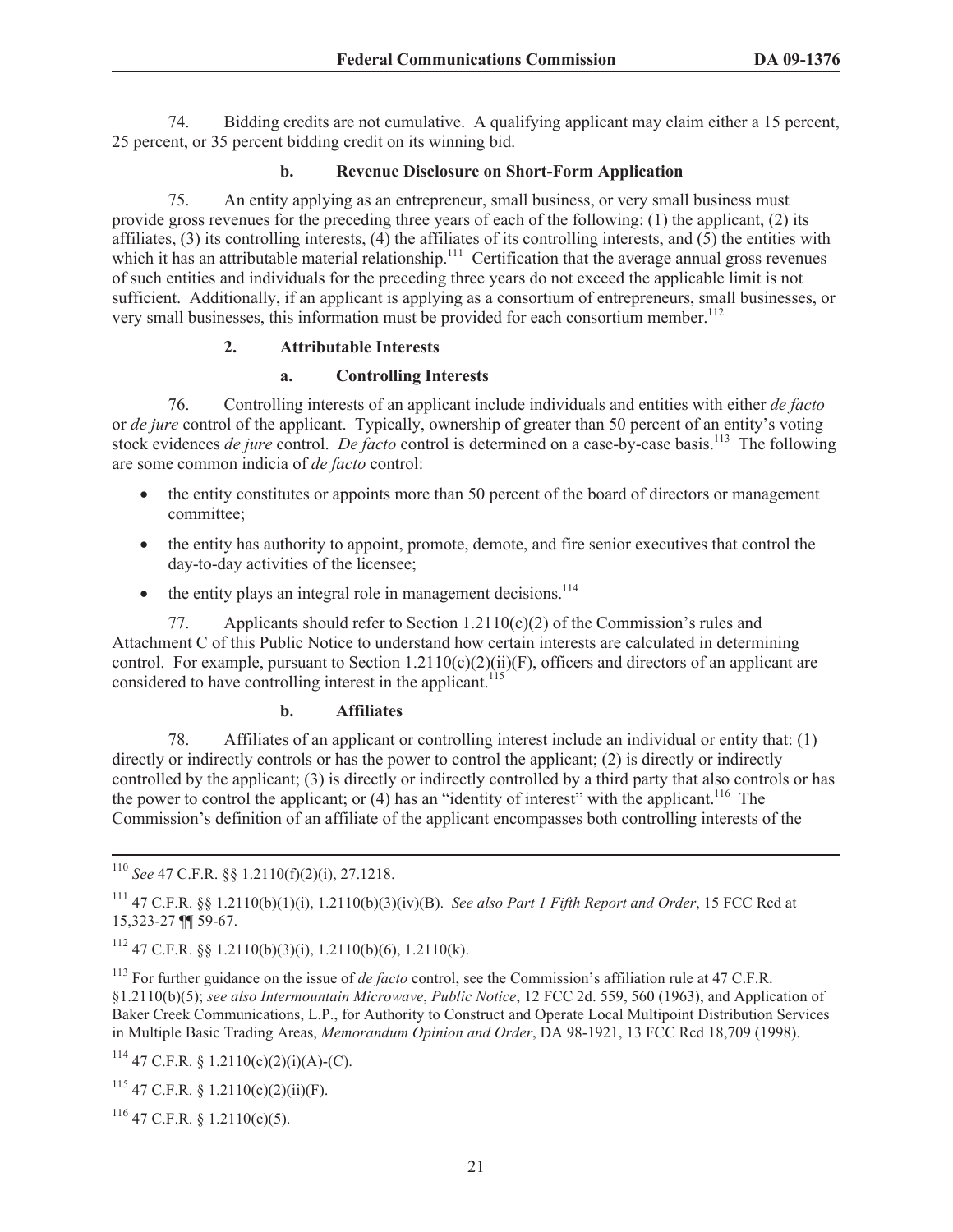74. Bidding credits are not cumulative. A qualifying applicant may claim either a 15 percent, 25 percent, or 35 percent bidding credit on its winning bid.

# **b. Revenue Disclosure on Short-Form Application**

75. An entity applying as an entrepreneur, small business, or very small business must provide gross revenues for the preceding three years of each of the following: (1) the applicant, (2) its affiliates, (3) its controlling interests, (4) the affiliates of its controlling interests, and (5) the entities with which it has an attributable material relationship.<sup>111</sup> Certification that the average annual gross revenues of such entities and individuals for the preceding three years do not exceed the applicable limit is not sufficient. Additionally, if an applicant is applying as a consortium of entrepreneurs, small businesses, or very small businesses, this information must be provided for each consortium member.<sup>112</sup>

### **2. Attributable Interests**

### **a. Controlling Interests**

76. Controlling interests of an applicant include individuals and entities with either *de facto* or *de jure* control of the applicant. Typically, ownership of greater than 50 percent of an entity's voting stock evidences *de jure* control. *De facto* control is determined on a case-by-case basis.<sup>113</sup> The following are some common indicia of *de facto* control:

- the entity constitutes or appoints more than 50 percent of the board of directors or management committee;
- the entity has authority to appoint, promote, demote, and fire senior executives that control the day-to-day activities of the licensee;
- $\bullet$  the entity plays an integral role in management decisions.<sup>114</sup>

77. Applicants should refer to Section 1.2110(c)(2) of the Commission's rules and Attachment C of this Public Notice to understand how certain interests are calculated in determining control. For example, pursuant to Section  $1.2110(c)(2)(ii)(F)$ , officers and directors of an applicant are considered to have controlling interest in the applicant.<sup>115</sup>

# **b. Affiliates**

78. Affiliates of an applicant or controlling interest include an individual or entity that: (1) directly or indirectly controls or has the power to control the applicant; (2) is directly or indirectly controlled by the applicant; (3) is directly or indirectly controlled by a third party that also controls or has the power to control the applicant; or  $(4)$  has an "identity of interest" with the applicant.<sup>116</sup> The Commission's definition of an affiliate of the applicant encompasses both controlling interests of the

 $112$  47 C.F.R. §§ 1.2110(b)(3)(i), 1.2110(b)(6), 1.2110(k).

<sup>113</sup> For further guidance on the issue of *de facto* control, see the Commission's affiliation rule at 47 C.F.R. §1.2110(b)(5); *see also Intermountain Microwave*, *Public Notice*, 12 FCC 2d. 559, 560 (1963), and Application of Baker Creek Communications, L.P., for Authority to Construct and Operate Local Multipoint Distribution Services in Multiple Basic Trading Areas, *Memorandum Opinion and Order*, DA 98-1921, 13 FCC Rcd 18,709 (1998).

<sup>114</sup> 47 C.F.R. § 1.2110(c)(2)(i)(A)-(C).

 $115$  47 C.F.R. § 1.2110(c)(2)(ii)(F).

<sup>116</sup> 47 C.F.R. § 1.2110(c)(5).

<sup>110</sup> *See* 47 C.F.R. §§ 1.2110(f)(2)(i), 27.1218.

<sup>111</sup> 47 C.F.R. §§ 1.2110(b)(1)(i), 1.2110(b)(3)(iv)(B). *See also Part 1 Fifth Report and Order*, 15 FCC Rcd at 15,323-27 ¶¶ 59-67.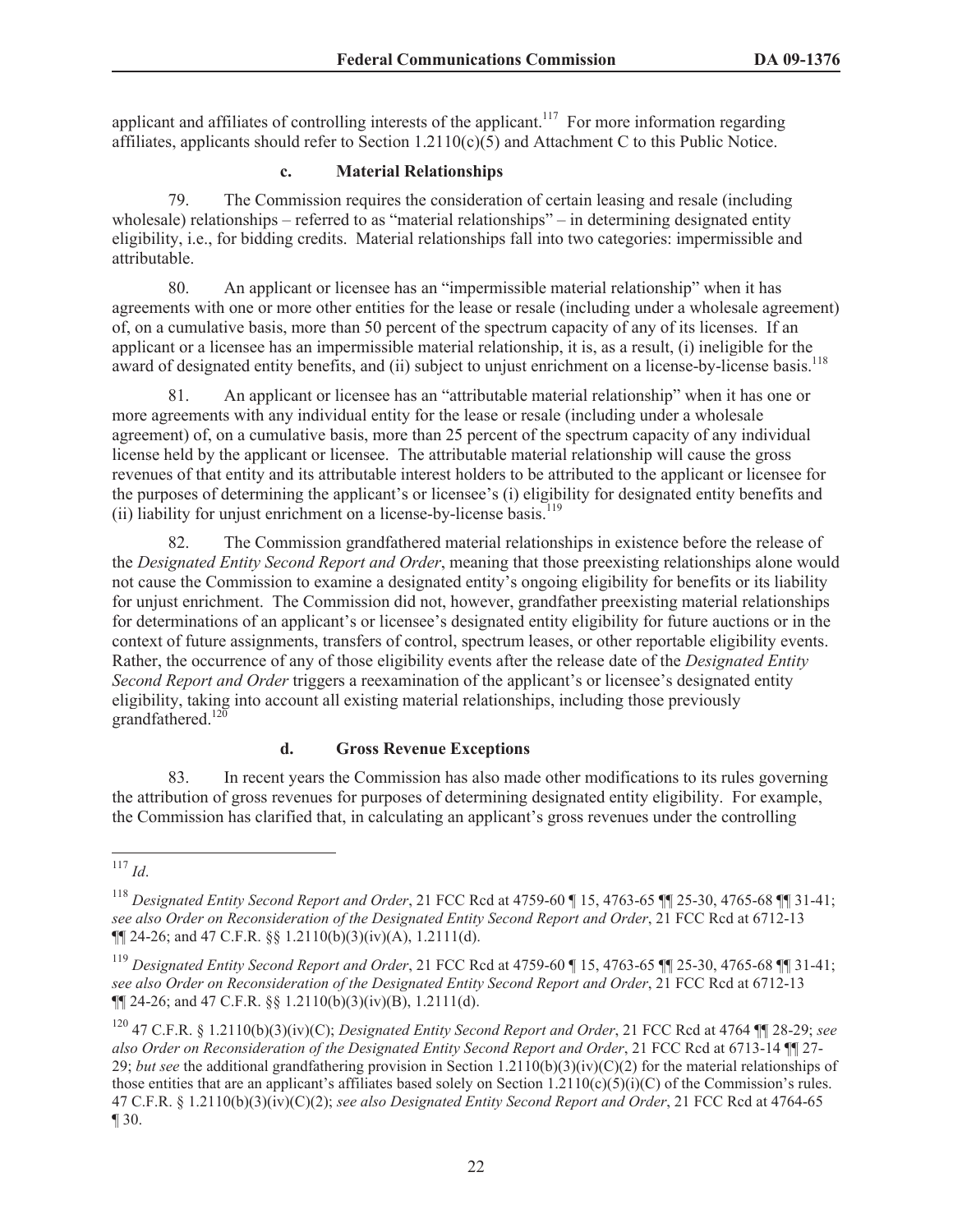applicant and affiliates of controlling interests of the applicant.<sup>117</sup> For more information regarding affiliates, applicants should refer to Section 1.2110(c)(5) and Attachment C to this Public Notice.

# **c. Material Relationships**

79. The Commission requires the consideration of certain leasing and resale (including wholesale) relationships – referred to as "material relationships" – in determining designated entity eligibility, i.e., for bidding credits. Material relationships fall into two categories: impermissible and attributable.

80. An applicant or licensee has an "impermissible material relationship" when it has agreements with one or more other entities for the lease or resale (including under a wholesale agreement) of, on a cumulative basis, more than 50 percent of the spectrum capacity of any of its licenses. If an applicant or a licensee has an impermissible material relationship, it is, as a result, (i) ineligible for the award of designated entity benefits, and (ii) subject to unjust enrichment on a license-by-license basis.<sup>118</sup>

81. An applicant or licensee has an "attributable material relationship" when it has one or more agreements with any individual entity for the lease or resale (including under a wholesale agreement) of, on a cumulative basis, more than 25 percent of the spectrum capacity of any individual license held by the applicant or licensee. The attributable material relationship will cause the gross revenues of that entity and its attributable interest holders to be attributed to the applicant or licensee for the purposes of determining the applicant's or licensee's (i) eligibility for designated entity benefits and (ii) liability for unjust enrichment on a license-by-license basis.<sup>119</sup>

82. The Commission grandfathered material relationships in existence before the release of the *Designated Entity Second Report and Order*, meaning that those preexisting relationships alone would not cause the Commission to examine a designated entity's ongoing eligibility for benefits or its liability for unjust enrichment. The Commission did not, however, grandfather preexisting material relationships for determinations of an applicant's or licensee's designated entity eligibility for future auctions or in the context of future assignments, transfers of control, spectrum leases, or other reportable eligibility events. Rather, the occurrence of any of those eligibility events after the release date of the *Designated Entity Second Report and Order* triggers a reexamination of the applicant's or licensee's designated entity eligibility, taking into account all existing material relationships, including those previously grandfathered. $120$ 

# **d. Gross Revenue Exceptions**

83. In recent years the Commission has also made other modifications to its rules governing the attribution of gross revenues for purposes of determining designated entity eligibility. For example, the Commission has clarified that, in calculating an applicant's gross revenues under the controlling

 $\frac{117}{117}$  *Id.* 

<sup>118</sup> *Designated Entity Second Report and Order*, 21 FCC Rcd at 4759-60 ¶ 15, 4763-65 ¶¶ 25-30, 4765-68 ¶¶ 31-41; *see also Order on Reconsideration of the Designated Entity Second Report and Order*, 21 FCC Rcd at 6712-13 ¶¶ 24-26; and 47 C.F.R. §§ 1.2110(b)(3)(iv)(A), 1.2111(d).

<sup>119</sup> *Designated Entity Second Report and Order*, 21 FCC Rcd at 4759-60 ¶ 15, 4763-65 ¶¶ 25-30, 4765-68 ¶¶ 31-41; *see also Order on Reconsideration of the Designated Entity Second Report and Order*, 21 FCC Rcd at 6712-13 ¶¶ 24-26; and 47 C.F.R. §§ 1.2110(b)(3)(iv)(B), 1.2111(d).

<sup>120</sup> 47 C.F.R. § 1.2110(b)(3)(iv)(C); *Designated Entity Second Report and Order*, 21 FCC Rcd at 4764 ¶¶ 28-29; *see also Order on Reconsideration of the Designated Entity Second Report and Order*, 21 FCC Rcd at 6713-14 ¶¶ 27- 29; *but see* the additional grandfathering provision in Section 1.2110(b)(3)(iv)(C)(2) for the material relationships of those entities that are an applicant's affiliates based solely on Section 1.2110(c)(5)(i)(C) of the Commission's rules. 47 C.F.R. § 1.2110(b)(3)(iv)(C)(2); *see also Designated Entity Second Report and Order*, 21 FCC Rcd at 4764-65 ¶ 30.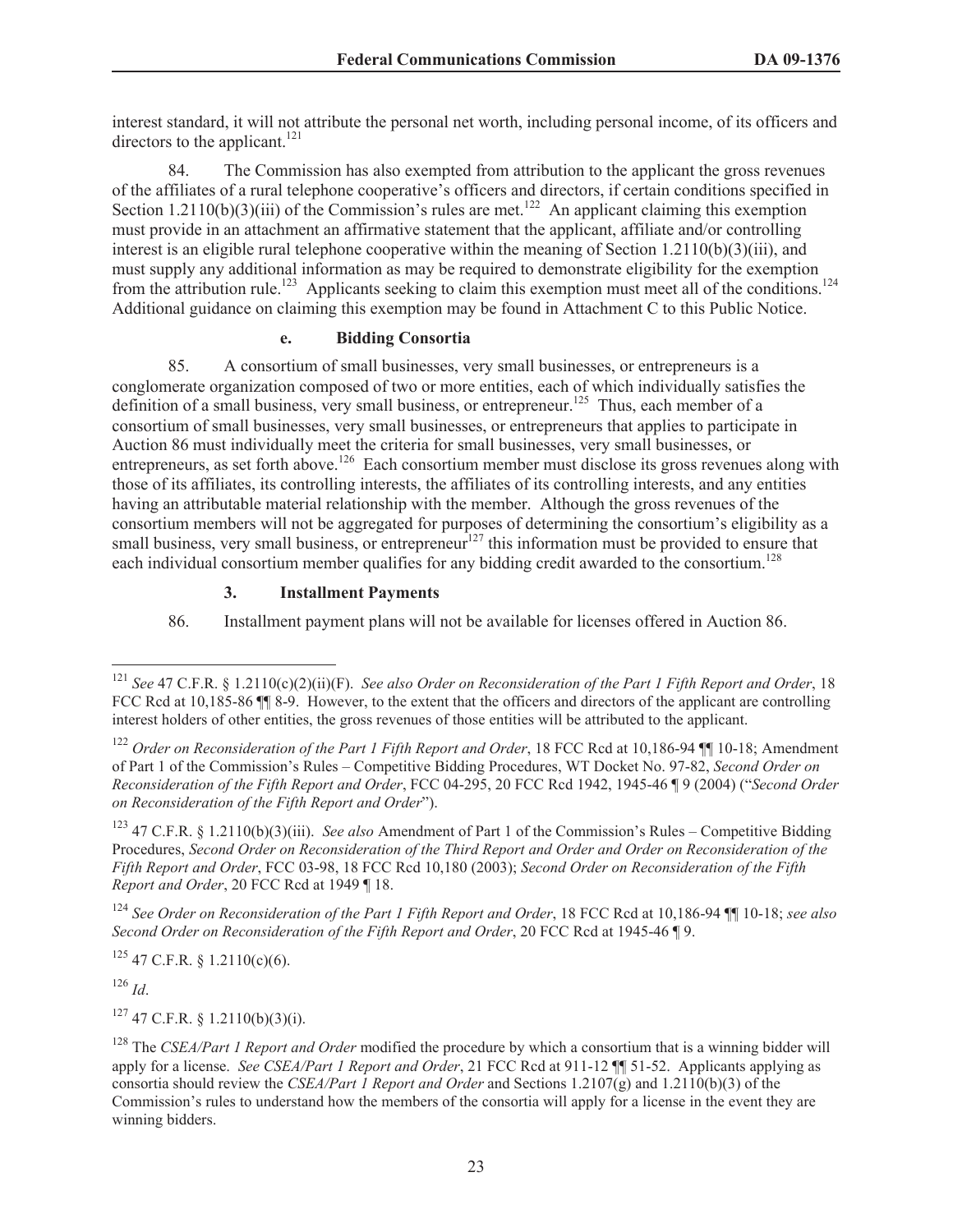interest standard, it will not attribute the personal net worth, including personal income, of its officers and directors to the applicant.<sup>121</sup>

84. The Commission has also exempted from attribution to the applicant the gross revenues of the affiliates of a rural telephone cooperative's officers and directors, if certain conditions specified in Section 1.2110(b)(3)(iii) of the Commission's rules are met.<sup>122</sup> An applicant claiming this exemption must provide in an attachment an affirmative statement that the applicant, affiliate and/or controlling interest is an eligible rural telephone cooperative within the meaning of Section 1.2110(b)(3)(iii), and must supply any additional information as may be required to demonstrate eligibility for the exemption from the attribution rule.<sup>123</sup> Applicants seeking to claim this exemption must meet all of the conditions.<sup>124</sup> Additional guidance on claiming this exemption may be found in Attachment C to this Public Notice.

# **e. Bidding Consortia**

85. A consortium of small businesses, very small businesses, or entrepreneurs is a conglomerate organization composed of two or more entities, each of which individually satisfies the definition of a small business, very small business, or entrepreneur.<sup>125</sup> Thus, each member of a consortium of small businesses, very small businesses, or entrepreneurs that applies to participate in Auction 86 must individually meet the criteria for small businesses, very small businesses, or entrepreneurs, as set forth above.<sup>126</sup> Each consortium member must disclose its gross revenues along with those of its affiliates, its controlling interests, the affiliates of its controlling interests, and any entities having an attributable material relationship with the member. Although the gross revenues of the consortium members will not be aggregated for purposes of determining the consortium's eligibility as a small business, very small business, or entrepreneur<sup>127</sup> this information must be provided to ensure that each individual consortium member qualifies for any bidding credit awarded to the consortium.<sup>128</sup>

### **3. Installment Payments**

86. Installment payment plans will not be available for licenses offered in Auction 86.

<sup>123</sup> 47 C.F.R. § 1.2110(b)(3)(iii). *See also* Amendment of Part 1 of the Commission's Rules – Competitive Bidding Procedures, *Second Order on Reconsideration of the Third Report and Order and Order on Reconsideration of the Fifth Report and Order*, FCC 03-98, 18 FCC Rcd 10,180 (2003); *Second Order on Reconsideration of the Fifth Report and Order*, 20 FCC Rcd at 1949 ¶ 18.

<sup>124</sup> *See Order on Reconsideration of the Part 1 Fifth Report and Order*, 18 FCC Rcd at 10,186-94 ¶¶ 10-18; *see also Second Order on Reconsideration of the Fifth Report and Order*, 20 FCC Rcd at 1945-46 ¶ 9.

 $125$  47 C.F.R. § 1.2110(c)(6).

<sup>126</sup> *Id*.

 $127$  47 C.F.R. § 1.2110(b)(3)(i).

<sup>121</sup> *See* 47 C.F.R. § 1.2110(c)(2)(ii)(F). *See also Order on Reconsideration of the Part 1 Fifth Report and Order*, 18 FCC Rcd at 10,185-86  $\blacksquare$  8-9. However, to the extent that the officers and directors of the applicant are controlling interest holders of other entities, the gross revenues of those entities will be attributed to the applicant.

<sup>&</sup>lt;sup>122</sup> *Order on Reconsideration of the Part 1 Fifth Report and Order*, 18 FCC Rcd at 10,186-94 ¶¶ 10-18; Amendment of Part 1 of the Commission's Rules – Competitive Bidding Procedures, WT Docket No. 97-82, *Second Order on Reconsideration of the Fifth Report and Order*, FCC 04-295, 20 FCC Rcd 1942, 1945-46 ¶ 9 (2004) ("*Second Order on Reconsideration of the Fifth Report and Order*").

<sup>128</sup> The *CSEA/Part 1 Report and Order* modified the procedure by which a consortium that is a winning bidder will apply for a license. *See CSEA/Part 1 Report and Order*, 21 FCC Rcd at 911-12 ¶¶ 51-52. Applicants applying as consortia should review the *CSEA/Part 1 Report and Order* and Sections 1.2107(g) and 1.2110(b)(3) of the Commission's rules to understand how the members of the consortia will apply for a license in the event they are winning bidders.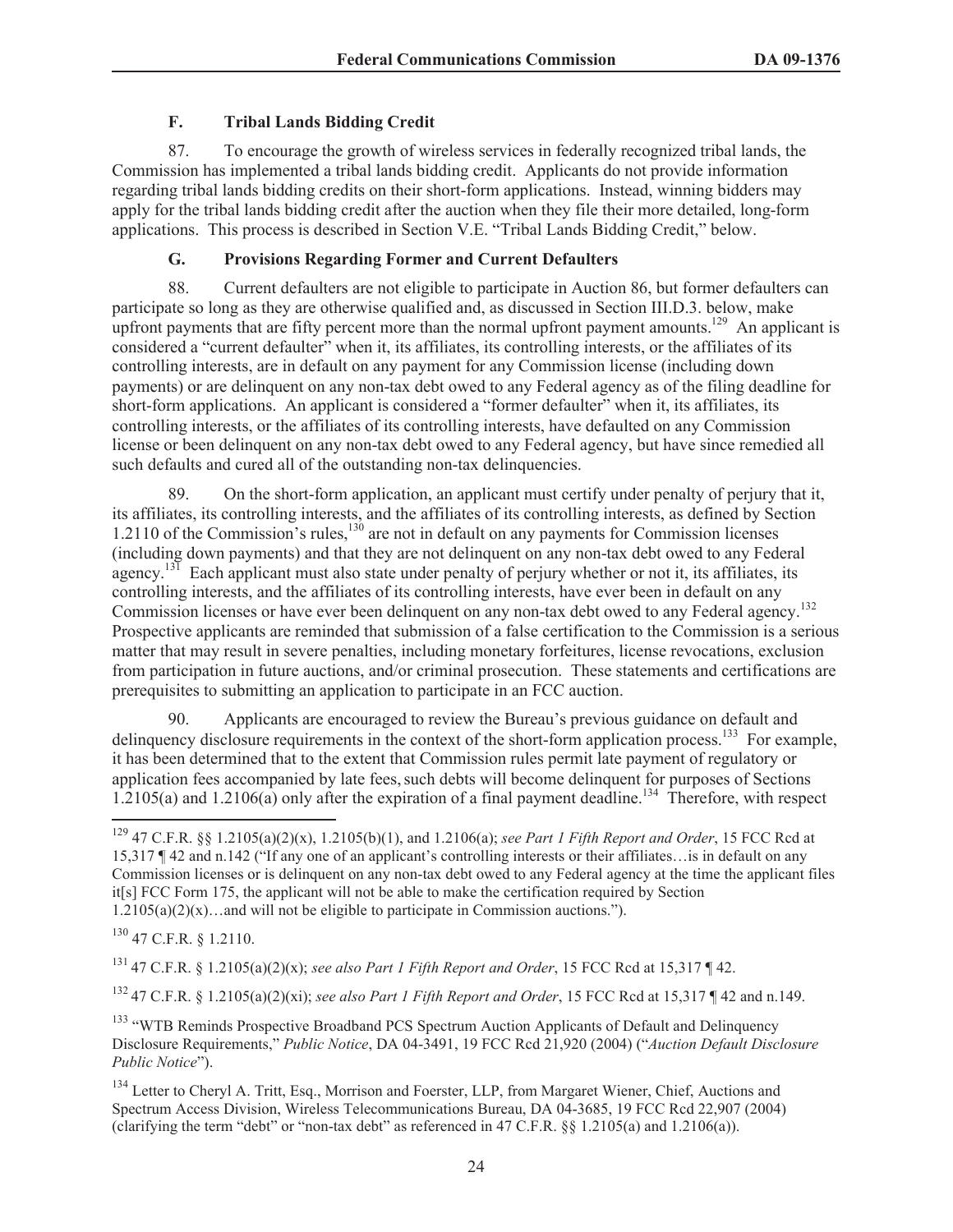## **F. Tribal Lands Bidding Credit**

87. To encourage the growth of wireless services in federally recognized tribal lands, the Commission has implemented a tribal lands bidding credit. Applicants do not provide information regarding tribal lands bidding credits on their short-form applications. Instead, winning bidders may apply for the tribal lands bidding credit after the auction when they file their more detailed, long-form applications. This process is described in Section V.E. "Tribal Lands Bidding Credit," below.

### **G. Provisions Regarding Former and Current Defaulters**

88. Current defaulters are not eligible to participate in Auction 86, but former defaulters can participate so long as they are otherwise qualified and, as discussed in Section III.D.3. below, make upfront payments that are fifty percent more than the normal upfront payment amounts.<sup>129</sup> An applicant is considered a "current defaulter" when it, its affiliates, its controlling interests, or the affiliates of its controlling interests, are in default on any payment for any Commission license (including down payments) or are delinquent on any non-tax debt owed to any Federal agency as of the filing deadline for short-form applications. An applicant is considered a "former defaulter" when it, its affiliates, its controlling interests, or the affiliates of its controlling interests, have defaulted on any Commission license or been delinquent on any non-tax debt owed to any Federal agency, but have since remedied all such defaults and cured all of the outstanding non-tax delinquencies.

89. On the short-form application, an applicant must certify under penalty of perjury that it, its affiliates, its controlling interests, and the affiliates of its controlling interests, as defined by Section 1.2110 of the Commission's rules,<sup>130</sup> are not in default on any payments for Commission licenses (including down payments) and that they are not delinquent on any non-tax debt owed to any Federal agency.<sup>131</sup> Each applicant must also state under penalty of perjury whether or not it, its affiliates, its controlling interests, and the affiliates of its controlling interests, have ever been in default on any Commission licenses or have ever been delinquent on any non-tax debt owed to any Federal agency.<sup>132</sup> Prospective applicants are reminded that submission of a false certification to the Commission is a serious matter that may result in severe penalties, including monetary forfeitures, license revocations, exclusion from participation in future auctions, and/or criminal prosecution. These statements and certifications are prerequisites to submitting an application to participate in an FCC auction.

90. Applicants are encouraged to review the Bureau's previous guidance on default and delinguency disclosure requirements in the context of the short-form application process.<sup>133</sup> For example, it has been determined that to the extent that Commission rules permit late payment of regulatory or application fees accompanied by late fees, such debts will become delinquent for purposes of Sections 1.2105(a) and 1.2106(a) only after the expiration of a final payment deadline.<sup>134</sup> Therefore, with respect

<sup>130</sup> 47 C.F.R. § 1.2110.

<sup>131</sup> 47 C.F.R. § 1.2105(a)(2)(x); *see also Part 1 Fifth Report and Order*, 15 FCC Rcd at 15,317 ¶ 42.

<sup>132</sup> 47 C.F.R. § 1.2105(a)(2)(xi); *see also Part 1 Fifth Report and Order*, 15 FCC Rcd at 15,317 ¶ 42 and n.149.

<sup>133</sup> "WTB Reminds Prospective Broadband PCS Spectrum Auction Applicants of Default and Delinquency Disclosure Requirements," *Public Notice*, DA 04-3491, 19 FCC Rcd 21,920 (2004) ("*Auction Default Disclosure Public Notice*").

<sup>129</sup> 47 C.F.R. §§ 1.2105(a)(2)(x), 1.2105(b)(1), and 1.2106(a); *see Part 1 Fifth Report and Order*, 15 FCC Rcd at 15,317 ¶ 42 and n.142 ("If any one of an applicant's controlling interests or their affiliates…is in default on any Commission licenses or is delinquent on any non-tax debt owed to any Federal agency at the time the applicant files it[s] FCC Form 175, the applicant will not be able to make the certification required by Section 1.2105(a)(2)(x)…and will not be eligible to participate in Commission auctions.").

<sup>&</sup>lt;sup>134</sup> Letter to Cheryl A. Tritt, Esq., Morrison and Foerster, LLP, from Margaret Wiener, Chief, Auctions and Spectrum Access Division, Wireless Telecommunications Bureau, DA 04-3685, 19 FCC Rcd 22,907 (2004) (clarifying the term "debt" or "non-tax debt" as referenced in 47 C.F.R. §§ 1.2105(a) and 1.2106(a)).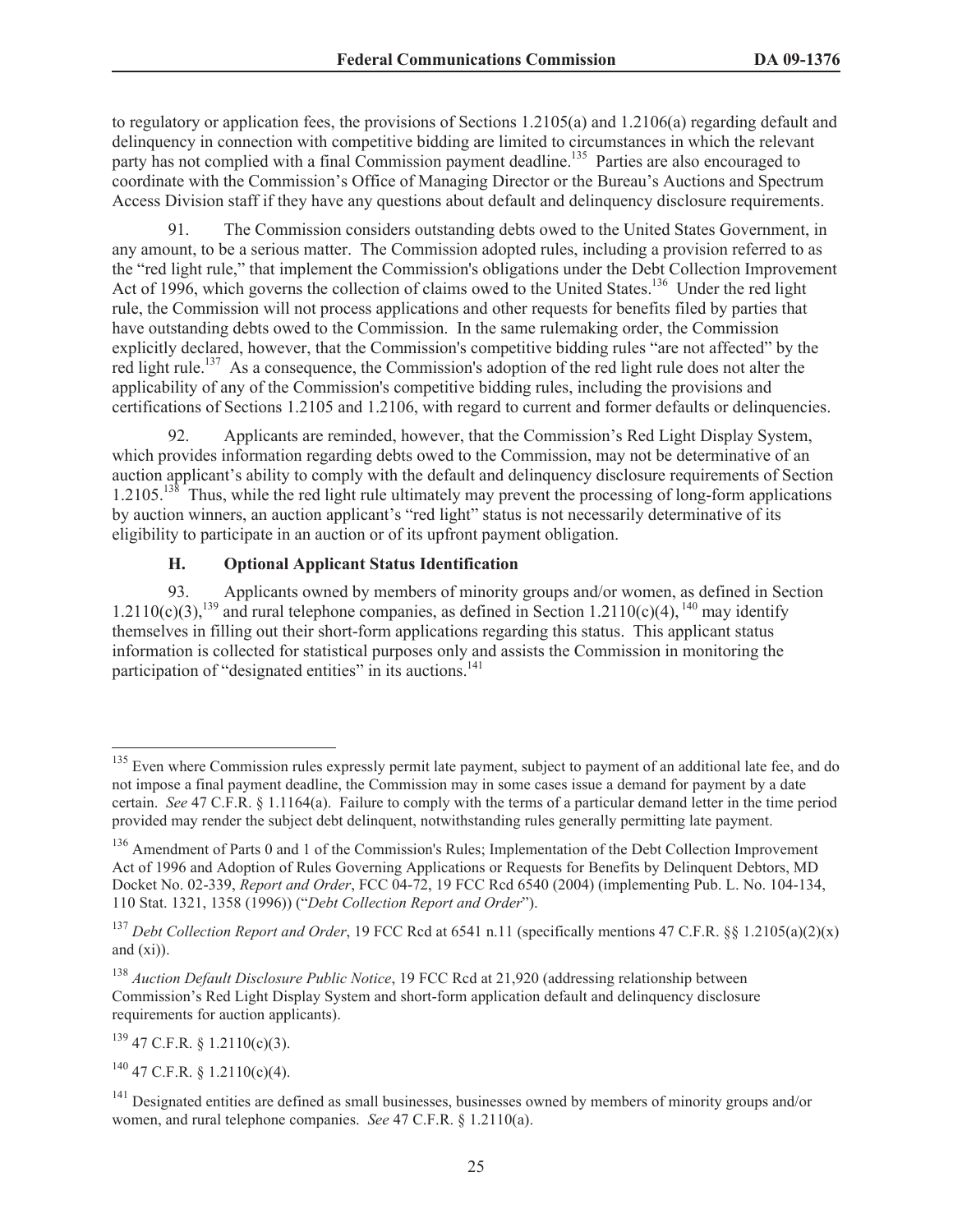to regulatory or application fees, the provisions of Sections 1.2105(a) and 1.2106(a) regarding default and delinquency in connection with competitive bidding are limited to circumstances in which the relevant party has not complied with a final Commission payment deadline.<sup>135</sup> Parties are also encouraged to coordinate with the Commission's Office of Managing Director or the Bureau's Auctions and Spectrum Access Division staff if they have any questions about default and delinquency disclosure requirements.

91. The Commission considers outstanding debts owed to the United States Government, in any amount, to be a serious matter. The Commission adopted rules, including a provision referred to as the "red light rule," that implement the Commission's obligations under the Debt Collection Improvement Act of 1996, which governs the collection of claims owed to the United States.<sup>136</sup> Under the red light rule, the Commission will not process applications and other requests for benefits filed by parties that have outstanding debts owed to the Commission. In the same rulemaking order, the Commission explicitly declared, however, that the Commission's competitive bidding rules "are not affected" by the red light rule.<sup>137</sup> As a consequence, the Commission's adoption of the red light rule does not alter the applicability of any of the Commission's competitive bidding rules, including the provisions and certifications of Sections 1.2105 and 1.2106, with regard to current and former defaults or delinquencies.

92. Applicants are reminded, however, that the Commission's Red Light Display System, which provides information regarding debts owed to the Commission, may not be determinative of an auction applicant's ability to comply with the default and delinquency disclosure requirements of Section 1.2105.<sup>138</sup> Thus, while the red light rule ultimately may prevent the processing of long-form applications by auction winners, an auction applicant's "red light" status is not necessarily determinative of its eligibility to participate in an auction or of its upfront payment obligation.

# **H. Optional Applicant Status Identification**

93. Applicants owned by members of minority groups and/or women, as defined in Section 1.2110(c)(3),  $^{139}$  and rural telephone companies, as defined in Section 1.2110(c)(4),  $^{140}$  may identify themselves in filling out their short-form applications regarding this status. This applicant status information is collected for statistical purposes only and assists the Commission in monitoring the participation of "designated entities" in its auctions.<sup>141</sup>

 $139$  47 C.F.R. § 1.2110(c)(3).

 $140$  47 C.F.R. § 1.2110(c)(4).

 $135$  Even where Commission rules expressly permit late payment, subject to payment of an additional late fee, and do not impose a final payment deadline, the Commission may in some cases issue a demand for payment by a date certain. *See* 47 C.F.R. § 1.1164(a). Failure to comply with the terms of a particular demand letter in the time period provided may render the subject debt delinquent, notwithstanding rules generally permitting late payment.

<sup>&</sup>lt;sup>136</sup> Amendment of Parts 0 and 1 of the Commission's Rules; Implementation of the Debt Collection Improvement Act of 1996 and Adoption of Rules Governing Applications or Requests for Benefits by Delinquent Debtors, MD Docket No. 02-339, *Report and Order*, FCC 04-72, 19 FCC Rcd 6540 (2004) (implementing Pub. L. No. 104-134, 110 Stat. 1321, 1358 (1996)) ("*Debt Collection Report and Order*").

<sup>137</sup> *Debt Collection Report and Order*, 19 FCC Rcd at 6541 n.11 (specifically mentions 47 C.F.R. §§ 1.2105(a)(2)(x) and (xi)).

<sup>138</sup> *Auction Default Disclosure Public Notice*, 19 FCC Rcd at 21,920 (addressing relationship between Commission's Red Light Display System and short-form application default and delinquency disclosure requirements for auction applicants).

<sup>&</sup>lt;sup>141</sup> Designated entities are defined as small businesses, businesses owned by members of minority groups and/or women, and rural telephone companies. *See* 47 C.F.R. § 1.2110(a).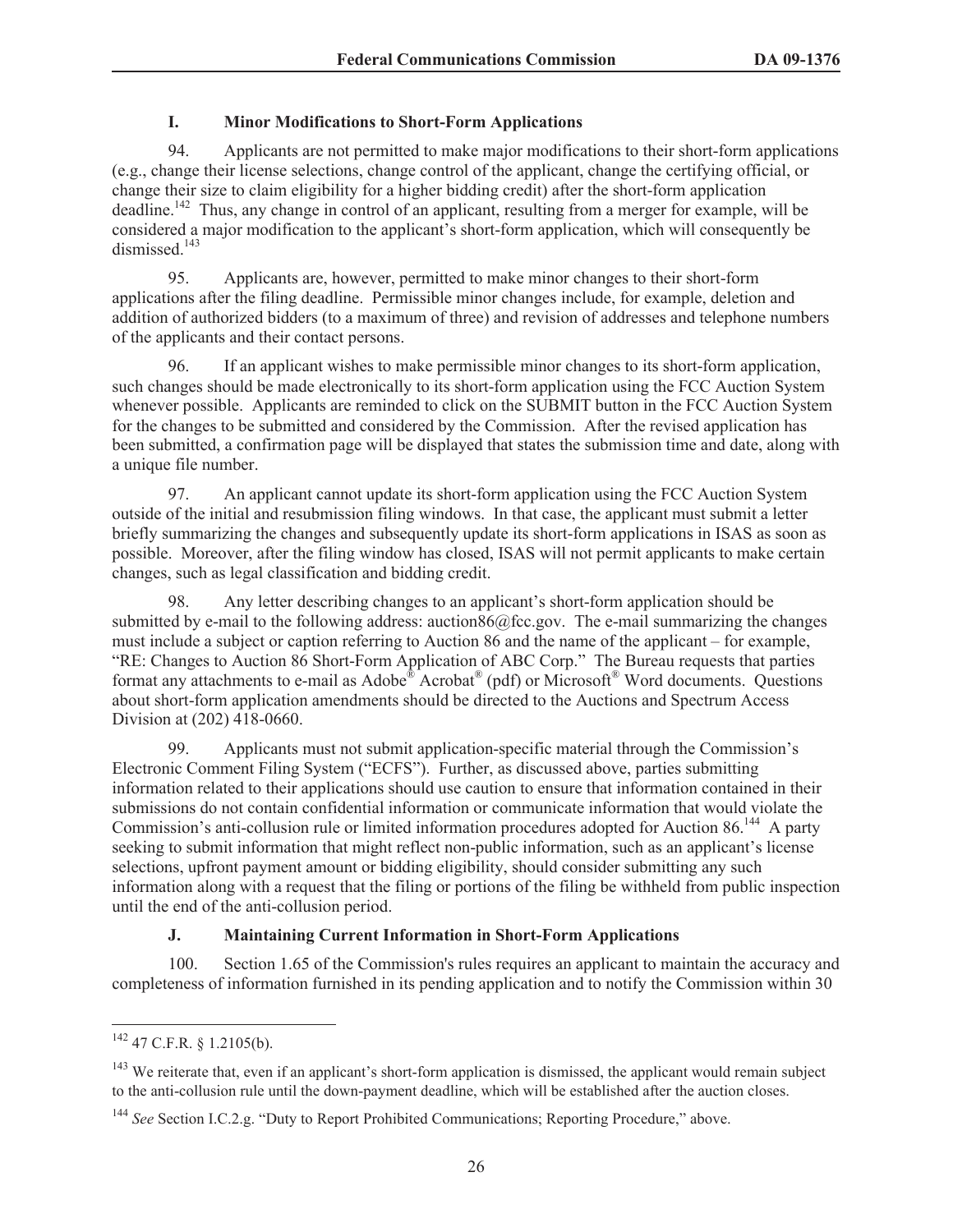### **I. Minor Modifications to Short-Form Applications**

94. Applicants are not permitted to make major modifications to their short-form applications (e.g., change their license selections, change control of the applicant, change the certifying official, or change their size to claim eligibility for a higher bidding credit) after the short-form application deadline.<sup>142</sup> Thus, any change in control of an applicant, resulting from a merger for example, will be considered a major modification to the applicant's short-form application, which will consequently be dismissed.<sup>143</sup>

95. Applicants are, however, permitted to make minor changes to their short-form applications after the filing deadline. Permissible minor changes include, for example, deletion and addition of authorized bidders (to a maximum of three) and revision of addresses and telephone numbers of the applicants and their contact persons.

96. If an applicant wishes to make permissible minor changes to its short-form application, such changes should be made electronically to its short-form application using the FCC Auction System whenever possible. Applicants are reminded to click on the SUBMIT button in the FCC Auction System for the changes to be submitted and considered by the Commission. After the revised application has been submitted, a confirmation page will be displayed that states the submission time and date, along with a unique file number.

97. An applicant cannot update its short-form application using the FCC Auction System outside of the initial and resubmission filing windows. In that case, the applicant must submit a letter briefly summarizing the changes and subsequently update its short-form applications in ISAS as soon as possible. Moreover, after the filing window has closed, ISAS will not permit applicants to make certain changes, such as legal classification and bidding credit.

98. Any letter describing changes to an applicant's short-form application should be submitted by e-mail to the following address: auction86@fcc.gov. The e-mail summarizing the changes must include a subject or caption referring to Auction 86 and the name of the applicant – for example, "RE: Changes to Auction 86 Short-Form Application of ABC Corp." The Bureau requests that parties format any attachments to e-mail as Adobe® Acrobat<sup>®</sup> (pdf) or Microsoft<sup>®</sup> Word documents. Questions about short-form application amendments should be directed to the Auctions and Spectrum Access Division at (202) 418-0660.

99. Applicants must not submit application-specific material through the Commission's Electronic Comment Filing System ("ECFS"). Further, as discussed above, parties submitting information related to their applications should use caution to ensure that information contained in their submissions do not contain confidential information or communicate information that would violate the Commission's anti-collusion rule or limited information procedures adopted for Auction 86.<sup>144</sup> A party seeking to submit information that might reflect non-public information, such as an applicant's license selections, upfront payment amount or bidding eligibility, should consider submitting any such information along with a request that the filing or portions of the filing be withheld from public inspection until the end of the anti-collusion period.

# **J. Maintaining Current Information in Short-Form Applications**

100. Section 1.65 of the Commission's rules requires an applicant to maintain the accuracy and completeness of information furnished in its pending application and to notify the Commission within 30

<sup>142</sup> 47 C.F.R. § 1.2105(b).

<sup>&</sup>lt;sup>143</sup> We reiterate that, even if an applicant's short-form application is dismissed, the applicant would remain subject to the anti-collusion rule until the down-payment deadline, which will be established after the auction closes.

<sup>&</sup>lt;sup>144</sup> See Section I.C.2.g. "Duty to Report Prohibited Communications; Reporting Procedure," above.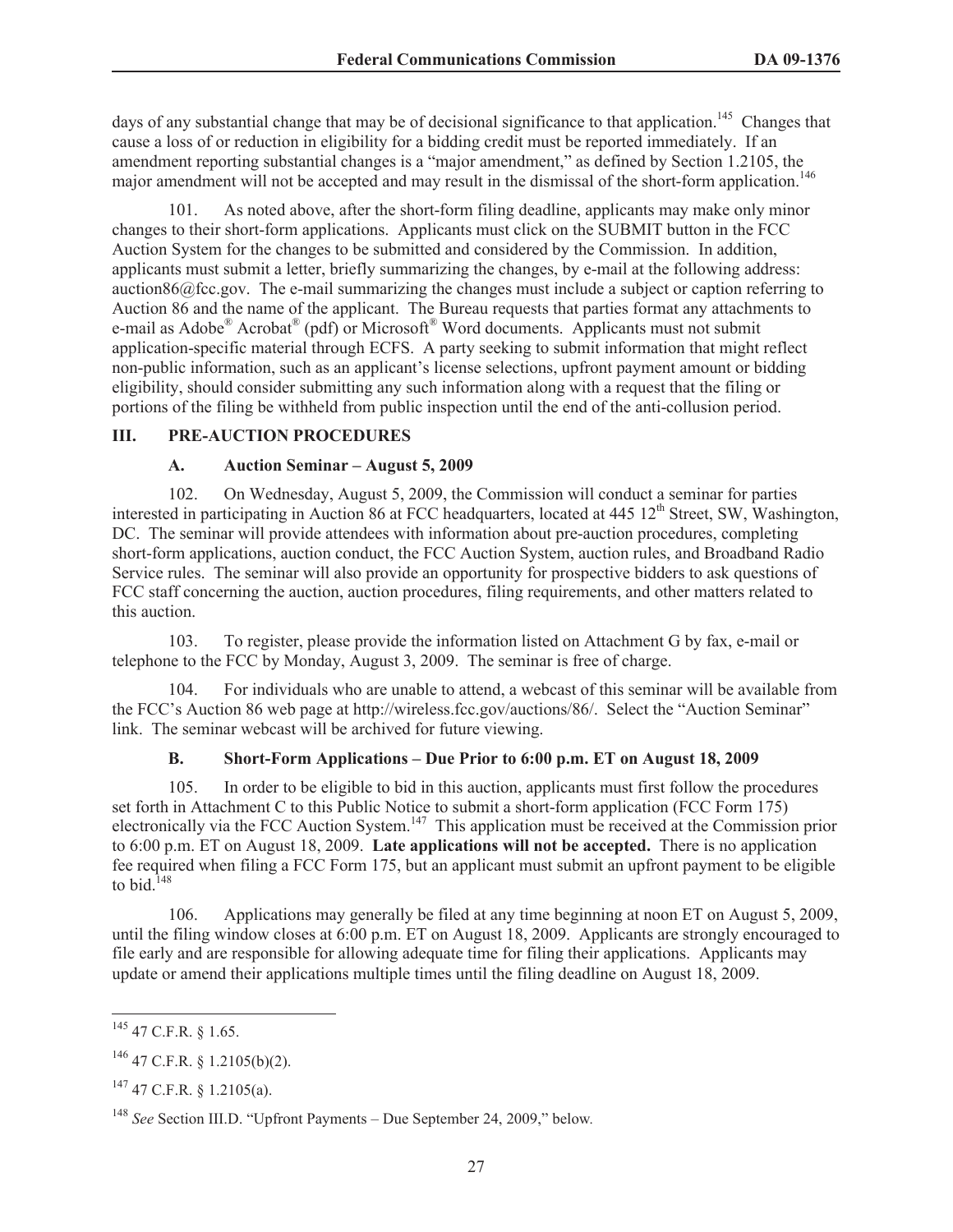days of any substantial change that may be of decisional significance to that application.<sup>145</sup> Changes that cause a loss of or reduction in eligibility for a bidding credit must be reported immediately. If an amendment reporting substantial changes is a "major amendment," as defined by Section 1.2105, the major amendment will not be accepted and may result in the dismissal of the short-form application.<sup>146</sup>

101. As noted above, after the short-form filing deadline, applicants may make only minor changes to their short-form applications. Applicants must click on the SUBMIT button in the FCC Auction System for the changes to be submitted and considered by the Commission. In addition, applicants must submit a letter, briefly summarizing the changes, by e-mail at the following address: auction86@fcc.gov. The e-mail summarizing the changes must include a subject or caption referring to Auction 86 and the name of the applicant. The Bureau requests that parties format any attachments to e-mail as Adobe<sup>®</sup> Acrobat<sup>®</sup> (pdf) or Microsoft<sup>®</sup> Word documents. Applicants must not submit application-specific material through ECFS. A party seeking to submit information that might reflect non-public information, such as an applicant's license selections, upfront payment amount or bidding eligibility, should consider submitting any such information along with a request that the filing or portions of the filing be withheld from public inspection until the end of the anti-collusion period.

### **III. PRE-AUCTION PROCEDURES**

### **A. Auction Seminar – August 5, 2009**

102. On Wednesday, August 5, 2009, the Commission will conduct a seminar for parties interested in participating in Auction 86 at FCC headquarters, located at  $445 \, 12^{th}$  Street, SW, Washington, DC. The seminar will provide attendees with information about pre-auction procedures, completing short-form applications, auction conduct, the FCC Auction System, auction rules, and Broadband Radio Service rules. The seminar will also provide an opportunity for prospective bidders to ask questions of FCC staff concerning the auction, auction procedures, filing requirements, and other matters related to this auction.

103. To register, please provide the information listed on Attachment G by fax, e-mail or telephone to the FCC by Monday, August 3, 2009. The seminar is free of charge.

104. For individuals who are unable to attend, a webcast of this seminar will be available from the FCC's Auction 86 web page at http://wireless.fcc.gov/auctions/86/. Select the "Auction Seminar" link. The seminar webcast will be archived for future viewing.

#### **B. Short-Form Applications – Due Prior to 6:00 p.m. ET on August 18, 2009**

105. In order to be eligible to bid in this auction, applicants must first follow the procedures set forth in Attachment C to this Public Notice to submit a short-form application (FCC Form 175) electronically via the FCC Auction System.<sup>147</sup> This application must be received at the Commission prior to 6:00 p.m. ET on August 18, 2009. **Late applications will not be accepted.** There is no application fee required when filing a FCC Form 175, but an applicant must submit an upfront payment to be eligible to bid.<sup>148</sup>

106. Applications may generally be filed at any time beginning at noon ET on August 5, 2009, until the filing window closes at 6:00 p.m. ET on August 18, 2009. Applicants are strongly encouraged to file early and are responsible for allowing adequate time for filing their applications. Applicants may update or amend their applications multiple times until the filing deadline on August 18, 2009.

<sup>145</sup> 47 C.F.R. § 1.65.

 $146$  47 C.F.R. § 1.2105(b)(2).

 $^{147}$  47 C.F.R. § 1.2105(a).

<sup>148</sup> *See* Section III.D. "Upfront Payments – Due September 24, 2009," below*.*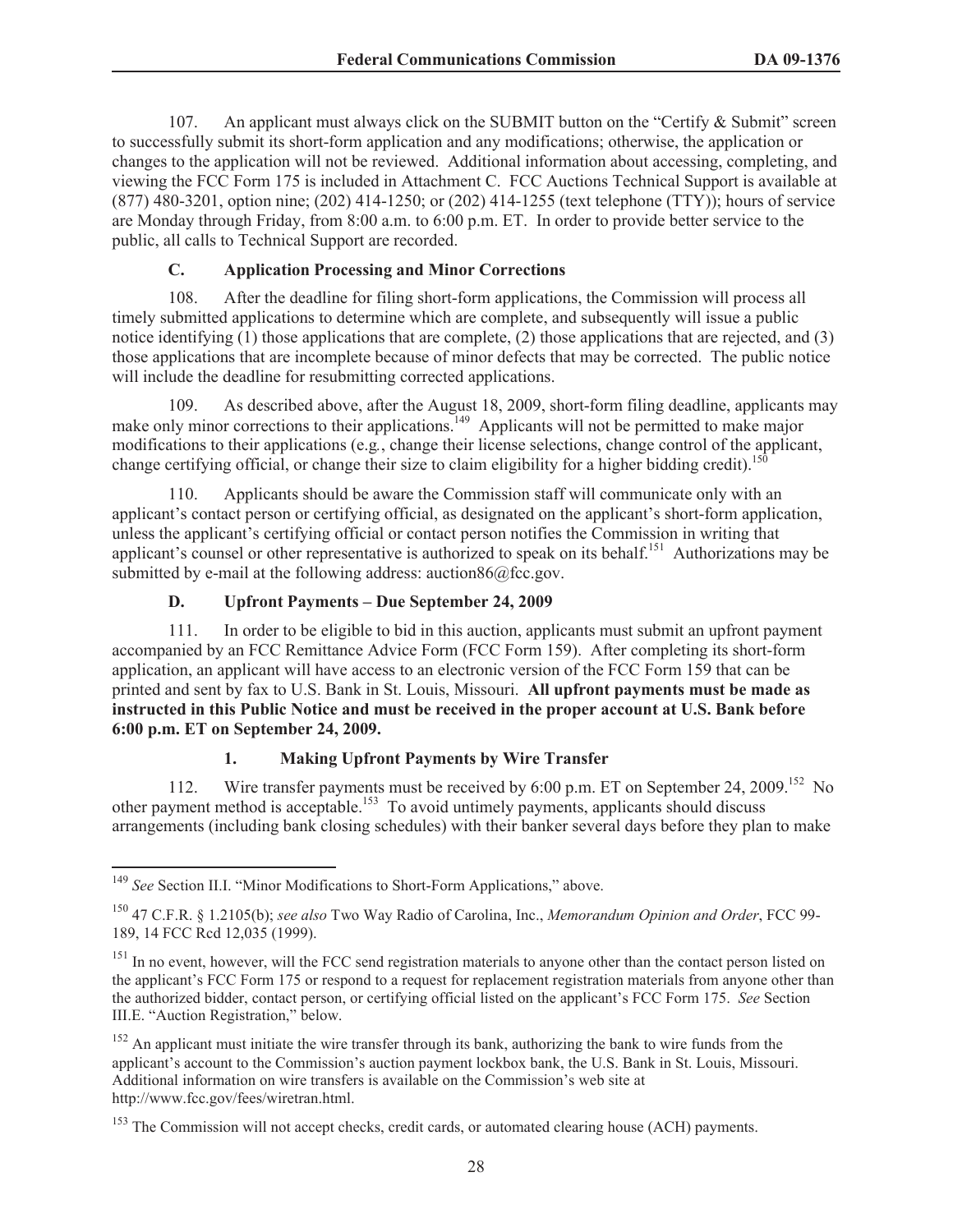107. An applicant must always click on the SUBMIT button on the "Certify & Submit" screen to successfully submit its short-form application and any modifications; otherwise, the application or changes to the application will not be reviewed. Additional information about accessing, completing, and viewing the FCC Form 175 is included in Attachment C. FCC Auctions Technical Support is available at (877) 480-3201, option nine; (202) 414-1250; or (202) 414-1255 (text telephone (TTY)); hours of service are Monday through Friday, from 8:00 a.m. to 6:00 p.m. ET. In order to provide better service to the public, all calls to Technical Support are recorded.

# **C. Application Processing and Minor Corrections**

108. After the deadline for filing short-form applications, the Commission will process all timely submitted applications to determine which are complete, and subsequently will issue a public notice identifying (1) those applications that are complete, (2) those applications that are rejected, and (3) those applications that are incomplete because of minor defects that may be corrected. The public notice will include the deadline for resubmitting corrected applications.

109. As described above, after the August 18, 2009, short-form filing deadline, applicants may make only minor corrections to their applications.<sup>149</sup> Applicants will not be permitted to make major modifications to their applications (e.g*.*, change their license selections, change control of the applicant, change certifying official, or change their size to claim eligibility for a higher bidding credit).<sup>150</sup>

110. Applicants should be aware the Commission staff will communicate only with an applicant's contact person or certifying official, as designated on the applicant's short-form application, unless the applicant's certifying official or contact person notifies the Commission in writing that applicant's counsel or other representative is authorized to speak on its behalf.<sup>151</sup> Authorizations may be submitted by e-mail at the following address: auction86@fcc.gov.

#### **D. Upfront Payments – Due September 24, 2009**

111. In order to be eligible to bid in this auction, applicants must submit an upfront payment accompanied by an FCC Remittance Advice Form (FCC Form 159). After completing its short-form application, an applicant will have access to an electronic version of the FCC Form 159 that can be printed and sent by fax to U.S. Bank in St. Louis, Missouri. **All upfront payments must be made as instructed in this Public Notice and must be received in the proper account at U.S. Bank before 6:00 p.m. ET on September 24, 2009.**

# **1. Making Upfront Payments by Wire Transfer**

112. Wire transfer payments must be received by 6:00 p.m. ET on September 24, 2009.<sup>152</sup> No other payment method is acceptable.<sup>153</sup> To avoid untimely payments, applicants should discuss arrangements (including bank closing schedules) with their banker several days before they plan to make

<sup>149</sup> *See* Section II.I. "Minor Modifications to Short-Form Applications," above.

<sup>150</sup> 47 C.F.R. § 1.2105(b); *see also* Two Way Radio of Carolina, Inc., *Memorandum Opinion and Order*, FCC 99- 189, 14 FCC Rcd 12,035 (1999).

<sup>&</sup>lt;sup>151</sup> In no event, however, will the FCC send registration materials to anyone other than the contact person listed on the applicant's FCC Form 175 or respond to a request for replacement registration materials from anyone other than the authorized bidder, contact person, or certifying official listed on the applicant's FCC Form 175. *See* Section III.E. "Auction Registration," below.

<sup>&</sup>lt;sup>152</sup> An applicant must initiate the wire transfer through its bank, authorizing the bank to wire funds from the applicant's account to the Commission's auction payment lockbox bank, the U.S. Bank in St. Louis, Missouri. Additional information on wire transfers is available on the Commission's web site at http://www.fcc.gov/fees/wiretran.html.

<sup>&</sup>lt;sup>153</sup> The Commission will not accept checks, credit cards, or automated clearing house (ACH) payments.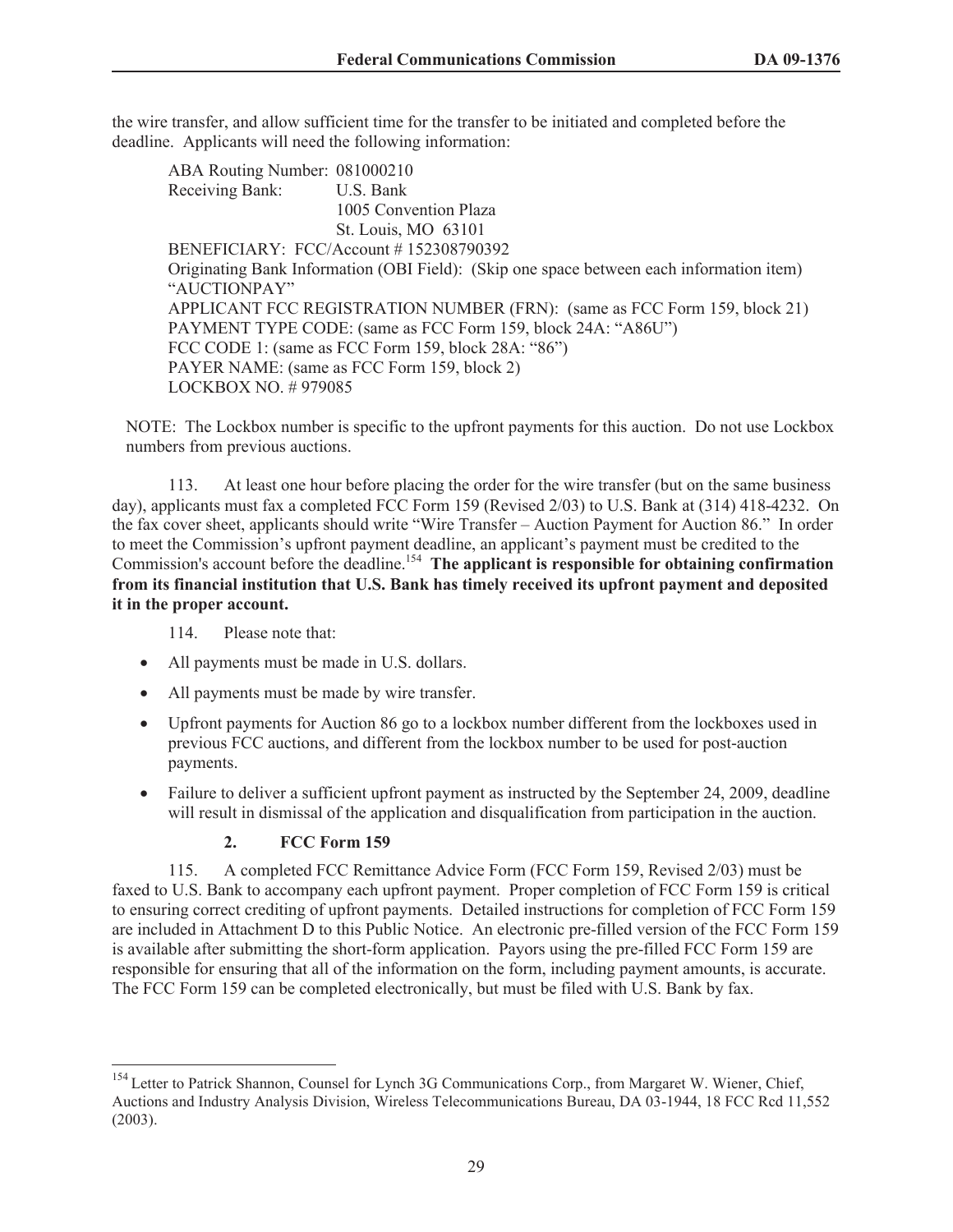the wire transfer, and allow sufficient time for the transfer to be initiated and completed before the deadline. Applicants will need the following information:

ABA Routing Number: 081000210 Receiving Bank: U.S. Bank 1005 Convention Plaza St. Louis, MO 63101 BENEFICIARY: FCC/Account # 152308790392 Originating Bank Information (OBI Field): (Skip one space between each information item) "AUCTIONPAY" APPLICANT FCC REGISTRATION NUMBER (FRN): (same as FCC Form 159, block 21) PAYMENT TYPE CODE: (same as FCC Form 159, block 24A: "A86U") FCC CODE 1: (same as FCC Form 159, block 28A: "86") PAYER NAME: (same as FCC Form 159, block 2) LOCKBOX NO. # 979085

NOTE: The Lockbox number is specific to the upfront payments for this auction. Do not use Lockbox numbers from previous auctions.

113. At least one hour before placing the order for the wire transfer (but on the same business day), applicants must fax a completed FCC Form 159 (Revised 2/03) to U.S. Bank at (314) 418-4232. On the fax cover sheet, applicants should write "Wire Transfer – Auction Payment for Auction 86." In order to meet the Commission's upfront payment deadline, an applicant's payment must be credited to the Commission's account before the deadline.<sup>154</sup> The applicant is responsible for obtaining confirmation **from its financial institution that U.S. Bank has timely received its upfront payment and deposited it in the proper account.**

114. Please note that:

- All payments must be made in U.S. dollars.
- · All payments must be made by wire transfer.
- · Upfront payments for Auction 86 go to a lockbox number different from the lockboxes used in previous FCC auctions, and different from the lockbox number to be used for post-auction payments.
- Failure to deliver a sufficient upfront payment as instructed by the September 24, 2009, deadline will result in dismissal of the application and disqualification from participation in the auction.

# **2. FCC Form 159**

115. A completed FCC Remittance Advice Form (FCC Form 159, Revised 2/03) must be faxed to U.S. Bank to accompany each upfront payment. Proper completion of FCC Form 159 is critical to ensuring correct crediting of upfront payments. Detailed instructions for completion of FCC Form 159 are included in Attachment D to this Public Notice. An electronic pre-filled version of the FCC Form 159 is available after submitting the short-form application. Payors using the pre-filled FCC Form 159 are responsible for ensuring that all of the information on the form, including payment amounts, is accurate. The FCC Form 159 can be completed electronically, but must be filed with U.S. Bank by fax.

<sup>&</sup>lt;sup>154</sup> Letter to Patrick Shannon, Counsel for Lynch 3G Communications Corp., from Margaret W. Wiener, Chief, Auctions and Industry Analysis Division, Wireless Telecommunications Bureau, DA 03-1944, 18 FCC Rcd 11,552 (2003).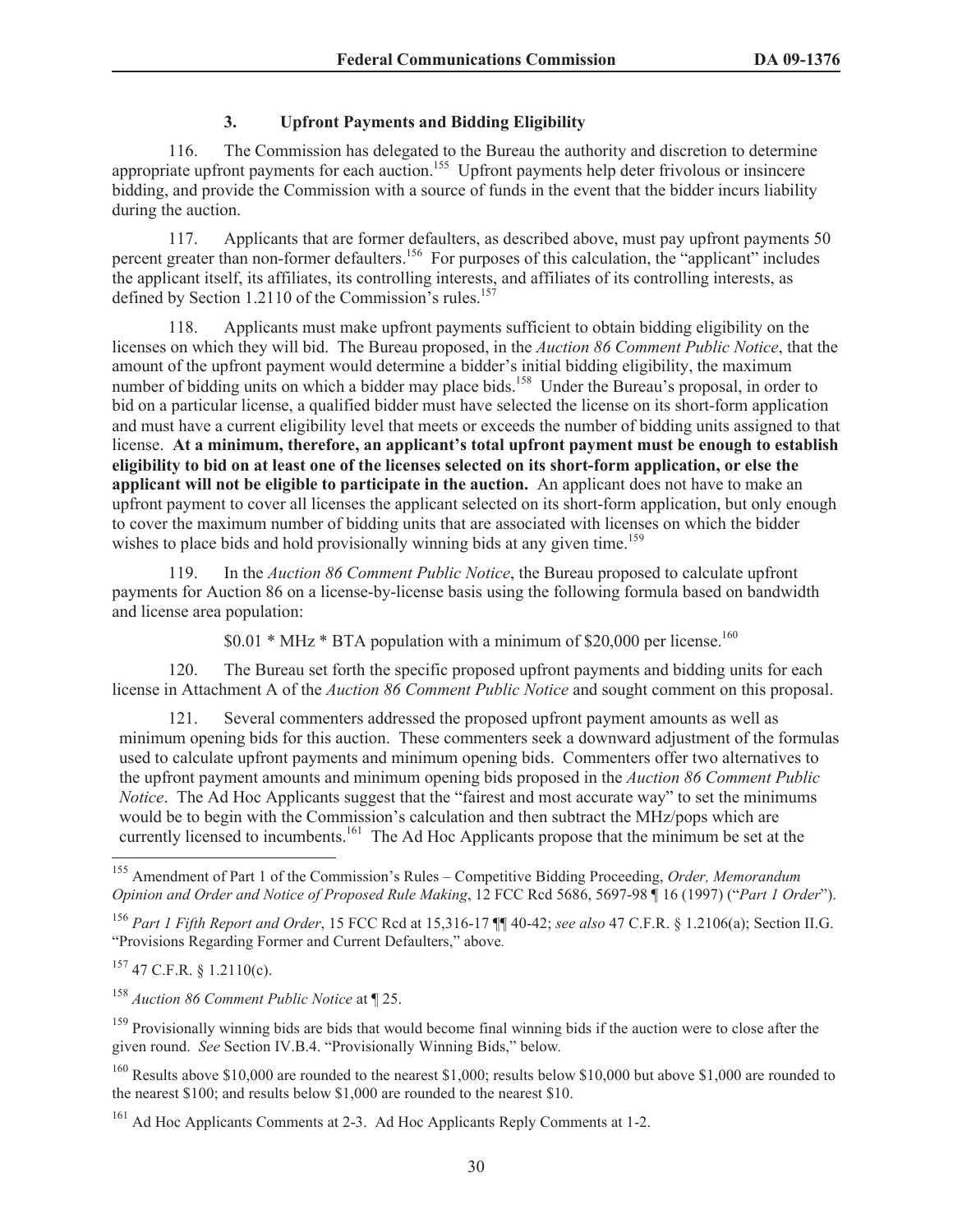# **3. Upfront Payments and Bidding Eligibility**

116. The Commission has delegated to the Bureau the authority and discretion to determine appropriate upfront payments for each auction.<sup>155</sup> Upfront payments help deter frivolous or insincere bidding, and provide the Commission with a source of funds in the event that the bidder incurs liability during the auction.

117. Applicants that are former defaulters, as described above, must pay upfront payments 50 percent greater than non-former defaulters.<sup>156</sup> For purposes of this calculation, the "applicant" includes the applicant itself, its affiliates, its controlling interests, and affiliates of its controlling interests, as defined by Section 1.2110 of the Commission's rules. $157$ 

118. Applicants must make upfront payments sufficient to obtain bidding eligibility on the licenses on which they will bid. The Bureau proposed, in the *Auction 86 Comment Public Notice*, that the amount of the upfront payment would determine a bidder's initial bidding eligibility, the maximum number of bidding units on which a bidder may place bids.<sup>158</sup> Under the Bureau's proposal, in order to bid on a particular license, a qualified bidder must have selected the license on its short-form application and must have a current eligibility level that meets or exceeds the number of bidding units assigned to that license. **At a minimum, therefore, an applicant's total upfront payment must be enough to establish eligibility to bid on at least one of the licenses selected on its short-form application, or else the applicant will not be eligible to participate in the auction.** An applicant does not have to make an upfront payment to cover all licenses the applicant selected on its short-form application, but only enough to cover the maximum number of bidding units that are associated with licenses on which the bidder wishes to place bids and hold provisionally winning bids at any given time.<sup>159</sup>

119. In the *Auction 86 Comment Public Notice*, the Bureau proposed to calculate upfront payments for Auction 86 on a license-by-license basis using the following formula based on bandwidth and license area population:

 $$0.01 * MHz * BTA$  population with a minimum of \$20,000 per license.<sup>160</sup>

120. The Bureau set forth the specific proposed upfront payments and bidding units for each license in Attachment A of the *Auction 86 Comment Public Notice* and sought comment on this proposal.

Several commenters addressed the proposed upfront payment amounts as well as minimum opening bids for this auction. These commenters seek a downward adjustment of the formulas used to calculate upfront payments and minimum opening bids. Commenters offer two alternatives to the upfront payment amounts and minimum opening bids proposed in the *Auction 86 Comment Public Notice*. The Ad Hoc Applicants suggest that the "fairest and most accurate way" to set the minimums would be to begin with the Commission's calculation and then subtract the MHz/pops which are currently licensed to incumbents.<sup>161</sup> The Ad Hoc Applicants propose that the minimum be set at the

 $157$  47 C.F.R. § 1.2110(c).

<sup>158</sup> *Auction 86 Comment Public Notice* at ¶ 25.

<sup>155</sup> Amendment of Part 1 of the Commission's Rules – Competitive Bidding Proceeding, *Order, Memorandum Opinion and Order and Notice of Proposed Rule Making*, 12 FCC Rcd 5686, 5697-98 ¶ 16 (1997) ("*Part 1 Order*").

<sup>156</sup> *Part 1 Fifth Report and Order*, 15 FCC Rcd at 15,316-17 ¶¶ 40-42; *see also* 47 C.F.R. § 1.2106(a); Section II.G. "Provisions Regarding Former and Current Defaulters," above*.* 

<sup>&</sup>lt;sup>159</sup> Provisionally winning bids are bids that would become final winning bids if the auction were to close after the given round. *See* Section IV.B.4. "Provisionally Winning Bids," below*.* 

<sup>&</sup>lt;sup>160</sup> Results above \$10,000 are rounded to the nearest \$1,000; results below \$10,000 but above \$1,000 are rounded to the nearest \$100; and results below \$1,000 are rounded to the nearest \$10.

<sup>&</sup>lt;sup>161</sup> Ad Hoc Applicants Comments at 2-3. Ad Hoc Applicants Reply Comments at 1-2.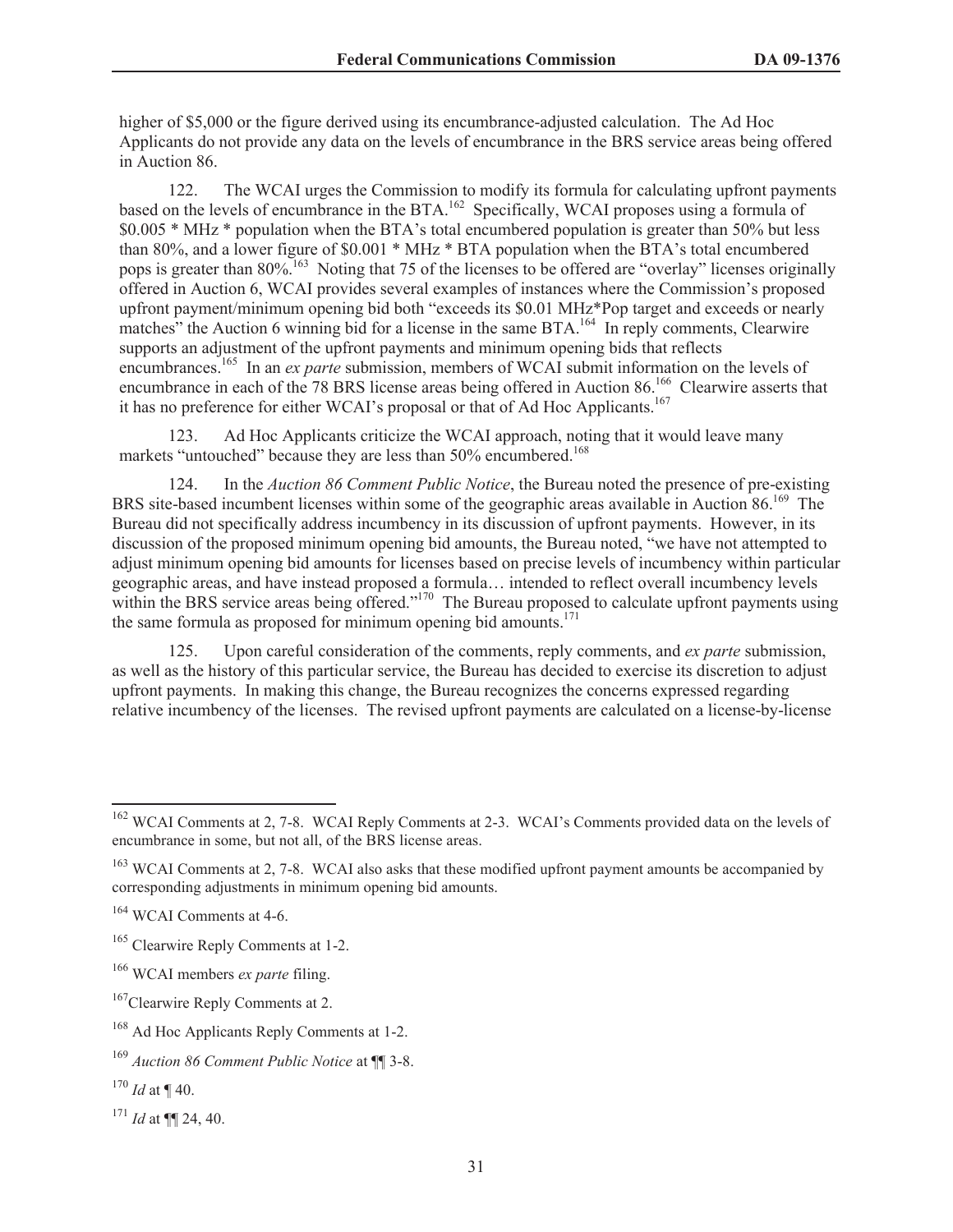higher of \$5,000 or the figure derived using its encumbrance-adjusted calculation. The Ad Hoc Applicants do not provide any data on the levels of encumbrance in the BRS service areas being offered in Auction 86.

122. The WCAI urges the Commission to modify its formula for calculating upfront payments based on the levels of encumbrance in the BTA.<sup>162</sup> Specifically, WCAI proposes using a formula of \$0.005 \* MHz \* population when the BTA's total encumbered population is greater than 50% but less than 80%, and a lower figure of \$0.001 \* MHz \* BTA population when the BTA's total encumbered pops is greater than 80%.<sup>163</sup> Noting that 75 of the licenses to be offered are "overlay" licenses originally offered in Auction 6, WCAI provides several examples of instances where the Commission's proposed upfront payment/minimum opening bid both "exceeds its \$0.01 MHz\*Pop target and exceeds or nearly matches" the Auction 6 winning bid for a license in the same BTA.<sup>164</sup> In reply comments, Clearwire supports an adjustment of the upfront payments and minimum opening bids that reflects encumbrances.<sup>165</sup> In an *ex parte* submission, members of WCAI submit information on the levels of encumbrance in each of the 78 BRS license areas being offered in Auction 86.<sup>166</sup> Clearwire asserts that it has no preference for either WCAI's proposal or that of Ad Hoc Applicants.<sup>167</sup>

123. Ad Hoc Applicants criticize the WCAI approach, noting that it would leave many markets "untouched" because they are less than 50% encumbered.<sup>168</sup>

124. In the *Auction 86 Comment Public Notice*, the Bureau noted the presence of pre-existing BRS site-based incumbent licenses within some of the geographic areas available in Auction 86.<sup>169</sup> The Bureau did not specifically address incumbency in its discussion of upfront payments. However, in its discussion of the proposed minimum opening bid amounts, the Bureau noted, "we have not attempted to adjust minimum opening bid amounts for licenses based on precise levels of incumbency within particular geographic areas, and have instead proposed a formula… intended to reflect overall incumbency levels within the BRS service areas being offered."<sup>170</sup> The Bureau proposed to calculate upfront payments using the same formula as proposed for minimum opening bid amounts.<sup>171</sup>

125. Upon careful consideration of the comments, reply comments, and *ex parte* submission, as well as the history of this particular service, the Bureau has decided to exercise its discretion to adjust upfront payments. In making this change, the Bureau recognizes the concerns expressed regarding relative incumbency of the licenses. The revised upfront payments are calculated on a license-by-license

<sup>&</sup>lt;sup>162</sup> WCAI Comments at 2, 7-8. WCAI Reply Comments at 2-3. WCAI's Comments provided data on the levels of encumbrance in some, but not all, of the BRS license areas.

<sup>&</sup>lt;sup>163</sup> WCAI Comments at 2, 7-8. WCAI also asks that these modified upfront payment amounts be accompanied by corresponding adjustments in minimum opening bid amounts.

<sup>&</sup>lt;sup>164</sup> WCAI Comments at 4-6.

<sup>&</sup>lt;sup>165</sup> Clearwire Reply Comments at 1-2.

<sup>166</sup> WCAI members *ex parte* filing.

<sup>&</sup>lt;sup>167</sup>Clearwire Reply Comments at 2.

<sup>168</sup> Ad Hoc Applicants Reply Comments at 1-2.

<sup>169</sup> *Auction 86 Comment Public Notice* at ¶¶ 3-8.

<sup>170</sup> *Id* at ¶ 40.

<sup>171</sup> *Id* at ¶¶ 24, 40.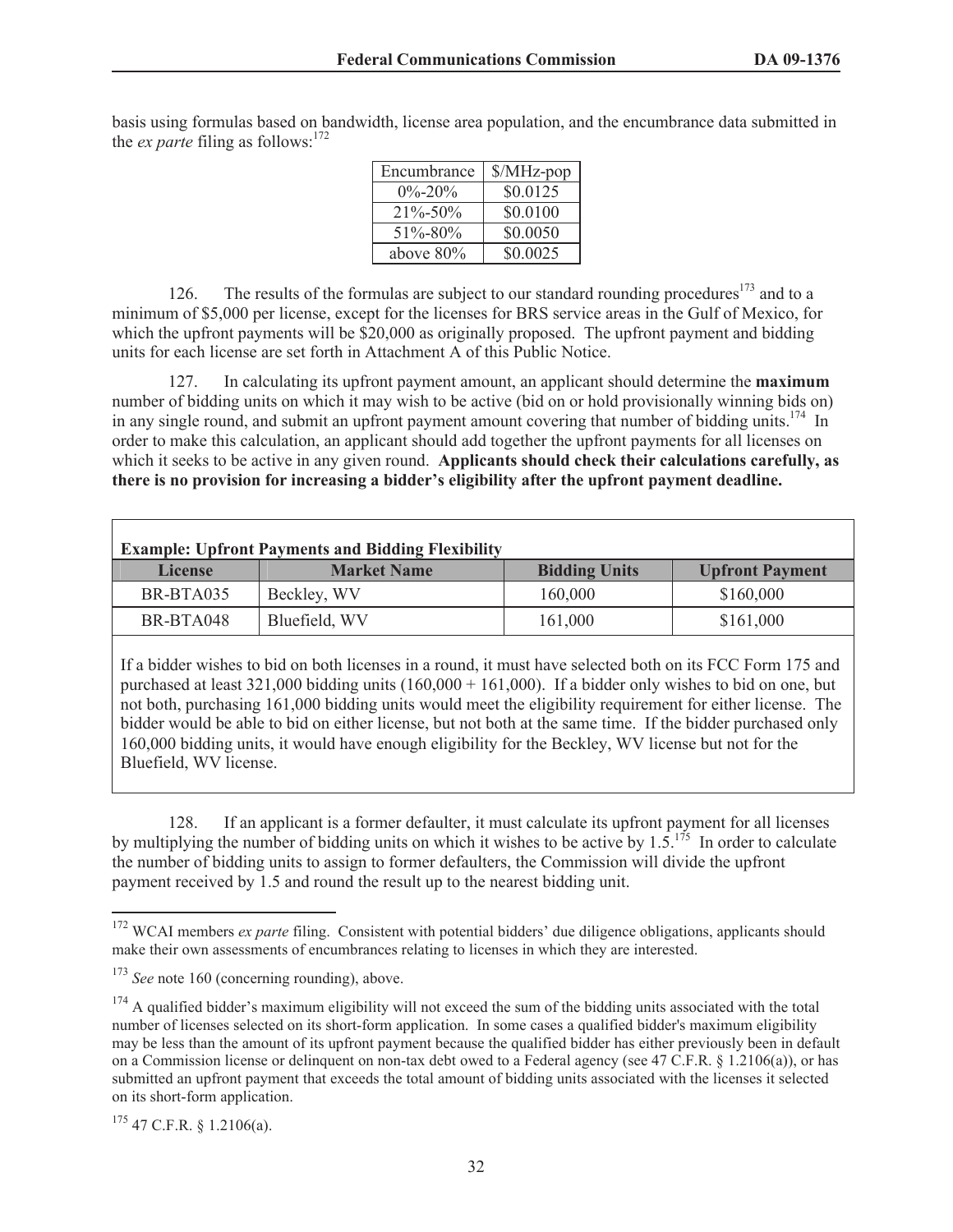basis using formulas based on bandwidth, license area population, and the encumbrance data submitted in the *ex parte* filing as follows: $172$ 

| Encumbrance   | $MHz$ -pop |
|---------------|------------|
| $0\% - 20\%$  | \$0.0125   |
| $21\% - 50\%$ | \$0.0100   |
| $51\% - 80\%$ | \$0.0050   |
| above $80\%$  | \$0.0025   |

126. The results of the formulas are subject to our standard rounding procedures<sup>173</sup> and to a minimum of \$5,000 per license, except for the licenses for BRS service areas in the Gulf of Mexico, for which the upfront payments will be \$20,000 as originally proposed. The upfront payment and bidding units for each license are set forth in Attachment A of this Public Notice.

127. In calculating its upfront payment amount, an applicant should determine the **maximum** number of bidding units on which it may wish to be active (bid on or hold provisionally winning bids on) in any single round, and submit an upfront payment amount covering that number of bidding units.<sup>174</sup> In order to make this calculation, an applicant should add together the upfront payments for all licenses on which it seeks to be active in any given round. **Applicants should check their calculations carefully, as there is no provision for increasing a bidder's eligibility after the upfront payment deadline.** 

| <b>Example: Upfront Payments and Bidding Flexibility</b> |                    |                      |                        |  |  |  |  |  |  |
|----------------------------------------------------------|--------------------|----------------------|------------------------|--|--|--|--|--|--|
| <b>License</b>                                           | <b>Market Name</b> | <b>Bidding Units</b> | <b>Upfront Payment</b> |  |  |  |  |  |  |
| BR-BTA035                                                | Beckley, WV        | 160,000              | \$160,000              |  |  |  |  |  |  |
| BR-BTA048                                                | Bluefield, WV      | 161,000              | \$161,000              |  |  |  |  |  |  |

If a bidder wishes to bid on both licenses in a round, it must have selected both on its FCC Form 175 and purchased at least 321,000 bidding units (160,000 + 161,000). If a bidder only wishes to bid on one, but not both, purchasing 161,000 bidding units would meet the eligibility requirement for either license. The bidder would be able to bid on either license, but not both at the same time. If the bidder purchased only 160,000 bidding units, it would have enough eligibility for the Beckley, WV license but not for the Bluefield, WV license.

128. If an applicant is a former defaulter, it must calculate its upfront payment for all licenses by multiplying the number of bidding units on which it wishes to be active by  $1.5$ .<sup>175</sup> In order to calculate the number of bidding units to assign to former defaulters, the Commission will divide the upfront payment received by 1.5 and round the result up to the nearest bidding unit.

 $175$  47 C.F.R. § 1.2106(a).

<sup>&</sup>lt;sup>172</sup> WCAI members *ex parte* filing. Consistent with potential bidders' due diligence obligations, applicants should make their own assessments of encumbrances relating to licenses in which they are interested.

<sup>&</sup>lt;sup>173</sup> *See* note 160 (concerning rounding), above.

 $174$  A qualified bidder's maximum eligibility will not exceed the sum of the bidding units associated with the total number of licenses selected on its short-form application. In some cases a qualified bidder's maximum eligibility may be less than the amount of its upfront payment because the qualified bidder has either previously been in default on a Commission license or delinquent on non-tax debt owed to a Federal agency (see 47 C.F.R. § 1.2106(a)), or has submitted an upfront payment that exceeds the total amount of bidding units associated with the licenses it selected on its short-form application.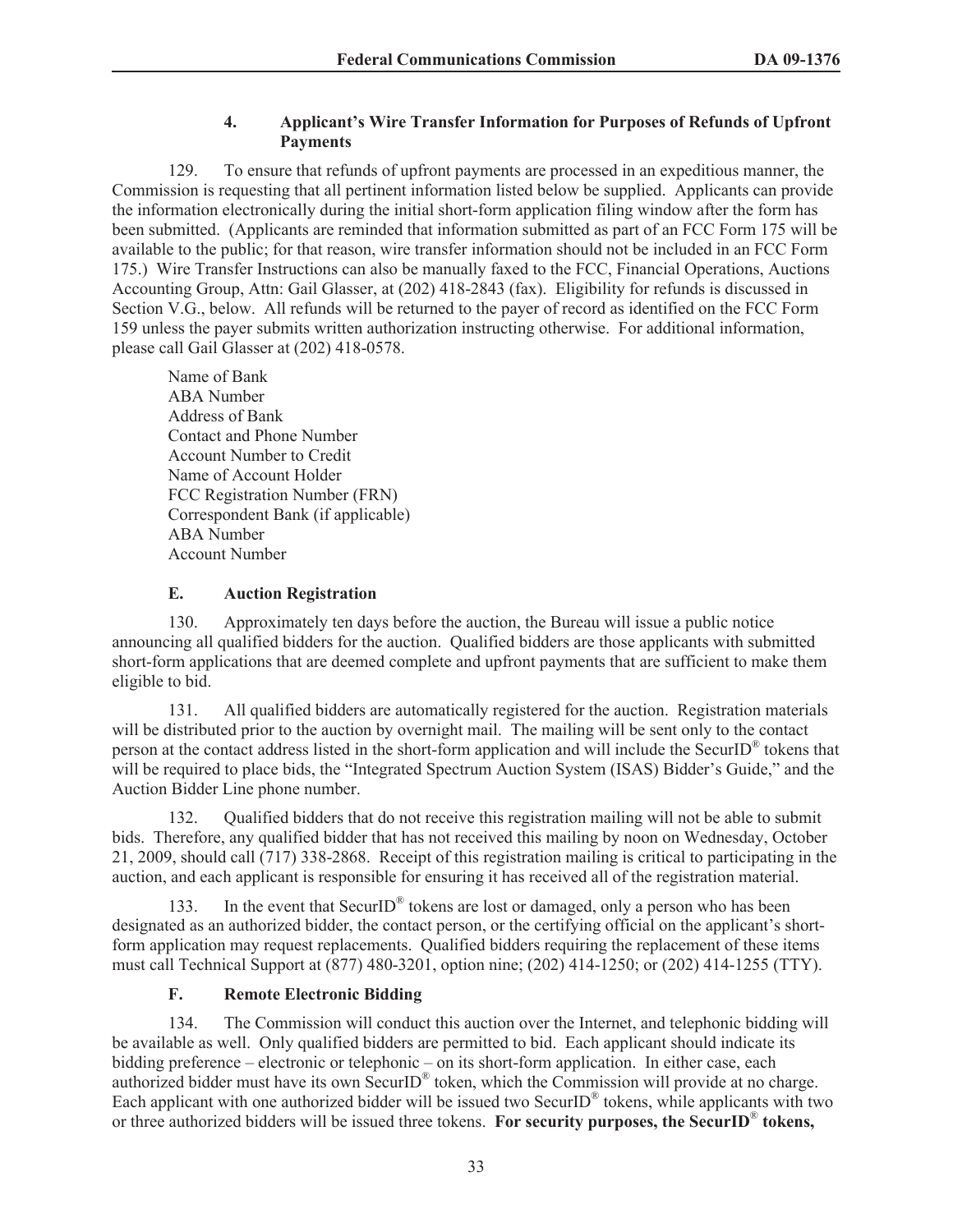# **4. Applicant's Wire Transfer Information for Purposes of Refunds of Upfront Payments**

129. To ensure that refunds of upfront payments are processed in an expeditious manner, the Commission is requesting that all pertinent information listed below be supplied. Applicants can provide the information electronically during the initial short-form application filing window after the form has been submitted. (Applicants are reminded that information submitted as part of an FCC Form 175 will be available to the public; for that reason, wire transfer information should not be included in an FCC Form 175.) Wire Transfer Instructions can also be manually faxed to the FCC, Financial Operations, Auctions Accounting Group, Attn: Gail Glasser, at (202) 418-2843 (fax). Eligibility for refunds is discussed in Section V.G., below. All refunds will be returned to the payer of record as identified on the FCC Form 159 unless the payer submits written authorization instructing otherwise. For additional information, please call Gail Glasser at (202) 418-0578.

Name of Bank ABA Number Address of Bank Contact and Phone Number Account Number to Credit Name of Account Holder FCC Registration Number (FRN) Correspondent Bank (if applicable) ABA Number Account Number

# **E. Auction Registration**

130. Approximately ten days before the auction, the Bureau will issue a public notice announcing all qualified bidders for the auction. Qualified bidders are those applicants with submitted short-form applications that are deemed complete and upfront payments that are sufficient to make them eligible to bid.

131. All qualified bidders are automatically registered for the auction. Registration materials will be distributed prior to the auction by overnight mail. The mailing will be sent only to the contact person at the contact address listed in the short-form application and will include the SecurID<sup>®</sup> tokens that will be required to place bids, the "Integrated Spectrum Auction System (ISAS) Bidder's Guide," and the Auction Bidder Line phone number.

132. Qualified bidders that do not receive this registration mailing will not be able to submit bids. Therefore, any qualified bidder that has not received this mailing by noon on Wednesday, October 21, 2009, should call (717) 338-2868. Receipt of this registration mailing is critical to participating in the auction, and each applicant is responsible for ensuring it has received all of the registration material.

133. In the event that SecurID<sup>®</sup> tokens are lost or damaged, only a person who has been designated as an authorized bidder, the contact person, or the certifying official on the applicant's shortform application may request replacements. Qualified bidders requiring the replacement of these items must call Technical Support at (877) 480-3201, option nine; (202) 414-1250; or (202) 414-1255 (TTY).

# **F. Remote Electronic Bidding**

134. The Commission will conduct this auction over the Internet, and telephonic bidding will be available as well. Only qualified bidders are permitted to bid. Each applicant should indicate its bidding preference – electronic or telephonic – on its short-form application. In either case, each authorized bidder must have its own SecurID<sup>®</sup> token, which the Commission will provide at no charge. Each applicant with one authorized bidder will be issued two SecurID $^{\circ}$  tokens, while applicants with two or three authorized bidders will be issued three tokens. **For security purposes, the SecurID**® **tokens,**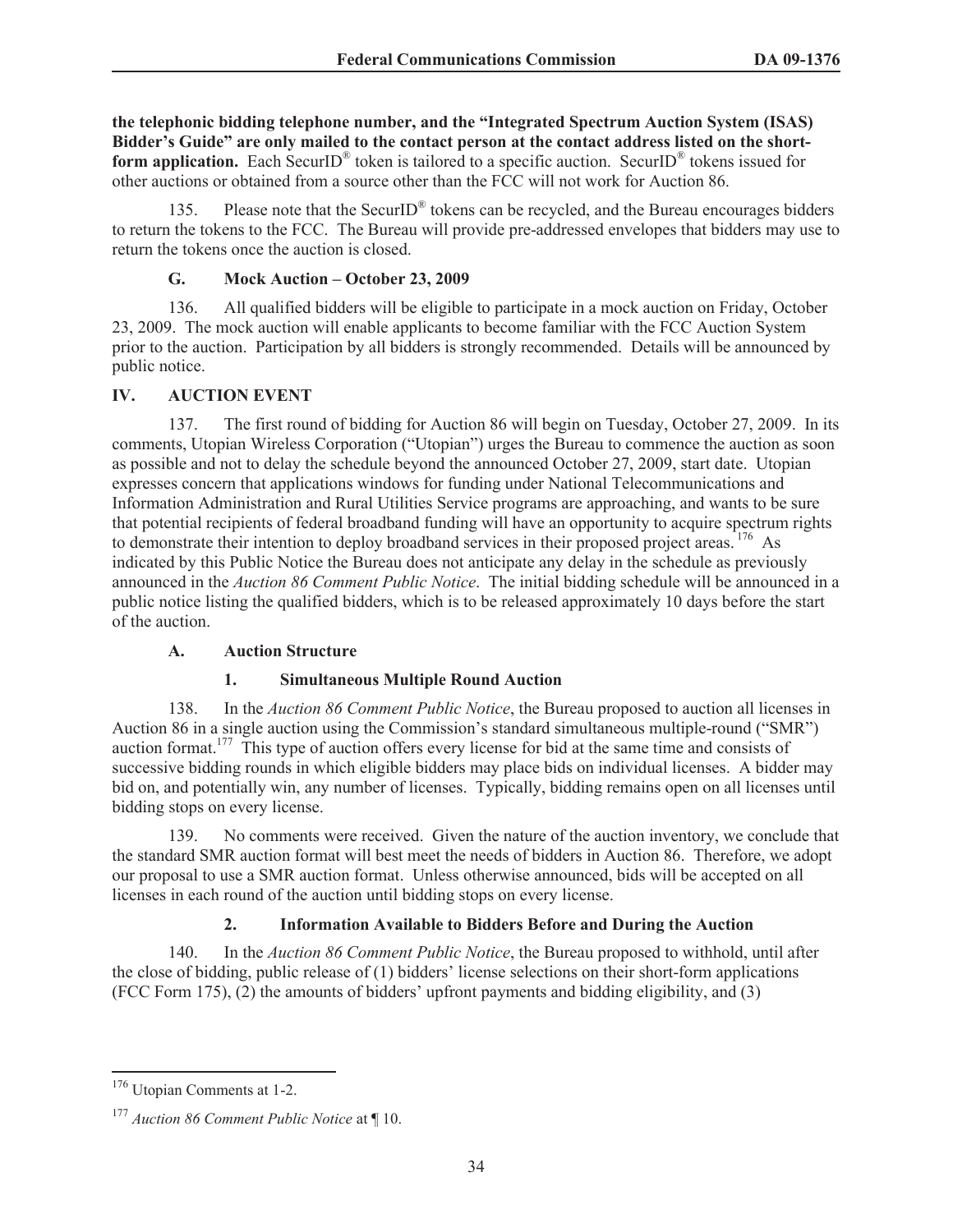**the telephonic bidding telephone number, and the "Integrated Spectrum Auction System (ISAS) Bidder's Guide" are only mailed to the contact person at the contact address listed on the short**form application. Each SecurID<sup>®</sup> token is tailored to a specific auction. SecurID<sup>®</sup> tokens issued for other auctions or obtained from a source other than the FCC will not work for Auction 86.

135. Please note that the SecurID<sup>®</sup> tokens can be recycled, and the Bureau encourages bidders to return the tokens to the FCC. The Bureau will provide pre-addressed envelopes that bidders may use to return the tokens once the auction is closed.

#### **G. Mock Auction – October 23, 2009**

136. All qualified bidders will be eligible to participate in a mock auction on Friday, October 23, 2009. The mock auction will enable applicants to become familiar with the FCC Auction System prior to the auction. Participation by all bidders is strongly recommended. Details will be announced by public notice.

### **IV. AUCTION EVENT**

137. The first round of bidding for Auction 86 will begin on Tuesday, October 27, 2009. In its comments, Utopian Wireless Corporation ("Utopian") urges the Bureau to commence the auction as soon as possible and not to delay the schedule beyond the announced October 27, 2009, start date. Utopian expresses concern that applications windows for funding under National Telecommunications and Information Administration and Rural Utilities Service programs are approaching, and wants to be sure that potential recipients of federal broadband funding will have an opportunity to acquire spectrum rights to demonstrate their intention to deploy broadband services in their proposed project areas. <sup>176</sup> As indicated by this Public Notice the Bureau does not anticipate any delay in the schedule as previously announced in the *Auction 86 Comment Public Notice*. The initial bidding schedule will be announced in a public notice listing the qualified bidders, which is to be released approximately 10 days before the start of the auction.

#### **A. Auction Structure**

#### **1. Simultaneous Multiple Round Auction**

138. In the *Auction 86 Comment Public Notice*, the Bureau proposed to auction all licenses in Auction 86 in a single auction using the Commission's standard simultaneous multiple-round ("SMR") auction format.<sup>177</sup> This type of auction offers every license for bid at the same time and consists of successive bidding rounds in which eligible bidders may place bids on individual licenses. A bidder may bid on, and potentially win, any number of licenses. Typically, bidding remains open on all licenses until bidding stops on every license.

139. No comments were received. Given the nature of the auction inventory, we conclude that the standard SMR auction format will best meet the needs of bidders in Auction 86. Therefore, we adopt our proposal to use a SMR auction format. Unless otherwise announced, bids will be accepted on all licenses in each round of the auction until bidding stops on every license.

# **2. Information Available to Bidders Before and During the Auction**

140. In the *Auction 86 Comment Public Notice*, the Bureau proposed to withhold, until after the close of bidding, public release of (1) bidders' license selections on their short-form applications (FCC Form 175), (2) the amounts of bidders' upfront payments and bidding eligibility, and (3)

<sup>176</sup> Utopian Comments at 1-2.

<sup>177</sup> *Auction 86 Comment Public Notice* at ¶ 10.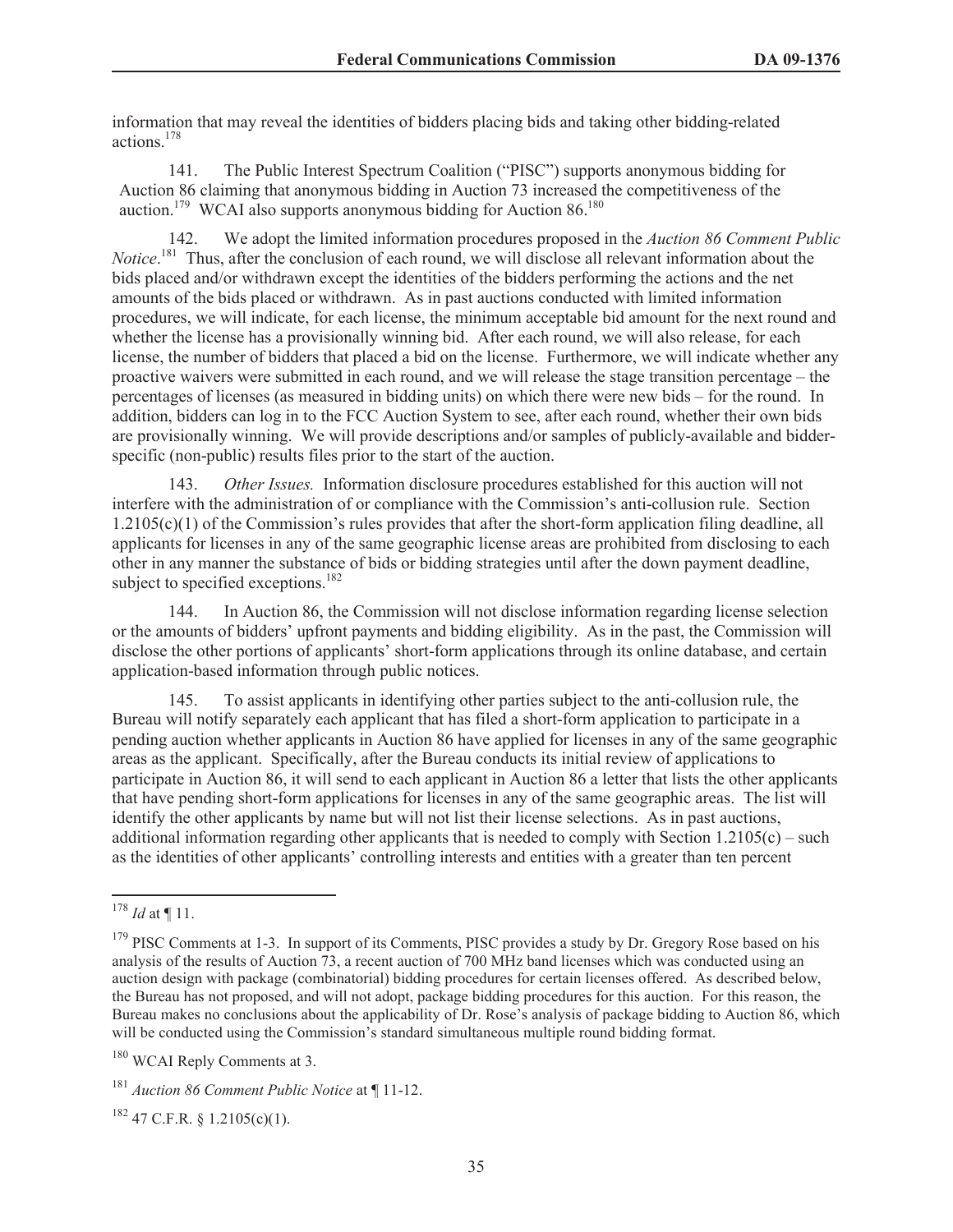information that may reveal the identities of bidders placing bids and taking other bidding-related actions.<sup>178</sup>

141. The Public Interest Spectrum Coalition ("PISC") supports anonymous bidding for Auction 86 claiming that anonymous bidding in Auction 73 increased the competitiveness of the auction.<sup>179</sup> WCAI also supports anonymous bidding for Auction 86.<sup>180</sup>

142. We adopt the limited information procedures proposed in the *Auction 86 Comment Public Notice*. <sup>181</sup> Thus, after the conclusion of each round, we will disclose all relevant information about the bids placed and/or withdrawn except the identities of the bidders performing the actions and the net amounts of the bids placed or withdrawn. As in past auctions conducted with limited information procedures, we will indicate, for each license, the minimum acceptable bid amount for the next round and whether the license has a provisionally winning bid. After each round, we will also release, for each license, the number of bidders that placed a bid on the license. Furthermore, we will indicate whether any proactive waivers were submitted in each round, and we will release the stage transition percentage – the percentages of licenses (as measured in bidding units) on which there were new bids – for the round. In addition, bidders can log in to the FCC Auction System to see, after each round, whether their own bids are provisionally winning. We will provide descriptions and/or samples of publicly-available and bidderspecific (non-public) results files prior to the start of the auction.

143. *Other Issues.* Information disclosure procedures established for this auction will not interfere with the administration of or compliance with the Commission's anti-collusion rule. Section  $1.2105(c)(1)$  of the Commission's rules provides that after the short-form application filing deadline, all applicants for licenses in any of the same geographic license areas are prohibited from disclosing to each other in any manner the substance of bids or bidding strategies until after the down payment deadline, subject to specified exceptions.<sup>182</sup>

144. In Auction 86, the Commission will not disclose information regarding license selection or the amounts of bidders' upfront payments and bidding eligibility. As in the past, the Commission will disclose the other portions of applicants' short-form applications through its online database, and certain application-based information through public notices.

145. To assist applicants in identifying other parties subject to the anti-collusion rule, the Bureau will notify separately each applicant that has filed a short-form application to participate in a pending auction whether applicants in Auction 86 have applied for licenses in any of the same geographic areas as the applicant. Specifically, after the Bureau conducts its initial review of applications to participate in Auction 86, it will send to each applicant in Auction 86 a letter that lists the other applicants that have pending short-form applications for licenses in any of the same geographic areas. The list will identify the other applicants by name but will not list their license selections. As in past auctions, additional information regarding other applicants that is needed to comply with Section  $1.2105(c)$  – such as the identities of other applicants' controlling interests and entities with a greater than ten percent

 $182$  47 C.F.R. § 1.2105(c)(1).

<sup>178</sup> *Id* at ¶ 11.

<sup>&</sup>lt;sup>179</sup> PISC Comments at 1-3. In support of its Comments, PISC provides a study by Dr. Gregory Rose based on his analysis of the results of Auction 73, a recent auction of 700 MHz band licenses which was conducted using an auction design with package (combinatorial) bidding procedures for certain licenses offered. As described below, the Bureau has not proposed, and will not adopt, package bidding procedures for this auction. For this reason, the Bureau makes no conclusions about the applicability of Dr. Rose's analysis of package bidding to Auction 86, which will be conducted using the Commission's standard simultaneous multiple round bidding format.

<sup>&</sup>lt;sup>180</sup> WCAI Reply Comments at 3.

<sup>181</sup> *Auction 86 Comment Public Notice* at ¶ 11-12.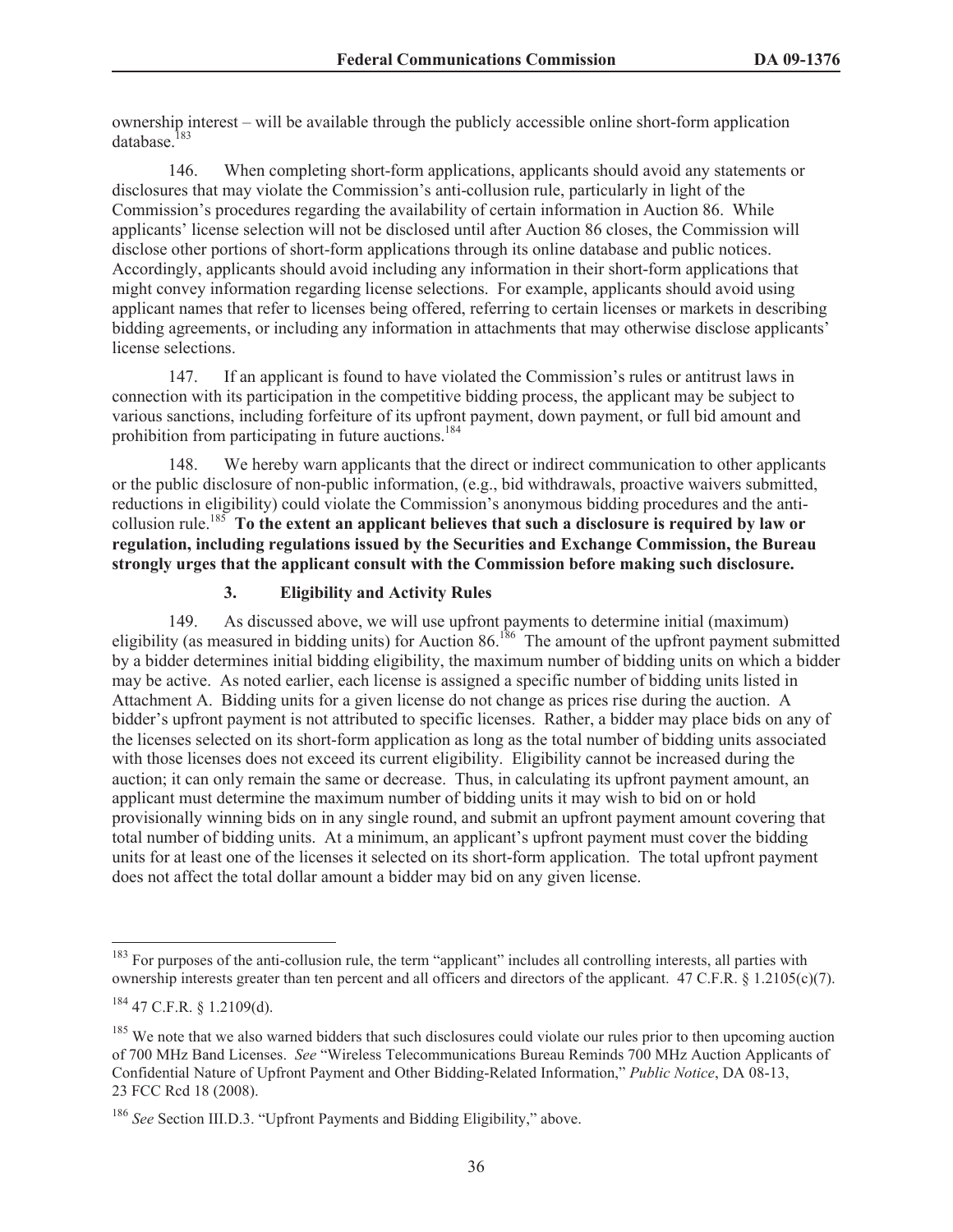ownership interest – will be available through the publicly accessible online short-form application database<sup>183</sup>

146. When completing short-form applications, applicants should avoid any statements or disclosures that may violate the Commission's anti-collusion rule, particularly in light of the Commission's procedures regarding the availability of certain information in Auction 86. While applicants' license selection will not be disclosed until after Auction 86 closes, the Commission will disclose other portions of short-form applications through its online database and public notices. Accordingly, applicants should avoid including any information in their short-form applications that might convey information regarding license selections. For example, applicants should avoid using applicant names that refer to licenses being offered, referring to certain licenses or markets in describing bidding agreements, or including any information in attachments that may otherwise disclose applicants' license selections.

147. If an applicant is found to have violated the Commission's rules or antitrust laws in connection with its participation in the competitive bidding process, the applicant may be subject to various sanctions, including forfeiture of its upfront payment, down payment, or full bid amount and prohibition from participating in future auctions.<sup>184</sup>

148. We hereby warn applicants that the direct or indirect communication to other applicants or the public disclosure of non-public information, (e.g., bid withdrawals, proactive waivers submitted, reductions in eligibility) could violate the Commission's anonymous bidding procedures and the anticollusion rule.<sup>185</sup> **To the extent an applicant believes that such a disclosure is required by law or regulation, including regulations issued by the Securities and Exchange Commission, the Bureau strongly urges that the applicant consult with the Commission before making such disclosure.**

#### **3. Eligibility and Activity Rules**

149. As discussed above, we will use upfront payments to determine initial (maximum) eligibility (as measured in bidding units) for Auction 86.<sup>186</sup> The amount of the upfront payment submitted by a bidder determines initial bidding eligibility, the maximum number of bidding units on which a bidder may be active. As noted earlier, each license is assigned a specific number of bidding units listed in Attachment A. Bidding units for a given license do not change as prices rise during the auction. A bidder's upfront payment is not attributed to specific licenses. Rather, a bidder may place bids on any of the licenses selected on its short-form application as long as the total number of bidding units associated with those licenses does not exceed its current eligibility. Eligibility cannot be increased during the auction; it can only remain the same or decrease. Thus, in calculating its upfront payment amount, an applicant must determine the maximum number of bidding units it may wish to bid on or hold provisionally winning bids on in any single round, and submit an upfront payment amount covering that total number of bidding units. At a minimum, an applicant's upfront payment must cover the bidding units for at least one of the licenses it selected on its short-form application. The total upfront payment does not affect the total dollar amount a bidder may bid on any given license.

<sup>&</sup>lt;sup>183</sup> For purposes of the anti-collusion rule, the term "applicant" includes all controlling interests, all parties with ownership interests greater than ten percent and all officers and directors of the applicant. 47 C.F.R. § 1.2105(c)(7).

<sup>184</sup> 47 C.F.R. § 1.2109(d).

<sup>&</sup>lt;sup>185</sup> We note that we also warned bidders that such disclosures could violate our rules prior to then upcoming auction of 700 MHz Band Licenses. *See* "Wireless Telecommunications Bureau Reminds 700 MHz Auction Applicants of Confidential Nature of Upfront Payment and Other Bidding-Related Information," *Public Notice*, DA 08-13, 23 FCC Rcd 18 (2008).

<sup>&</sup>lt;sup>186</sup> See Section III.D.3. "Upfront Payments and Bidding Eligibility," above.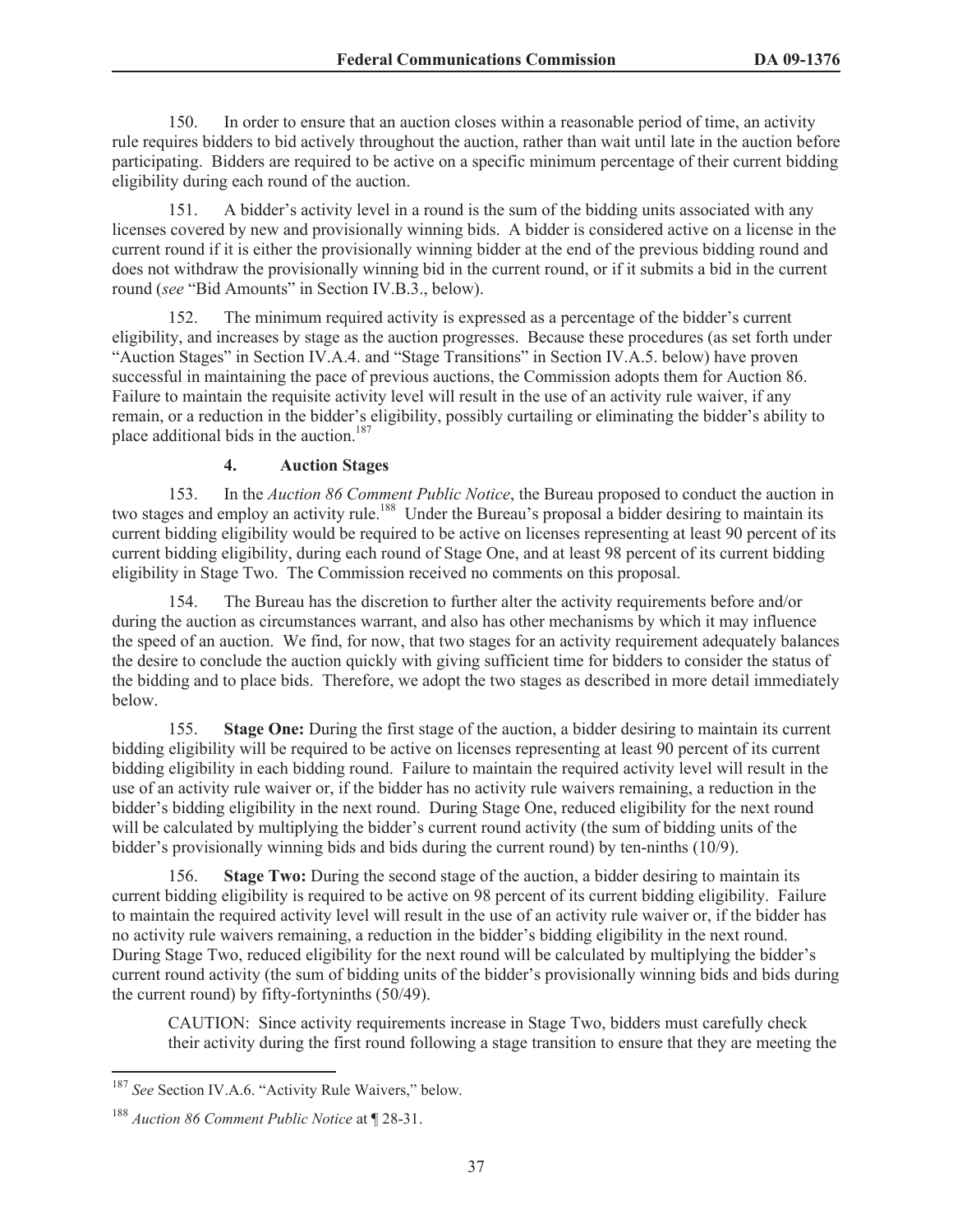150. In order to ensure that an auction closes within a reasonable period of time, an activity rule requires bidders to bid actively throughout the auction, rather than wait until late in the auction before participating. Bidders are required to be active on a specific minimum percentage of their current bidding eligibility during each round of the auction.

151. A bidder's activity level in a round is the sum of the bidding units associated with any licenses covered by new and provisionally winning bids. A bidder is considered active on a license in the current round if it is either the provisionally winning bidder at the end of the previous bidding round and does not withdraw the provisionally winning bid in the current round, or if it submits a bid in the current round (*see* "Bid Amounts" in Section IV.B.3., below).

152. The minimum required activity is expressed as a percentage of the bidder's current eligibility, and increases by stage as the auction progresses. Because these procedures (as set forth under "Auction Stages" in Section IV.A.4. and "Stage Transitions" in Section IV.A.5. below) have proven successful in maintaining the pace of previous auctions, the Commission adopts them for Auction 86. Failure to maintain the requisite activity level will result in the use of an activity rule waiver, if any remain, or a reduction in the bidder's eligibility, possibly curtailing or eliminating the bidder's ability to place additional bids in the auction.<sup>187</sup>

#### **4. Auction Stages**

153. In the *Auction 86 Comment Public Notice*, the Bureau proposed to conduct the auction in two stages and employ an activity rule.<sup>188</sup> Under the Bureau's proposal a bidder desiring to maintain its current bidding eligibility would be required to be active on licenses representing at least 90 percent of its current bidding eligibility, during each round of Stage One, and at least 98 percent of its current bidding eligibility in Stage Two. The Commission received no comments on this proposal.

154. The Bureau has the discretion to further alter the activity requirements before and/or during the auction as circumstances warrant, and also has other mechanisms by which it may influence the speed of an auction. We find, for now, that two stages for an activity requirement adequately balances the desire to conclude the auction quickly with giving sufficient time for bidders to consider the status of the bidding and to place bids. Therefore, we adopt the two stages as described in more detail immediately below.

155. **Stage One:** During the first stage of the auction, a bidder desiring to maintain its current bidding eligibility will be required to be active on licenses representing at least 90 percent of its current bidding eligibility in each bidding round. Failure to maintain the required activity level will result in the use of an activity rule waiver or, if the bidder has no activity rule waivers remaining, a reduction in the bidder's bidding eligibility in the next round. During Stage One, reduced eligibility for the next round will be calculated by multiplying the bidder's current round activity (the sum of bidding units of the bidder's provisionally winning bids and bids during the current round) by ten-ninths (10/9).

156. **Stage Two:** During the second stage of the auction, a bidder desiring to maintain its current bidding eligibility is required to be active on 98 percent of its current bidding eligibility. Failure to maintain the required activity level will result in the use of an activity rule waiver or, if the bidder has no activity rule waivers remaining, a reduction in the bidder's bidding eligibility in the next round. During Stage Two, reduced eligibility for the next round will be calculated by multiplying the bidder's current round activity (the sum of bidding units of the bidder's provisionally winning bids and bids during the current round) by fifty-fortyninths (50/49).

CAUTION: Since activity requirements increase in Stage Two, bidders must carefully check their activity during the first round following a stage transition to ensure that they are meeting the

<sup>187</sup> *See* Section IV.A.6. "Activity Rule Waivers," below.

<sup>188</sup> *Auction 86 Comment Public Notice* at ¶ 28-31.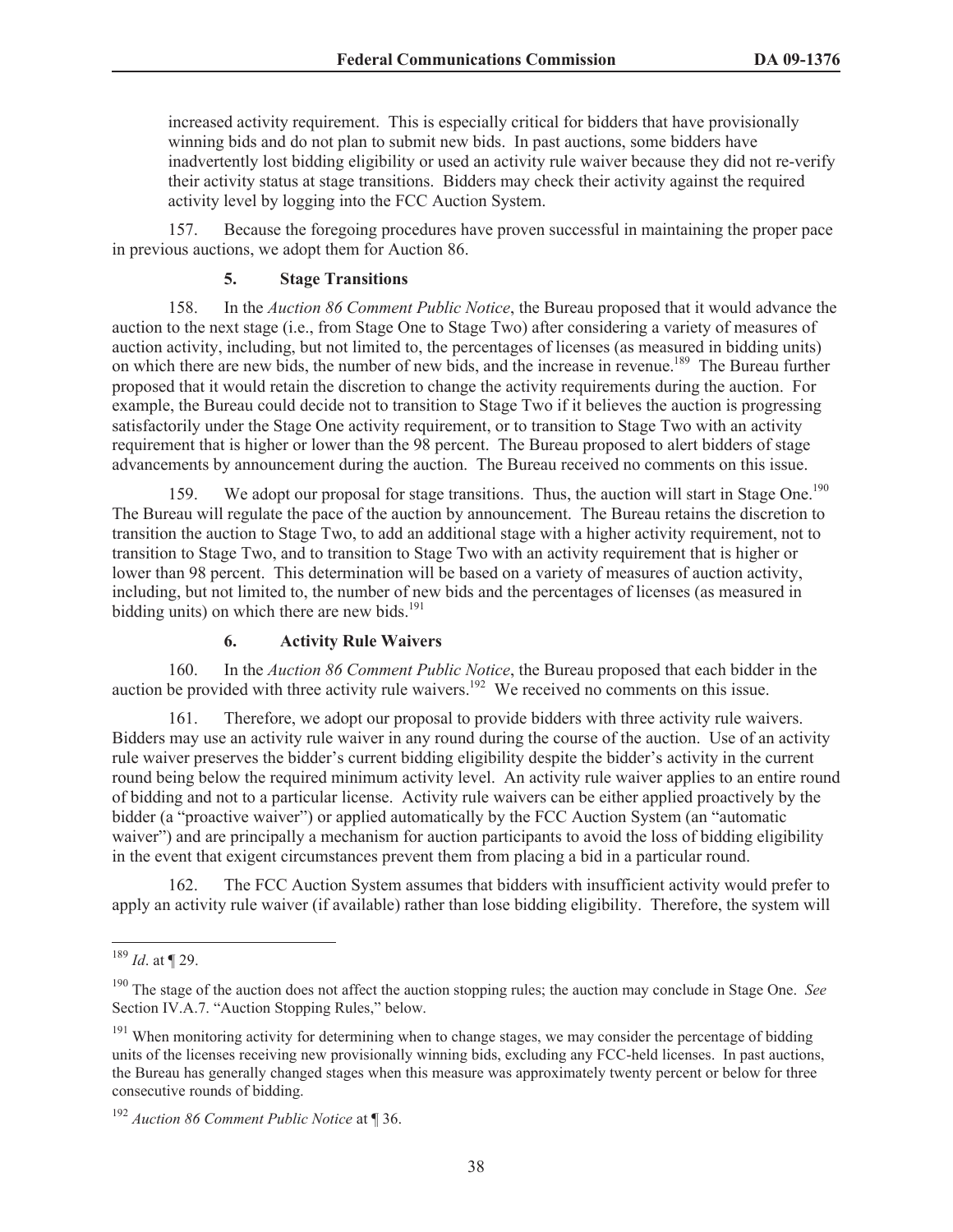increased activity requirement. This is especially critical for bidders that have provisionally winning bids and do not plan to submit new bids. In past auctions, some bidders have inadvertently lost bidding eligibility or used an activity rule waiver because they did not re-verify their activity status at stage transitions. Bidders may check their activity against the required activity level by logging into the FCC Auction System.

157. Because the foregoing procedures have proven successful in maintaining the proper pace in previous auctions, we adopt them for Auction 86.

#### **5. Stage Transitions**

158. In the *Auction 86 Comment Public Notice*, the Bureau proposed that it would advance the auction to the next stage (i.e., from Stage One to Stage Two) after considering a variety of measures of auction activity, including, but not limited to, the percentages of licenses (as measured in bidding units) on which there are new bids, the number of new bids, and the increase in revenue.<sup>189</sup> The Bureau further proposed that it would retain the discretion to change the activity requirements during the auction. For example, the Bureau could decide not to transition to Stage Two if it believes the auction is progressing satisfactorily under the Stage One activity requirement, or to transition to Stage Two with an activity requirement that is higher or lower than the 98 percent. The Bureau proposed to alert bidders of stage advancements by announcement during the auction. The Bureau received no comments on this issue.

159. We adopt our proposal for stage transitions. Thus, the auction will start in Stage One.<sup>190</sup> The Bureau will regulate the pace of the auction by announcement. The Bureau retains the discretion to transition the auction to Stage Two, to add an additional stage with a higher activity requirement, not to transition to Stage Two, and to transition to Stage Two with an activity requirement that is higher or lower than 98 percent. This determination will be based on a variety of measures of auction activity, including, but not limited to, the number of new bids and the percentages of licenses (as measured in bidding units) on which there are new bids. $191$ 

#### **6. Activity Rule Waivers**

160. In the *Auction 86 Comment Public Notice*, the Bureau proposed that each bidder in the auction be provided with three activity rule waivers.<sup>192</sup> We received no comments on this issue.

161. Therefore, we adopt our proposal to provide bidders with three activity rule waivers. Bidders may use an activity rule waiver in any round during the course of the auction. Use of an activity rule waiver preserves the bidder's current bidding eligibility despite the bidder's activity in the current round being below the required minimum activity level. An activity rule waiver applies to an entire round of bidding and not to a particular license. Activity rule waivers can be either applied proactively by the bidder (a "proactive waiver") or applied automatically by the FCC Auction System (an "automatic waiver") and are principally a mechanism for auction participants to avoid the loss of bidding eligibility in the event that exigent circumstances prevent them from placing a bid in a particular round.

162. The FCC Auction System assumes that bidders with insufficient activity would prefer to apply an activity rule waiver (if available) rather than lose bidding eligibility. Therefore, the system will

<sup>189</sup> *Id*. at ¶ 29.

<sup>190</sup> The stage of the auction does not affect the auction stopping rules; the auction may conclude in Stage One. *See*  Section IV.A.7. "Auction Stopping Rules," below.

<sup>&</sup>lt;sup>191</sup> When monitoring activity for determining when to change stages, we may consider the percentage of bidding units of the licenses receiving new provisionally winning bids, excluding any FCC-held licenses. In past auctions, the Bureau has generally changed stages when this measure was approximately twenty percent or below for three consecutive rounds of bidding.

<sup>192</sup> *Auction 86 Comment Public Notice* at ¶ 36.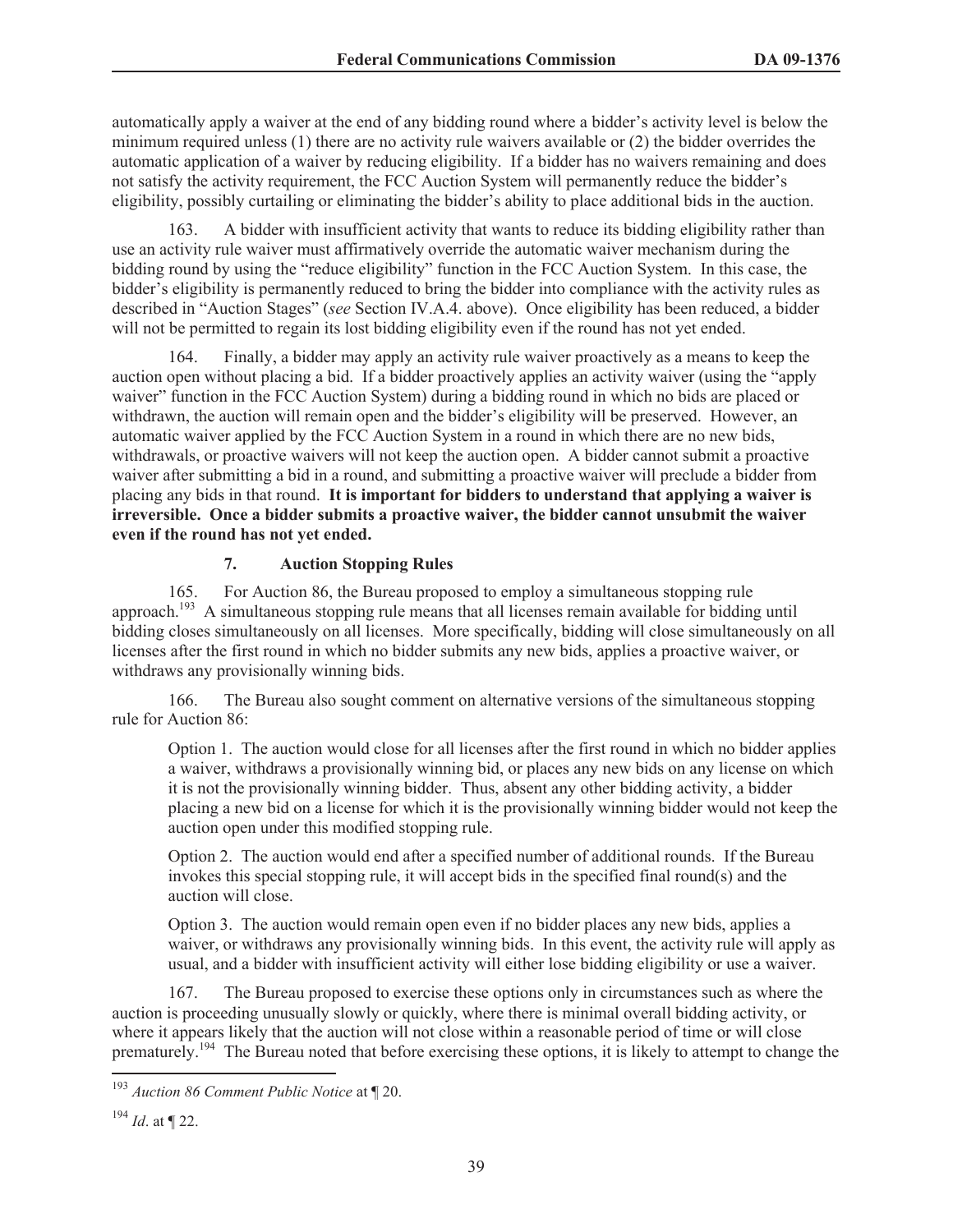automatically apply a waiver at the end of any bidding round where a bidder's activity level is below the minimum required unless (1) there are no activity rule waivers available or (2) the bidder overrides the automatic application of a waiver by reducing eligibility. If a bidder has no waivers remaining and does not satisfy the activity requirement, the FCC Auction System will permanently reduce the bidder's eligibility, possibly curtailing or eliminating the bidder's ability to place additional bids in the auction.

163. A bidder with insufficient activity that wants to reduce its bidding eligibility rather than use an activity rule waiver must affirmatively override the automatic waiver mechanism during the bidding round by using the "reduce eligibility" function in the FCC Auction System. In this case, the bidder's eligibility is permanently reduced to bring the bidder into compliance with the activity rules as described in "Auction Stages" (*see* Section IV.A.4. above). Once eligibility has been reduced, a bidder will not be permitted to regain its lost bidding eligibility even if the round has not yet ended.

164. Finally, a bidder may apply an activity rule waiver proactively as a means to keep the auction open without placing a bid. If a bidder proactively applies an activity waiver (using the "apply waiver" function in the FCC Auction System) during a bidding round in which no bids are placed or withdrawn, the auction will remain open and the bidder's eligibility will be preserved. However, an automatic waiver applied by the FCC Auction System in a round in which there are no new bids, withdrawals, or proactive waivers will not keep the auction open. A bidder cannot submit a proactive waiver after submitting a bid in a round, and submitting a proactive waiver will preclude a bidder from placing any bids in that round. **It is important for bidders to understand that applying a waiver is irreversible. Once a bidder submits a proactive waiver, the bidder cannot unsubmit the waiver even if the round has not yet ended.**

### **7. Auction Stopping Rules**

165. For Auction 86, the Bureau proposed to employ a simultaneous stopping rule approach.<sup>193</sup> A simultaneous stopping rule means that all licenses remain available for bidding until bidding closes simultaneously on all licenses. More specifically, bidding will close simultaneously on all licenses after the first round in which no bidder submits any new bids, applies a proactive waiver, or withdraws any provisionally winning bids.

166. The Bureau also sought comment on alternative versions of the simultaneous stopping rule for Auction 86:

Option 1. The auction would close for all licenses after the first round in which no bidder applies a waiver, withdraws a provisionally winning bid, or places any new bids on any license on which it is not the provisionally winning bidder. Thus, absent any other bidding activity, a bidder placing a new bid on a license for which it is the provisionally winning bidder would not keep the auction open under this modified stopping rule.

Option 2. The auction would end after a specified number of additional rounds. If the Bureau invokes this special stopping rule, it will accept bids in the specified final round(s) and the auction will close.

Option 3. The auction would remain open even if no bidder places any new bids, applies a waiver, or withdraws any provisionally winning bids. In this event, the activity rule will apply as usual, and a bidder with insufficient activity will either lose bidding eligibility or use a waiver.

167. The Bureau proposed to exercise these options only in circumstances such as where the auction is proceeding unusually slowly or quickly, where there is minimal overall bidding activity, or where it appears likely that the auction will not close within a reasonable period of time or will close prematurely.<sup>194</sup> The Bureau noted that before exercising these options, it is likely to attempt to change the

<sup>193</sup> *Auction 86 Comment Public Notice* at ¶ 20.

<sup>194</sup> *Id*. at ¶ 22.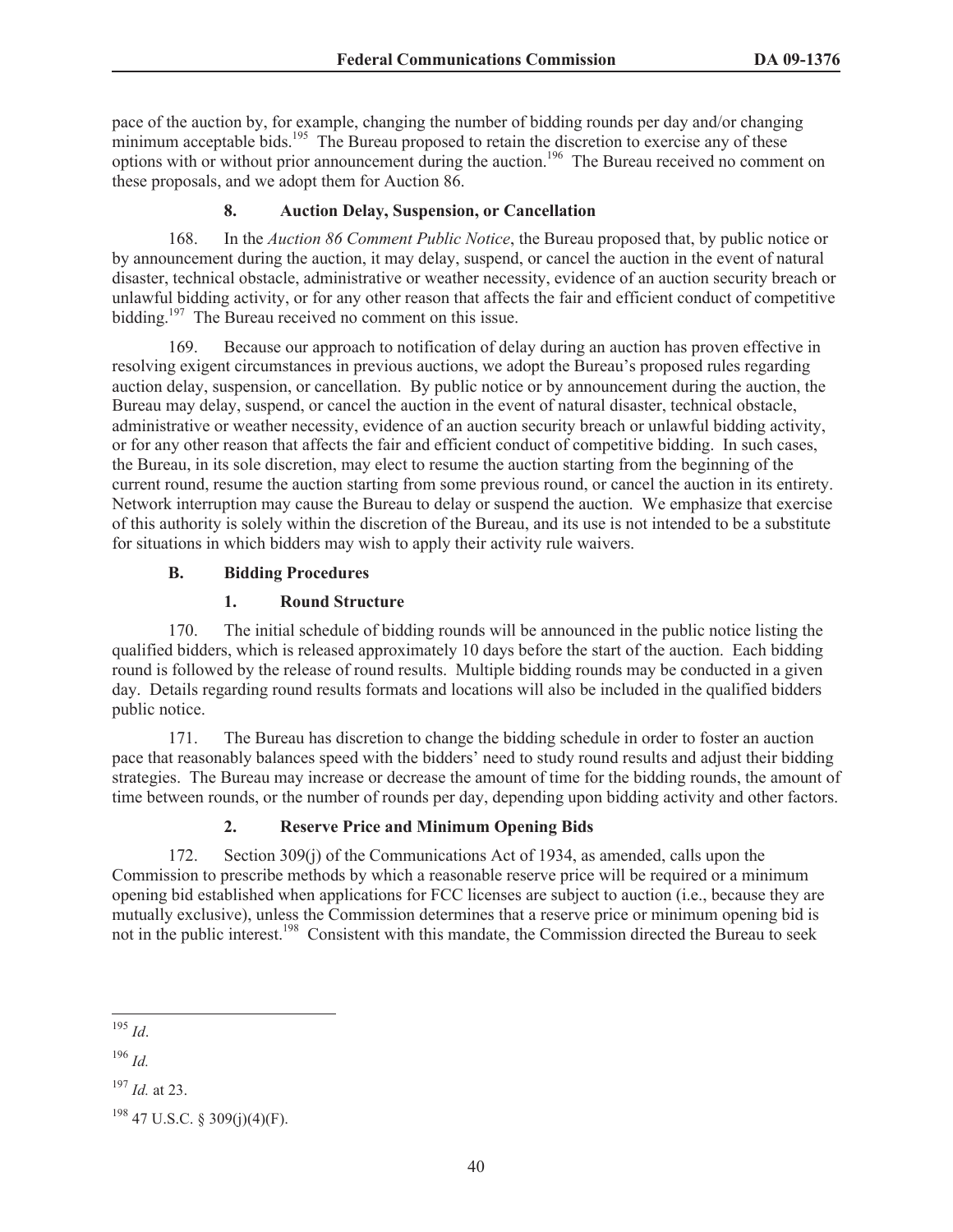pace of the auction by, for example, changing the number of bidding rounds per day and/or changing minimum acceptable bids.<sup>195</sup> The Bureau proposed to retain the discretion to exercise any of these options with or without prior announcement during the auction.<sup>196</sup> The Bureau received no comment on these proposals, and we adopt them for Auction 86.

## **8. Auction Delay, Suspension, or Cancellation**

168. In the *Auction 86 Comment Public Notice*, the Bureau proposed that, by public notice or by announcement during the auction, it may delay, suspend, or cancel the auction in the event of natural disaster, technical obstacle, administrative or weather necessity, evidence of an auction security breach or unlawful bidding activity, or for any other reason that affects the fair and efficient conduct of competitive bidding.<sup>197</sup> The Bureau received no comment on this issue.

169. Because our approach to notification of delay during an auction has proven effective in resolving exigent circumstances in previous auctions, we adopt the Bureau's proposed rules regarding auction delay, suspension, or cancellation. By public notice or by announcement during the auction, the Bureau may delay, suspend, or cancel the auction in the event of natural disaster, technical obstacle, administrative or weather necessity, evidence of an auction security breach or unlawful bidding activity, or for any other reason that affects the fair and efficient conduct of competitive bidding. In such cases, the Bureau, in its sole discretion, may elect to resume the auction starting from the beginning of the current round, resume the auction starting from some previous round, or cancel the auction in its entirety. Network interruption may cause the Bureau to delay or suspend the auction. We emphasize that exercise of this authority is solely within the discretion of the Bureau, and its use is not intended to be a substitute for situations in which bidders may wish to apply their activity rule waivers.

# **B. Bidding Procedures**

### **1. Round Structure**

170. The initial schedule of bidding rounds will be announced in the public notice listing the qualified bidders, which is released approximately 10 days before the start of the auction. Each bidding round is followed by the release of round results. Multiple bidding rounds may be conducted in a given day. Details regarding round results formats and locations will also be included in the qualified bidders public notice.

171. The Bureau has discretion to change the bidding schedule in order to foster an auction pace that reasonably balances speed with the bidders' need to study round results and adjust their bidding strategies. The Bureau may increase or decrease the amount of time for the bidding rounds, the amount of time between rounds, or the number of rounds per day, depending upon bidding activity and other factors.

# **2. Reserve Price and Minimum Opening Bids**

172. Section 309(j) of the Communications Act of 1934, as amended, calls upon the Commission to prescribe methods by which a reasonable reserve price will be required or a minimum opening bid established when applications for FCC licenses are subject to auction (i.e., because they are mutually exclusive), unless the Commission determines that a reserve price or minimum opening bid is not in the public interest.<sup>198</sup> Consistent with this mandate, the Commission directed the Bureau to seek

<sup>196</sup> *Id.*

<sup>195</sup> *Id*.

<sup>197</sup> *Id.* at 23.

<sup>198</sup> 47 U.S.C. § 309(j)(4)(F).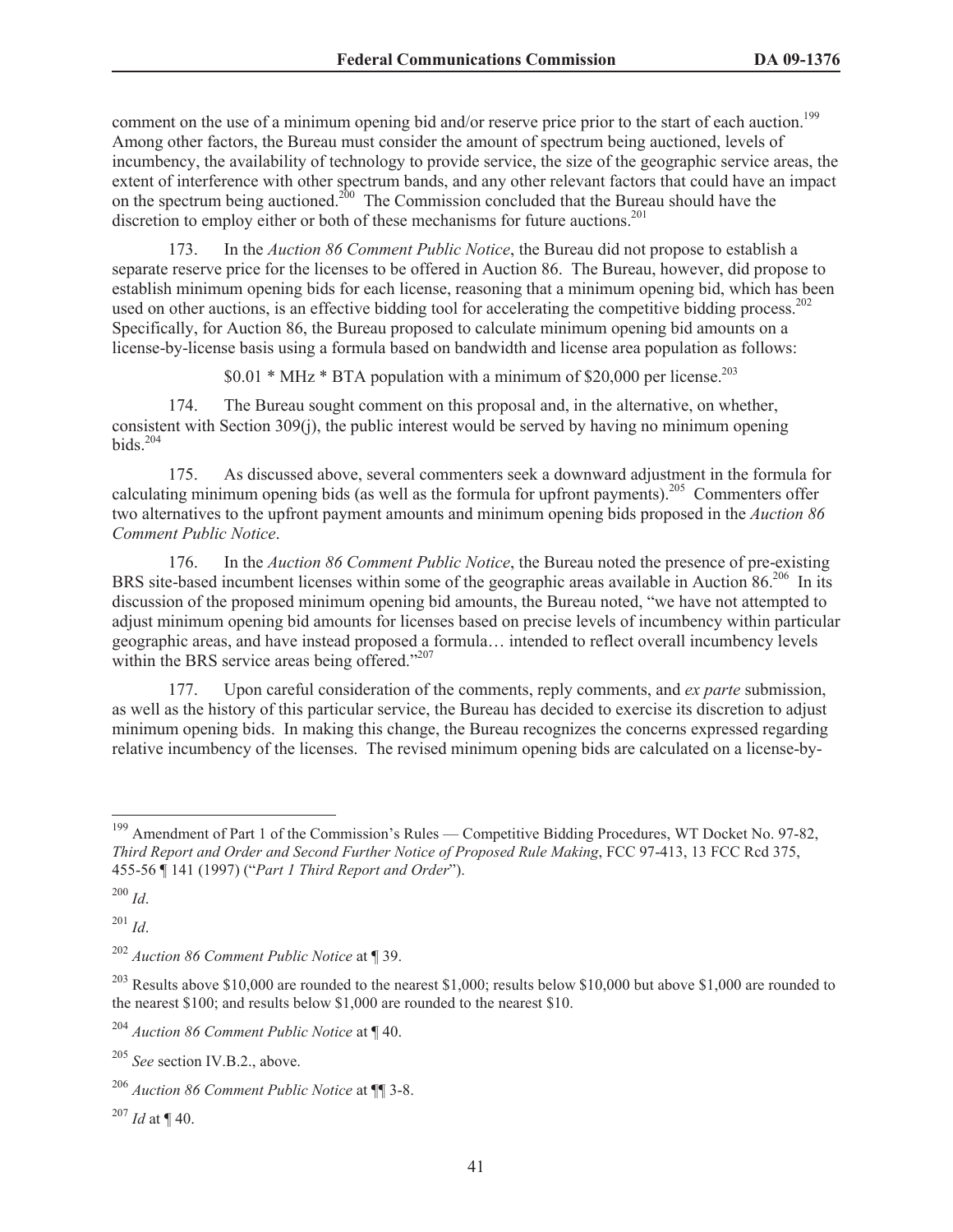comment on the use of a minimum opening bid and/or reserve price prior to the start of each auction.<sup>199</sup> Among other factors, the Bureau must consider the amount of spectrum being auctioned, levels of incumbency, the availability of technology to provide service, the size of the geographic service areas, the extent of interference with other spectrum bands, and any other relevant factors that could have an impact on the spectrum being auctioned.<sup>200</sup> The Commission concluded that the Bureau should have the discretion to employ either or both of these mechanisms for future auctions.<sup>201</sup>

173. In the *Auction 86 Comment Public Notice*, the Bureau did not propose to establish a separate reserve price for the licenses to be offered in Auction 86. The Bureau, however, did propose to establish minimum opening bids for each license, reasoning that a minimum opening bid, which has been used on other auctions, is an effective bidding tool for accelerating the competitive bidding process.<sup>202</sup> Specifically, for Auction 86, the Bureau proposed to calculate minimum opening bid amounts on a license-by-license basis using a formula based on bandwidth and license area population as follows:

 $$0.01 * MHz * BTA$  population with a minimum of \$20.000 per license.<sup>203</sup>

174. The Bureau sought comment on this proposal and, in the alternative, on whether, consistent with Section 309(j), the public interest would be served by having no minimum opening bids.<sup>204</sup>

175. As discussed above, several commenters seek a downward adjustment in the formula for calculating minimum opening bids (as well as the formula for upfront payments).<sup>205</sup> Commenters offer two alternatives to the upfront payment amounts and minimum opening bids proposed in the *Auction 86 Comment Public Notice*.

176. In the *Auction 86 Comment Public Notice*, the Bureau noted the presence of pre-existing BRS site-based incumbent licenses within some of the geographic areas available in Auction 86.<sup>206</sup> In its discussion of the proposed minimum opening bid amounts, the Bureau noted, "we have not attempted to adjust minimum opening bid amounts for licenses based on precise levels of incumbency within particular geographic areas, and have instead proposed a formula… intended to reflect overall incumbency levels within the BRS service areas being offered."<sup>207</sup>

177. Upon careful consideration of the comments, reply comments, and *ex parte* submission, as well as the history of this particular service, the Bureau has decided to exercise its discretion to adjust minimum opening bids. In making this change, the Bureau recognizes the concerns expressed regarding relative incumbency of the licenses. The revised minimum opening bids are calculated on a license-by-

<sup>200</sup> *Id*.

<sup>201</sup> *Id*.

<sup>&</sup>lt;sup>199</sup> Amendment of Part 1 of the Commission's Rules — Competitive Bidding Procedures, WT Docket No. 97-82, *Third Report and Order and Second Further Notice of Proposed Rule Making*, FCC 97-413, 13 FCC Rcd 375, 455-56 ¶ 141 (1997) ("*Part 1 Third Report and Order*").

<sup>202</sup> *Auction 86 Comment Public Notice* at ¶ 39.

<sup>&</sup>lt;sup>203</sup> Results above \$10,000 are rounded to the nearest \$1,000; results below \$10,000 but above \$1,000 are rounded to the nearest \$100; and results below \$1,000 are rounded to the nearest \$10.

<sup>204</sup> *Auction 86 Comment Public Notice* at ¶ 40.

<sup>205</sup> *See* section IV.B.2., above.

<sup>206</sup> *Auction 86 Comment Public Notice* at ¶¶ 3-8.

<sup>207</sup> *Id* at ¶ 40.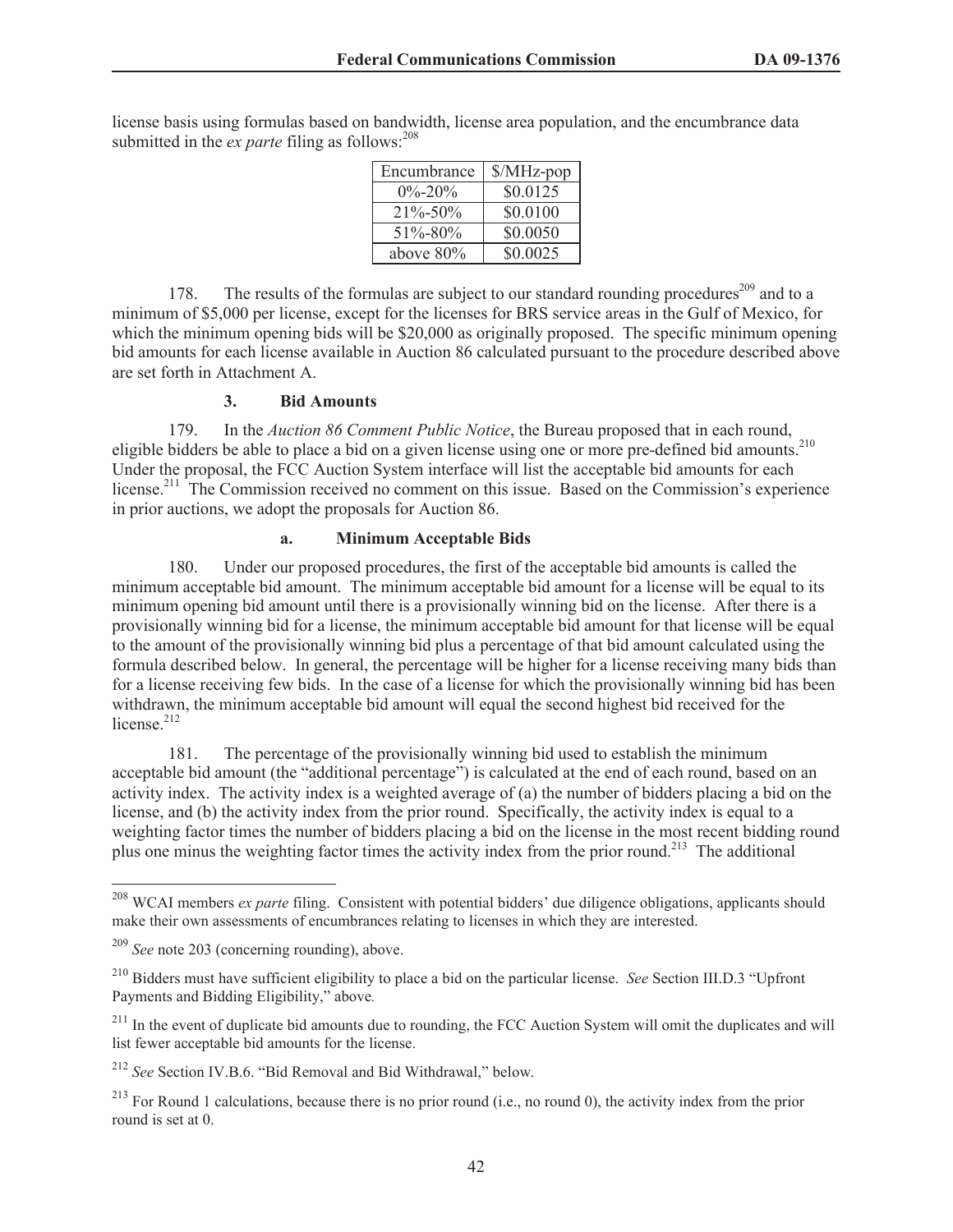license basis using formulas based on bandwidth, license area population, and the encumbrance data submitted in the  $ex$  *parte* filing as follows:  $208$ 

| Encumbrance   | $MHz$ -pop |
|---------------|------------|
| $0\% - 20\%$  | \$0.0125   |
| $21\% - 50\%$ | \$0.0100   |
| $51\% - 80\%$ | \$0.0050   |
| above $80\%$  | \$0.0025   |

178. The results of the formulas are subject to our standard rounding procedures<sup>209</sup> and to a minimum of \$5,000 per license, except for the licenses for BRS service areas in the Gulf of Mexico, for which the minimum opening bids will be \$20,000 as originally proposed. The specific minimum opening bid amounts for each license available in Auction 86 calculated pursuant to the procedure described above are set forth in Attachment A.

#### **3. Bid Amounts**

179. In the *Auction 86 Comment Public Notice*, the Bureau proposed that in each round, eligible bidders be able to place a bid on a given license using one or more pre-defined bid amounts.<sup>210</sup> Under the proposal, the FCC Auction System interface will list the acceptable bid amounts for each license.<sup>211</sup> The Commission received no comment on this issue. Based on the Commission's experience in prior auctions, we adopt the proposals for Auction 86.

#### **a. Minimum Acceptable Bids**

180. Under our proposed procedures, the first of the acceptable bid amounts is called the minimum acceptable bid amount. The minimum acceptable bid amount for a license will be equal to its minimum opening bid amount until there is a provisionally winning bid on the license. After there is a provisionally winning bid for a license, the minimum acceptable bid amount for that license will be equal to the amount of the provisionally winning bid plus a percentage of that bid amount calculated using the formula described below. In general, the percentage will be higher for a license receiving many bids than for a license receiving few bids. In the case of a license for which the provisionally winning bid has been withdrawn, the minimum acceptable bid amount will equal the second highest bid received for the license.<sup>212</sup>

181. The percentage of the provisionally winning bid used to establish the minimum acceptable bid amount (the "additional percentage") is calculated at the end of each round, based on an activity index. The activity index is a weighted average of (a) the number of bidders placing a bid on the license, and (b) the activity index from the prior round. Specifically, the activity index is equal to a weighting factor times the number of bidders placing a bid on the license in the most recent bidding round plus one minus the weighting factor times the activity index from the prior round.<sup>213</sup> The additional

<sup>208</sup> WCAI members *ex parte* filing. Consistent with potential bidders' due diligence obligations, applicants should make their own assessments of encumbrances relating to licenses in which they are interested.

<sup>209</sup> *See* note 203 (concerning rounding), above.

<sup>210</sup> Bidders must have sufficient eligibility to place a bid on the particular license. *See* Section III.D.3 "Upfront Payments and Bidding Eligibility," above*.* 

 $211$  In the event of duplicate bid amounts due to rounding, the FCC Auction System will omit the duplicates and will list fewer acceptable bid amounts for the license.

<sup>212</sup> *See* Section IV.B.6. "Bid Removal and Bid Withdrawal," below.

 $^{213}$  For Round 1 calculations, because there is no prior round (i.e., no round 0), the activity index from the prior round is set at 0.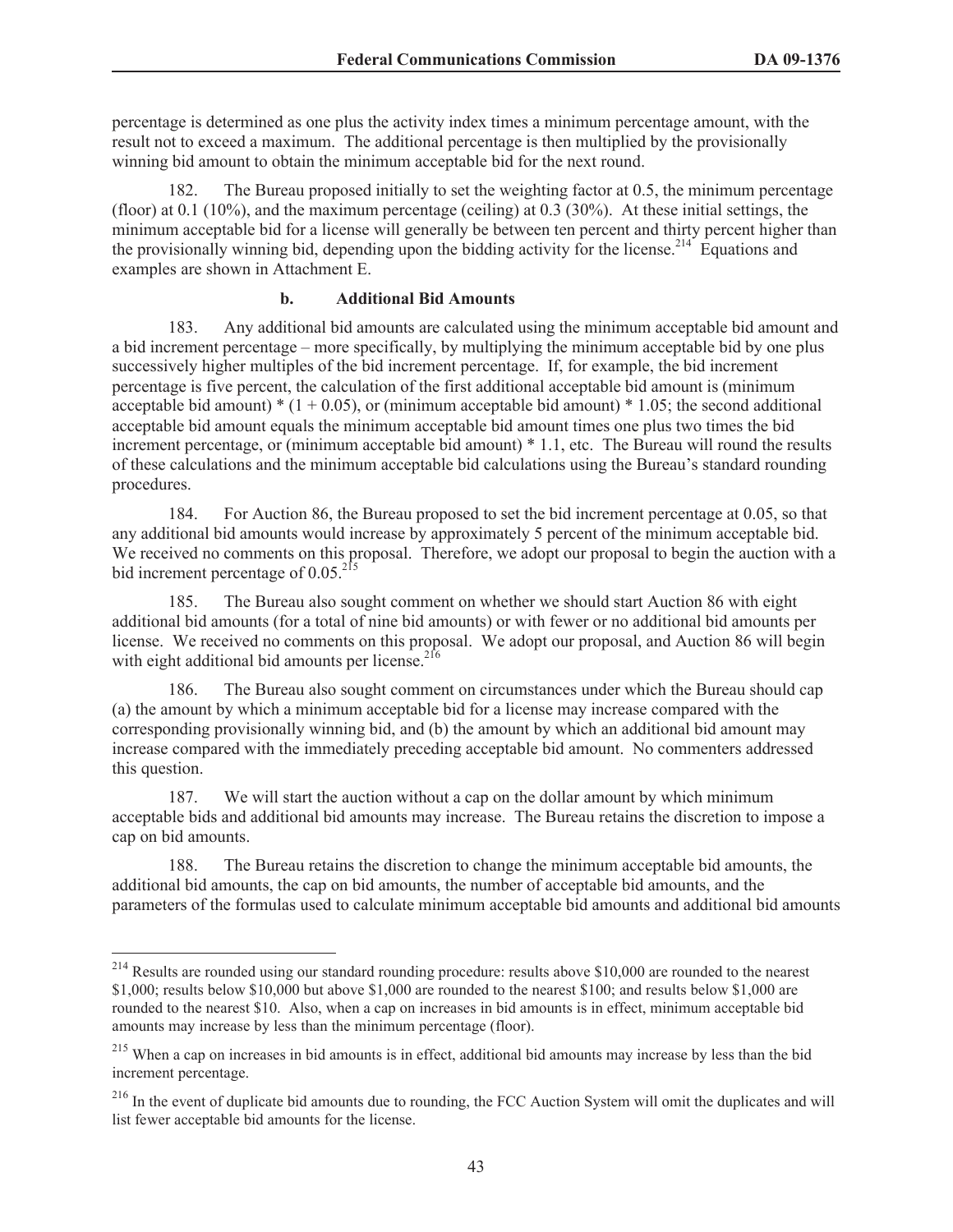percentage is determined as one plus the activity index times a minimum percentage amount, with the result not to exceed a maximum. The additional percentage is then multiplied by the provisionally winning bid amount to obtain the minimum acceptable bid for the next round.

182. The Bureau proposed initially to set the weighting factor at 0.5, the minimum percentage (floor) at 0.1 (10%), and the maximum percentage (ceiling) at 0.3 (30%). At these initial settings, the minimum acceptable bid for a license will generally be between ten percent and thirty percent higher than the provisionally winning bid, depending upon the bidding activity for the license.<sup>214</sup> Equations and examples are shown in Attachment E.

#### **b. Additional Bid Amounts**

183. Any additional bid amounts are calculated using the minimum acceptable bid amount and a bid increment percentage – more specifically, by multiplying the minimum acceptable bid by one plus successively higher multiples of the bid increment percentage. If, for example, the bid increment percentage is five percent, the calculation of the first additional acceptable bid amount is (minimum acceptable bid amount)  $*(1 + 0.05)$ , or (minimum acceptable bid amount)  $* 1.05$ ; the second additional acceptable bid amount equals the minimum acceptable bid amount times one plus two times the bid increment percentage, or (minimum acceptable bid amount) \* 1.1, etc. The Bureau will round the results of these calculations and the minimum acceptable bid calculations using the Bureau's standard rounding procedures.

184. For Auction 86, the Bureau proposed to set the bid increment percentage at 0.05, so that any additional bid amounts would increase by approximately 5 percent of the minimum acceptable bid. We received no comments on this proposal. Therefore, we adopt our proposal to begin the auction with a bid increment percentage of  $0.05^{215}$ 

185. The Bureau also sought comment on whether we should start Auction 86 with eight additional bid amounts (for a total of nine bid amounts) or with fewer or no additional bid amounts per license. We received no comments on this proposal. We adopt our proposal, and Auction 86 will begin with eight additional bid amounts per license. $2^{16}$ 

186. The Bureau also sought comment on circumstances under which the Bureau should cap (a) the amount by which a minimum acceptable bid for a license may increase compared with the corresponding provisionally winning bid, and (b) the amount by which an additional bid amount may increase compared with the immediately preceding acceptable bid amount. No commenters addressed this question.

187. We will start the auction without a cap on the dollar amount by which minimum acceptable bids and additional bid amounts may increase. The Bureau retains the discretion to impose a cap on bid amounts.

188. The Bureau retains the discretion to change the minimum acceptable bid amounts, the additional bid amounts, the cap on bid amounts, the number of acceptable bid amounts, and the parameters of the formulas used to calculate minimum acceptable bid amounts and additional bid amounts

<sup>&</sup>lt;sup>214</sup> Results are rounded using our standard rounding procedure: results above \$10,000 are rounded to the nearest \$1,000; results below \$10,000 but above \$1,000 are rounded to the nearest \$100; and results below \$1,000 are rounded to the nearest \$10. Also, when a cap on increases in bid amounts is in effect, minimum acceptable bid amounts may increase by less than the minimum percentage (floor).

<sup>&</sup>lt;sup>215</sup> When a cap on increases in bid amounts is in effect, additional bid amounts may increase by less than the bid increment percentage.

<sup>&</sup>lt;sup>216</sup> In the event of duplicate bid amounts due to rounding, the FCC Auction System will omit the duplicates and will list fewer acceptable bid amounts for the license.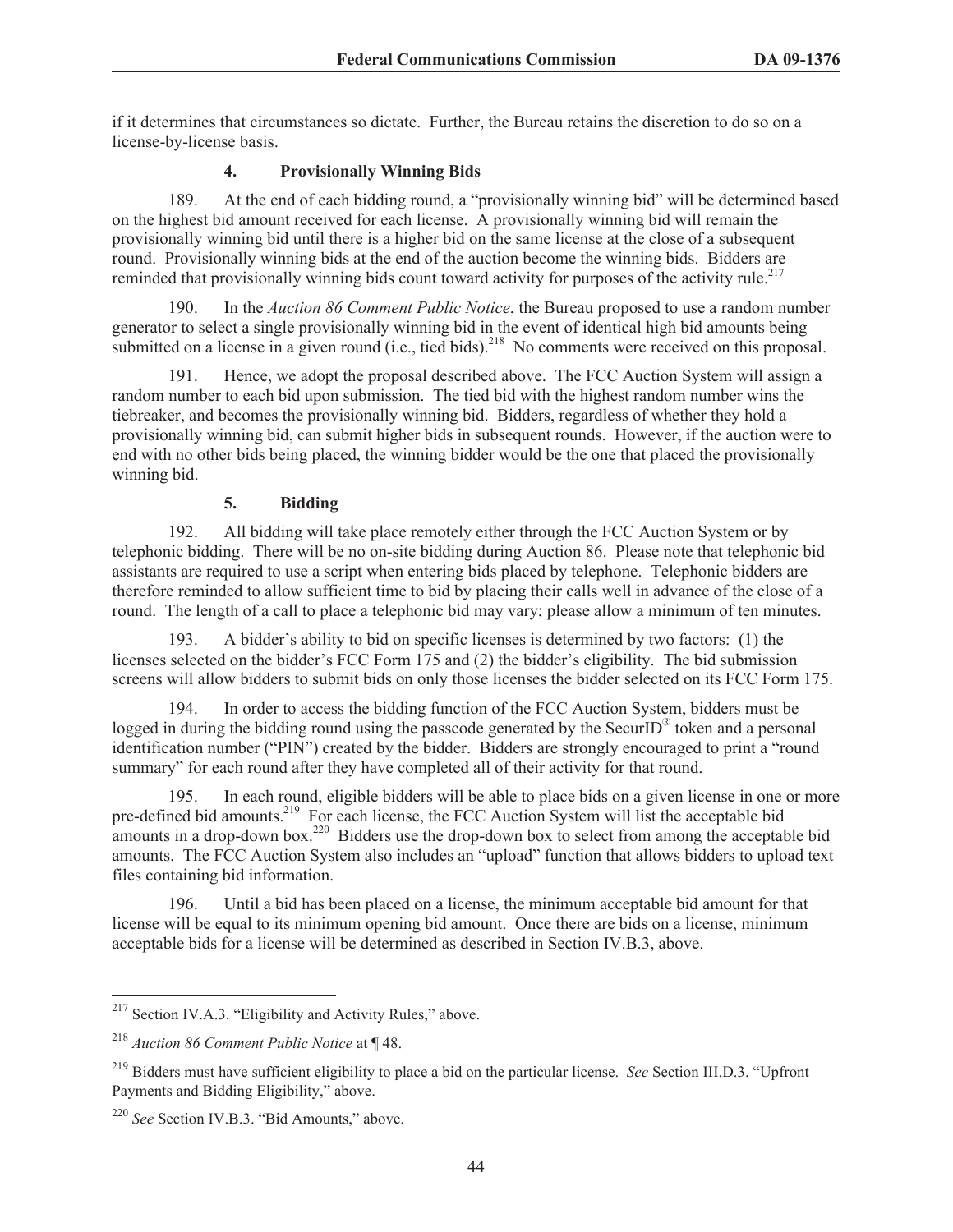if it determines that circumstances so dictate. Further, the Bureau retains the discretion to do so on a license-by-license basis.

#### **4. Provisionally Winning Bids**

189. At the end of each bidding round, a "provisionally winning bid" will be determined based on the highest bid amount received for each license. A provisionally winning bid will remain the provisionally winning bid until there is a higher bid on the same license at the close of a subsequent round. Provisionally winning bids at the end of the auction become the winning bids. Bidders are reminded that provisionally winning bids count toward activity for purposes of the activity rule.<sup>217</sup>

190. In the *Auction 86 Comment Public Notice*, the Bureau proposed to use a random number generator to select a single provisionally winning bid in the event of identical high bid amounts being submitted on a license in a given round (i.e., tied bids).<sup>218</sup> No comments were received on this proposal.

191. Hence, we adopt the proposal described above. The FCC Auction System will assign a random number to each bid upon submission. The tied bid with the highest random number wins the tiebreaker, and becomes the provisionally winning bid. Bidders, regardless of whether they hold a provisionally winning bid, can submit higher bids in subsequent rounds. However, if the auction were to end with no other bids being placed, the winning bidder would be the one that placed the provisionally winning bid.

#### **5. Bidding**

192. All bidding will take place remotely either through the FCC Auction System or by telephonic bidding. There will be no on-site bidding during Auction 86. Please note that telephonic bid assistants are required to use a script when entering bids placed by telephone. Telephonic bidders are therefore reminded to allow sufficient time to bid by placing their calls well in advance of the close of a round. The length of a call to place a telephonic bid may vary; please allow a minimum of ten minutes.

193. A bidder's ability to bid on specific licenses is determined by two factors: (1) the licenses selected on the bidder's FCC Form 175 and (2) the bidder's eligibility. The bid submission screens will allow bidders to submit bids on only those licenses the bidder selected on its FCC Form 175.

194. In order to access the bidding function of the FCC Auction System, bidders must be logged in during the bidding round using the passcode generated by the SecurID<sup>®</sup> token and a personal identification number ("PIN") created by the bidder. Bidders are strongly encouraged to print a "round summary" for each round after they have completed all of their activity for that round.

195. In each round, eligible bidders will be able to place bids on a given license in one or more pre-defined bid amounts.<sup>219</sup> For each license, the FCC Auction System will list the acceptable bid amounts in a drop-down box.<sup>220</sup> Bidders use the drop-down box to select from among the acceptable bid amounts. The FCC Auction System also includes an "upload" function that allows bidders to upload text files containing bid information.

196. Until a bid has been placed on a license, the minimum acceptable bid amount for that license will be equal to its minimum opening bid amount. Once there are bids on a license, minimum acceptable bids for a license will be determined as described in Section IV.B.3, above.

<sup>&</sup>lt;sup>217</sup> Section IV.A.3. "Eligibility and Activity Rules," above.

<sup>218</sup> *Auction 86 Comment Public Notice* at ¶ 48.

<sup>219</sup> Bidders must have sufficient eligibility to place a bid on the particular license. *See* Section III.D.3. "Upfront Payments and Bidding Eligibility," above.

<sup>220</sup> *See* Section IV.B.3. "Bid Amounts," above.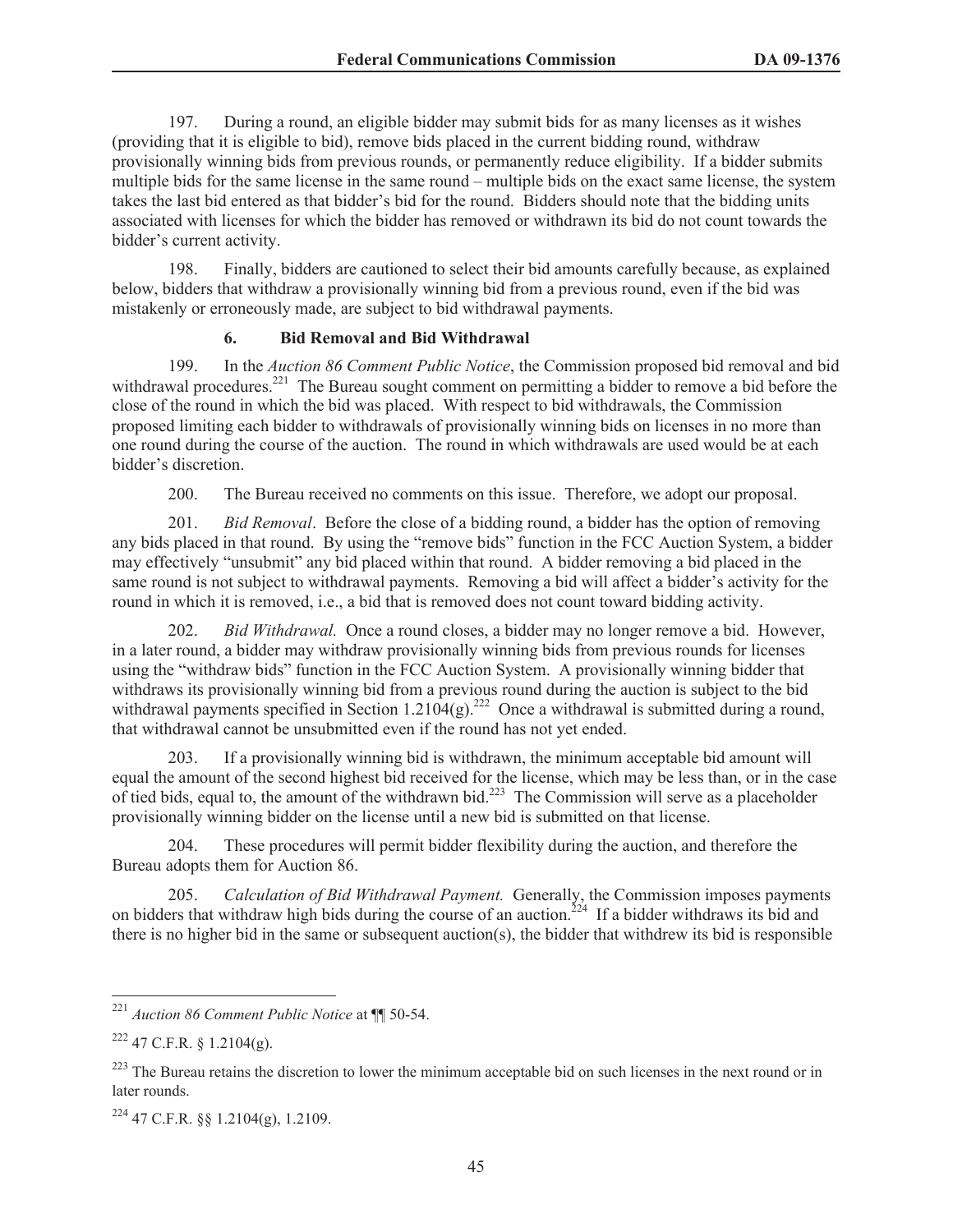197. During a round, an eligible bidder may submit bids for as many licenses as it wishes (providing that it is eligible to bid), remove bids placed in the current bidding round, withdraw provisionally winning bids from previous rounds, or permanently reduce eligibility. If a bidder submits multiple bids for the same license in the same round – multiple bids on the exact same license, the system takes the last bid entered as that bidder's bid for the round. Bidders should note that the bidding units associated with licenses for which the bidder has removed or withdrawn its bid do not count towards the bidder's current activity.

198. Finally, bidders are cautioned to select their bid amounts carefully because, as explained below, bidders that withdraw a provisionally winning bid from a previous round, even if the bid was mistakenly or erroneously made, are subject to bid withdrawal payments.

#### **6. Bid Removal and Bid Withdrawal**

199. In the *Auction 86 Comment Public Notice*, the Commission proposed bid removal and bid withdrawal procedures.<sup>221</sup> The Bureau sought comment on permitting a bidder to remove a bid before the close of the round in which the bid was placed. With respect to bid withdrawals, the Commission proposed limiting each bidder to withdrawals of provisionally winning bids on licenses in no more than one round during the course of the auction. The round in which withdrawals are used would be at each bidder's discretion.

200. The Bureau received no comments on this issue. Therefore, we adopt our proposal.

201. *Bid Removal*. Before the close of a bidding round, a bidder has the option of removing any bids placed in that round. By using the "remove bids" function in the FCC Auction System, a bidder may effectively "unsubmit" any bid placed within that round. A bidder removing a bid placed in the same round is not subject to withdrawal payments. Removing a bid will affect a bidder's activity for the round in which it is removed, i.e., a bid that is removed does not count toward bidding activity.

202. *Bid Withdrawal.* Once a round closes, a bidder may no longer remove a bid. However, in a later round, a bidder may withdraw provisionally winning bids from previous rounds for licenses using the "withdraw bids" function in the FCC Auction System. A provisionally winning bidder that withdraws its provisionally winning bid from a previous round during the auction is subject to the bid withdrawal payments specified in Section 1.2104(g).<sup>222</sup> Once a withdrawal is submitted during a round, that withdrawal cannot be unsubmitted even if the round has not yet ended.

203. If a provisionally winning bid is withdrawn, the minimum acceptable bid amount will equal the amount of the second highest bid received for the license, which may be less than, or in the case of tied bids, equal to, the amount of the withdrawn bid.<sup>223</sup> The Commission will serve as a placeholder provisionally winning bidder on the license until a new bid is submitted on that license.

204. These procedures will permit bidder flexibility during the auction, and therefore the Bureau adopts them for Auction 86.

205. *Calculation of Bid Withdrawal Payment.* Generally, the Commission imposes payments on bidders that withdraw high bids during the course of an auction.<sup>224</sup> If a bidder withdraws its bid and there is no higher bid in the same or subsequent auction(s), the bidder that withdrew its bid is responsible

<sup>221</sup> *Auction 86 Comment Public Notice* at ¶¶ 50-54.

 $222$  47 C.F.R. § 1.2104(g).

<sup>&</sup>lt;sup>223</sup> The Bureau retains the discretion to lower the minimum acceptable bid on such licenses in the next round or in later rounds.

<sup>224</sup> 47 C.F.R. §§ 1.2104(g), 1.2109.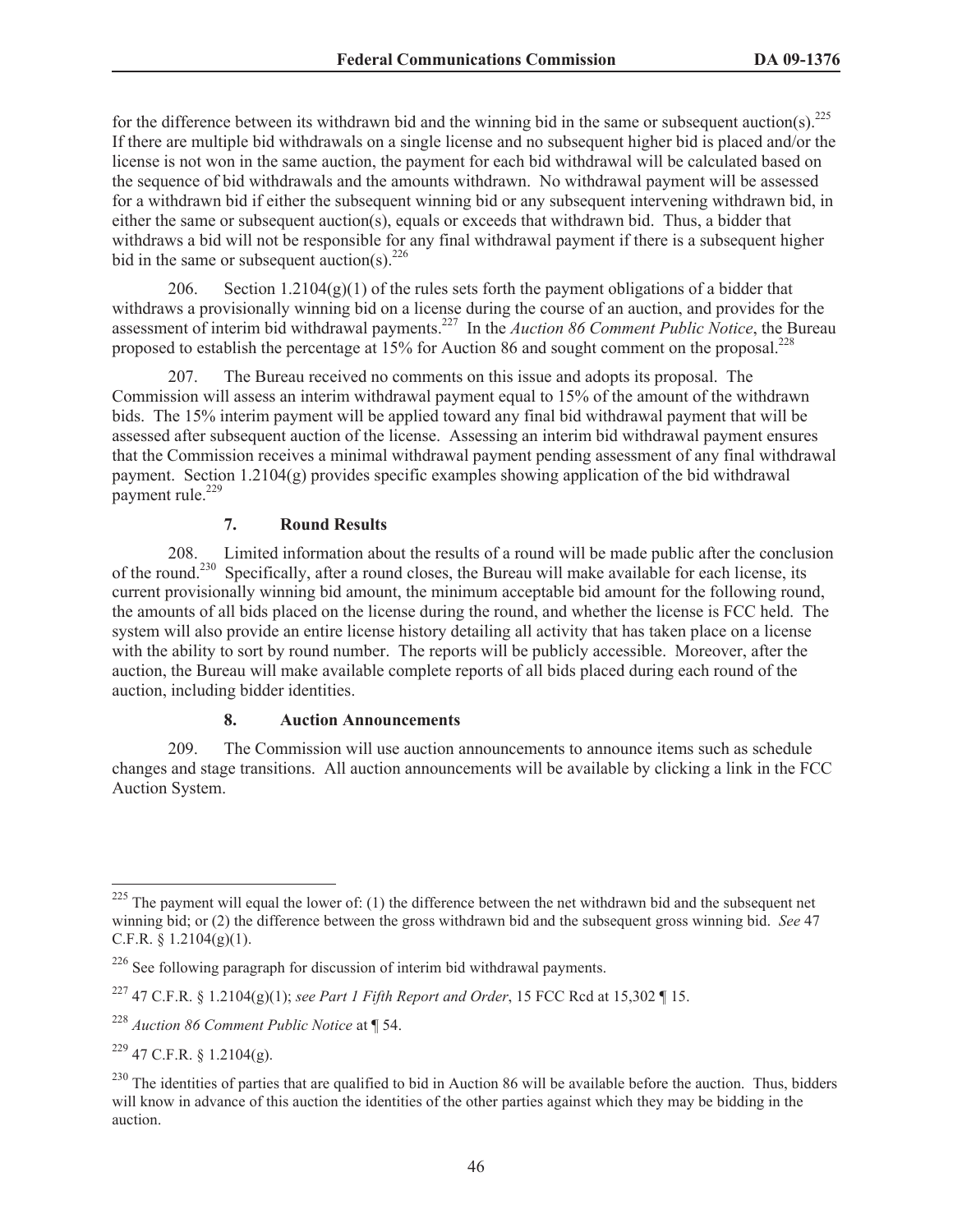for the difference between its withdrawn bid and the winning bid in the same or subsequent auction(s).<sup>225</sup> If there are multiple bid withdrawals on a single license and no subsequent higher bid is placed and/or the license is not won in the same auction, the payment for each bid withdrawal will be calculated based on the sequence of bid withdrawals and the amounts withdrawn. No withdrawal payment will be assessed for a withdrawn bid if either the subsequent winning bid or any subsequent intervening withdrawn bid, in either the same or subsequent auction(s), equals or exceeds that withdrawn bid. Thus, a bidder that withdraws a bid will not be responsible for any final withdrawal payment if there is a subsequent higher bid in the same or subsequent auction(s).<sup>226</sup>

206. Section  $1.2104(g)(1)$  of the rules sets forth the payment obligations of a bidder that withdraws a provisionally winning bid on a license during the course of an auction, and provides for the assessment of interim bid withdrawal payments.<sup>227</sup> In the *Auction 86 Comment Public Notice*, the Bureau proposed to establish the percentage at  $15\%$  for Auction 86 and sought comment on the proposal.<sup>228</sup>

207. The Bureau received no comments on this issue and adopts its proposal. The Commission will assess an interim withdrawal payment equal to 15% of the amount of the withdrawn bids. The 15% interim payment will be applied toward any final bid withdrawal payment that will be assessed after subsequent auction of the license. Assessing an interim bid withdrawal payment ensures that the Commission receives a minimal withdrawal payment pending assessment of any final withdrawal payment. Section  $1.2104(g)$  provides specific examples showing application of the bid withdrawal payment rule. $^{229}$ 

### **7. Round Results**

208. Limited information about the results of a round will be made public after the conclusion of the round.<sup>230</sup> Specifically, after a round closes, the Bureau will make available for each license, its current provisionally winning bid amount, the minimum acceptable bid amount for the following round, the amounts of all bids placed on the license during the round, and whether the license is FCC held. The system will also provide an entire license history detailing all activity that has taken place on a license with the ability to sort by round number. The reports will be publicly accessible. Moreover, after the auction, the Bureau will make available complete reports of all bids placed during each round of the auction, including bidder identities.

#### **8. Auction Announcements**

209. The Commission will use auction announcements to announce items such as schedule changes and stage transitions. All auction announcements will be available by clicking a link in the FCC Auction System.

 $225$  The payment will equal the lower of: (1) the difference between the net withdrawn bid and the subsequent net winning bid; or (2) the difference between the gross withdrawn bid and the subsequent gross winning bid. *See* 47 C.F.R.  $§$  1.2104(g)(1).

 $226$  See following paragraph for discussion of interim bid withdrawal payments.

<sup>227</sup> 47 C.F.R. § 1.2104(g)(1); *see Part 1 Fifth Report and Order*, 15 FCC Rcd at 15,302 ¶ 15.

<sup>228</sup> *Auction 86 Comment Public Notice* at ¶ 54.

 $229$  47 C.F.R. § 1.2104(g).

 $^{230}$  The identities of parties that are qualified to bid in Auction 86 will be available before the auction. Thus, bidders will know in advance of this auction the identities of the other parties against which they may be bidding in the auction.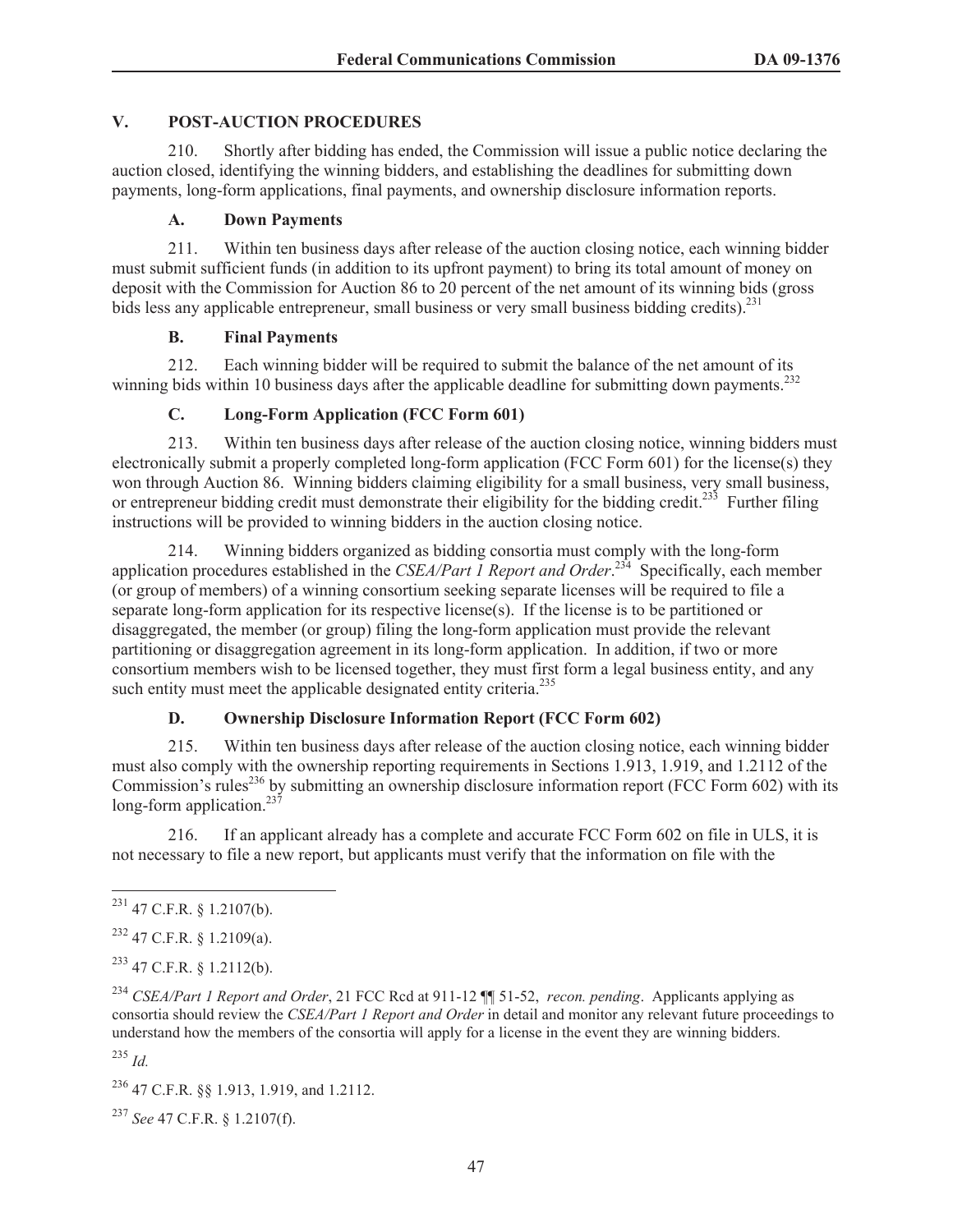#### **V. POST-AUCTION PROCEDURES**

210. Shortly after bidding has ended, the Commission will issue a public notice declaring the auction closed, identifying the winning bidders, and establishing the deadlines for submitting down payments, long-form applications, final payments, and ownership disclosure information reports.

#### **A. Down Payments**

211. Within ten business days after release of the auction closing notice, each winning bidder must submit sufficient funds (in addition to its upfront payment) to bring its total amount of money on deposit with the Commission for Auction 86 to 20 percent of the net amount of its winning bids (gross bids less any applicable entrepreneur, small business or very small business bidding credits).  $231$ 

### **B. Final Payments**

212. Each winning bidder will be required to submit the balance of the net amount of its winning bids within 10 business days after the applicable deadline for submitting down payments.<sup>232</sup>

# **C. Long-Form Application (FCC Form 601)**

213. Within ten business days after release of the auction closing notice, winning bidders must electronically submit a properly completed long-form application (FCC Form 601) for the license(s) they won through Auction 86. Winning bidders claiming eligibility for a small business, very small business, or entrepreneur bidding credit must demonstrate their eligibility for the bidding credit.<sup>233</sup> Further filing instructions will be provided to winning bidders in the auction closing notice.

214. Winning bidders organized as bidding consortia must comply with the long-form application procedures established in the *CSEA/Part 1 Report and Order*. <sup>234</sup> Specifically, each member (or group of members) of a winning consortium seeking separate licenses will be required to file a separate long-form application for its respective license(s). If the license is to be partitioned or disaggregated, the member (or group) filing the long-form application must provide the relevant partitioning or disaggregation agreement in its long-form application. In addition, if two or more consortium members wish to be licensed together, they must first form a legal business entity, and any such entity must meet the applicable designated entity criteria.<sup>235</sup>

# **D. Ownership Disclosure Information Report (FCC Form 602)**

215. Within ten business days after release of the auction closing notice, each winning bidder must also comply with the ownership reporting requirements in Sections 1.913, 1.919, and 1.2112 of the Commission's rules<sup>236</sup> by submitting an ownership disclosure information report (FCC Form 602) with its long-form application.<sup>237</sup>

216. If an applicant already has a complete and accurate FCC Form 602 on file in ULS, it is not necessary to file a new report, but applicants must verify that the information on file with the

<sup>232</sup> 47 C.F.R. § 1.2109(a).

<sup>233</sup> 47 C.F.R. § 1.2112(b).

<sup>234</sup> *CSEA/Part 1 Report and Order*, 21 FCC Rcd at 911-12 ¶¶ 51-52, *recon. pending*. Applicants applying as consortia should review the *CSEA/Part 1 Report and Order* in detail and monitor any relevant future proceedings to understand how the members of the consortia will apply for a license in the event they are winning bidders.

<sup>235</sup> *Id.*

<sup>236</sup> 47 C.F.R. §§ 1.913, 1.919, and 1.2112.

<sup>237</sup> *See* 47 C.F.R. § 1.2107(f).

 $^{231}$  47 C.F.R. § 1.2107(b).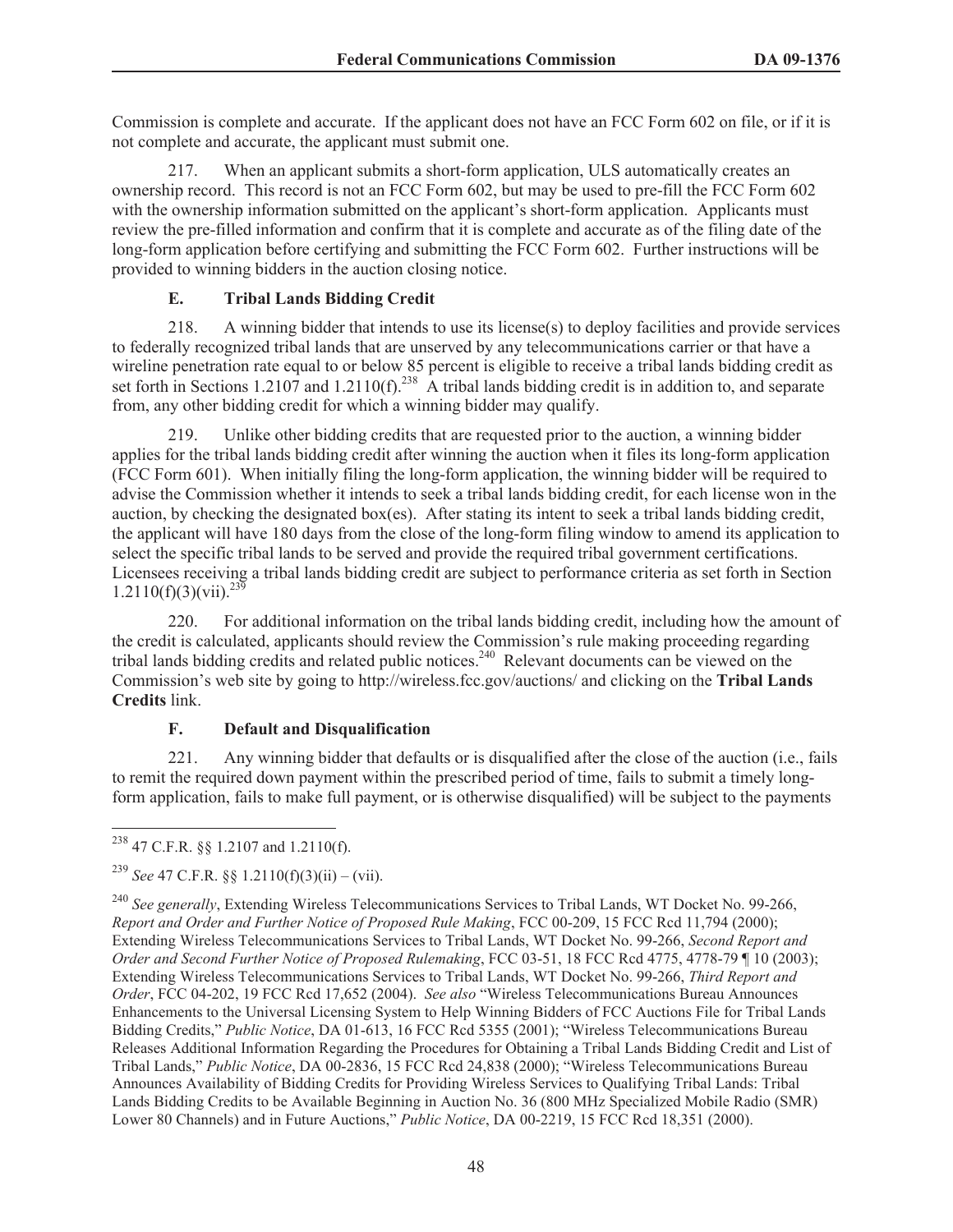Commission is complete and accurate. If the applicant does not have an FCC Form 602 on file, or if it is not complete and accurate, the applicant must submit one.

217. When an applicant submits a short-form application, ULS automatically creates an ownership record. This record is not an FCC Form 602, but may be used to pre-fill the FCC Form 602 with the ownership information submitted on the applicant's short-form application. Applicants must review the pre-filled information and confirm that it is complete and accurate as of the filing date of the long-form application before certifying and submitting the FCC Form 602. Further instructions will be provided to winning bidders in the auction closing notice.

# **E. Tribal Lands Bidding Credit**

218. A winning bidder that intends to use its license(s) to deploy facilities and provide services to federally recognized tribal lands that are unserved by any telecommunications carrier or that have a wireline penetration rate equal to or below 85 percent is eligible to receive a tribal lands bidding credit as set forth in Sections 1.2107 and 1.2110(f).<sup>238</sup> A tribal lands bidding credit is in addition to, and separate from, any other bidding credit for which a winning bidder may qualify.

219. Unlike other bidding credits that are requested prior to the auction, a winning bidder applies for the tribal lands bidding credit after winning the auction when it files its long-form application (FCC Form 601). When initially filing the long-form application, the winning bidder will be required to advise the Commission whether it intends to seek a tribal lands bidding credit, for each license won in the auction, by checking the designated box(es). After stating its intent to seek a tribal lands bidding credit, the applicant will have 180 days from the close of the long-form filing window to amend its application to select the specific tribal lands to be served and provide the required tribal government certifications. Licensees receiving a tribal lands bidding credit are subject to performance criteria as set forth in Section  $1.2110(f)(3)(vii).^{23\overline{9}}$ 

220. For additional information on the tribal lands bidding credit, including how the amount of the credit is calculated, applicants should review the Commission's rule making proceeding regarding tribal lands bidding credits and related public notices.<sup>240</sup> Relevant documents can be viewed on the Commission's web site by going to http://wireless.fcc.gov/auctions/ and clicking on the **Tribal Lands Credits** link.

# **F. Default and Disqualification**

221. Any winning bidder that defaults or is disqualified after the close of the auction (i.e., fails to remit the required down payment within the prescribed period of time, fails to submit a timely longform application, fails to make full payment, or is otherwise disqualified) will be subject to the payments

<sup>238</sup> 47 C.F.R. §§ 1.2107 and 1.2110(f).

<sup>&</sup>lt;sup>239</sup> *See* 47 C.F.R. §§ 1.2110(f)(3)(ii) – (vii).

<sup>240</sup> *See generally*, Extending Wireless Telecommunications Services to Tribal Lands, WT Docket No. 99-266, *Report and Order and Further Notice of Proposed Rule Making*, FCC 00-209, 15 FCC Rcd 11,794 (2000); Extending Wireless Telecommunications Services to Tribal Lands, WT Docket No. 99-266, *Second Report and Order and Second Further Notice of Proposed Rulemaking*, FCC 03-51, 18 FCC Rcd 4775, 4778-79 ¶ 10 (2003); Extending Wireless Telecommunications Services to Tribal Lands, WT Docket No. 99-266, *Third Report and Order*, FCC 04-202, 19 FCC Rcd 17,652 (2004). *See also* "Wireless Telecommunications Bureau Announces Enhancements to the Universal Licensing System to Help Winning Bidders of FCC Auctions File for Tribal Lands Bidding Credits," *Public Notice*, DA 01-613, 16 FCC Rcd 5355 (2001); "Wireless Telecommunications Bureau Releases Additional Information Regarding the Procedures for Obtaining a Tribal Lands Bidding Credit and List of Tribal Lands," *Public Notice*, DA 00-2836, 15 FCC Rcd 24,838 (2000); "Wireless Telecommunications Bureau Announces Availability of Bidding Credits for Providing Wireless Services to Qualifying Tribal Lands: Tribal Lands Bidding Credits to be Available Beginning in Auction No. 36 (800 MHz Specialized Mobile Radio (SMR) Lower 80 Channels) and in Future Auctions," *Public Notice*, DA 00-2219, 15 FCC Rcd 18,351 (2000).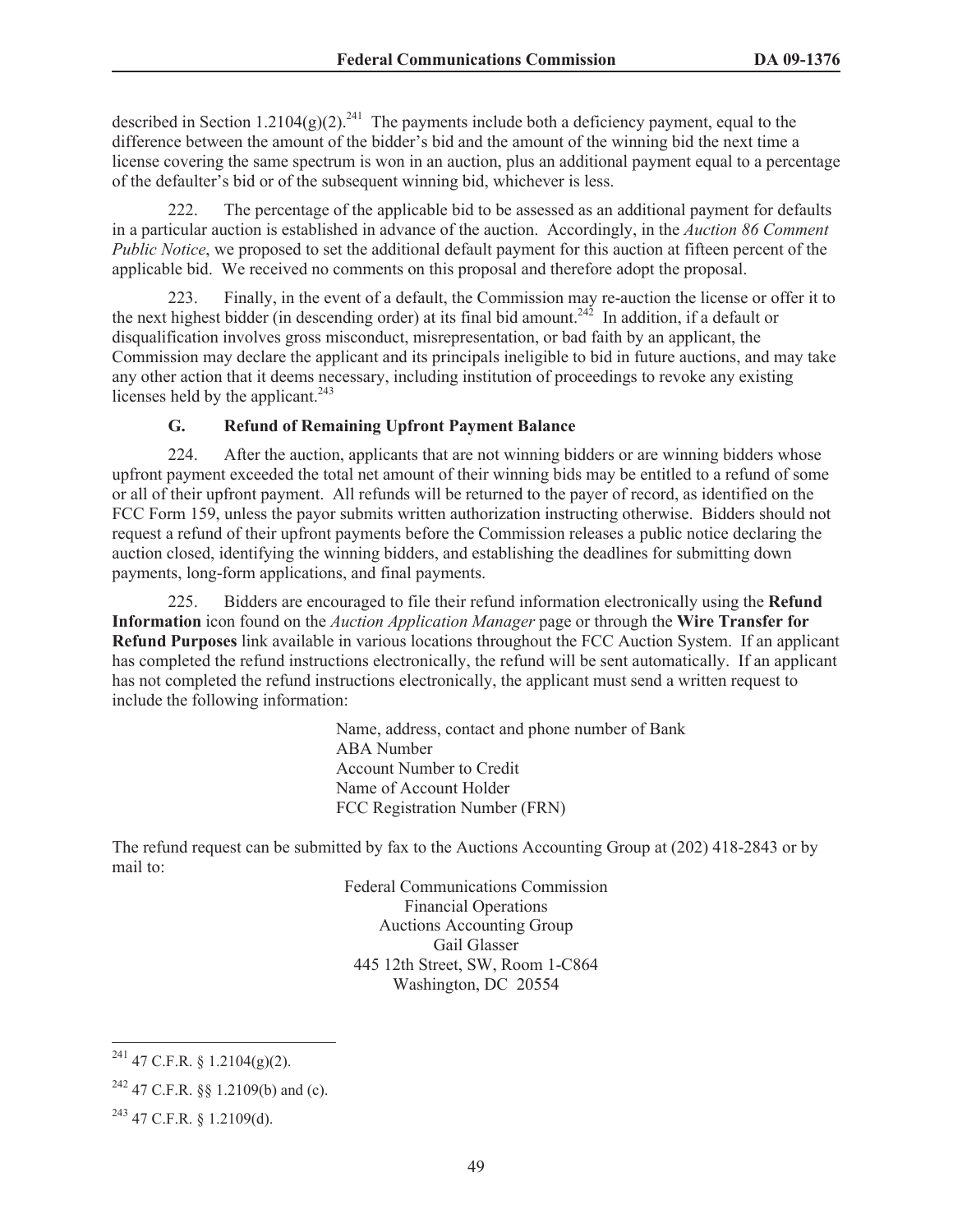described in Section 1.2104(g)(2).<sup>241</sup> The payments include both a deficiency payment, equal to the difference between the amount of the bidder's bid and the amount of the winning bid the next time a license covering the same spectrum is won in an auction, plus an additional payment equal to a percentage of the defaulter's bid or of the subsequent winning bid, whichever is less.

222. The percentage of the applicable bid to be assessed as an additional payment for defaults in a particular auction is established in advance of the auction. Accordingly, in the *Auction 86 Comment Public Notice*, we proposed to set the additional default payment for this auction at fifteen percent of the applicable bid. We received no comments on this proposal and therefore adopt the proposal.

223. Finally, in the event of a default, the Commission may re-auction the license or offer it to the next highest bidder (in descending order) at its final bid amount.<sup>242</sup> In addition, if a default or disqualification involves gross misconduct, misrepresentation, or bad faith by an applicant, the Commission may declare the applicant and its principals ineligible to bid in future auctions, and may take any other action that it deems necessary, including institution of proceedings to revoke any existing licenses held by the applicant. $243$ 

#### **G. Refund of Remaining Upfront Payment Balance**

224. After the auction, applicants that are not winning bidders or are winning bidders whose upfront payment exceeded the total net amount of their winning bids may be entitled to a refund of some or all of their upfront payment. All refunds will be returned to the payer of record, as identified on the FCC Form 159, unless the payor submits written authorization instructing otherwise. Bidders should not request a refund of their upfront payments before the Commission releases a public notice declaring the auction closed, identifying the winning bidders, and establishing the deadlines for submitting down payments, long-form applications, and final payments.

225. Bidders are encouraged to file their refund information electronically using the **Refund Information** icon found on the *Auction Application Manager* page or through the **Wire Transfer for Refund Purposes** link available in various locations throughout the FCC Auction System. If an applicant has completed the refund instructions electronically, the refund will be sent automatically. If an applicant has not completed the refund instructions electronically, the applicant must send a written request to include the following information:

> Name, address, contact and phone number of Bank ABA Number Account Number to Credit Name of Account Holder FCC Registration Number (FRN)

The refund request can be submitted by fax to the Auctions Accounting Group at (202) 418-2843 or by mail to:

> Federal Communications Commission Financial Operations Auctions Accounting Group Gail Glasser 445 12th Street, SW, Room 1-C864 Washington, DC 20554

 $^{241}$  47 C.F.R. § 1.2104(g)(2).

<sup>&</sup>lt;sup>242</sup> 47 C.F.R. §§ 1.2109(b) and (c).

 $^{243}$  47 C.F.R. § 1.2109(d).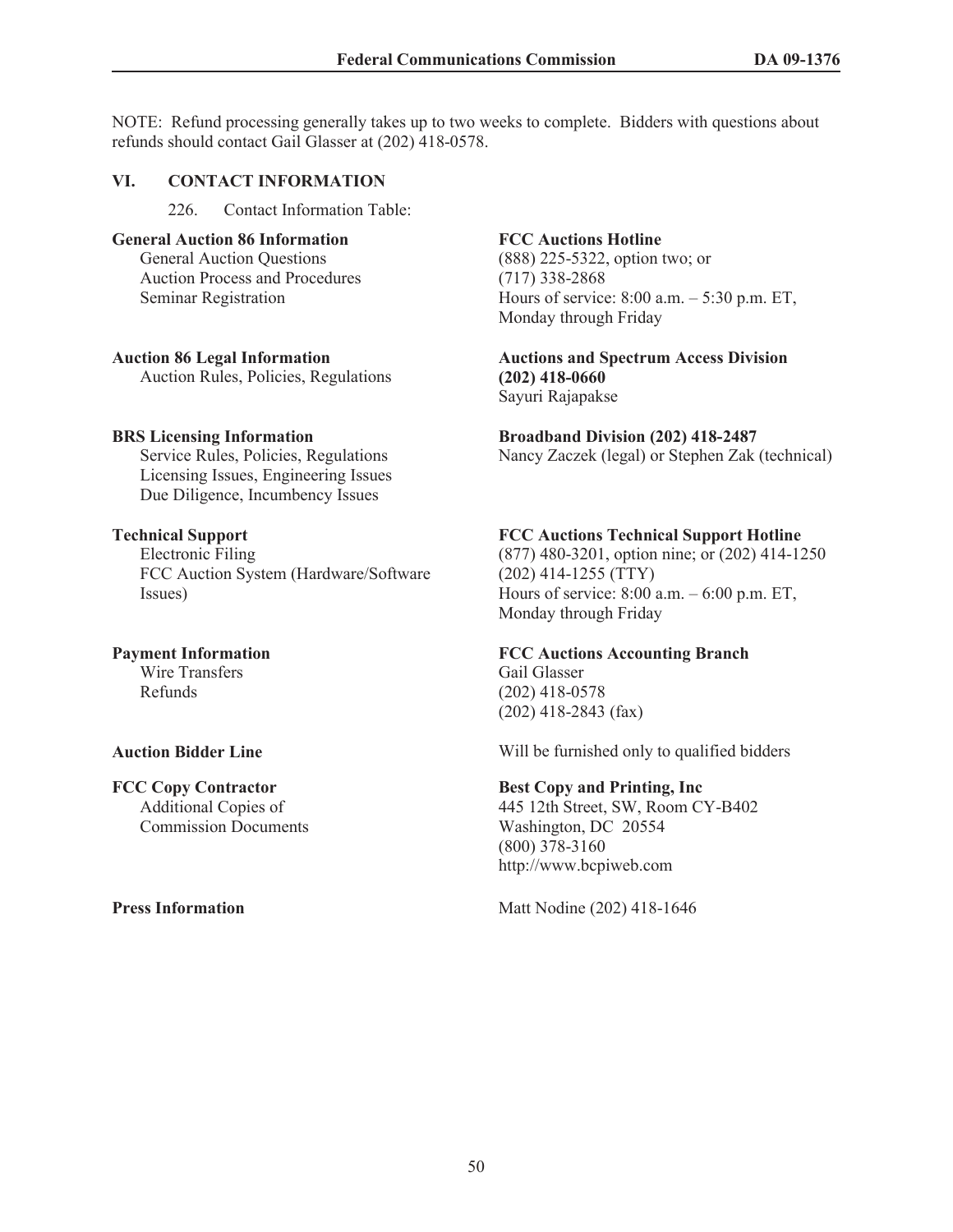NOTE: Refund processing generally takes up to two weeks to complete. Bidders with questions about refunds should contact Gail Glasser at (202) 418-0578.

#### **VI. CONTACT INFORMATION**

226. Contact Information Table:

### **General Auction 86 Information**

General Auction Questions Auction Process and Procedures Seminar Registration

#### **Auction 86 Legal Information**

Auction Rules, Policies, Regulations

### **BRS Licensing Information**

Service Rules, Policies, Regulations Licensing Issues, Engineering Issues Due Diligence, Incumbency Issues

### **Technical Support**

Electronic Filing FCC Auction System (Hardware/Software Issues)

# **Payment Information**

Wire Transfers Refunds

#### **FCC Copy Contractor**

Additional Copies of Commission Documents

### **FCC Auctions Hotline**

(888) 225-5322, option two; or (717) 338-2868 Hours of service: 8:00 a.m. – 5:30 p.m. ET, Monday through Friday

#### **Auctions and Spectrum Access Division (202) 418-0660** Sayuri Rajapakse

# **Broadband Division (202) 418-2487**

Nancy Zaczek (legal) or Stephen Zak (technical)

### **FCC Auctions Technical Support Hotline**

(877) 480-3201, option nine; or (202) 414-1250 (202) 414-1255 (TTY) Hours of service: 8:00 a.m. – 6:00 p.m. ET, Monday through Friday

#### **FCC Auctions Accounting Branch**

Gail Glasser (202) 418-0578 (202) 418-2843 (fax)

**Auction Bidder Line Will be furnished only to qualified bidders** 

#### **Best Copy and Printing, Inc**

445 12th Street, SW, Room CY-B402 Washington, DC 20554 (800) 378-3160 http://www.bcpiweb.com

**Press Information** Matt Nodine (202) 418-1646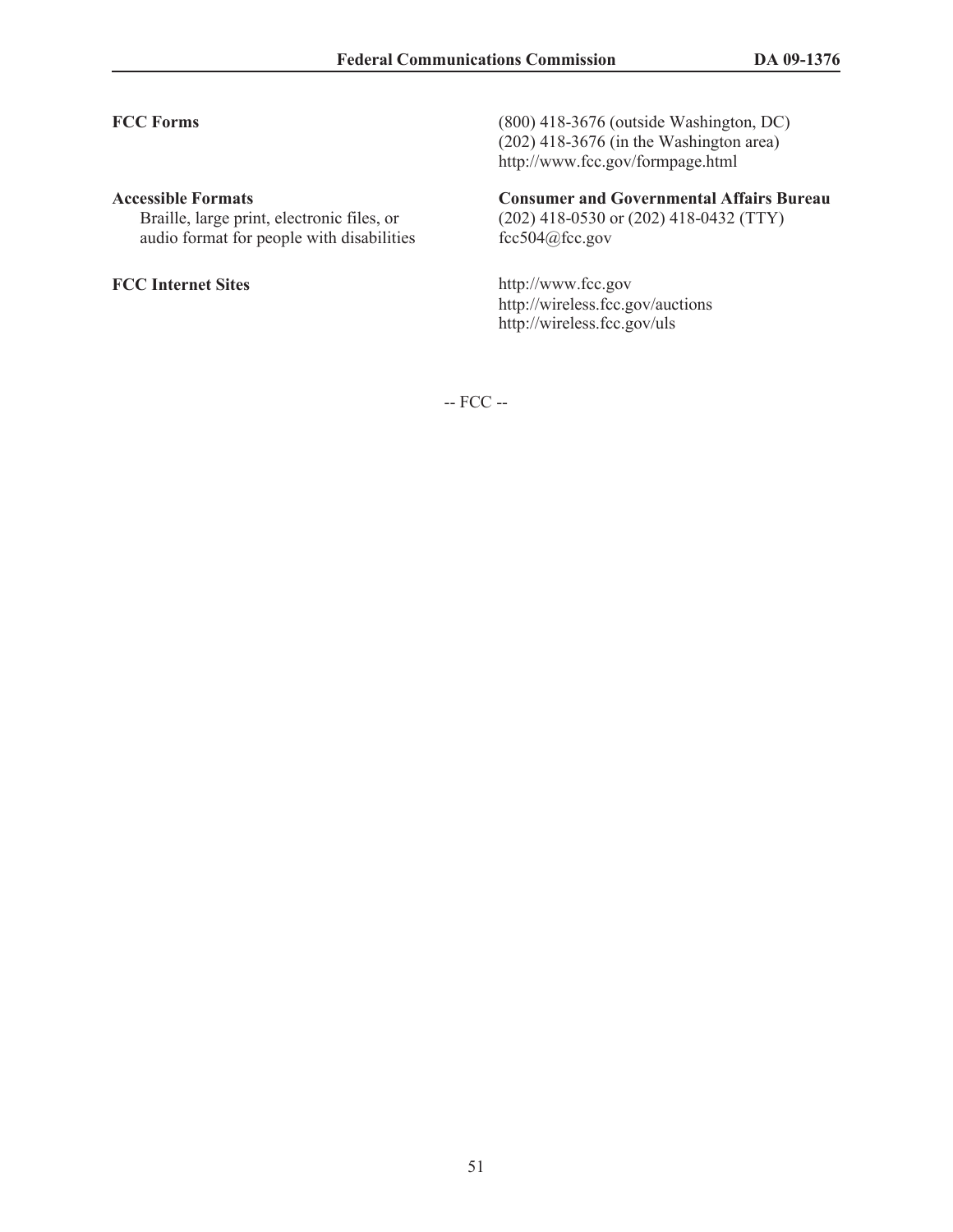#### **Accessible Formats**

Braille, large print, electronic files, or audio format for people with disabilities

**FCC Forms** (800) 418-3676 (outside Washington, DC) (202) 418-3676 (in the Washington area) http://www.fcc.gov/formpage.html

# **Consumer and Governmental Affairs Bureau**

(202) 418-0530 or (202) 418-0432 (TTY) fcc504@fcc.gov

**FCC Internet Sites** http://www.fcc.gov http://wireless.fcc.gov/auctions http://wireless.fcc.gov/uls

-- FCC --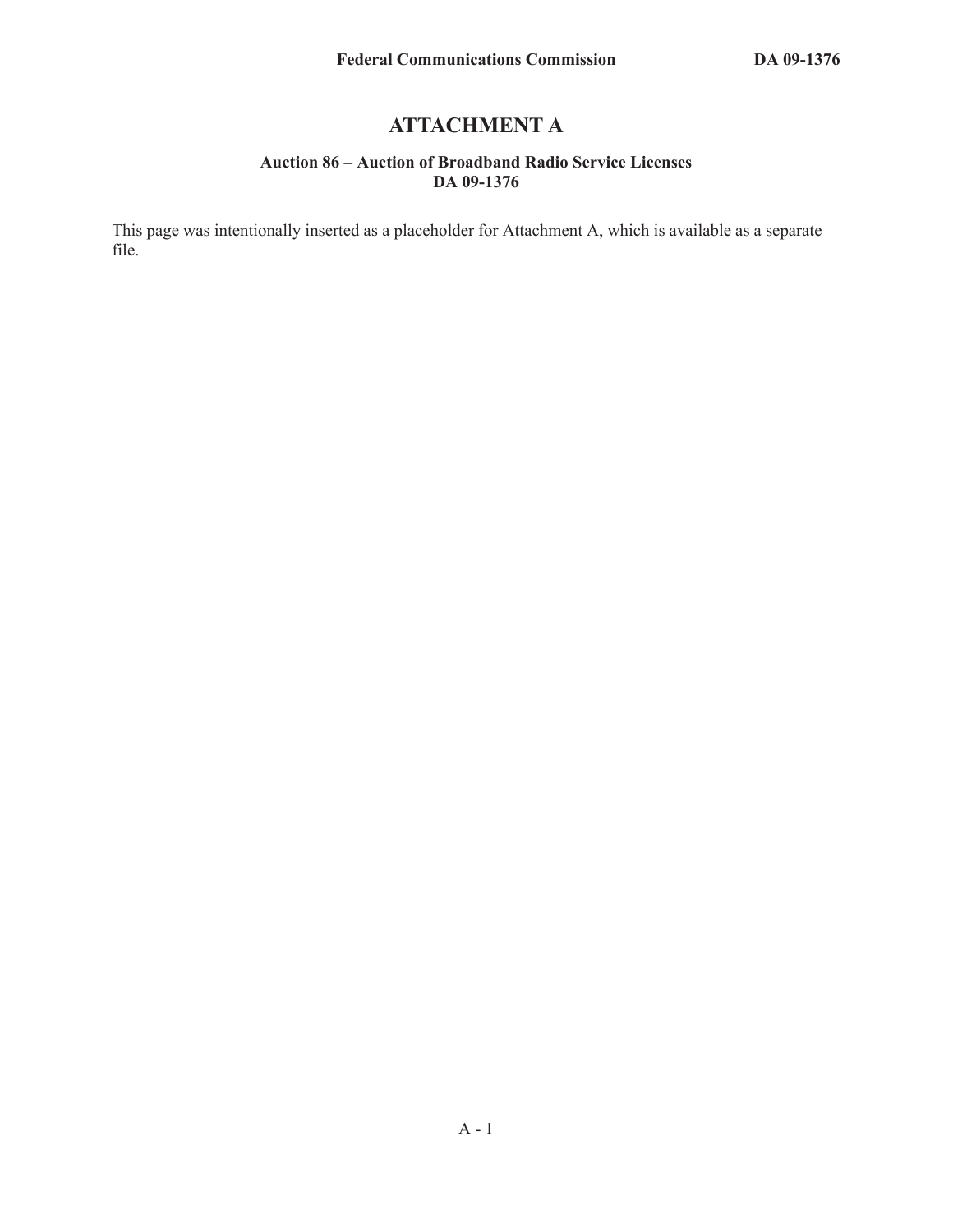# **ATTACHMENT A**

#### **Auction 86 – Auction of Broadband Radio Service Licenses DA 09-1376**

This page was intentionally inserted as a placeholder for Attachment A, which is available as a separate file.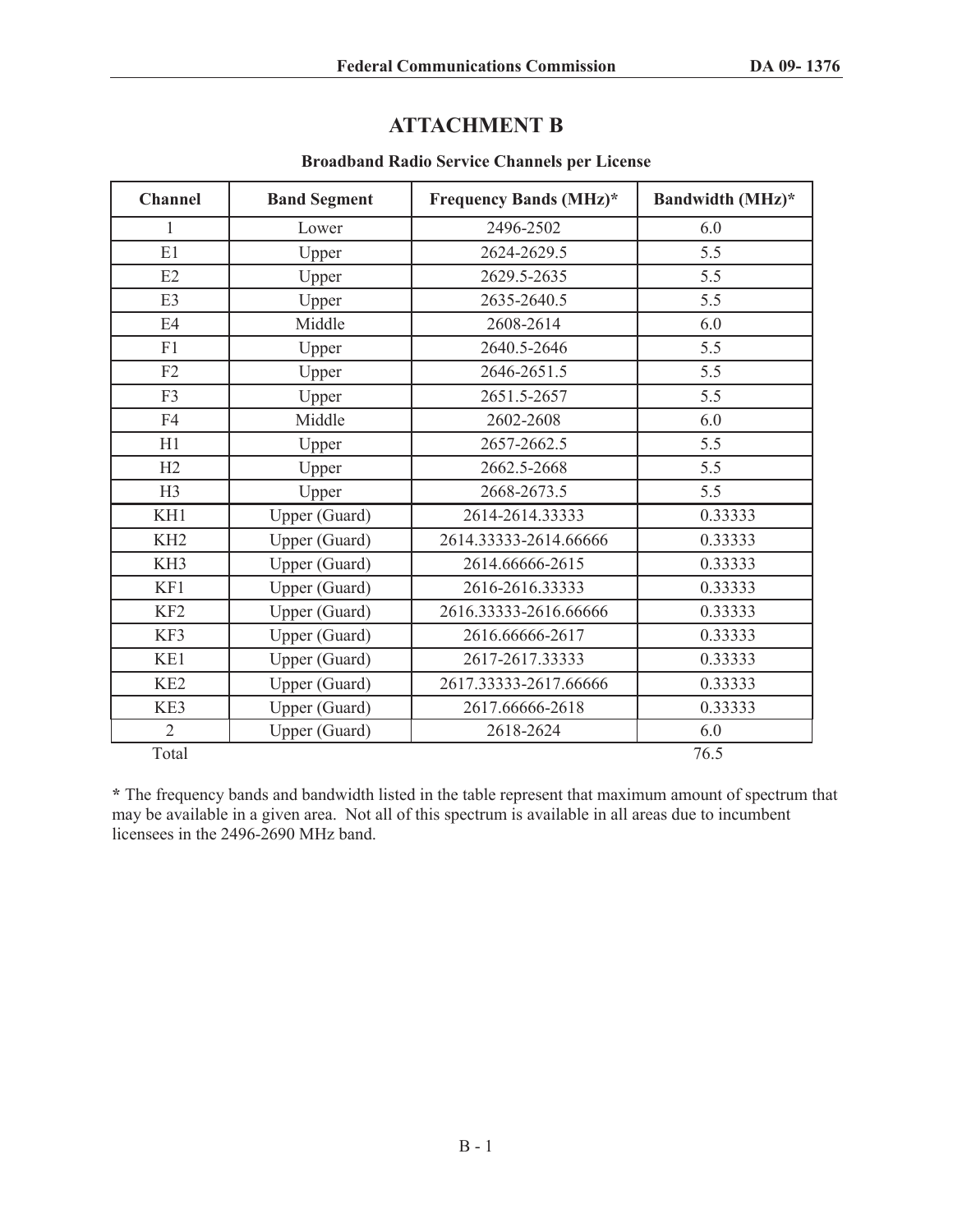# **ATTACHMENT B**

### **Broadband Radio Service Channels per License**

| <b>Channel</b>  | <b>Band Segment</b> | <b>Frequency Bands (MHz)*</b> | Bandwidth (MHz)* |
|-----------------|---------------------|-------------------------------|------------------|
| 1               | Lower               | 2496-2502                     | 6.0              |
| E1              | Upper               | 2624-2629.5                   | 5.5              |
| E2              | Upper               | 2629.5-2635                   | 5.5              |
| E3              | Upper               | 2635-2640.5                   | 5.5              |
| E4              | Middle              | 2608-2614                     | 6.0              |
| F1              | Upper               | 2640.5-2646                   | 5.5              |
| F2              | Upper               | 2646-2651.5                   | 5.5              |
| F3              | Upper               | 2651.5-2657                   | 5.5              |
| F4              | Middle              | 2602-2608                     | 6.0              |
| H1              | Upper               | 2657-2662.5                   | 5.5              |
| H2              | Upper               | 2662.5-2668                   | 5.5              |
| H3              | Upper               | 2668-2673.5                   | 5.5              |
| KH1             | Upper (Guard)       | 2614-2614.33333               | 0.33333          |
| KH <sub>2</sub> | Upper (Guard)       | 2614.33333-2614.66666         | 0.33333          |
| KH <sub>3</sub> | Upper (Guard)       | 2614.66666-2615               | 0.33333          |
| KF1             | Upper (Guard)       | 2616-2616.33333               | 0.33333          |
| KF <sub>2</sub> | Upper (Guard)       | 2616.33333-2616.66666         | 0.33333          |
| KF3             | Upper (Guard)       | 2616.66666-2617               | 0.33333          |
| KE1             | Upper (Guard)       | 2617-2617.33333               | 0.33333          |
| KE <sub>2</sub> | Upper (Guard)       | 2617.33333-2617.66666         | 0.33333          |
| KE3             | Upper (Guard)       | 2617.66666-2618               | 0.33333          |
| $\overline{2}$  | Upper (Guard)       | 2618-2624                     | 6.0              |
| Total           |                     |                               | 76.5             |

**\*** The frequency bands and bandwidth listed in the table represent that maximum amount of spectrum that may be available in a given area. Not all of this spectrum is available in all areas due to incumbent licensees in the 2496-2690 MHz band.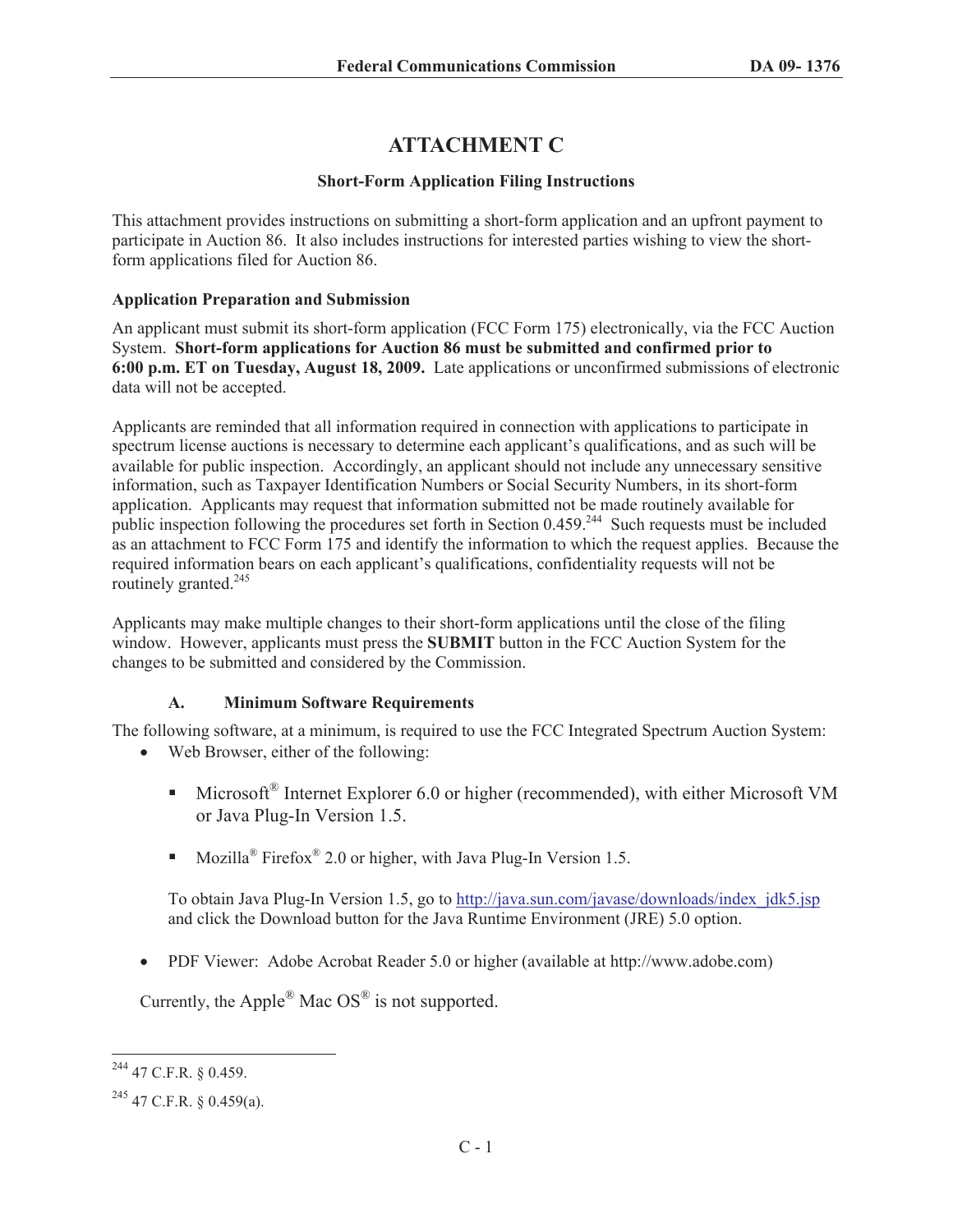# **ATTACHMENT C**

# **Short-Form Application Filing Instructions**

This attachment provides instructions on submitting a short-form application and an upfront payment to participate in Auction 86. It also includes instructions for interested parties wishing to view the shortform applications filed for Auction 86.

## **Application Preparation and Submission**

An applicant must submit its short-form application (FCC Form 175) electronically, via the FCC Auction System. **Short-form applications for Auction 86 must be submitted and confirmed prior to 6:00 p.m. ET on Tuesday, August 18, 2009.** Late applications or unconfirmed submissions of electronic data will not be accepted.

Applicants are reminded that all information required in connection with applications to participate in spectrum license auctions is necessary to determine each applicant's qualifications, and as such will be available for public inspection. Accordingly, an applicant should not include any unnecessary sensitive information, such as Taxpayer Identification Numbers or Social Security Numbers, in its short-form application. Applicants may request that information submitted not be made routinely available for public inspection following the procedures set forth in Section 0.459.<sup>244</sup> Such requests must be included as an attachment to FCC Form 175 and identify the information to which the request applies. Because the required information bears on each applicant's qualifications, confidentiality requests will not be routinely granted.<sup>245</sup>

Applicants may make multiple changes to their short-form applications until the close of the filing window. However, applicants must press the **SUBMIT** button in the FCC Auction System for the changes to be submitted and considered by the Commission.

# **A. Minimum Software Requirements**

The following software, at a minimum, is required to use the FCC Integrated Spectrum Auction System:

- Web Browser, either of the following:
	- Microsoft<sup>®</sup> Internet Explorer 6.0 or higher (recommended), with either Microsoft VM or Java Plug-In Version 1.5.
	- Mozilla<sup>®</sup> Firefox<sup>®</sup> 2.0 or higher, with Java Plug-In Version 1.5.

To obtain Java Plug-In Version 1.5, go to http://java.sun.com/javase/downloads/index\_jdk5.jsp and click the Download button for the Java Runtime Environment (JRE) 5.0 option.

• PDF Viewer: Adobe Acrobat Reader 5.0 or higher (available at http://www.adobe.com)

Currently, the Apple<sup>®</sup> Mac  $OS^{\otimes}$  is not supported.

<sup>244</sup> 47 C.F.R. § 0.459.

 $^{245}$  47 C.F.R. § 0.459(a).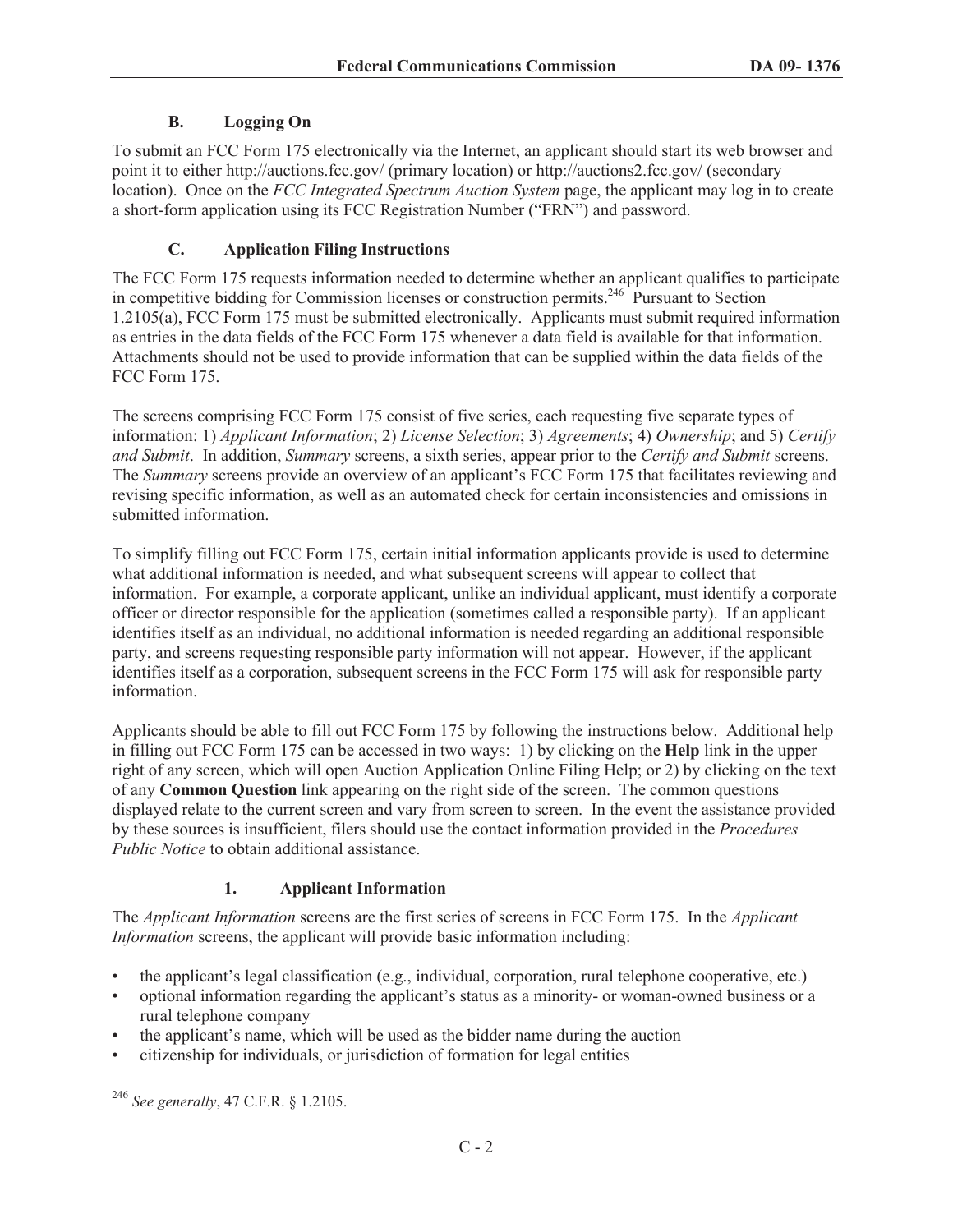# **B. Logging On**

To submit an FCC Form 175 electronically via the Internet, an applicant should start its web browser and point it to either http://auctions.fcc.gov/ (primary location) or http://auctions2.fcc.gov/ (secondary location). Once on the *FCC Integrated Spectrum Auction System* page, the applicant may log in to create a short-form application using its FCC Registration Number ("FRN") and password.

## **C. Application Filing Instructions**

The FCC Form 175 requests information needed to determine whether an applicant qualifies to participate in competitive bidding for Commission licenses or construction permits.<sup>246</sup> Pursuant to Section 1.2105(a), FCC Form 175 must be submitted electronically. Applicants must submit required information as entries in the data fields of the FCC Form 175 whenever a data field is available for that information. Attachments should not be used to provide information that can be supplied within the data fields of the FCC Form 175.

The screens comprising FCC Form 175 consist of five series, each requesting five separate types of information: 1) *Applicant Information*; 2) *License Selection*; 3) *Agreements*; 4) *Ownership*; and 5) *Certify and Submit*. In addition, *Summary* screens, a sixth series, appear prior to the *Certify and Submit* screens. The *Summary* screens provide an overview of an applicant's FCC Form 175 that facilitates reviewing and revising specific information, as well as an automated check for certain inconsistencies and omissions in submitted information.

To simplify filling out FCC Form 175, certain initial information applicants provide is used to determine what additional information is needed, and what subsequent screens will appear to collect that information. For example, a corporate applicant, unlike an individual applicant, must identify a corporate officer or director responsible for the application (sometimes called a responsible party). If an applicant identifies itself as an individual, no additional information is needed regarding an additional responsible party, and screens requesting responsible party information will not appear. However, if the applicant identifies itself as a corporation, subsequent screens in the FCC Form 175 will ask for responsible party information.

Applicants should be able to fill out FCC Form 175 by following the instructions below. Additional help in filling out FCC Form 175 can be accessed in two ways: 1) by clicking on the **Help** link in the upper right of any screen, which will open Auction Application Online Filing Help; or 2) by clicking on the text of any **Common Question** link appearing on the right side of the screen. The common questions displayed relate to the current screen and vary from screen to screen. In the event the assistance provided by these sources is insufficient, filers should use the contact information provided in the *Procedures Public Notice* to obtain additional assistance.

# **1. Applicant Information**

The *Applicant Information* screens are the first series of screens in FCC Form 175. In the *Applicant Information* screens, the applicant will provide basic information including:

- the applicant's legal classification (e.g., individual, corporation, rural telephone cooperative, etc.)
- optional information regarding the applicant's status as a minority- or woman-owned business or a rural telephone company
- the applicant's name, which will be used as the bidder name during the auction
- citizenship for individuals, or jurisdiction of formation for legal entities

<sup>246</sup> *See generally*, 47 C.F.R. § 1.2105.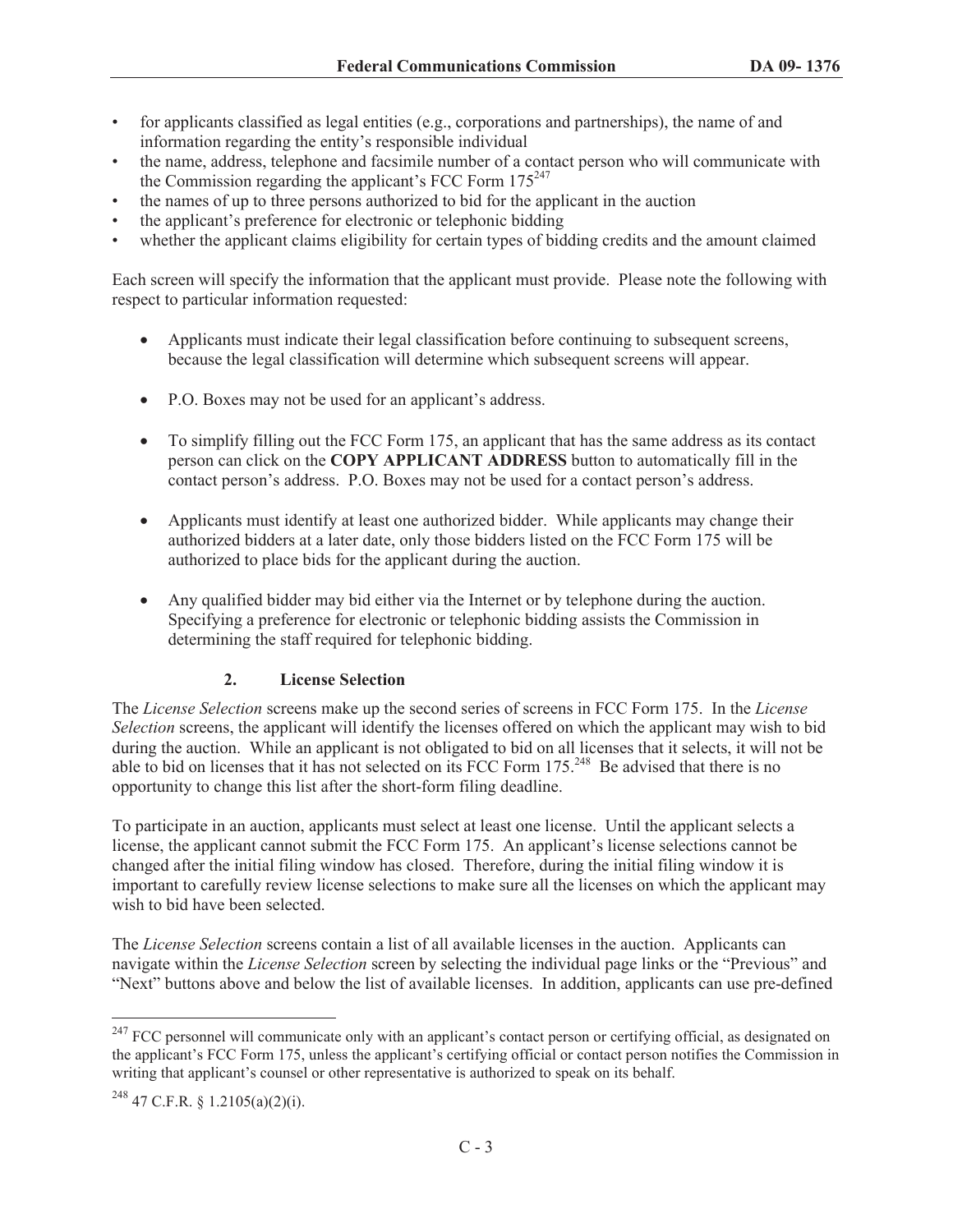- for applicants classified as legal entities (e.g., corporations and partnerships), the name of and information regarding the entity's responsible individual
- the name, address, telephone and facsimile number of a contact person who will communicate with the Commission regarding the applicant's FCC Form  $175^{247}$
- the names of up to three persons authorized to bid for the applicant in the auction
- the applicant's preference for electronic or telephonic bidding
- whether the applicant claims eligibility for certain types of bidding credits and the amount claimed

Each screen will specify the information that the applicant must provide. Please note the following with respect to particular information requested:

- · Applicants must indicate their legal classification before continuing to subsequent screens, because the legal classification will determine which subsequent screens will appear.
- · P.O. Boxes may not be used for an applicant's address.
- To simplify filling out the FCC Form 175, an applicant that has the same address as its contact person can click on the **COPY APPLICANT ADDRESS** button to automatically fill in the contact person's address. P.O. Boxes may not be used for a contact person's address.
- Applicants must identify at least one authorized bidder. While applicants may change their authorized bidders at a later date, only those bidders listed on the FCC Form 175 will be authorized to place bids for the applicant during the auction.
- · Any qualified bidder may bid either via the Internet or by telephone during the auction. Specifying a preference for electronic or telephonic bidding assists the Commission in determining the staff required for telephonic bidding.

#### **2. License Selection**

The *License Selection* screens make up the second series of screens in FCC Form 175. In the *License Selection* screens, the applicant will identify the licenses offered on which the applicant may wish to bid during the auction. While an applicant is not obligated to bid on all licenses that it selects, it will not be able to bid on licenses that it has not selected on its FCC Form  $175<sup>248</sup>$  Be advised that there is no opportunity to change this list after the short-form filing deadline.

To participate in an auction, applicants must select at least one license. Until the applicant selects a license, the applicant cannot submit the FCC Form 175. An applicant's license selections cannot be changed after the initial filing window has closed. Therefore, during the initial filing window it is important to carefully review license selections to make sure all the licenses on which the applicant may wish to bid have been selected.

The *License Selection* screens contain a list of all available licenses in the auction. Applicants can navigate within the *License Selection* screen by selecting the individual page links or the "Previous" and "Next" buttons above and below the list of available licenses. In addition, applicants can use pre-defined

<sup>&</sup>lt;sup>247</sup> FCC personnel will communicate only with an applicant's contact person or certifying official, as designated on the applicant's FCC Form 175, unless the applicant's certifying official or contact person notifies the Commission in writing that applicant's counsel or other representative is authorized to speak on its behalf.

 $^{248}$  47 C.F.R. § 1.2105(a)(2)(i).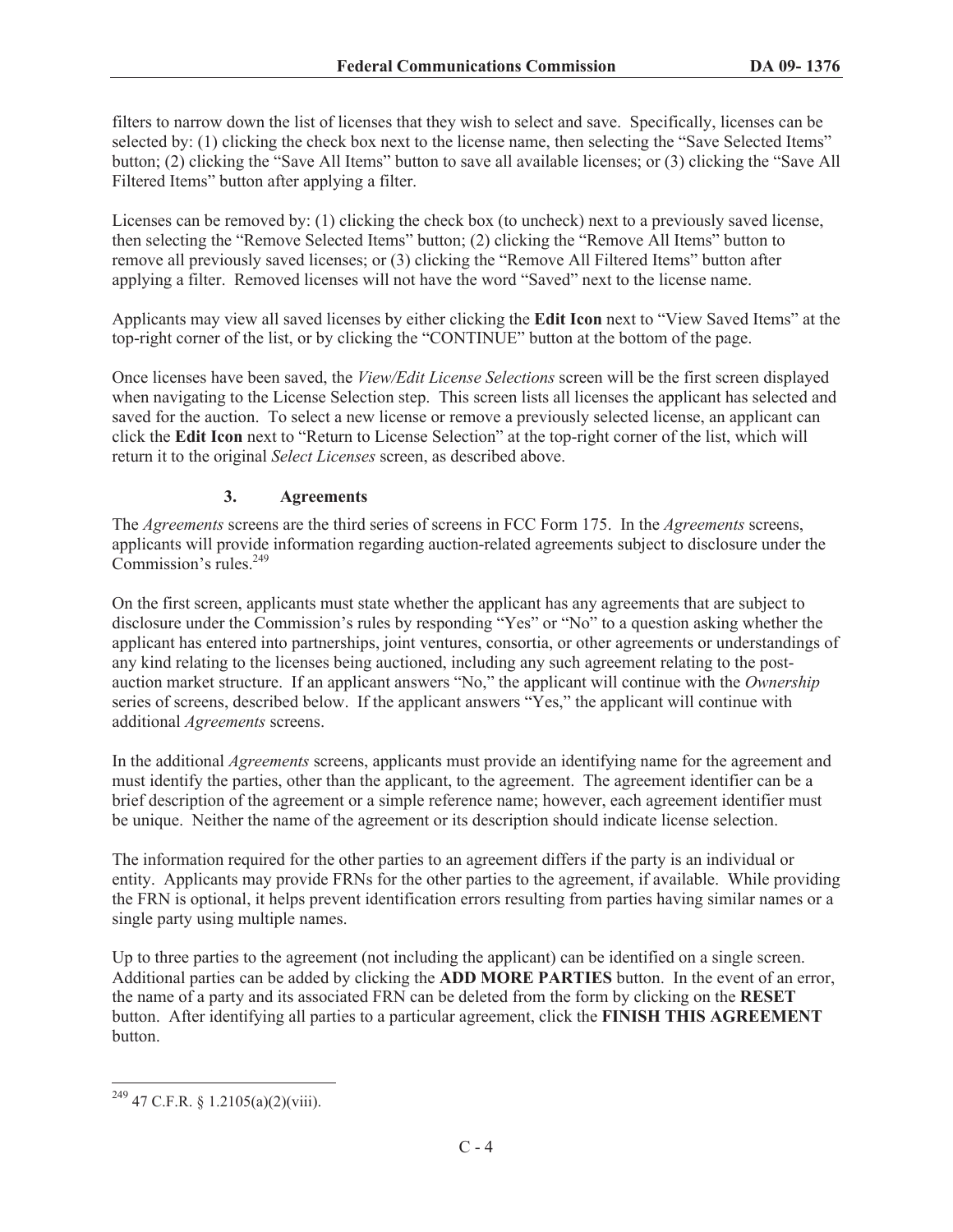filters to narrow down the list of licenses that they wish to select and save. Specifically, licenses can be selected by: (1) clicking the check box next to the license name, then selecting the "Save Selected Items" button; (2) clicking the "Save All Items" button to save all available licenses; or (3) clicking the "Save All Filtered Items" button after applying a filter.

Licenses can be removed by: (1) clicking the check box (to uncheck) next to a previously saved license, then selecting the "Remove Selected Items" button; (2) clicking the "Remove All Items" button to remove all previously saved licenses; or (3) clicking the "Remove All Filtered Items" button after applying a filter. Removed licenses will not have the word "Saved" next to the license name.

Applicants may view all saved licenses by either clicking the **Edit Icon** next to "View Saved Items" at the top-right corner of the list, or by clicking the "CONTINUE" button at the bottom of the page.

Once licenses have been saved, the *View/Edit License Selections* screen will be the first screen displayed when navigating to the License Selection step. This screen lists all licenses the applicant has selected and saved for the auction. To select a new license or remove a previously selected license, an applicant can click the **Edit Icon** next to "Return to License Selection" at the top-right corner of the list, which will return it to the original *Select Licenses* screen, as described above.

# **3. Agreements**

The *Agreements* screens are the third series of screens in FCC Form 175. In the *Agreements* screens, applicants will provide information regarding auction-related agreements subject to disclosure under the Commission's rules.<sup>249</sup>

On the first screen, applicants must state whether the applicant has any agreements that are subject to disclosure under the Commission's rules by responding "Yes" or "No" to a question asking whether the applicant has entered into partnerships, joint ventures, consortia, or other agreements or understandings of any kind relating to the licenses being auctioned, including any such agreement relating to the postauction market structure. If an applicant answers "No," the applicant will continue with the *Ownership* series of screens, described below. If the applicant answers "Yes," the applicant will continue with additional *Agreements* screens.

In the additional *Agreements* screens, applicants must provide an identifying name for the agreement and must identify the parties, other than the applicant, to the agreement. The agreement identifier can be a brief description of the agreement or a simple reference name; however, each agreement identifier must be unique. Neither the name of the agreement or its description should indicate license selection.

The information required for the other parties to an agreement differs if the party is an individual or entity. Applicants may provide FRNs for the other parties to the agreement, if available. While providing the FRN is optional, it helps prevent identification errors resulting from parties having similar names or a single party using multiple names.

Up to three parties to the agreement (not including the applicant) can be identified on a single screen. Additional parties can be added by clicking the **ADD MORE PARTIES** button. In the event of an error, the name of a party and its associated FRN can be deleted from the form by clicking on the **RESET** button. After identifying all parties to a particular agreement, click the **FINISH THIS AGREEMENT** button.

 $249$  47 C.F.R. § 1.2105(a)(2)(viii).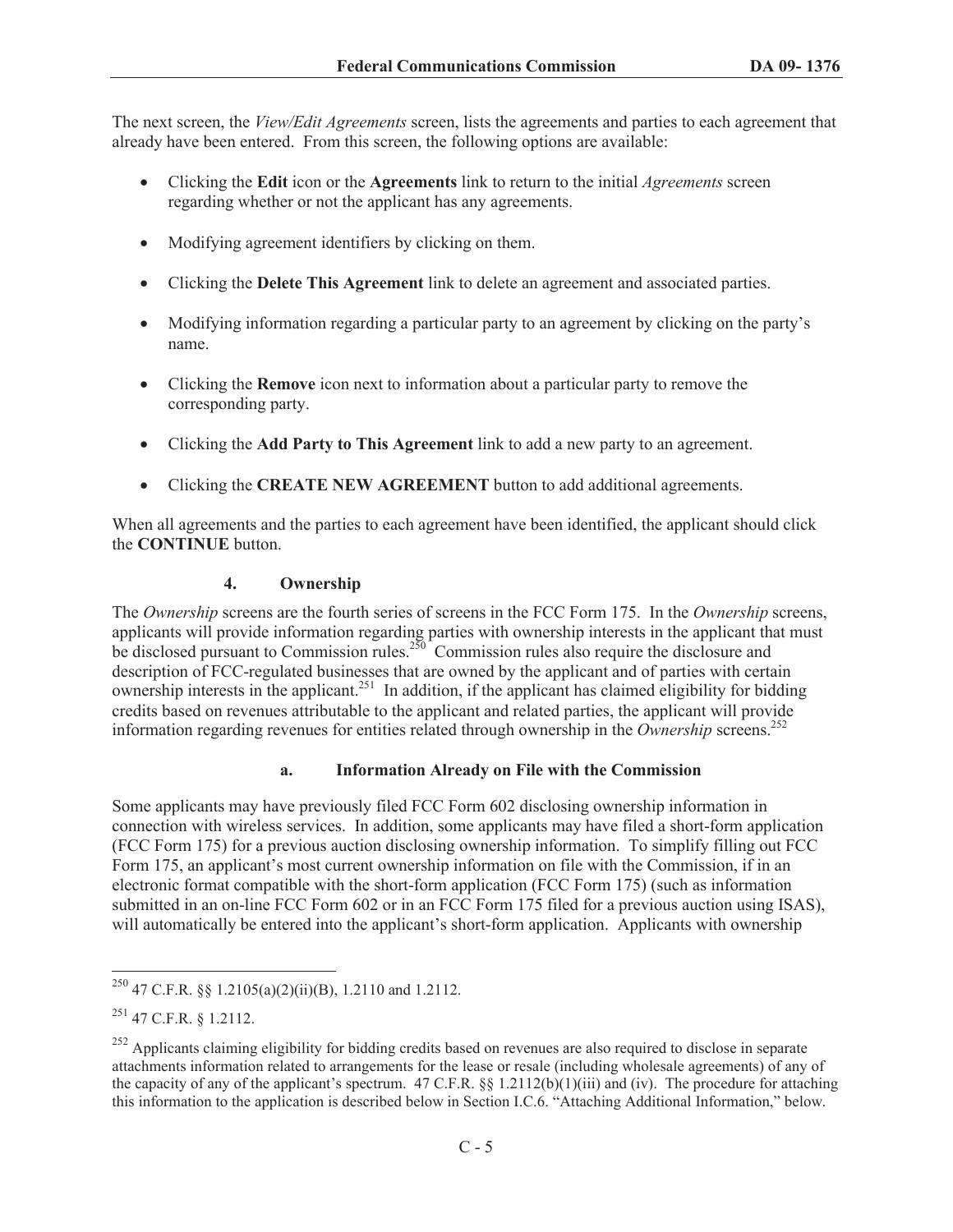The next screen, the *View/Edit Agreements* screen, lists the agreements and parties to each agreement that already have been entered. From this screen, the following options are available:

- · Clicking the **Edit** icon or the **Agreements** link to return to the initial *Agreements* screen regarding whether or not the applicant has any agreements.
- Modifying agreement identifiers by clicking on them.
- · Clicking the **Delete This Agreement** link to delete an agreement and associated parties.
- · Modifying information regarding a particular party to an agreement by clicking on the party's name.
- · Clicking the **Remove** icon next to information about a particular party to remove the corresponding party.
- · Clicking the **Add Party to This Agreement** link to add a new party to an agreement.
- · Clicking the **CREATE NEW AGREEMENT** button to add additional agreements.

When all agreements and the parties to each agreement have been identified, the applicant should click the **CONTINUE** button.

#### **4. Ownership**

The *Ownership* screens are the fourth series of screens in the FCC Form 175. In the *Ownership* screens, applicants will provide information regarding parties with ownership interests in the applicant that must be disclosed pursuant to Commission rules.<sup>250</sup> Commission rules also require the disclosure and description of FCC-regulated businesses that are owned by the applicant and of parties with certain ownership interests in the applicant.<sup>251</sup> In addition, if the applicant has claimed eligibility for bidding credits based on revenues attributable to the applicant and related parties, the applicant will provide information regarding revenues for entities related through ownership in the *Ownership* screens.<sup>252</sup>

#### **a. Information Already on File with the Commission**

Some applicants may have previously filed FCC Form 602 disclosing ownership information in connection with wireless services. In addition, some applicants may have filed a short-form application (FCC Form 175) for a previous auction disclosing ownership information. To simplify filling out FCC Form 175, an applicant's most current ownership information on file with the Commission, if in an electronic format compatible with the short-form application (FCC Form 175) (such as information submitted in an on-line FCC Form 602 or in an FCC Form 175 filed for a previous auction using ISAS), will automatically be entered into the applicant's short-form application. Applicants with ownership

<sup>&</sup>lt;sup>250</sup> 47 C.F.R. §§ 1.2105(a)(2)(ii)(B), 1.2110 and 1.2112.

 $^{251}$  47 C.F.R. § 1.2112.

<sup>&</sup>lt;sup>252</sup> Applicants claiming eligibility for bidding credits based on revenues are also required to disclose in separate attachments information related to arrangements for the lease or resale (including wholesale agreements) of any of the capacity of any of the applicant's spectrum. 47 C.F.R. §§ 1.2112(b)(1)(iii) and (iv). The procedure for attaching this information to the application is described below in Section I.C.6. "Attaching Additional Information," below.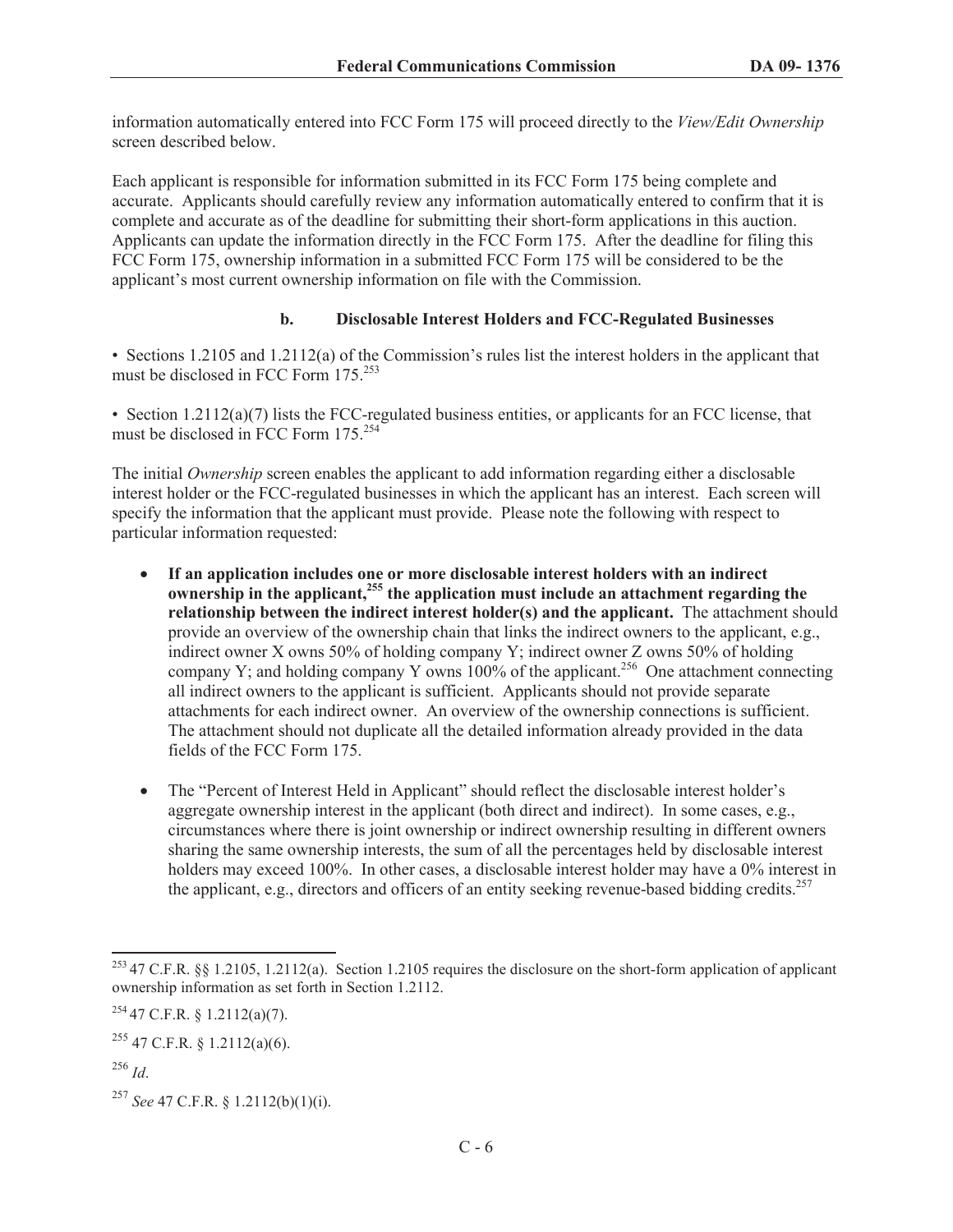information automatically entered into FCC Form 175 will proceed directly to the *View/Edit Ownership* screen described below.

Each applicant is responsible for information submitted in its FCC Form 175 being complete and accurate. Applicants should carefully review any information automatically entered to confirm that it is complete and accurate as of the deadline for submitting their short-form applications in this auction. Applicants can update the information directly in the FCC Form 175. After the deadline for filing this FCC Form 175, ownership information in a submitted FCC Form 175 will be considered to be the applicant's most current ownership information on file with the Commission.

### **b. Disclosable Interest Holders and FCC-Regulated Businesses**

• Sections 1.2105 and 1.2112(a) of the Commission's rules list the interest holders in the applicant that must be disclosed in FCC Form 175.<sup>253</sup>

• Section 1.2112(a)(7) lists the FCC-regulated business entities, or applicants for an FCC license, that must be disclosed in FCC Form  $175.<sup>254</sup>$ 

The initial *Ownership* screen enables the applicant to add information regarding either a disclosable interest holder or the FCC-regulated businesses in which the applicant has an interest. Each screen will specify the information that the applicant must provide. Please note the following with respect to particular information requested:

- · **If an application includes one or more disclosable interest holders with an indirect ownership in the applicant,<sup>255</sup> the application must include an attachment regarding the relationship between the indirect interest holder(s) and the applicant.** The attachment should provide an overview of the ownership chain that links the indirect owners to the applicant, e.g., indirect owner X owns 50% of holding company Y; indirect owner Z owns 50% of holding company Y; and holding company Y owns  $100\%$  of the applicant.<sup>256</sup> One attachment connecting all indirect owners to the applicant is sufficient. Applicants should not provide separate attachments for each indirect owner. An overview of the ownership connections is sufficient. The attachment should not duplicate all the detailed information already provided in the data fields of the FCC Form 175.
- The "Percent of Interest Held in Applicant" should reflect the disclosable interest holder's aggregate ownership interest in the applicant (both direct and indirect). In some cases, e.g., circumstances where there is joint ownership or indirect ownership resulting in different owners sharing the same ownership interests, the sum of all the percentages held by disclosable interest holders may exceed 100%. In other cases, a disclosable interest holder may have a 0% interest in the applicant, e.g., directors and officers of an entity seeking revenue-based bidding credits.<sup>257</sup>

<sup>253</sup> 47 C.F.R. §§ 1.2105, 1.2112(a). Section 1.2105 requires the disclosure on the short-form application of applicant ownership information as set forth in Section 1.2112.

 $254$  47 C.F.R. § 1.2112(a)(7).

 $^{255}$  47 C.F.R. § 1.2112(a)(6).

<sup>256</sup> *Id*.

<sup>257</sup> *See* 47 C.F.R. § 1.2112(b)(1)(i).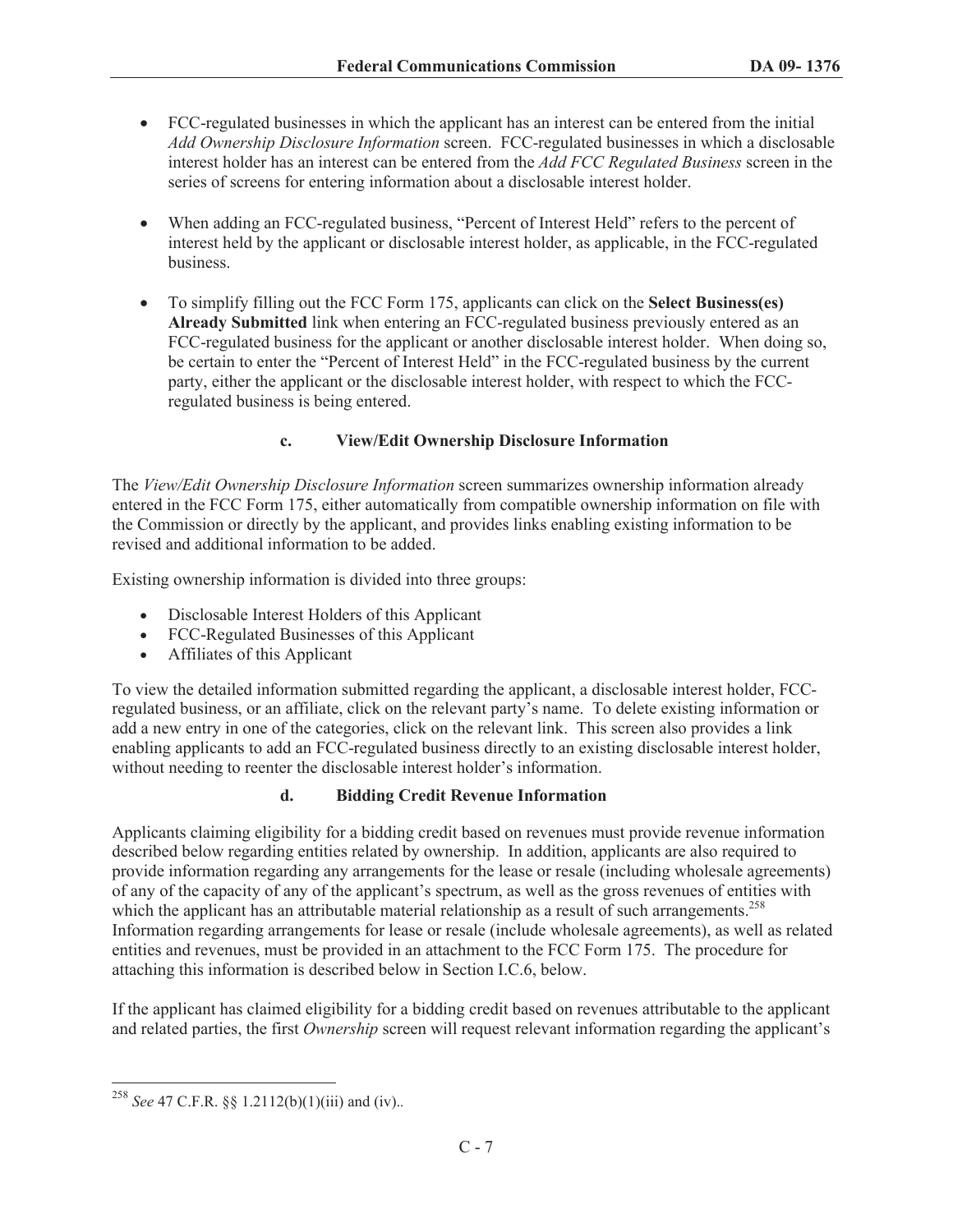- · FCC-regulated businesses in which the applicant has an interest can be entered from the initial *Add Ownership Disclosure Information* screen. FCC-regulated businesses in which a disclosable interest holder has an interest can be entered from the *Add FCC Regulated Business* screen in the series of screens for entering information about a disclosable interest holder.
- · When adding an FCC-regulated business, "Percent of Interest Held" refers to the percent of interest held by the applicant or disclosable interest holder, as applicable, in the FCC-regulated business.
- · To simplify filling out the FCC Form 175, applicants can click on the **Select Business(es) Already Submitted** link when entering an FCC-regulated business previously entered as an FCC-regulated business for the applicant or another disclosable interest holder. When doing so, be certain to enter the "Percent of Interest Held" in the FCC-regulated business by the current party, either the applicant or the disclosable interest holder, with respect to which the FCCregulated business is being entered.

# **c. View/Edit Ownership Disclosure Information**

The *View/Edit Ownership Disclosure Information* screen summarizes ownership information already entered in the FCC Form 175, either automatically from compatible ownership information on file with the Commission or directly by the applicant, and provides links enabling existing information to be revised and additional information to be added.

Existing ownership information is divided into three groups:

- · Disclosable Interest Holders of this Applicant
- · FCC-Regulated Businesses of this Applicant
- · Affiliates of this Applicant

To view the detailed information submitted regarding the applicant, a disclosable interest holder, FCCregulated business, or an affiliate, click on the relevant party's name. To delete existing information or add a new entry in one of the categories, click on the relevant link. This screen also provides a link enabling applicants to add an FCC-regulated business directly to an existing disclosable interest holder, without needing to reenter the disclosable interest holder's information.

#### **d. Bidding Credit Revenue Information**

Applicants claiming eligibility for a bidding credit based on revenues must provide revenue information described below regarding entities related by ownership. In addition, applicants are also required to provide information regarding any arrangements for the lease or resale (including wholesale agreements) of any of the capacity of any of the applicant's spectrum, as well as the gross revenues of entities with which the applicant has an attributable material relationship as a result of such arrangements.<sup>258</sup> Information regarding arrangements for lease or resale (include wholesale agreements), as well as related entities and revenues, must be provided in an attachment to the FCC Form 175. The procedure for attaching this information is described below in Section I.C.6, below.

If the applicant has claimed eligibility for a bidding credit based on revenues attributable to the applicant and related parties, the first *Ownership* screen will request relevant information regarding the applicant's

<sup>258</sup> *See* 47 C.F.R. §§ 1.2112(b)(1)(iii) and (iv).*.*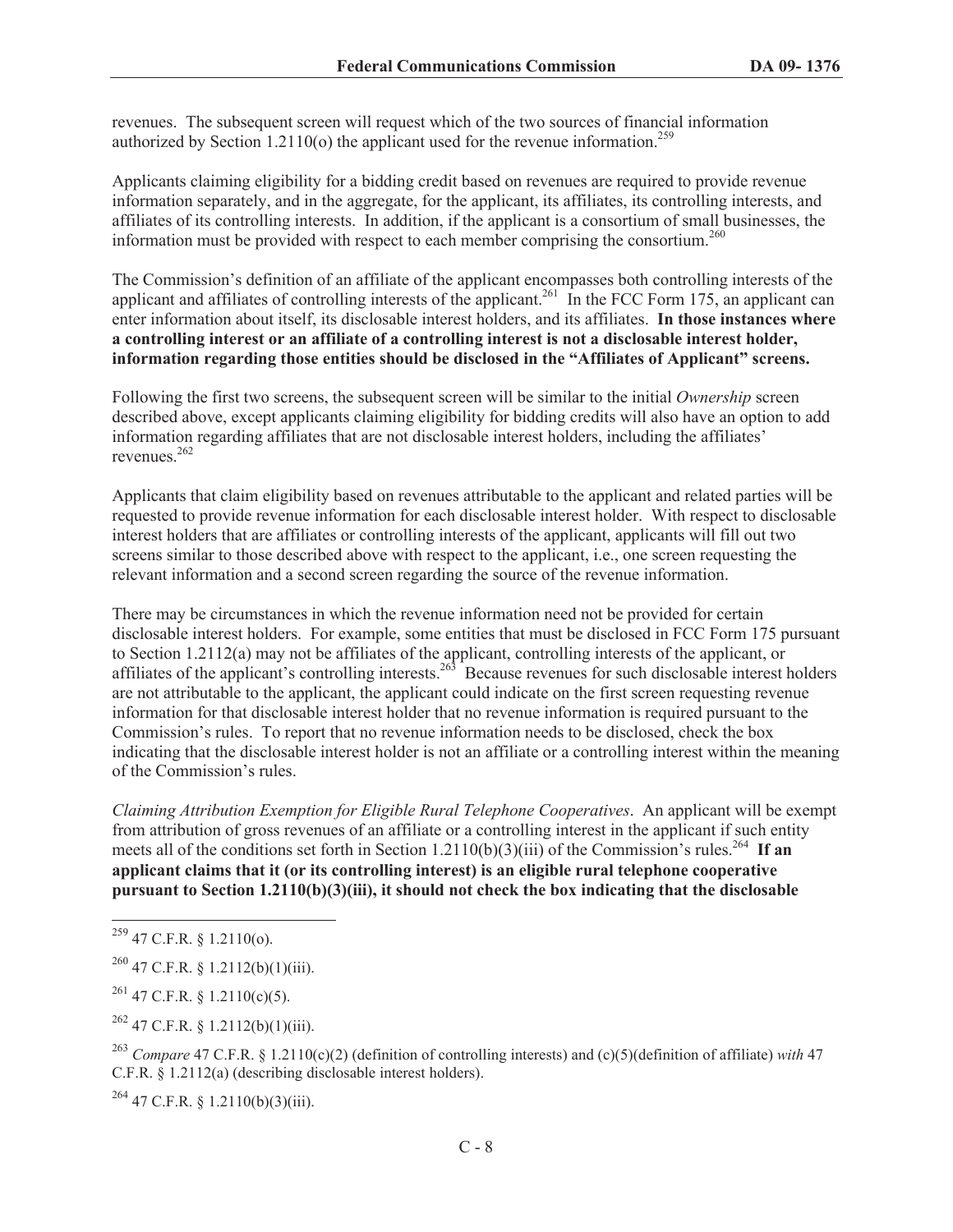revenues. The subsequent screen will request which of the two sources of financial information authorized by Section 1.2110(o) the applicant used for the revenue information.<sup>259</sup>

Applicants claiming eligibility for a bidding credit based on revenues are required to provide revenue information separately, and in the aggregate, for the applicant, its affiliates, its controlling interests, and affiliates of its controlling interests. In addition, if the applicant is a consortium of small businesses, the information must be provided with respect to each member comprising the consortium.<sup>260</sup>

The Commission's definition of an affiliate of the applicant encompasses both controlling interests of the applicant and affiliates of controlling interests of the applicant.<sup>261</sup> In the FCC Form 175, an applicant can enter information about itself, its disclosable interest holders, and its affiliates. **In those instances where a controlling interest or an affiliate of a controlling interest is not a disclosable interest holder, information regarding those entities should be disclosed in the "Affiliates of Applicant" screens.**

Following the first two screens, the subsequent screen will be similar to the initial *Ownership* screen described above, except applicants claiming eligibility for bidding credits will also have an option to add information regarding affiliates that are not disclosable interest holders, including the affiliates' revenues.<sup>262</sup>

Applicants that claim eligibility based on revenues attributable to the applicant and related parties will be requested to provide revenue information for each disclosable interest holder. With respect to disclosable interest holders that are affiliates or controlling interests of the applicant, applicants will fill out two screens similar to those described above with respect to the applicant, i.e., one screen requesting the relevant information and a second screen regarding the source of the revenue information.

There may be circumstances in which the revenue information need not be provided for certain disclosable interest holders. For example, some entities that must be disclosed in FCC Form 175 pursuant to Section 1.2112(a) may not be affiliates of the applicant, controlling interests of the applicant, or affiliates of the applicant's controlling interests.<sup>263</sup> Because revenues for such disclosable interest holders are not attributable to the applicant, the applicant could indicate on the first screen requesting revenue information for that disclosable interest holder that no revenue information is required pursuant to the Commission's rules. To report that no revenue information needs to be disclosed, check the box indicating that the disclosable interest holder is not an affiliate or a controlling interest within the meaning of the Commission's rules.

*Claiming Attribution Exemption for Eligible Rural Telephone Cooperatives*. An applicant will be exempt from attribution of gross revenues of an affiliate or a controlling interest in the applicant if such entity meets all of the conditions set forth in Section 1.2110(b)(3)(iii) of the Commission's rules.<sup>264</sup> If an **applicant claims that it (or its controlling interest) is an eligible rural telephone cooperative pursuant to Section 1.2110(b)(3)(iii), it should not check the box indicating that the disclosable** 

 $^{261}$  47 C.F.R. § 1.2110(c)(5).

 $262$  47 C.F.R. § 1.2112(b)(1)(iii).

<sup>263</sup> *Compare* 47 C.F.R. § 1.2110(c)(2) (definition of controlling interests) and (c)(5)(definition of affiliate) *with* 47 C.F.R. § 1.2112(a) (describing disclosable interest holders).

 $^{264}$  47 C.F.R. § 1.2110(b)(3)(iii).

<sup>259</sup> 47 C.F.R. § 1.2110(o).

 $^{260}$  47 C.F.R. § 1.2112(b)(1)(iii).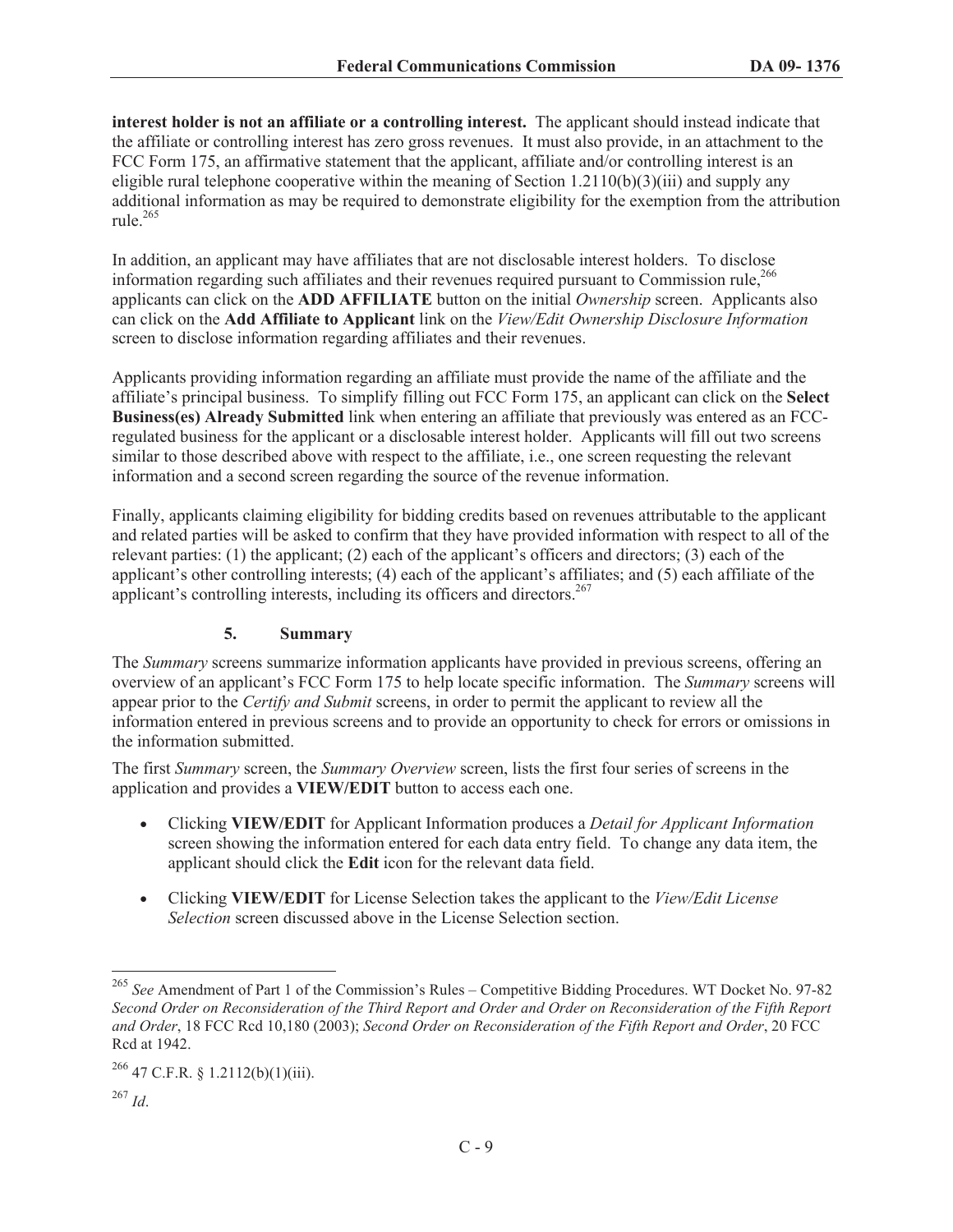**interest holder is not an affiliate or a controlling interest.** The applicant should instead indicate that the affiliate or controlling interest has zero gross revenues. It must also provide, in an attachment to the FCC Form 175, an affirmative statement that the applicant, affiliate and/or controlling interest is an eligible rural telephone cooperative within the meaning of Section 1.2110(b)(3)(iii) and supply any additional information as may be required to demonstrate eligibility for the exemption from the attribution rule.<sup>265</sup>

In addition, an applicant may have affiliates that are not disclosable interest holders. To disclose information regarding such affiliates and their revenues required pursuant to Commission rule,<sup>266</sup> applicants can click on the **ADD AFFILIATE** button on the initial *Ownership* screen. Applicants also can click on the **Add Affiliate to Applicant** link on the *View/Edit Ownership Disclosure Information* screen to disclose information regarding affiliates and their revenues.

Applicants providing information regarding an affiliate must provide the name of the affiliate and the affiliate's principal business. To simplify filling out FCC Form 175, an applicant can click on the **Select Business(es) Already Submitted** link when entering an affiliate that previously was entered as an FCCregulated business for the applicant or a disclosable interest holder. Applicants will fill out two screens similar to those described above with respect to the affiliate, i.e., one screen requesting the relevant information and a second screen regarding the source of the revenue information.

Finally, applicants claiming eligibility for bidding credits based on revenues attributable to the applicant and related parties will be asked to confirm that they have provided information with respect to all of the relevant parties: (1) the applicant; (2) each of the applicant's officers and directors; (3) each of the applicant's other controlling interests; (4) each of the applicant's affiliates; and (5) each affiliate of the applicant's controlling interests, including its officers and directors. $267$ 

# **5. Summary**

The *Summary* screens summarize information applicants have provided in previous screens, offering an overview of an applicant's FCC Form 175 to help locate specific information. The *Summary* screens will appear prior to the *Certify and Submit* screens, in order to permit the applicant to review all the information entered in previous screens and to provide an opportunity to check for errors or omissions in the information submitted.

The first *Summary* screen, the *Summary Overview* screen, lists the first four series of screens in the application and provides a **VIEW/EDIT** button to access each one.

- · Clicking **VIEW/EDIT** for Applicant Information produces a *Detail for Applicant Information* screen showing the information entered for each data entry field. To change any data item, the applicant should click the **Edit** icon for the relevant data field.
- · Clicking **VIEW/EDIT** for License Selection takes the applicant to the *View/Edit License Selection* screen discussed above in the License Selection section.

<sup>265</sup> *See* Amendment of Part 1 of the Commission's Rules – Competitive Bidding Procedures. WT Docket No. 97-82 *Second Order on Reconsideration of the Third Report and Order and Order on Reconsideration of the Fifth Report and Order*, 18 FCC Rcd 10,180 (2003); *Second Order on Reconsideration of the Fifth Report and Order*, 20 FCC Rcd at 1942.

 $266$  47 C.F.R. § 1.2112(b)(1)(iii).

<sup>267</sup> *Id*.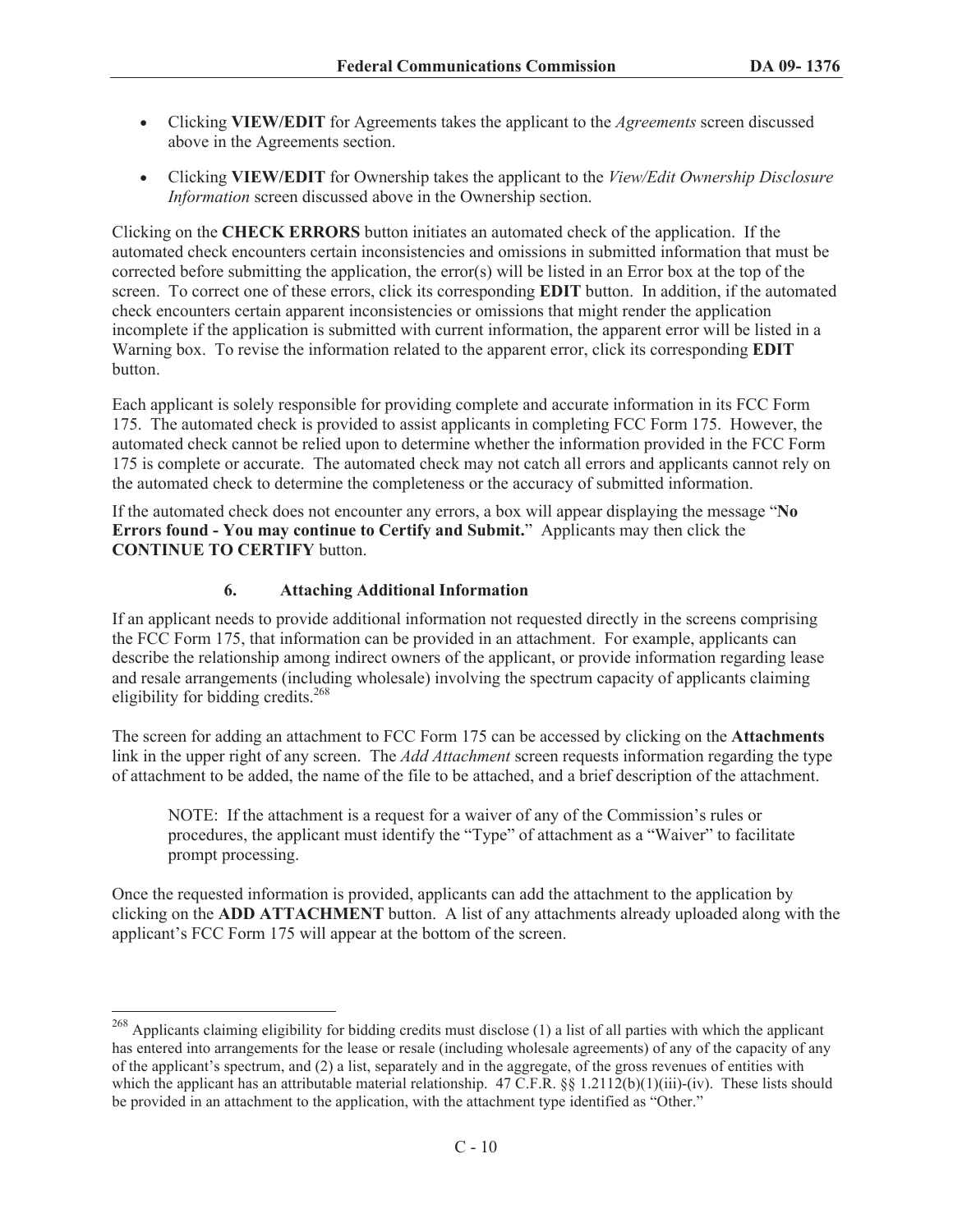- · Clicking **VIEW/EDIT** for Agreements takes the applicant to the *Agreements* screen discussed above in the Agreements section.
- · Clicking **VIEW/EDIT** for Ownership takes the applicant to the *View/Edit Ownership Disclosure Information* screen discussed above in the Ownership section.

Clicking on the **CHECK ERRORS** button initiates an automated check of the application. If the automated check encounters certain inconsistencies and omissions in submitted information that must be corrected before submitting the application, the error(s) will be listed in an Error box at the top of the screen. To correct one of these errors, click its corresponding **EDIT** button. In addition, if the automated check encounters certain apparent inconsistencies or omissions that might render the application incomplete if the application is submitted with current information, the apparent error will be listed in a Warning box. To revise the information related to the apparent error, click its corresponding **EDIT**  button.

Each applicant is solely responsible for providing complete and accurate information in its FCC Form 175. The automated check is provided to assist applicants in completing FCC Form 175. However, the automated check cannot be relied upon to determine whether the information provided in the FCC Form 175 is complete or accurate. The automated check may not catch all errors and applicants cannot rely on the automated check to determine the completeness or the accuracy of submitted information.

If the automated check does not encounter any errors, a box will appear displaying the message "**No Errors found - You may continue to Certify and Submit.**" Applicants may then click the **CONTINUE TO CERTIFY** button.

# **6. Attaching Additional Information**

If an applicant needs to provide additional information not requested directly in the screens comprising the FCC Form 175, that information can be provided in an attachment. For example, applicants can describe the relationship among indirect owners of the applicant, or provide information regarding lease and resale arrangements (including wholesale) involving the spectrum capacity of applicants claiming eligibility for bidding credits.<sup>268</sup>

The screen for adding an attachment to FCC Form 175 can be accessed by clicking on the **Attachments**  link in the upper right of any screen. The *Add Attachment* screen requests information regarding the type of attachment to be added, the name of the file to be attached, and a brief description of the attachment.

NOTE: If the attachment is a request for a waiver of any of the Commission's rules or procedures, the applicant must identify the "Type" of attachment as a "Waiver" to facilitate prompt processing.

Once the requested information is provided, applicants can add the attachment to the application by clicking on the **ADD ATTACHMENT** button. A list of any attachments already uploaded along with the applicant's FCC Form 175 will appear at the bottom of the screen.

<sup>&</sup>lt;sup>268</sup> Applicants claiming eligibility for bidding credits must disclose (1) a list of all parties with which the applicant has entered into arrangements for the lease or resale (including wholesale agreements) of any of the capacity of any of the applicant's spectrum, and (2) a list, separately and in the aggregate, of the gross revenues of entities with which the applicant has an attributable material relationship.  $47 \text{ C.F.R. }$  §§ 1.2112(b)(1)(iii)-(iv). These lists should be provided in an attachment to the application, with the attachment type identified as "Other."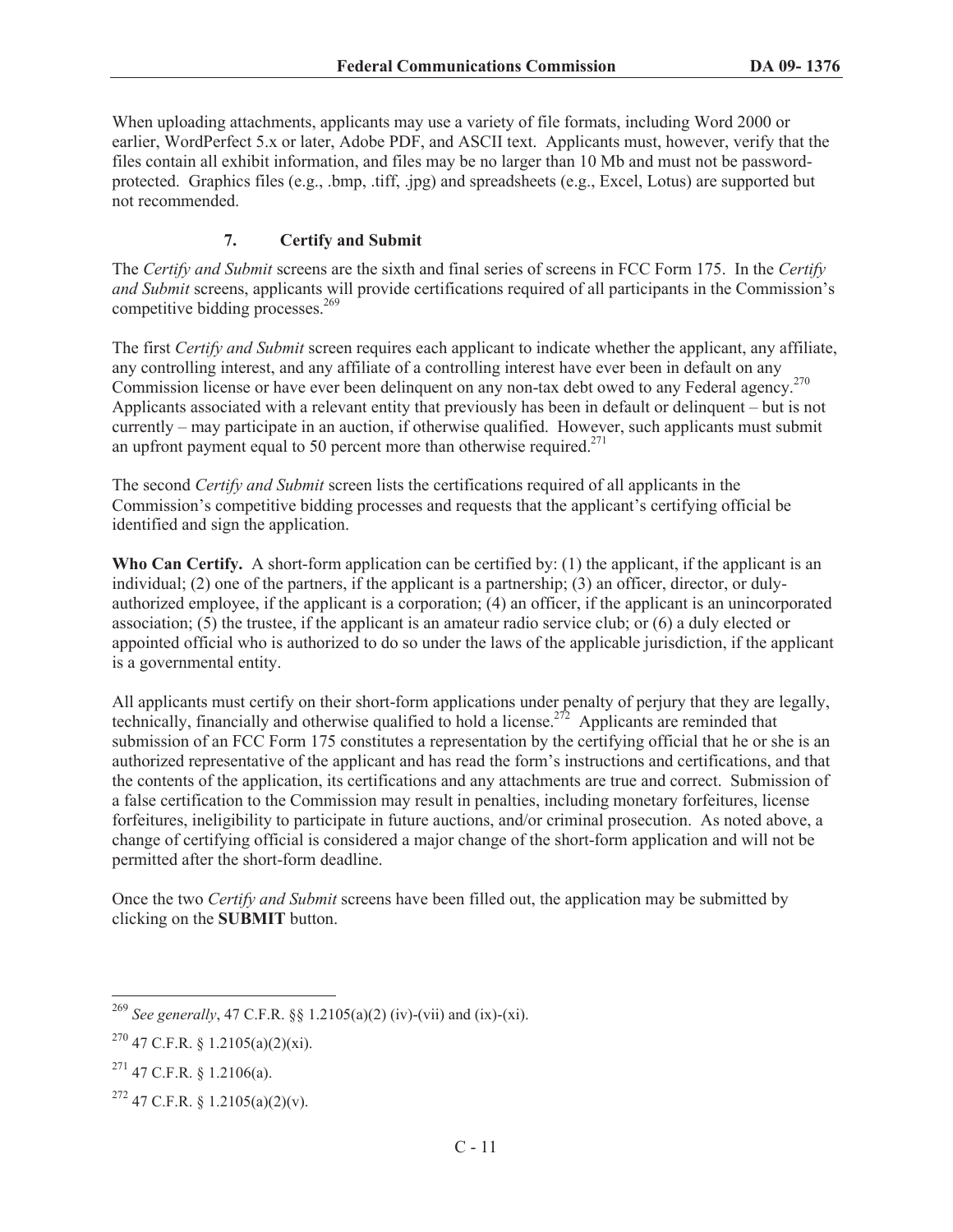When uploading attachments, applicants may use a variety of file formats, including Word 2000 or earlier, WordPerfect 5.x or later, Adobe PDF, and ASCII text. Applicants must, however, verify that the files contain all exhibit information, and files may be no larger than 10 Mb and must not be passwordprotected. Graphics files (e.g., .bmp, .tiff, .jpg) and spreadsheets (e.g., Excel, Lotus) are supported but not recommended.

# **7. Certify and Submit**

The *Certify and Submit* screens are the sixth and final series of screens in FCC Form 175. In the *Certify and Submit* screens, applicants will provide certifications required of all participants in the Commission's competitive bidding processes. $269$ 

The first *Certify and Submit* screen requires each applicant to indicate whether the applicant, any affiliate, any controlling interest, and any affiliate of a controlling interest have ever been in default on any Commission license or have ever been delinquent on any non-tax debt owed to any Federal agency.<sup>270</sup> Applicants associated with a relevant entity that previously has been in default or delinquent – but is not currently – may participate in an auction, if otherwise qualified. However, such applicants must submit an upfront payment equal to 50 percent more than otherwise required.<sup>271</sup>

The second *Certify and Submit* screen lists the certifications required of all applicants in the Commission's competitive bidding processes and requests that the applicant's certifying official be identified and sign the application.

Who Can Certify. A short-form application can be certified by: (1) the applicant, if the applicant is an individual; (2) one of the partners, if the applicant is a partnership; (3) an officer, director, or dulyauthorized employee, if the applicant is a corporation; (4) an officer, if the applicant is an unincorporated association; (5) the trustee, if the applicant is an amateur radio service club; or (6) a duly elected or appointed official who is authorized to do so under the laws of the applicable jurisdiction, if the applicant is a governmental entity.

All applicants must certify on their short-form applications under penalty of perjury that they are legally, technically, financially and otherwise qualified to hold a license.<sup>272</sup> Applicants are reminded that submission of an FCC Form 175 constitutes a representation by the certifying official that he or she is an authorized representative of the applicant and has read the form's instructions and certifications, and that the contents of the application, its certifications and any attachments are true and correct. Submission of a false certification to the Commission may result in penalties, including monetary forfeitures, license forfeitures, ineligibility to participate in future auctions, and/or criminal prosecution. As noted above, a change of certifying official is considered a major change of the short-form application and will not be permitted after the short-form deadline.

Once the two *Certify and Submit* screens have been filled out, the application may be submitted by clicking on the **SUBMIT** button.

<sup>269</sup> *See generally*, 47 C.F.R. §§ 1.2105(a)(2) (iv)-(vii) and (ix)-(xi).

 $^{270}$  47 C.F.R. § 1.2105(a)(2)(xi).

 $^{271}$  47 C.F.R. § 1.2106(a).

 $272$  47 C.F.R. § 1.2105(a)(2)(v).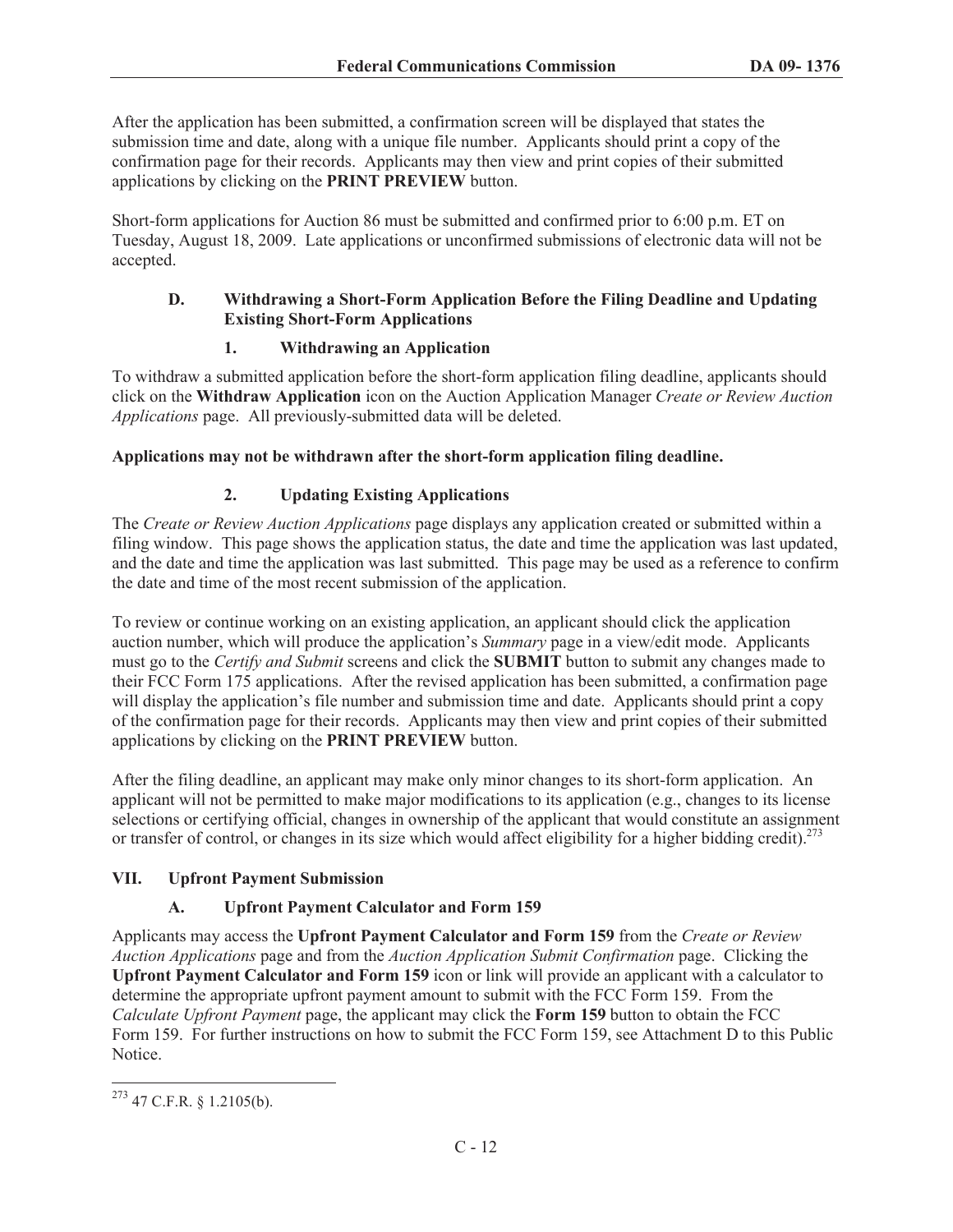After the application has been submitted, a confirmation screen will be displayed that states the submission time and date, along with a unique file number. Applicants should print a copy of the confirmation page for their records. Applicants may then view and print copies of their submitted applications by clicking on the **PRINT PREVIEW** button.

Short-form applications for Auction 86 must be submitted and confirmed prior to 6:00 p.m. ET on Tuesday, August 18, 2009. Late applications or unconfirmed submissions of electronic data will not be accepted.

## **D. Withdrawing a Short-Form Application Before the Filing Deadline and Updating Existing Short-Form Applications**

# **1. Withdrawing an Application**

To withdraw a submitted application before the short-form application filing deadline, applicants should click on the **Withdraw Application** icon on the Auction Application Manager *Create or Review Auction Applications* page. All previously-submitted data will be deleted.

# **Applications may not be withdrawn after the short-form application filing deadline.**

# **2. Updating Existing Applications**

The *Create or Review Auction Applications* page displays any application created or submitted within a filing window. This page shows the application status, the date and time the application was last updated, and the date and time the application was last submitted. This page may be used as a reference to confirm the date and time of the most recent submission of the application.

To review or continue working on an existing application, an applicant should click the application auction number, which will produce the application's *Summary* page in a view/edit mode. Applicants must go to the *Certify and Submit* screens and click the **SUBMIT** button to submit any changes made to their FCC Form 175 applications. After the revised application has been submitted, a confirmation page will display the application's file number and submission time and date. Applicants should print a copy of the confirmation page for their records. Applicants may then view and print copies of their submitted applications by clicking on the **PRINT PREVIEW** button.

After the filing deadline, an applicant may make only minor changes to its short-form application. An applicant will not be permitted to make major modifications to its application (e.g., changes to its license selections or certifying official, changes in ownership of the applicant that would constitute an assignment or transfer of control, or changes in its size which would affect eligibility for a higher bidding credit).<sup>273</sup>

# **VII. Upfront Payment Submission**

# **A. Upfront Payment Calculator and Form 159**

Applicants may access the **Upfront Payment Calculator and Form 159** from the *Create or Review Auction Applications* page and from the *Auction Application Submit Confirmation* page. Clicking the **Upfront Payment Calculator and Form 159** icon or link will provide an applicant with a calculator to determine the appropriate upfront payment amount to submit with the FCC Form 159. From the *Calculate Upfront Payment* page, the applicant may click the **Form 159** button to obtain the FCC Form 159. For further instructions on how to submit the FCC Form 159, see Attachment D to this Public Notice.

 $273$  47 C.F.R. § 1.2105(b).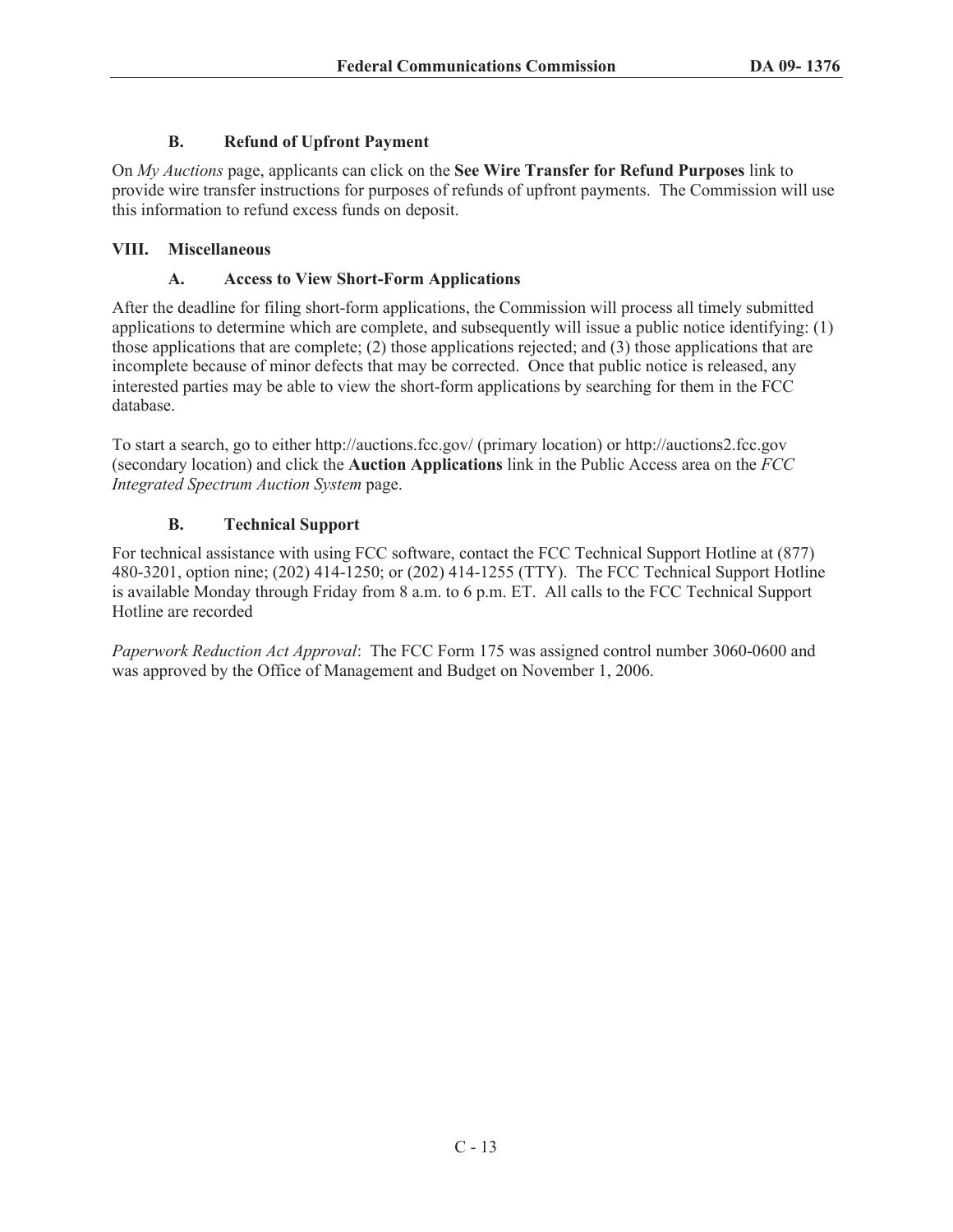# **B. Refund of Upfront Payment**

On *My Auctions* page, applicants can click on the **See Wire Transfer for Refund Purposes** link to provide wire transfer instructions for purposes of refunds of upfront payments. The Commission will use this information to refund excess funds on deposit.

# **VIII. Miscellaneous**

# **A. Access to View Short-Form Applications**

After the deadline for filing short-form applications, the Commission will process all timely submitted applications to determine which are complete, and subsequently will issue a public notice identifying: (1) those applications that are complete; (2) those applications rejected; and (3) those applications that are incomplete because of minor defects that may be corrected. Once that public notice is released, any interested parties may be able to view the short-form applications by searching for them in the FCC database.

To start a search, go to either http://auctions.fcc.gov/ (primary location) or http://auctions2.fcc.gov (secondary location) and click the **Auction Applications** link in the Public Access area on the *FCC Integrated Spectrum Auction System* page.

# **B. Technical Support**

For technical assistance with using FCC software, contact the FCC Technical Support Hotline at (877) 480-3201, option nine; (202) 414-1250; or (202) 414-1255 (TTY). The FCC Technical Support Hotline is available Monday through Friday from 8 a.m. to 6 p.m. ET. All calls to the FCC Technical Support Hotline are recorded

*Paperwork Reduction Act Approval*: The FCC Form 175 was assigned control number 3060-0600 and was approved by the Office of Management and Budget on November 1, 2006.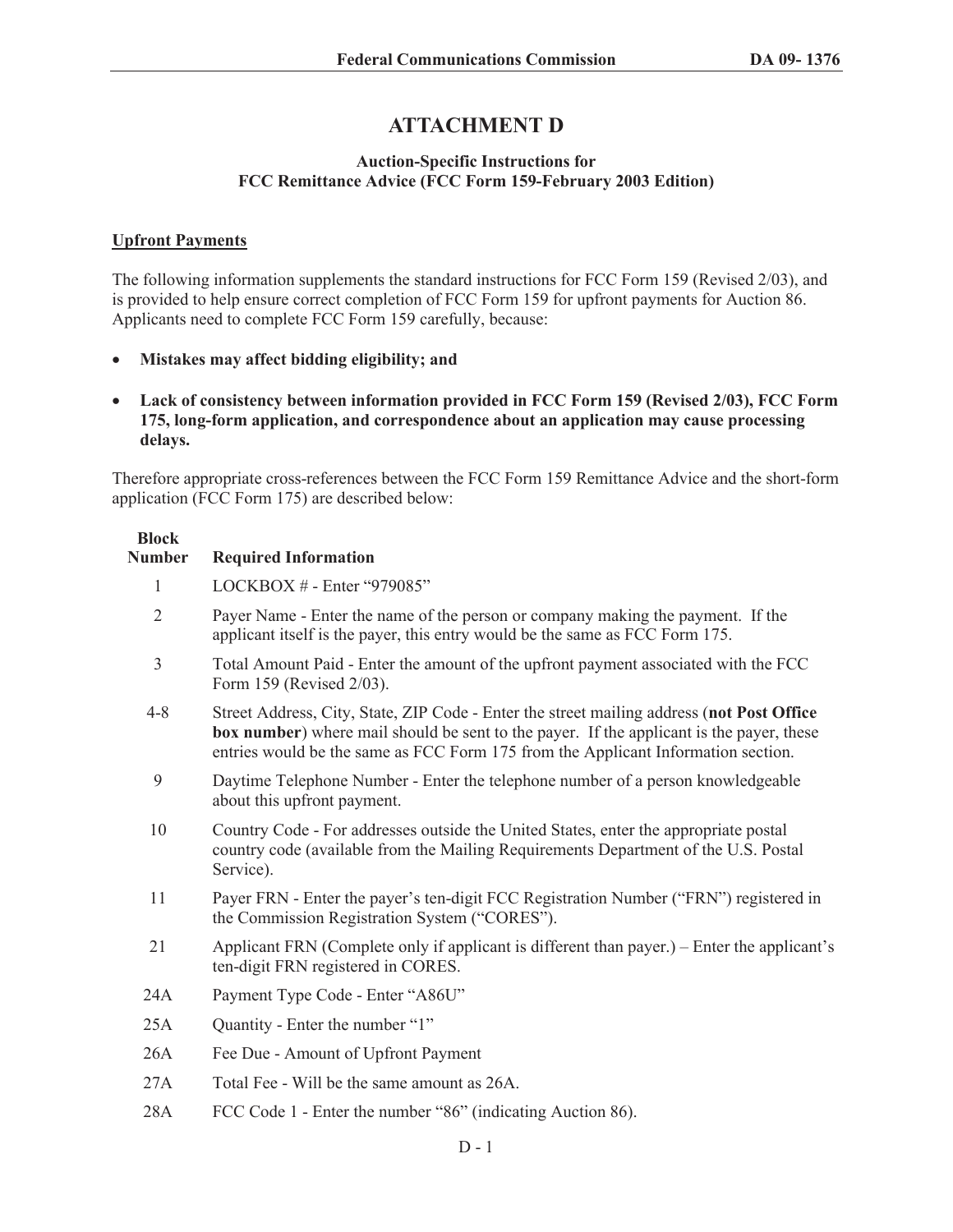# **ATTACHMENT D**

#### **Auction-Specific Instructions for FCC Remittance Advice (FCC Form 159-February 2003 Edition)**

#### **Upfront Payments**

**Block** 

The following information supplements the standard instructions for FCC Form 159 (Revised 2/03), and is provided to help ensure correct completion of FCC Form 159 for upfront payments for Auction 86. Applicants need to complete FCC Form 159 carefully, because:

- · **Mistakes may affect bidding eligibility; and**
- · **Lack of consistency between information provided in FCC Form 159 (Revised 2/03), FCC Form 175, long-form application, and correspondence about an application may cause processing delays.**

Therefore appropriate cross-references between the FCC Form 159 Remittance Advice and the short-form application (FCC Form 175) are described below:

| <b>Number</b>  | <b>Required Information</b>                                                                                                                                                                                                                                                        |
|----------------|------------------------------------------------------------------------------------------------------------------------------------------------------------------------------------------------------------------------------------------------------------------------------------|
| 1              | LOCKBOX $#$ - Enter "979085"                                                                                                                                                                                                                                                       |
| $\overline{2}$ | Payer Name - Enter the name of the person or company making the payment. If the<br>applicant itself is the payer, this entry would be the same as FCC Form 175.                                                                                                                    |
| $\overline{3}$ | Total Amount Paid - Enter the amount of the upfront payment associated with the FCC<br>Form 159 (Revised 2/03).                                                                                                                                                                    |
| $4 - 8$        | Street Address, City, State, ZIP Code - Enter the street mailing address (not Post Office<br><b>box number</b> ) where mail should be sent to the payer. If the applicant is the payer, these<br>entries would be the same as FCC Form 175 from the Applicant Information section. |
| 9              | Daytime Telephone Number - Enter the telephone number of a person knowledgeable<br>about this upfront payment.                                                                                                                                                                     |
| 10             | Country Code - For addresses outside the United States, enter the appropriate postal<br>country code (available from the Mailing Requirements Department of the U.S. Postal<br>Service).                                                                                           |
| 11             | Payer FRN - Enter the payer's ten-digit FCC Registration Number ("FRN") registered in<br>the Commission Registration System ("CORES").                                                                                                                                             |
| 21             | Applicant FRN (Complete only if applicant is different than payer.) – Enter the applicant's<br>ten-digit FRN registered in CORES.                                                                                                                                                  |
| 24A            | Payment Type Code - Enter "A86U"                                                                                                                                                                                                                                                   |
| 25A            | Quantity - Enter the number "1"                                                                                                                                                                                                                                                    |
| 26A            | Fee Due - Amount of Upfront Payment                                                                                                                                                                                                                                                |
| 27A            | Total Fee - Will be the same amount as 26A.                                                                                                                                                                                                                                        |
| 28A            | FCC Code 1 - Enter the number "86" (indicating Auction 86).                                                                                                                                                                                                                        |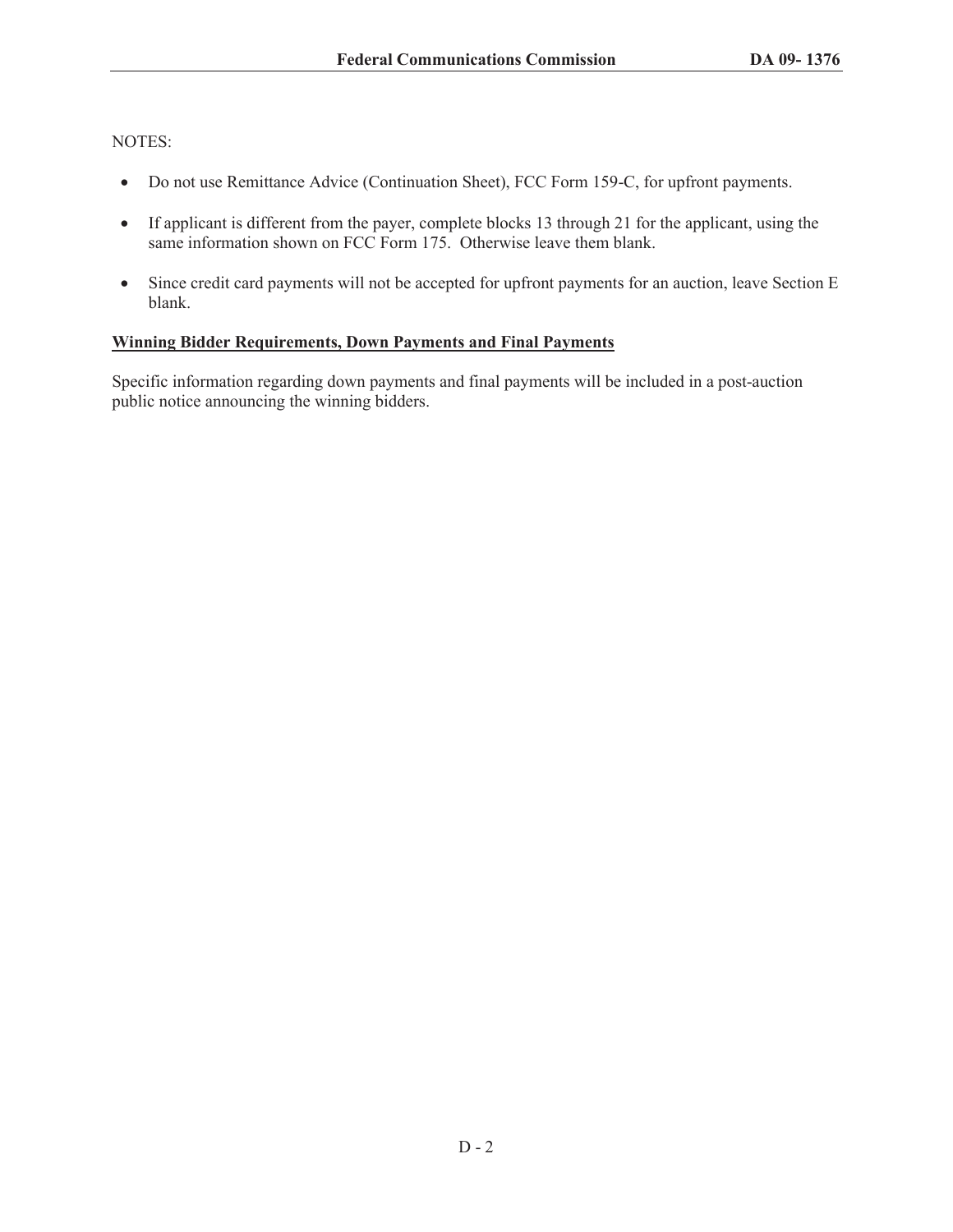NOTES:

- · Do not use Remittance Advice (Continuation Sheet), FCC Form 159-C, for upfront payments.
- If applicant is different from the payer, complete blocks 13 through 21 for the applicant, using the same information shown on FCC Form 175. Otherwise leave them blank.
- Since credit card payments will not be accepted for upfront payments for an auction, leave Section E blank.

### **Winning Bidder Requirements, Down Payments and Final Payments**

Specific information regarding down payments and final payments will be included in a post-auction public notice announcing the winning bidders.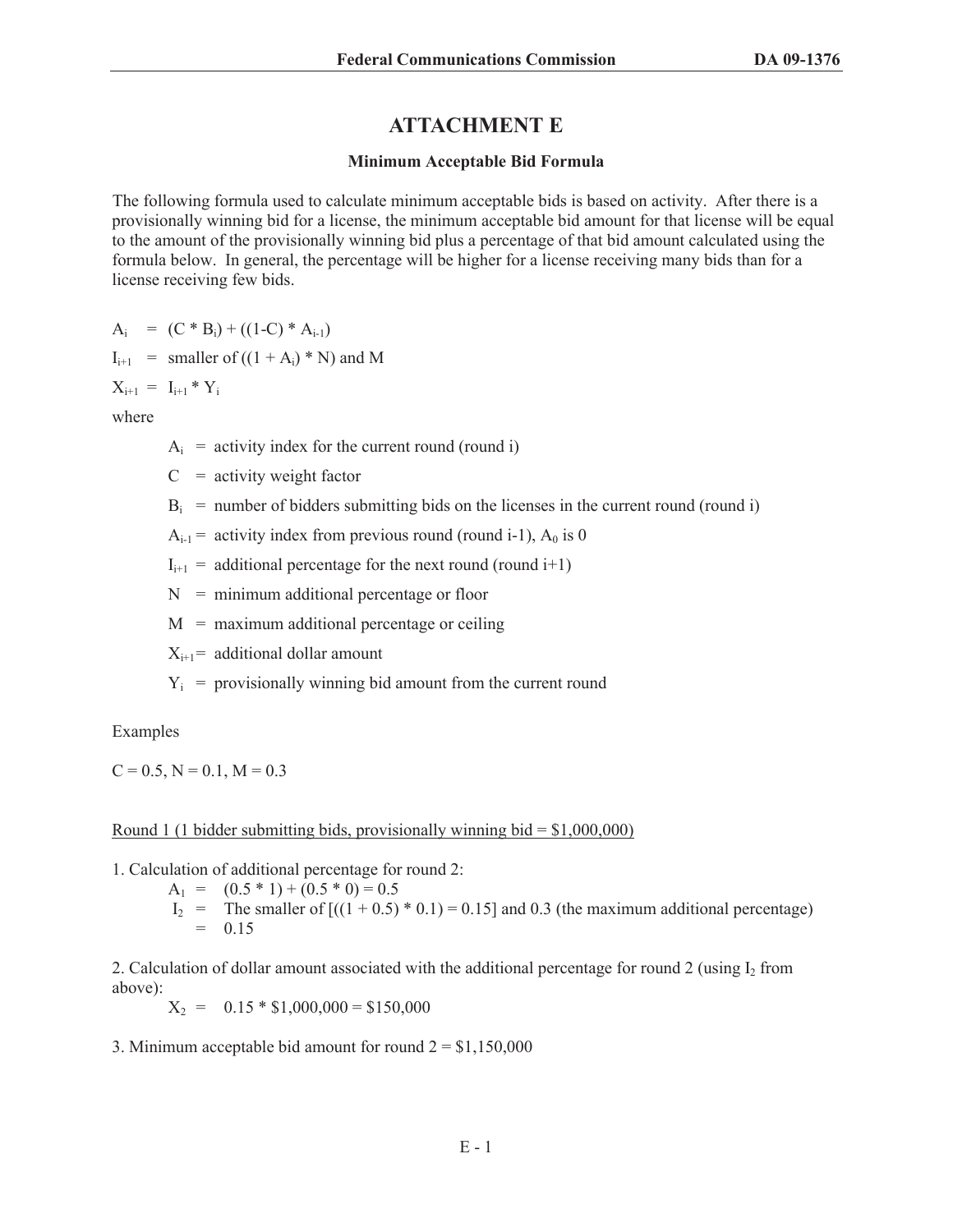# **ATTACHMENT E**

#### **Minimum Acceptable Bid Formula**

The following formula used to calculate minimum acceptable bids is based on activity. After there is a provisionally winning bid for a license, the minimum acceptable bid amount for that license will be equal to the amount of the provisionally winning bid plus a percentage of that bid amount calculated using the formula below. In general, the percentage will be higher for a license receiving many bids than for a license receiving few bids.

 $A_i = (C * B_i) + ((1-C) * A_{i-1})$ 

$$
I_{i+1}
$$
 = smaller of ((1 + A<sub>i</sub>) \* N) and M

 $X_{i+1} = I_{i+1} * Y_i$ 

where

 $A_i$  = activity index for the current round (round i)

 $C =$  activity weight factor

 $B_i$  = number of bidders submitting bids on the licenses in the current round (round i)

 $A_{i-1}$  = activity index from previous round (round i-1),  $A_0$  is 0

 $I_{i+1}$  = additional percentage for the next round (round i+1)

 $N =$  minimum additional percentage or floor

 $M =$  maximum additional percentage or ceiling

 $X_{i+1}$ = additional dollar amount

 $Y_i$  = provisionally winning bid amount from the current round

Examples

 $C = 0.5$ ,  $N = 0.1$ ,  $M = 0.3$ 

#### Round 1 (1 bidder submitting bids, provisionally winning bid  $= $1,000,000$ )

1. Calculation of additional percentage for round 2:

- $A_1 = (0.5 * 1) + (0.5 * 0) = 0.5$ 
	- I<sub>2</sub> = The smaller of  $[(1 + 0.5) * 0.1] = 0.15$  and 0.3 (the maximum additional percentage)  $= 0.15$

2. Calculation of dollar amount associated with the additional percentage for round 2 (using  $I_2$  from above):

 $X_2 = 0.15 * $1,000,000 = $150,000$ 

3. Minimum acceptable bid amount for round  $2 = $1,150,000$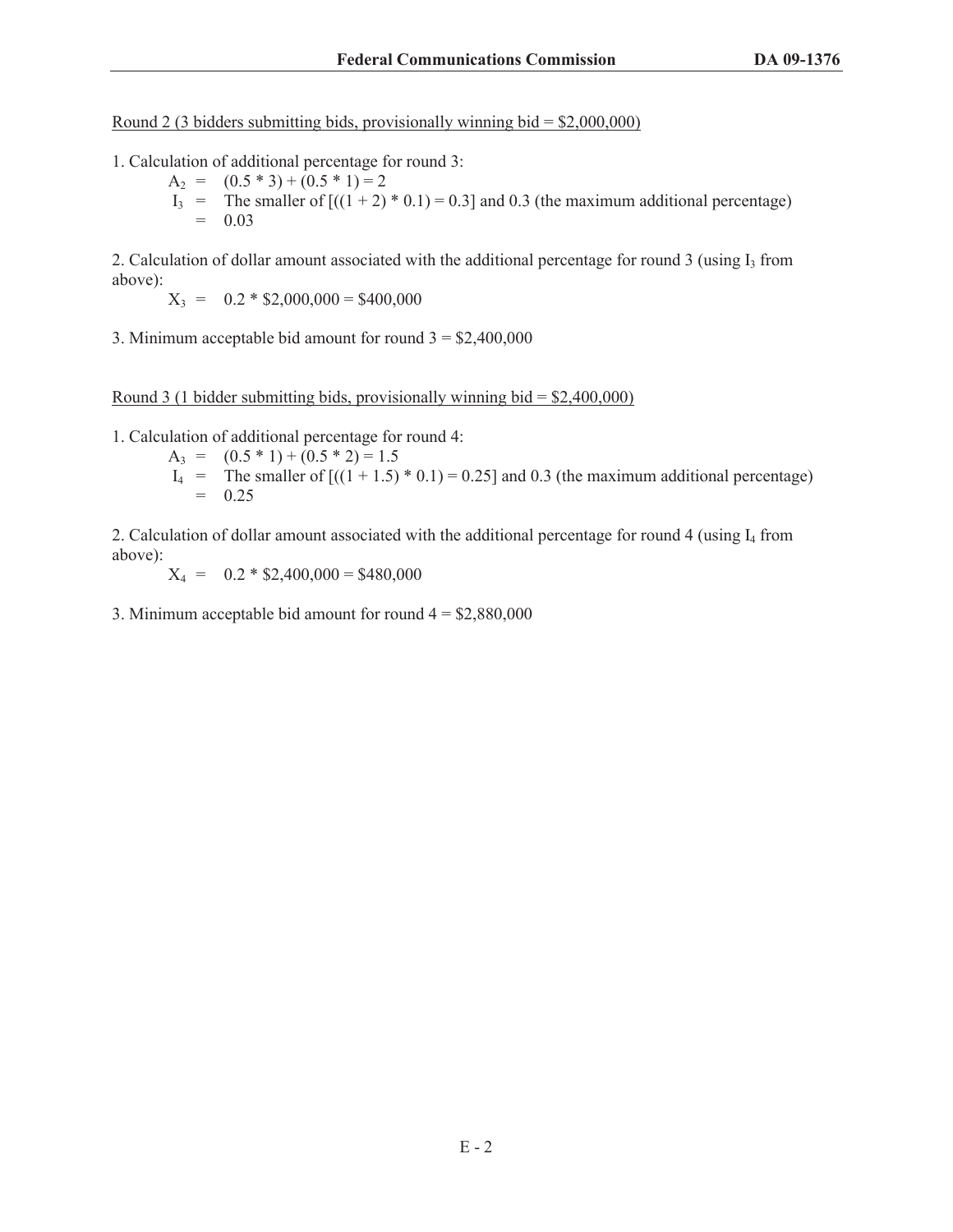Round 2 (3 bidders submitting bids, provisionally winning bid =  $$2,000,000$ )

- 1. Calculation of additional percentage for round 3:
	- $A_2 = (0.5 * 3) + (0.5 * 1) = 2$ I<sub>3</sub> = The smaller of  $[(1 + 2) * 0.1) = 0.3]$  and 0.3 (the maximum additional percentage)  $= 0.03$

2. Calculation of dollar amount associated with the additional percentage for round  $3$  (using  $I_3$  from above):

$$
X_3 = 0.2 * $2,000,000 = $400,000
$$

3. Minimum acceptable bid amount for round  $3 = $2,400,000$ 

#### Round 3 (1 bidder submitting bids, provisionally winning bid  $=$  \$2,400,000)

1. Calculation of additional percentage for round 4:

- $A_3 = (0.5 * 1) + (0.5 * 2) = 1.5$
- $I_4$  = The smaller of  $[(1 + 1.5) * 0.1] = 0.25$  and 0.3 (the maximum additional percentage)  $= 0.25$

2. Calculation of dollar amount associated with the additional percentage for round 4 (using  $I_4$  from above):

 $X_4 = 0.2 * $2,400,000 = $480,000$ 

3. Minimum acceptable bid amount for round  $4 = $2,880,000$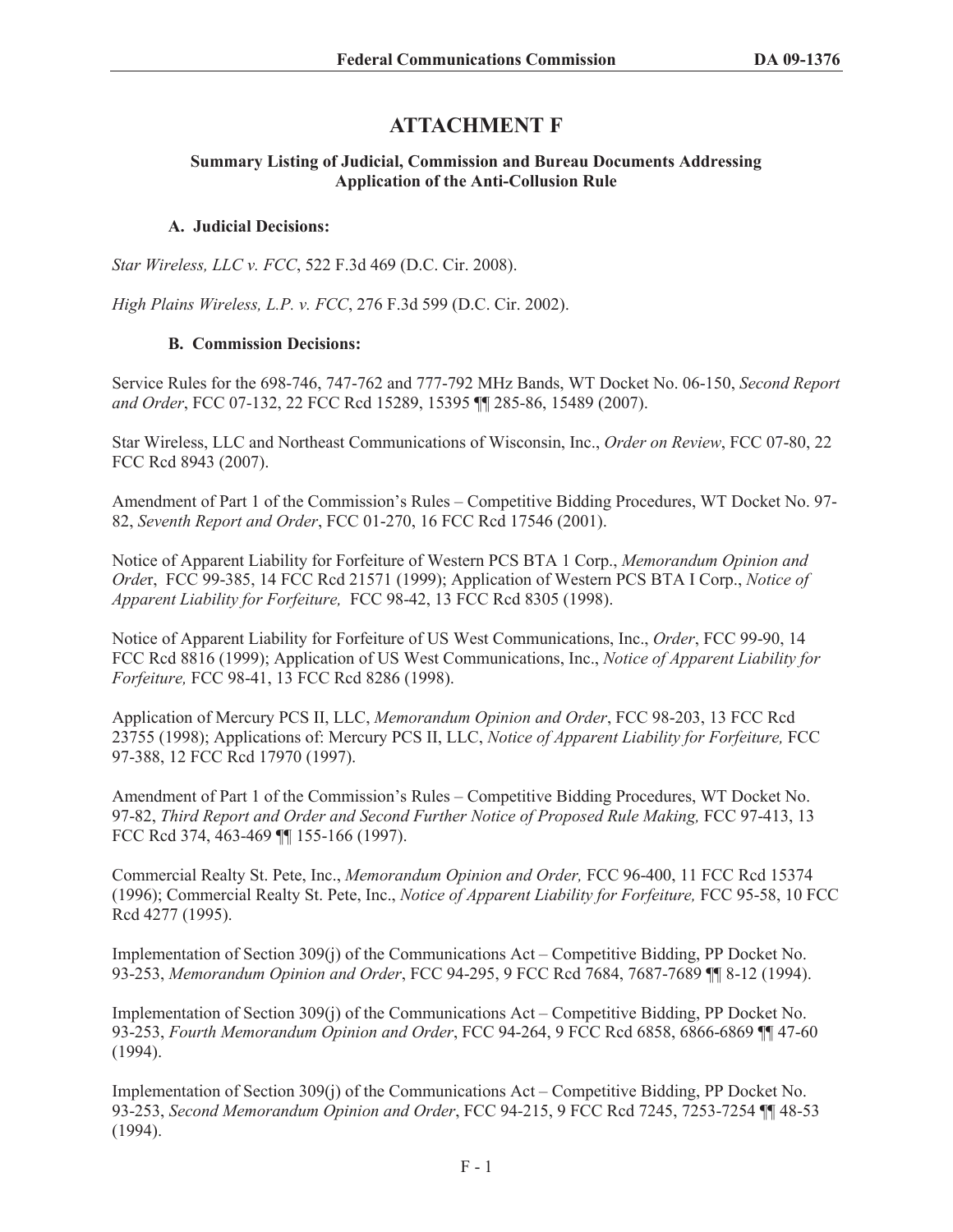# **ATTACHMENT F**

### **Summary Listing of Judicial, Commission and Bureau Documents Addressing Application of the Anti-Collusion Rule**

# **A. Judicial Decisions:**

*Star Wireless, LLC v. FCC*, 522 F.3d 469 (D.C. Cir. 2008).

*High Plains Wireless, L.P. v. FCC*, 276 F.3d 599 (D.C. Cir. 2002).

# **B. Commission Decisions:**

Service Rules for the 698-746, 747-762 and 777-792 MHz Bands, WT Docket No. 06-150, *Second Report and Order*, FCC 07-132, 22 FCC Rcd 15289, 15395 ¶¶ 285-86, 15489 (2007).

Star Wireless, LLC and Northeast Communications of Wisconsin, Inc., *Order on Review*, FCC 07-80, 22 FCC Rcd 8943 (2007).

Amendment of Part 1 of the Commission's Rules – Competitive Bidding Procedures, WT Docket No. 97- 82, *Seventh Report and Order*, FCC 01-270, 16 FCC Rcd 17546 (2001).

Notice of Apparent Liability for Forfeiture of Western PCS BTA 1 Corp., *Memorandum Opinion and Orde*r, FCC 99-385, 14 FCC Rcd 21571 (1999); Application of Western PCS BTA I Corp., *Notice of Apparent Liability for Forfeiture,* FCC 98-42, 13 FCC Rcd 8305 (1998).

Notice of Apparent Liability for Forfeiture of US West Communications, Inc., *Order*, FCC 99-90, 14 FCC Rcd 8816 (1999); Application of US West Communications, Inc., *Notice of Apparent Liability for Forfeiture,* FCC 98-41, 13 FCC Rcd 8286 (1998).

Application of Mercury PCS II, LLC, *Memorandum Opinion and Order*, FCC 98-203, 13 FCC Rcd 23755 (1998); Applications of: Mercury PCS II, LLC, *Notice of Apparent Liability for Forfeiture,* FCC 97-388, 12 FCC Rcd 17970 (1997).

Amendment of Part 1 of the Commission's Rules – Competitive Bidding Procedures, WT Docket No. 97-82, *Third Report and Order and Second Further Notice of Proposed Rule Making,* FCC 97-413, 13 FCC Rcd 374, 463-469 ¶¶ 155-166 (1997).

Commercial Realty St. Pete, Inc., *Memorandum Opinion and Order,* FCC 96-400, 11 FCC Rcd 15374 (1996); Commercial Realty St. Pete, Inc., *Notice of Apparent Liability for Forfeiture,* FCC 95-58, 10 FCC Rcd 4277 (1995).

Implementation of Section 309(j) of the Communications Act – Competitive Bidding, PP Docket No. 93-253, *Memorandum Opinion and Order*, FCC 94-295, 9 FCC Rcd 7684, 7687-7689 ¶¶ 8-12 (1994).

Implementation of Section 309(j) of the Communications Act – Competitive Bidding, PP Docket No. 93-253, *Fourth Memorandum Opinion and Order*, FCC 94-264, 9 FCC Rcd 6858, 6866-6869 ¶¶ 47-60 (1994).

Implementation of Section 309(j) of the Communications Act – Competitive Bidding, PP Docket No. 93-253, *Second Memorandum Opinion and Order*, FCC 94-215, 9 FCC Rcd 7245, 7253-7254 ¶¶ 48-53 (1994).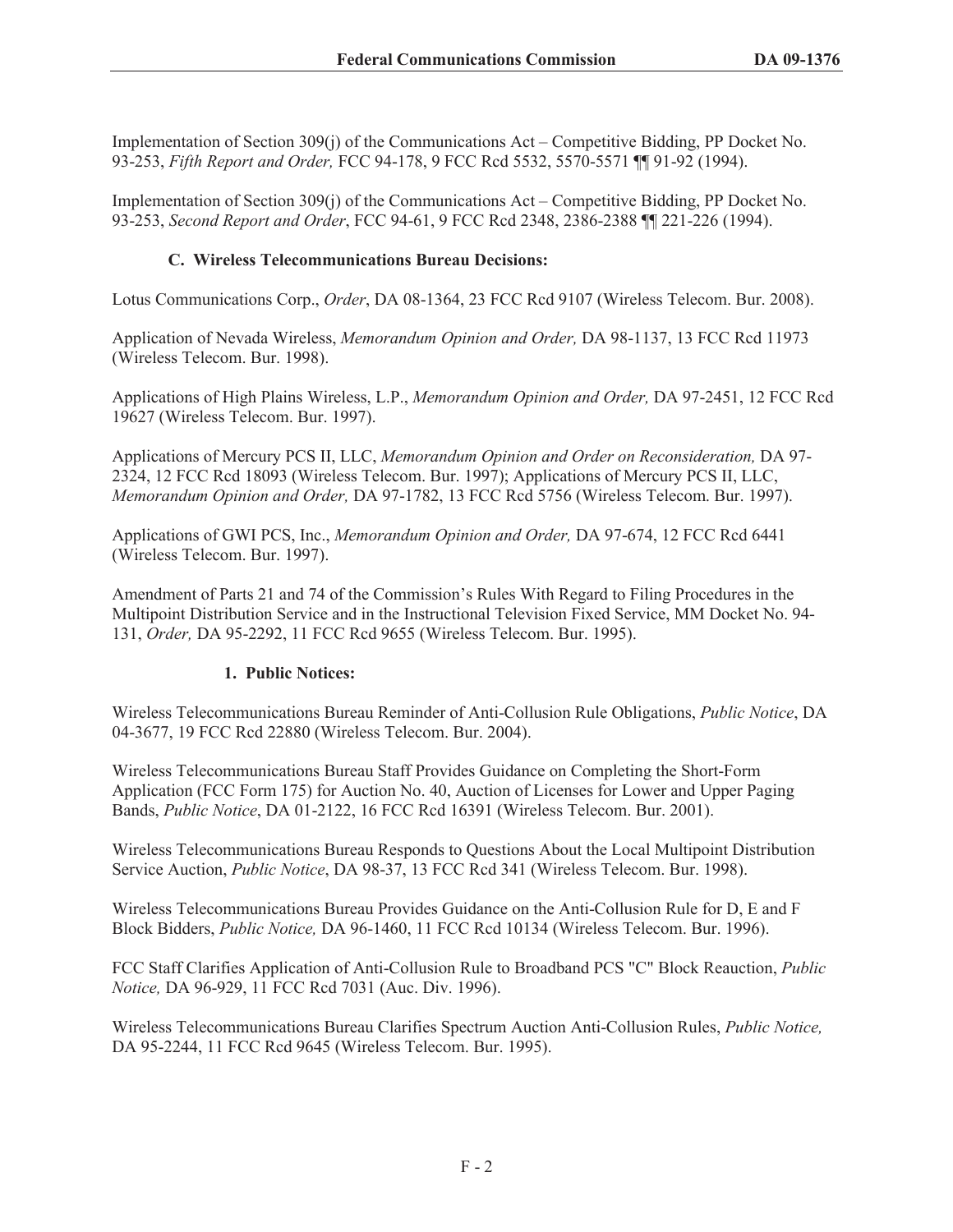Implementation of Section 309(j) of the Communications Act – Competitive Bidding, PP Docket No. 93-253, *Fifth Report and Order,* FCC 94-178, 9 FCC Rcd 5532, 5570-5571 ¶¶ 91-92 (1994).

Implementation of Section 309(j) of the Communications Act – Competitive Bidding, PP Docket No. 93-253, *Second Report and Order*, FCC 94-61, 9 FCC Rcd 2348, 2386-2388 ¶¶ 221-226 (1994).

## **C. Wireless Telecommunications Bureau Decisions:**

Lotus Communications Corp., *Order*, DA 08-1364, 23 FCC Rcd 9107 (Wireless Telecom. Bur. 2008).

Application of Nevada Wireless, *Memorandum Opinion and Order,* DA 98-1137, 13 FCC Rcd 11973 (Wireless Telecom. Bur. 1998).

Applications of High Plains Wireless, L.P., *Memorandum Opinion and Order,* DA 97-2451, 12 FCC Rcd 19627 (Wireless Telecom. Bur. 1997).

Applications of Mercury PCS II, LLC, *Memorandum Opinion and Order on Reconsideration,* DA 97- 2324, 12 FCC Rcd 18093 (Wireless Telecom. Bur. 1997); Applications of Mercury PCS II, LLC, *Memorandum Opinion and Order,* DA 97-1782, 13 FCC Rcd 5756 (Wireless Telecom. Bur. 1997).

Applications of GWI PCS, Inc., *Memorandum Opinion and Order,* DA 97-674, 12 FCC Rcd 6441 (Wireless Telecom. Bur. 1997).

Amendment of Parts 21 and 74 of the Commission's Rules With Regard to Filing Procedures in the Multipoint Distribution Service and in the Instructional Television Fixed Service, MM Docket No. 94- 131, *Order,* DA 95-2292, 11 FCC Rcd 9655 (Wireless Telecom. Bur. 1995).

#### **1. Public Notices:**

Wireless Telecommunications Bureau Reminder of Anti-Collusion Rule Obligations, *Public Notice*, DA 04-3677, 19 FCC Rcd 22880 (Wireless Telecom. Bur. 2004).

Wireless Telecommunications Bureau Staff Provides Guidance on Completing the Short-Form Application (FCC Form 175) for Auction No. 40, Auction of Licenses for Lower and Upper Paging Bands, *Public Notice*, DA 01-2122, 16 FCC Rcd 16391 (Wireless Telecom. Bur. 2001).

Wireless Telecommunications Bureau Responds to Questions About the Local Multipoint Distribution Service Auction, *Public Notice*, DA 98-37, 13 FCC Rcd 341 (Wireless Telecom. Bur. 1998).

Wireless Telecommunications Bureau Provides Guidance on the Anti-Collusion Rule for D, E and F Block Bidders, *Public Notice,* DA 96-1460, 11 FCC Rcd 10134 (Wireless Telecom. Bur. 1996).

FCC Staff Clarifies Application of Anti-Collusion Rule to Broadband PCS "C" Block Reauction, *Public Notice,* DA 96-929, 11 FCC Rcd 7031 (Auc. Div. 1996).

Wireless Telecommunications Bureau Clarifies Spectrum Auction Anti-Collusion Rules, *Public Notice,*  DA 95-2244, 11 FCC Rcd 9645 (Wireless Telecom. Bur. 1995).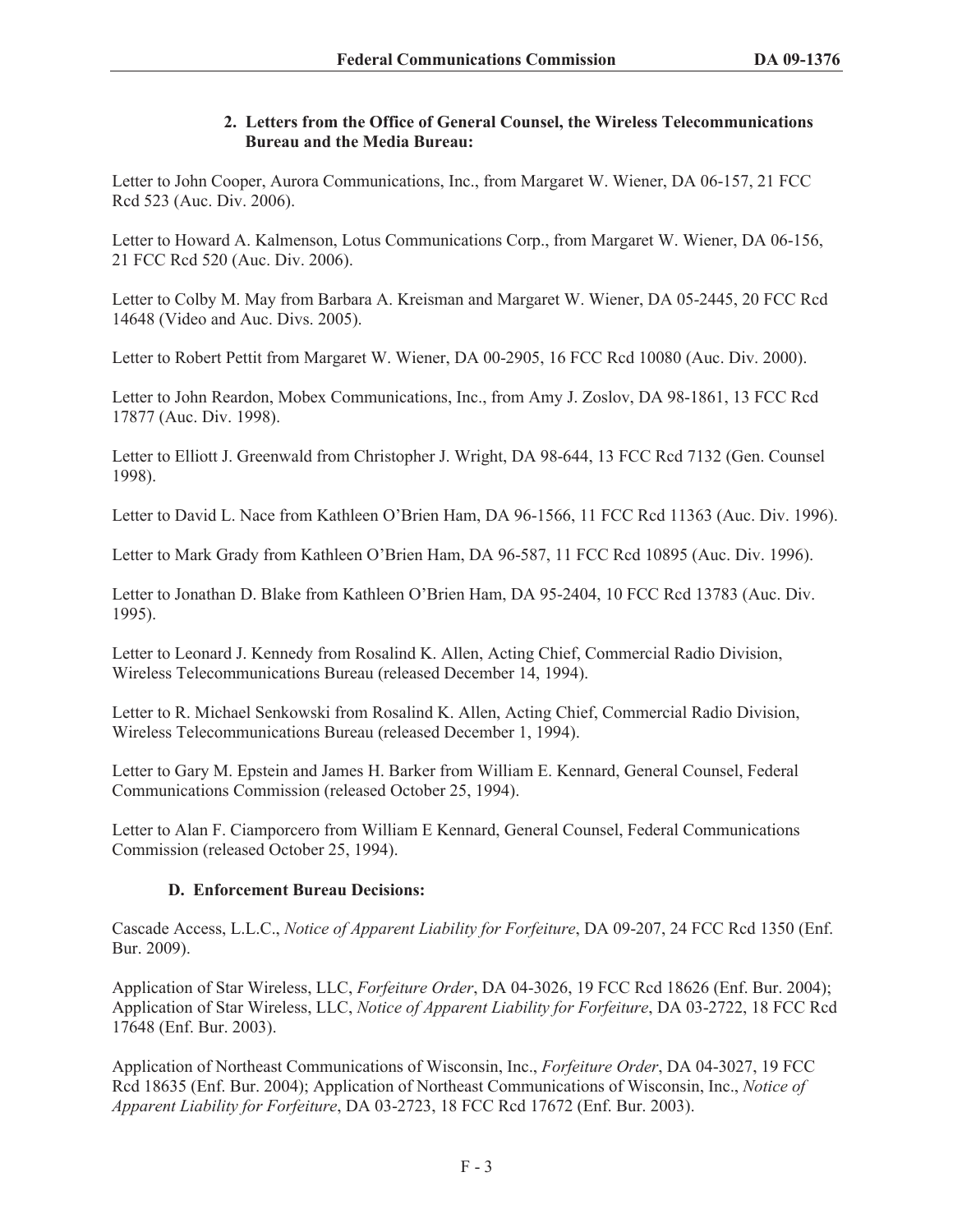## **2. Letters from the Office of General Counsel, the Wireless Telecommunications Bureau and the Media Bureau:**

Letter to John Cooper, Aurora Communications, Inc., from Margaret W. Wiener, DA 06-157, 21 FCC Rcd 523 (Auc. Div. 2006).

Letter to Howard A. Kalmenson, Lotus Communications Corp., from Margaret W. Wiener, DA 06-156, 21 FCC Rcd 520 (Auc. Div. 2006).

Letter to Colby M. May from Barbara A. Kreisman and Margaret W. Wiener, DA 05-2445, 20 FCC Rcd 14648 (Video and Auc. Divs. 2005).

Letter to Robert Pettit from Margaret W. Wiener, DA 00-2905, 16 FCC Rcd 10080 (Auc. Div. 2000).

Letter to John Reardon, Mobex Communications, Inc., from Amy J. Zoslov, DA 98-1861, 13 FCC Rcd 17877 (Auc. Div. 1998).

Letter to Elliott J. Greenwald from Christopher J. Wright, DA 98-644, 13 FCC Rcd 7132 (Gen. Counsel 1998).

Letter to David L. Nace from Kathleen O'Brien Ham, DA 96-1566, 11 FCC Rcd 11363 (Auc. Div. 1996).

Letter to Mark Grady from Kathleen O'Brien Ham, DA 96-587, 11 FCC Rcd 10895 (Auc. Div. 1996).

Letter to Jonathan D. Blake from Kathleen O'Brien Ham, DA 95-2404, 10 FCC Rcd 13783 (Auc. Div. 1995).

Letter to Leonard J. Kennedy from Rosalind K. Allen, Acting Chief, Commercial Radio Division, Wireless Telecommunications Bureau (released December 14, 1994).

Letter to R. Michael Senkowski from Rosalind K. Allen, Acting Chief, Commercial Radio Division, Wireless Telecommunications Bureau (released December 1, 1994).

Letter to Gary M. Epstein and James H. Barker from William E. Kennard, General Counsel, Federal Communications Commission (released October 25, 1994).

Letter to Alan F. Ciamporcero from William E Kennard, General Counsel, Federal Communications Commission (released October 25, 1994).

# **D. Enforcement Bureau Decisions:**

Cascade Access, L.L.C., *Notice of Apparent Liability for Forfeiture*, DA 09-207, 24 FCC Rcd 1350 (Enf. Bur. 2009).

Application of Star Wireless, LLC, *Forfeiture Order*, DA 04-3026, 19 FCC Rcd 18626 (Enf. Bur. 2004); Application of Star Wireless, LLC, *Notice of Apparent Liability for Forfeiture*, DA 03-2722, 18 FCC Rcd 17648 (Enf. Bur. 2003).

Application of Northeast Communications of Wisconsin, Inc., *Forfeiture Order*, DA 04-3027, 19 FCC Rcd 18635 (Enf. Bur. 2004); Application of Northeast Communications of Wisconsin, Inc., *Notice of Apparent Liability for Forfeiture*, DA 03-2723, 18 FCC Rcd 17672 (Enf. Bur. 2003).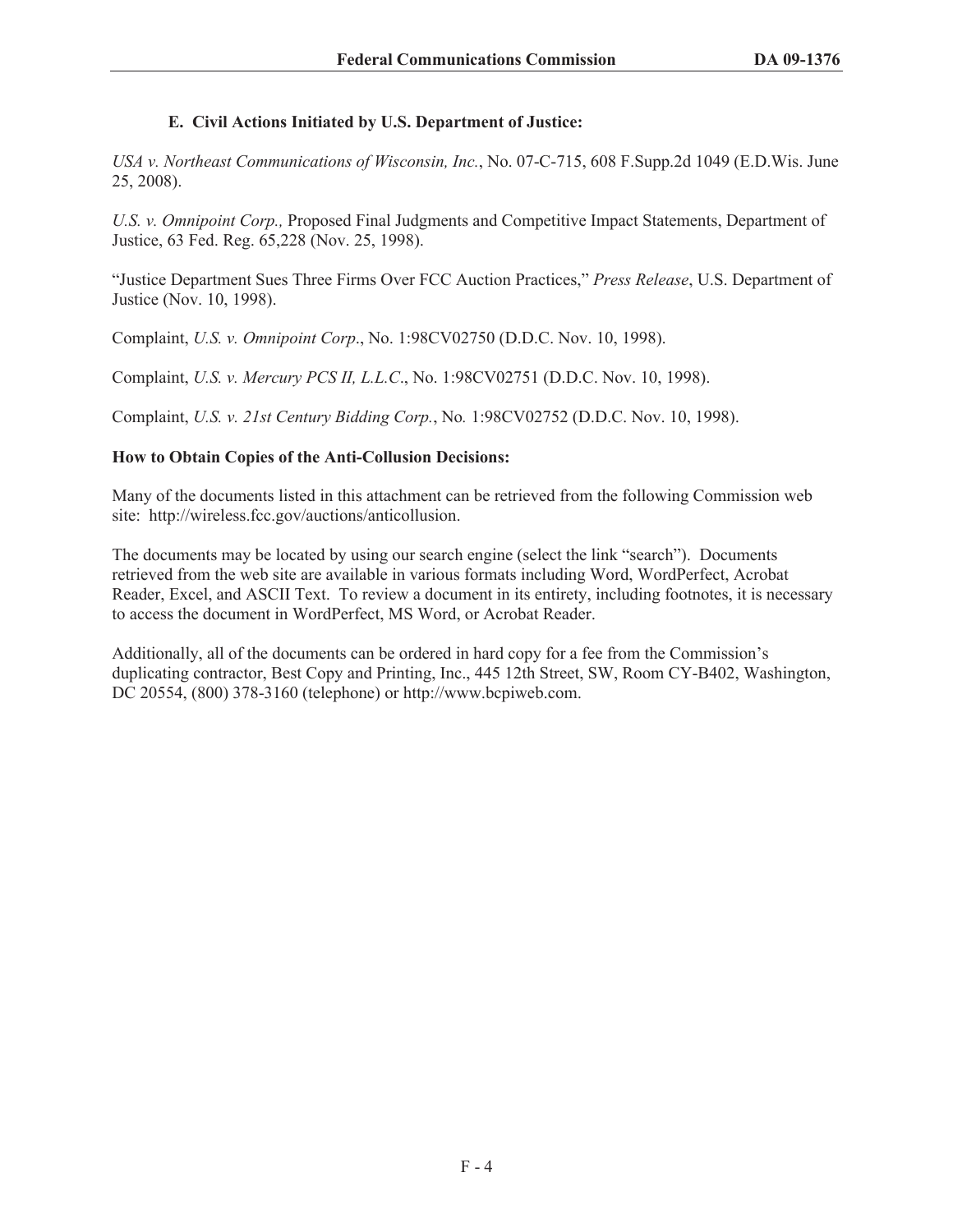### **E. Civil Actions Initiated by U.S. Department of Justice:**

*USA v. Northeast Communications of Wisconsin, Inc.*, No. 07-C-715, 608 F.Supp.2d 1049 (E.D.Wis. June 25, 2008).

*U.S. v. Omnipoint Corp.,* Proposed Final Judgments and Competitive Impact Statements, Department of Justice, 63 Fed. Reg. 65,228 (Nov. 25, 1998).

"Justice Department Sues Three Firms Over FCC Auction Practices," *Press Release*, U.S. Department of Justice (Nov. 10, 1998).

Complaint, *U.S. v. Omnipoint Corp*., No. 1:98CV02750 (D.D.C. Nov. 10, 1998).

Complaint, *U.S. v. Mercury PCS II, L.L.C*., No. 1:98CV02751 (D.D.C. Nov. 10, 1998).

Complaint, *U.S. v. 21st Century Bidding Corp.*, No*.* 1:98CV02752 (D.D.C. Nov. 10, 1998).

#### **How to Obtain Copies of the Anti-Collusion Decisions:**

Many of the documents listed in this attachment can be retrieved from the following Commission web site: http://wireless.fcc.gov/auctions/anticollusion.

The documents may be located by using our search engine (select the link "search"). Documents retrieved from the web site are available in various formats including Word, WordPerfect, Acrobat Reader, Excel, and ASCII Text. To review a document in its entirety, including footnotes, it is necessary to access the document in WordPerfect, MS Word, or Acrobat Reader.

Additionally, all of the documents can be ordered in hard copy for a fee from the Commission's duplicating contractor, Best Copy and Printing, Inc., 445 12th Street, SW, Room CY-B402, Washington, DC 20554, (800) 378-3160 (telephone) or http://www.bcpiweb.com.